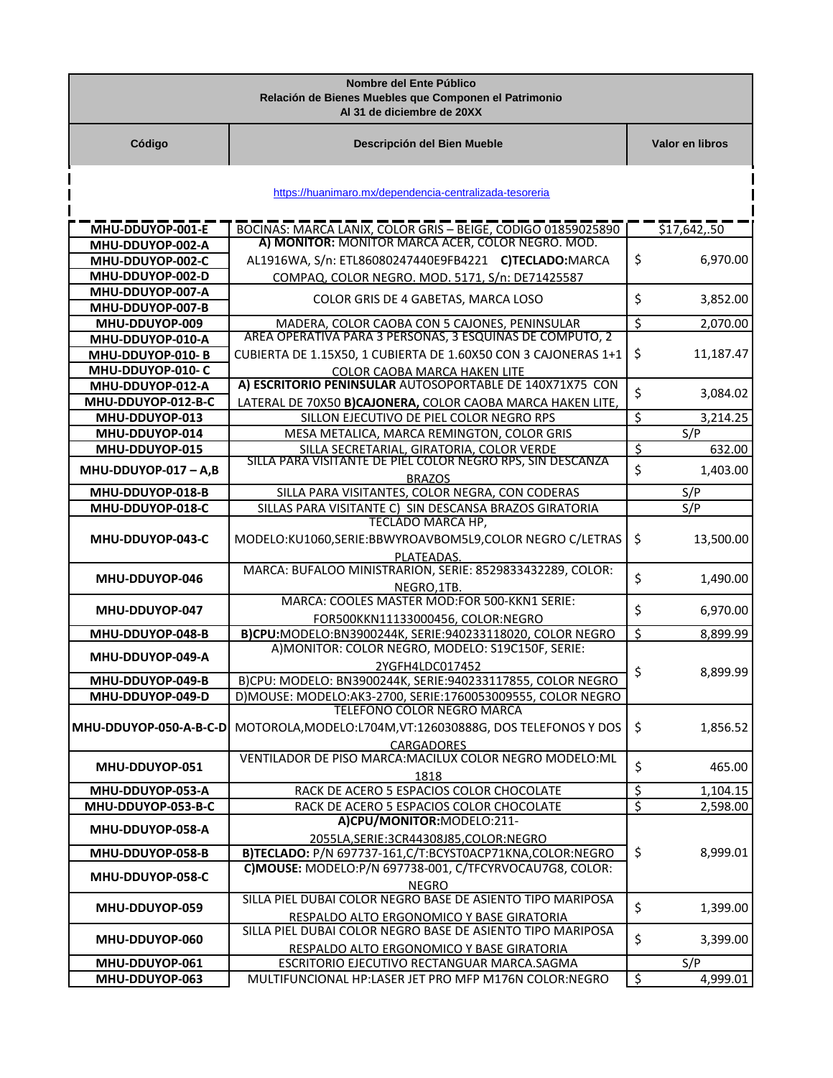|                                      | Nombre del Ente Público<br>Relación de Bienes Muebles que Componen el Patrimonio<br>Al 31 de diciembre de 20XX           |                          |                 |
|--------------------------------------|--------------------------------------------------------------------------------------------------------------------------|--------------------------|-----------------|
| Código                               | Descripción del Bien Mueble                                                                                              |                          | Valor en libros |
|                                      | https://huanimaro.mx/dependencia-centralizada-tesoreria                                                                  |                          |                 |
| MHU-DDUYOP-001-E                     | BOCINAS: MARCA LANIX, COLOR GRIS - BEIGE, CODIGO 01859025890                                                             |                          | \$17,642,.50    |
| MHU-DDUYOP-002-A                     | A) MONITOR: MONITOR MARCA ACER, COLOR NEGRO. MOD.                                                                        |                          |                 |
| MHU-DDUYOP-002-C                     | AL1916WA, S/n: ETL86080247440E9FB4221 C)TECLADO:MARCA                                                                    | \$                       | 6,970.00        |
| MHU-DDUYOP-002-D                     | COMPAQ, COLOR NEGRO. MOD. 5171, S/n: DE71425587                                                                          |                          |                 |
| MHU-DDUYOP-007-A                     | COLOR GRIS DE 4 GABETAS, MARCA LOSO                                                                                      | \$                       | 3,852.00        |
| MHU-DDUYOP-007-B                     |                                                                                                                          |                          |                 |
| MHU-DDUYOP-009                       | MADERA, COLOR CAOBA CON 5 CAJONES, PENINSULAR                                                                            | \$                       | 2,070.00        |
| MHU-DDUYOP-010-A                     | AREA OPERATIVA PARA 3 PERSONAS, 3 ESQUINAS DE COMPUTO, 2                                                                 |                          |                 |
| MHU-DDUYOP-010-B                     | CUBIERTA DE 1.15X50, 1 CUBIERTA DE 1.60X50 CON 3 CAJONERAS 1+1                                                           | \$                       | 11,187.47       |
| MHU-DDUYOP-010-C                     | <b>COLOR CAOBA MARCA HAKEN LITE</b><br>A) ESCRITORIO PENINSULAR AUTOSOPORTABLE DE 140X71X75 CON                          |                          |                 |
| MHU-DDUYOP-012-A                     |                                                                                                                          | \$                       | 3,084.02        |
| MHU-DDUYOP-012-B-C                   | LATERAL DE 70X50 B)CAJONERA, COLOR CAOBA MARCA HAKEN LITE,                                                               |                          |                 |
| MHU-DDUYOP-013                       | SILLON EJECUTIVO DE PIEL COLOR NEGRO RPS<br>MESA METALICA, MARCA REMINGTON, COLOR GRIS                                   | $\overline{\mathcal{S}}$ | 3,214.25        |
| MHU-DDUYOP-014<br>MHU-DDUYOP-015     | SILLA SECRETARIAL, GIRATORIA, COLOR VERDE                                                                                | \$                       | S/P<br>632.00   |
|                                      | SILLA PARA VISITANTE DE PIÉL COLOR NEGRO RPS, SIN DESCANZA                                                               |                          |                 |
| MHU-DDUYOP-017 - A,B                 | <b>BRAZOS</b>                                                                                                            | \$                       | 1,403.00        |
| MHU-DDUYOP-018-B                     | SILLA PARA VISITANTES, COLOR NEGRA, CON CODERAS                                                                          |                          | S/P             |
| MHU-DDUYOP-018-C                     | SILLAS PARA VISITANTE C) SIN DESCANSA BRAZOS GIRATORIA                                                                   |                          | S/P             |
|                                      | <b>TECLADO MARCA HP,</b>                                                                                                 |                          |                 |
| MHU-DDUYOP-043-C                     | MODELO:KU1060,SERIE:BBWYROAVBOM5L9,COLOR NEGRO C/LETRAS                                                                  | \$                       | 13,500.00       |
|                                      | PLATEADAS.                                                                                                               |                          |                 |
| MHU-DDUYOP-046                       | MARCA: BUFALOO MINISTRARION, SERIE: 8529833432289, COLOR:                                                                | \$                       | 1,490.00        |
|                                      | NEGRO, 1TB.                                                                                                              |                          |                 |
| MHU-DDUYOP-047                       | MARCA: COOLES MASTER MOD:FOR 500-KKN1 SERIE:                                                                             | \$                       | 6,970.00        |
|                                      | FOR500KKN11133000456, COLOR:NEGRO                                                                                        |                          |                 |
| MHU-DDUYOP-048-B                     | B)CPU:MODELO:BN3900244K, SERIE:940233118020, COLOR NEGRO                                                                 | \$                       | 8,899.99        |
| MHU-DDUYOP-049-A                     | A) MONITOR: COLOR NEGRO, MODELO: S19C150F, SERIE:                                                                        |                          |                 |
|                                      | 2YGFH4LDC017452                                                                                                          | \$                       | 8,899.99        |
| MHU-DDUYOP-049-B<br>MHU-DDUYOP-049-D | B)CPU: MODELO: BN3900244K, SERIE:940233117855, COLOR NEGRO<br>D)MOUSE: MODELO:AK3-2700, SERIE:1760053009555, COLOR NEGRO |                          |                 |
|                                      | TELEFONO COLOR NEGRO MARCA                                                                                               |                          |                 |
| MHU-DDUYOP-050-A-B-C-D               | MOTOROLA, MODELO:L704M, VT:126030888G, DOS TELEFONOS Y DOS                                                               | \$                       | 1,856.52        |
|                                      | CARGADORES                                                                                                               |                          |                 |
|                                      | VENTILADOR DE PISO MARCA: MACILUX COLOR NEGRO MODELO: ML                                                                 |                          |                 |
| MHU-DDUYOP-051                       | 1818                                                                                                                     | \$                       | 465.00          |
| MHU-DDUYOP-053-A                     | RACK DE ACERO 5 ESPACIOS COLOR CHOCOLATE                                                                                 | \$                       | 1,104.15        |
| MHU-DDUYOP-053-B-C                   | RACK DE ACERO 5 ESPACIOS COLOR CHOCOLATE                                                                                 | $\overline{\varsigma}$   | 2,598.00        |
| MHU-DDUYOP-058-A                     | A)CPU/MONITOR:MODELO:211-                                                                                                |                          |                 |
|                                      | 2055LA, SERIE: 3CR44308J85, COLOR: NEGRO                                                                                 |                          |                 |
| MHU-DDUYOP-058-B                     | B)TECLADO: P/N 697737-161,C/T:BCYST0ACP71KNA,COLOR:NEGRO                                                                 | \$                       | 8,999.01        |
| MHU-DDUYOP-058-C                     | C)MOUSE: MODELO:P/N 697738-001, C/TFCYRVOCAU7G8, COLOR:                                                                  |                          |                 |
|                                      | <b>NEGRO</b>                                                                                                             |                          |                 |
| MHU-DDUYOP-059                       | SILLA PIEL DUBAI COLOR NEGRO BASE DE ASIENTO TIPO MARIPOSA                                                               | \$                       | 1,399.00        |
|                                      | RESPALDO ALTO ERGONOMICO Y BASE GIRATORIA                                                                                |                          |                 |
| MHU-DDUYOP-060                       | SILLA PIEL DUBAI COLOR NEGRO BASE DE ASIENTO TIPO MARIPOSA                                                               | \$                       | 3,399.00        |
|                                      | RESPALDO ALTO ERGONOMICO Y BASE GIRATORIA                                                                                |                          |                 |
| MHU-DDUYOP-061<br>MHU-DDUYOP-063     | ESCRITORIO EJECUTIVO RECTANGUAR MARCA.SAGMA<br>MULTIFUNCIONAL HP:LASER JET PRO MFP M176N COLOR:NEGRO                     | $\zeta$                  | S/P             |
|                                      |                                                                                                                          |                          | 4,999.01        |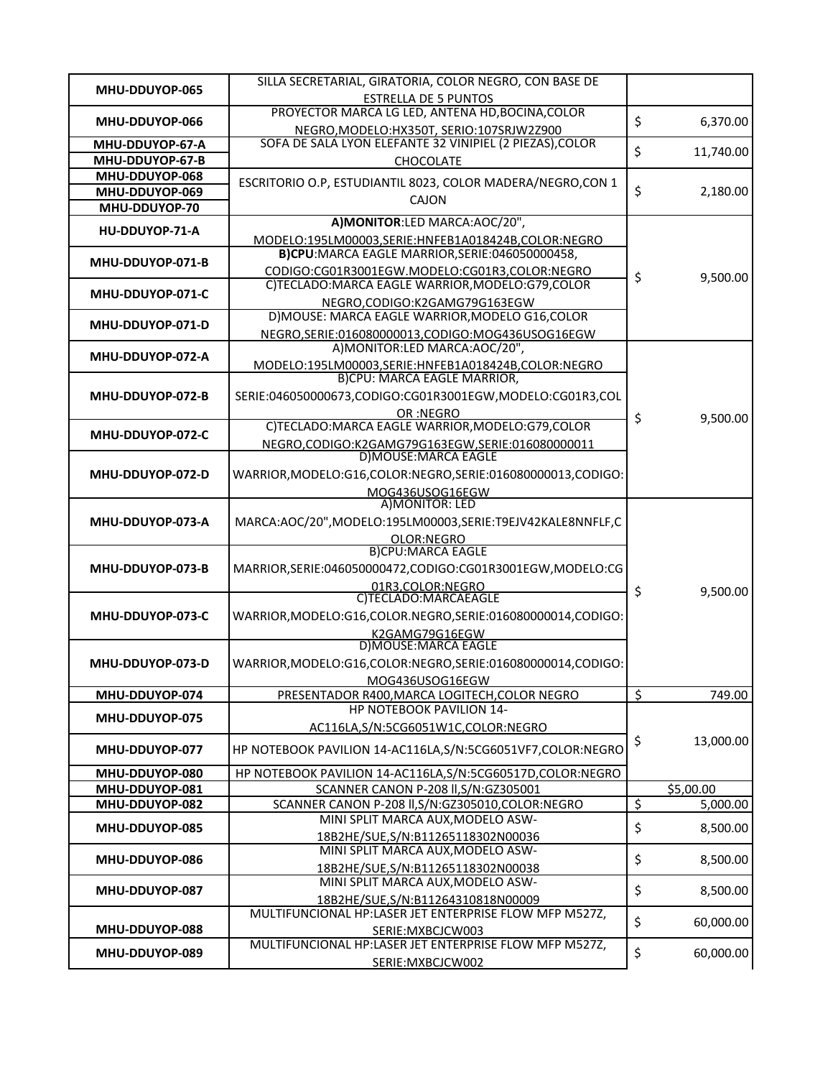| MHU-DDUYOP-065   | SILLA SECRETARIAL, GIRATORIA, COLOR NEGRO, CON BASE DE                                                 |                 |
|------------------|--------------------------------------------------------------------------------------------------------|-----------------|
|                  | <b>ESTRELLA DE 5 PUNTOS</b><br>PROYECTOR MARCA LG LED, ANTENA HD, BOCINA, COLOR                        |                 |
| MHU-DDUYOP-066   |                                                                                                        | \$<br>6,370.00  |
| MHU-DDUYOP-67-A  | NEGRO, MODELO: HX350T, SERIO: 107SRJW2Z900<br>SOFA DE SALA LYON ELEFANTE 32 VINIPIEL (2 PIEZAS), COLOR |                 |
| MHU-DDUYOP-67-B  | CHOCOLATE                                                                                              | \$<br>11,740.00 |
| MHU-DDUYOP-068   |                                                                                                        |                 |
| MHU-DDUYOP-069   | ESCRITORIO O.P, ESTUDIANTIL 8023, COLOR MADERA/NEGRO, CON 1                                            | \$<br>2,180.00  |
| MHU-DDUYOP-70    | <b>CAJON</b>                                                                                           |                 |
|                  | A)MONITOR:LED MARCA:AOC/20",                                                                           |                 |
| HU-DDUYOP-71-A   | MODELO:195LM00003,SERIE:HNFEB1A018424B,COLOR:NEGRO                                                     |                 |
|                  | B)CPU:MARCA EAGLE MARRIOR, SERIE: 046050000458,                                                        |                 |
| MHU-DDUYOP-071-B | CODIGO:CG01R3001EGW.MODELO:CG01R3,COLOR:NEGRO                                                          |                 |
|                  | C)TECLADO:MARCA EAGLE WARRIOR,MODELO:G79,COLOR                                                         | \$<br>9,500.00  |
| MHU-DDUYOP-071-C | NEGRO, CODIGO: K2GAMG79G163EGW                                                                         |                 |
| MHU-DDUYOP-071-D | D) MOUSE: MARCA EAGLE WARRIOR, MODELO G16, COLOR                                                       |                 |
|                  | NEGRO, SERIE: 016080000013, CODIGO: MOG436USOG16EGW                                                    |                 |
| MHU-DDUYOP-072-A | A)MONITOR:LED MARCA:AOC/20",                                                                           |                 |
|                  | MODELO:195LM00003,SERIE:HNFEB1A018424B,COLOR:NEGRO                                                     |                 |
|                  | B)CPU: MARCA EAGLE MARRIOR,                                                                            |                 |
| MHU-DDUYOP-072-B | SERIE:046050000673,CODIGO:CG01R3001EGW,MODELO:CG01R3,COL                                               |                 |
|                  | OR :NFGRO                                                                                              | \$<br>9,500.00  |
| MHU-DDUYOP-072-C | C)TECLADO:MARCA EAGLE WARRIOR,MODELO:G79,COLOR                                                         |                 |
|                  | NEGRO,CODIGO:K2GAMG79G163EGW,SERIE:016080000011                                                        |                 |
|                  | D) MOUSE: MARCA EAGLE                                                                                  |                 |
| MHU-DDUYOP-072-D | WARRIOR, MODELO:G16, COLOR: NEGRO, SERIE: 016080000013, CODIGO:                                        |                 |
|                  | MOG436USOG16EGW                                                                                        |                 |
|                  | A) MONITOR: LED                                                                                        |                 |
| MHU-DDUYOP-073-A | MARCA:AOC/20",MODELO:195LM00003,SERIE:T9EJV42KALE8NNFLF,C                                              |                 |
|                  | OLOR:NEGRO<br>B)CPU:MARCA EAGLE                                                                        |                 |
| MHU-DDUYOP-073-B | MARRIOR, SERIE: 046050000472, CODIGO: CG01R3001EGW, MODELO: CG                                         |                 |
|                  |                                                                                                        |                 |
|                  | 01R3,COLOR:NEGRO<br>C)TECLADO:MARCAEAGLE                                                               | \$<br>9,500.00  |
| MHU-DDUYOP-073-C | WARRIOR, MODELO:G16, COLOR.NEGRO, SERIE:016080000014, CODIGO:                                          |                 |
|                  | K2GAMG79G16EGW                                                                                         |                 |
|                  | D)MOUSE: MARCA EAGLE                                                                                   |                 |
| MHU-DDUYOP-073-D | WARRIOR, MODELO:G16, COLOR: NEGRO, SERIE: 016080000014, CODIGO:                                        |                 |
|                  | MOG436USOG16EGW                                                                                        |                 |
| MHU-DDUYOP-074   | PRESENTADOR R400, MARCA LOGITECH, COLOR NEGRO                                                          | \$<br>749.00    |
|                  | <b>HP NOTEBOOK PAVILION 14-</b>                                                                        |                 |
| MHU-DDUYOP-075   | AC116LA,S/N:5CG6051W1C,COLOR:NEGRO                                                                     |                 |
| MHU-DDUYOP-077   | HP NOTEBOOK PAVILION 14-AC116LA, S/N: 5CG6051VF7, COLOR: NEGRO                                         | \$<br>13,000.00 |
|                  |                                                                                                        |                 |
| MHU-DDUYOP-080   | HP NOTEBOOK PAVILION 14-AC116LA,S/N:5CG60517D,COLOR:NEGRO                                              |                 |
| MHU-DDUYOP-081   | SCANNER CANON P-208 II, S/N: GZ305001                                                                  | \$5,00.00       |
| MHU-DDUYOP-082   | SCANNER CANON P-208 II, S/N: GZ305010, COLOR: NEGRO                                                    | \$<br>5,000.00  |
| MHU-DDUYOP-085   | MINI SPLIT MARCA AUX, MODELO ASW-                                                                      | \$<br>8,500.00  |
|                  | 18B2HE/SUE, S/N: B11265118302N00036                                                                    |                 |
| MHU-DDUYOP-086   | MINI SPLIT MARCA AUX, MODELO ASW-                                                                      | \$<br>8,500.00  |
|                  | 18B2HE/SUE, S/N: B11265118302N00038                                                                    |                 |
| MHU-DDUYOP-087   | MINI SPLIT MARCA AUX, MODELO ASW-                                                                      | \$<br>8,500.00  |
|                  | 18B2HE/SUE, S/N: B11264310818N00009                                                                    |                 |
|                  | MULTIFUNCIONAL HP:LASER JET ENTERPRISE FLOW MFP M527Z,                                                 | \$<br>60,000.00 |
| MHU-DDUYOP-088   | SERIE: MXBCJCW003<br>MULTIFUNCIONAL HP:LASER JET ENTERPRISE FLOW MFP M527Z,                            |                 |
|                  |                                                                                                        |                 |
| MHU-DDUYOP-089   | SERIE: MXBCJCW002                                                                                      | \$<br>60,000.00 |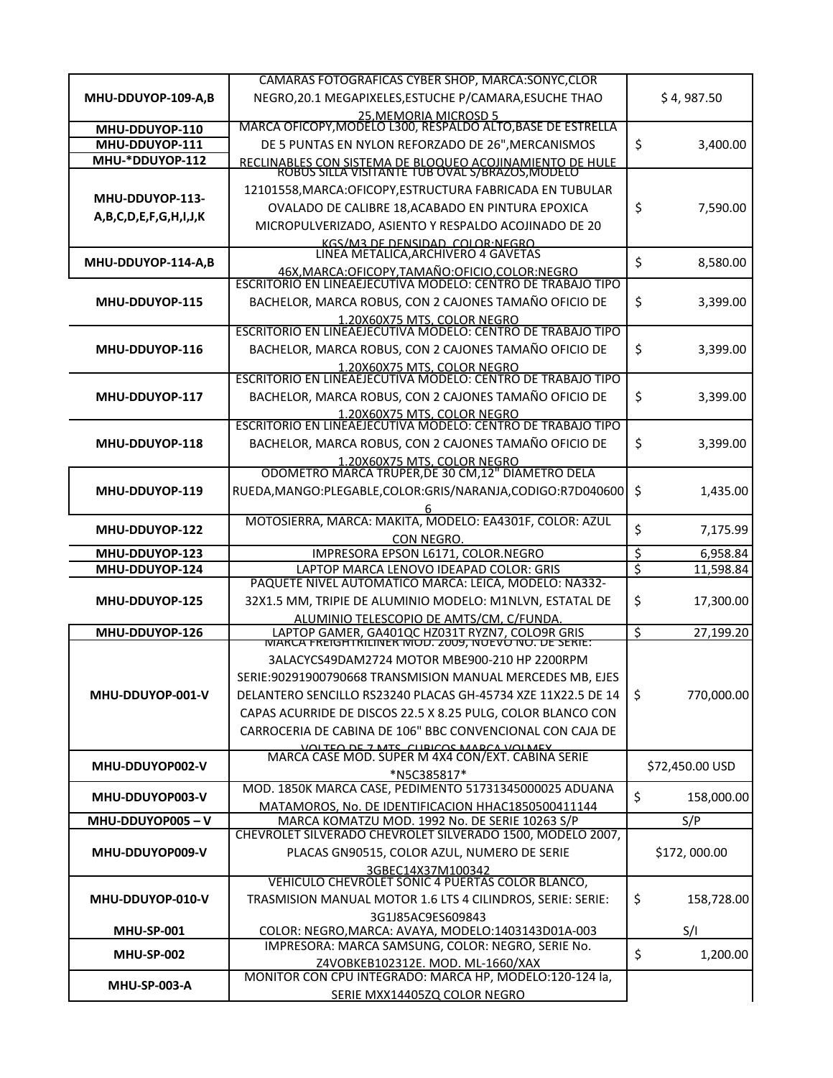|                                  | CAMARAS FOTOGRAFICAS CYBER SHOP, MARCA:SONYC,CLOR                                                          |                  |
|----------------------------------|------------------------------------------------------------------------------------------------------------|------------------|
| MHU-DDUYOP-109-A,B               | NEGRO, 20.1 MEGAPIXELES, ESTUCHE P/CAMARA, ESUCHE THAO                                                     | \$4,987.50       |
|                                  | 25.MEMORIA MICROSD 5<br>MARCA OFICOPY,MODELO L300, RESPALDO ALTO,BASE DE ESTRELLA                          |                  |
| MHU-DDUYOP-110<br>MHU-DDUYOP-111 | DE 5 PUNTAS EN NYLON REFORZADO DE 26", MERCANISMOS                                                         | 3,400.00         |
| MHU-*DDUYOP-112                  |                                                                                                            | \$               |
|                                  | RECLINABLES CON SISTEMA DE BLOQUEO ACOJINAMIENTO DE HULE<br>ROBUS SILLA VISITANTE TUB OVAL S/BRAZOS,MODELO |                  |
| MHU-DDUYOP-113-                  | 12101558, MARCA: OFICOPY, ESTRUCTURA FABRICADA EN TUBULAR                                                  |                  |
| A,B,C,D,E,F,G,H,I,J,K            | OVALADO DE CALIBRE 18, ACABADO EN PINTURA EPOXICA                                                          | \$<br>7,590.00   |
|                                  | MICROPULVERIZADO, ASIENTO Y RESPALDO ACOJINADO DE 20                                                       |                  |
|                                  | KGS/M3 DE DENSIDAD, COLOR:NEGRO<br>LINEA METALICA,ARCHIVERO 4 GAVETAS                                      |                  |
| MHU-DDUYOP-114-A,B               | 46X, MARCA: OFICOPY, TAMAÑO: OFICIO, COLOR: NEGRO                                                          | \$<br>8,580.00   |
|                                  | ESCRITORIO EN LINEAEJECUTIVA MODELO: CENTRO DE TRABAJO TIPO                                                |                  |
| MHU-DDUYOP-115                   | BACHELOR, MARCA ROBUS, CON 2 CAJONES TAMAÑO OFICIO DE                                                      | \$<br>3,399.00   |
|                                  | 1.20X60X75 MTS. COLOR NEGRO<br>ESCRITORIO EN LINEAEJECUTIVA MODELO: CENTRO DE TRABAJO TIPO                 |                  |
|                                  |                                                                                                            |                  |
| MHU-DDUYOP-116                   | BACHELOR, MARCA ROBUS, CON 2 CAJONES TAMAÑO OFICIO DE                                                      | \$<br>3,399.00   |
|                                  | 1.20X60X75 MTS, COLOR NEGRO<br>ESCRITORIO EN LINEAEJECUTIVA MODELO: CENTRO DE TRABAJO TIPO                 |                  |
| MHU-DDUYOP-117                   | BACHELOR, MARCA ROBUS, CON 2 CAJONES TAMAÑO OFICIO DE                                                      | \$<br>3,399.00   |
|                                  |                                                                                                            |                  |
|                                  | 1.20X60X75 MTS. COLOR NEGRO<br>ESCRITORIO EN LINEAEJECUTIVA MODELO: CENTRO DE TRABAJO TIPO                 |                  |
| MHU-DDUYOP-118                   | BACHELOR, MARCA ROBUS, CON 2 CAJONES TAMAÑO OFICIO DE                                                      | \$<br>3,399.00   |
|                                  | 1.20X60X75 MTS, COLOR NEGRO<br>ODOMETRO MARCA TRUPER, DE 30 CM, 12" DIAMETRO DELA                          |                  |
| MHU-DDUYOP-119                   | RUEDA, MANGO: PLEGABLE, COLOR: GRIS/NARANJA, CODIGO: R7D040600                                             | \$<br>1,435.00   |
|                                  |                                                                                                            |                  |
| MHU-DDUYOP-122                   | MOTOSIERRA, MARCA: MAKITA, MODELO: EA4301F, COLOR: AZUL                                                    | \$<br>7,175.99   |
|                                  | CON NEGRO.                                                                                                 |                  |
| MHU-DDUYOP-123                   | IMPRESORA EPSON L6171, COLOR.NEGRO                                                                         | \$<br>6,958.84   |
| MHU-DDUYOP-124                   | LAPTOP MARCA LENOVO IDEAPAD COLOR: GRIS<br>PAQUETE NIVEL AUTOMATICO MARCA: LEICA, MODELO: NA332-           | \$<br>11,598.84  |
| MHU-DDUYOP-125                   | 32X1.5 MM, TRIPIE DE ALUMINIO MODELO: M1NLVN, ESTATAL DE                                                   | \$<br>17,300.00  |
|                                  | ALUMINIO TELESCOPIO DE AMTS/CM, C/FUNDA.                                                                   |                  |
| MHU-DDUYOP-126                   | LAPTOP GAMER, GA401QC HZ031T RYZN7, COLO9R GRIS<br>IWARCA FREIGHTRILINER MOD. 2009, NOEVO NO. DE SERIE:    | \$<br>27,199.20  |
|                                  | 3ALACYCS49DAM2724 MOTOR MBE900-210 HP 2200RPM                                                              |                  |
|                                  | SERIE: 90291900790668 TRANSMISION MANUAL MERCEDES MB, EJES                                                 |                  |
| MHU-DDUYOP-001-V                 | DELANTERO SENCILLO RS23240 PLACAS GH-45734 XZE 11X22.5 DE 14                                               | \$<br>770,000.00 |
|                                  | CAPAS ACURRIDE DE DISCOS 22.5 X 8.25 PULG, COLOR BLANCO CON                                                |                  |
|                                  | CARROCERIA DE CABINA DE 106" BBC CONVENCIONAL CON CAJA DE                                                  |                  |
|                                  |                                                                                                            |                  |
| MHU-DDUYOP002-V                  | VOLTEO DE 7 NATS CLIBICOS MARCA VOLMEY<br>MARCA CASE MOD. SUPER M 4X4 CON/EXT. CABINA SERIE                | \$72,450.00 USD  |
|                                  | *N5C385817*<br>MOD. 1850K MARCA CASE, PEDIMENTO 51731345000025 ADUANA                                      |                  |
| MHU-DDUYOP003-V                  | MATAMOROS, No. DE IDENTIFICACION HHAC1850500411144                                                         | \$<br>158,000.00 |
| MHU-DDUYOP005-V                  | MARCA KOMATZU MOD. 1992 No. DE SERIE 10263 S/P                                                             | S/P              |
|                                  | CHEVROLET SILVERADO CHEVROLET SILVERADO 1500, MODELO 2007,                                                 |                  |
| MHU-DDUYOP009-V                  | PLACAS GN90515, COLOR AZUL, NUMERO DE SERIE                                                                | \$172,000.00     |
|                                  | 3GBEC14X37M100342<br>VEHICULO CHEVROLET SONIC 4 PUERTAS COLOR BLANCO,                                      |                  |
| MHU-DDUYOP-010-V                 | TRASMISION MANUAL MOTOR 1.6 LTS 4 CILINDROS, SERIE: SERIE:                                                 | \$<br>158,728.00 |
|                                  | 3G1J85AC9ES609843                                                                                          |                  |
| <b>MHU-SP-001</b>                | COLOR: NEGRO, MARCA: AVAYA, MODELO:1403143D01A-003                                                         | S/I              |
|                                  | IMPRESORA: MARCA SAMSUNG, COLOR: NEGRO, SERIE No.                                                          | \$               |
| <b>MHU-SP-002</b>                | Z4VOBKEB102312E. MOD. ML-1660/XAX                                                                          | 1,200.00         |
| <b>MHU-SP-003-A</b>              | MONITOR CON CPU INTEGRADO: MARCA HP, MODELO:120-124 la,                                                    |                  |
|                                  | SERIE MXX14405ZQ COLOR NEGRO                                                                               |                  |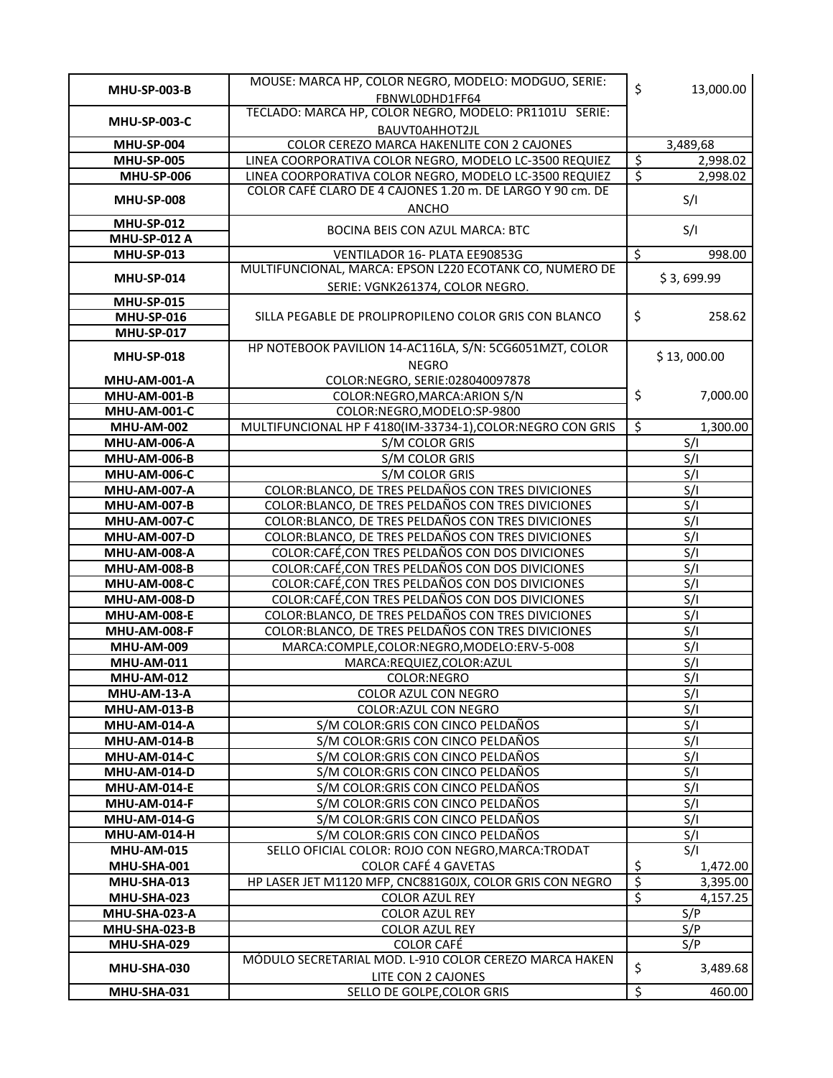|                                            | MOUSE: MARCA HP, COLOR NEGRO, MODELO: MODGUO, SERIE:                                     | \$                       | 13,000.00                          |
|--------------------------------------------|------------------------------------------------------------------------------------------|--------------------------|------------------------------------|
| <b>MHU-SP-003-B</b>                        | FBNWL0DHD1FF64                                                                           |                          |                                    |
| <b>MHU-SP-003-C</b>                        | TECLADO: MARCA HP, COLOR NEGRO, MODELO: PR1101U SERIE:                                   |                          |                                    |
|                                            | BAUVT0AHHOT2JL                                                                           |                          |                                    |
| <b>MHU-SP-004</b>                          | COLOR CEREZO MARCA HAKENLITE CON 2 CAJONES                                               |                          | 3,489,68                           |
| <b>MHU-SP-005</b>                          | LINEA COORPORATIVA COLOR NEGRO, MODELO LC-3500 REQUIEZ                                   | $\overline{\mathcal{S}}$ | 2,998.02                           |
| <b>MHU-SP-006</b>                          | LINEA COORPORATIVA COLOR NEGRO, MODELO LC-3500 REQUIEZ                                   | $\overline{\xi}$         | 2,998.02                           |
| <b>MHU-SP-008</b>                          | COLOR CAFÉ CLARO DE 4 CAJONES 1.20 m. DE LARGO Y 90 cm. DE                               |                          | S/I                                |
|                                            | <b>ANCHO</b>                                                                             |                          |                                    |
| <b>MHU-SP-012</b>                          | BOCINA BEIS CON AZUL MARCA: BTC                                                          |                          | S/I                                |
| <b>MHU-SP-012 A</b>                        |                                                                                          |                          |                                    |
| <b>MHU-SP-013</b>                          | VENTILADOR 16- PLATA EE90853G<br>MULTIFUNCIONAL, MARCA: EPSON L220 ECOTANK CO, NUMERO DE | \$                       | 998.00                             |
| <b>MHU-SP-014</b>                          |                                                                                          |                          | \$3,699.99                         |
| <b>MHU-SP-015</b>                          | SERIE: VGNK261374, COLOR NEGRO.                                                          |                          |                                    |
| <b>MHU-SP-016</b>                          | SILLA PEGABLE DE PROLIPROPILENO COLOR GRIS CON BLANCO                                    | \$                       | 258.62                             |
| <b>MHU-SP-017</b>                          |                                                                                          |                          |                                    |
|                                            | HP NOTEBOOK PAVILION 14-AC116LA, S/N: 5CG6051MZT, COLOR                                  |                          |                                    |
| <b>MHU-SP-018</b>                          | <b>NEGRO</b>                                                                             |                          | \$13,000.00                        |
| <b>MHU-AM-001-A</b>                        | COLOR:NEGRO, SERIE:028040097878                                                          |                          |                                    |
| <b>MHU-AM-001-B</b>                        | COLOR:NEGRO, MARCA: ARION S/N                                                            | \$                       | 7,000.00                           |
| <b>MHU-AM-001-C</b>                        | COLOR:NEGRO, MODELO:SP-9800                                                              |                          |                                    |
| <b>MHU-AM-002</b>                          | MULTIFUNCIONAL HP F 4180(IM-33734-1), COLOR: NEGRO CON GRIS                              | \$                       | 1,300.00                           |
| <b>MHU-AM-006-A</b>                        | S/M COLOR GRIS                                                                           |                          | S/I                                |
| <b>MHU-AM-006-B</b>                        | S/M COLOR GRIS                                                                           |                          | S/I                                |
| <b>MHU-AM-006-C</b>                        | S/M COLOR GRIS                                                                           |                          | S/I                                |
| <b>MHU-AM-007-A</b>                        | COLOR: BLANCO, DE TRES PELDAÑOS CON TRES DIVICIONES                                      |                          | $\overline{s}/\overline{l}$        |
| <b>MHU-AM-007-B</b>                        | COLOR: BLANCO, DE TRES PELDAÑOS CON TRES DIVICIONES                                      |                          | S/I                                |
| <b>MHU-AM-007-C</b>                        | COLOR: BLANCO, DE TRES PELDAÑOS CON TRES DIVICIONES                                      |                          | S/I                                |
| <b>MHU-AM-007-D</b>                        | COLOR: BLANCO, DE TRES PELDAÑOS CON TRES DIVICIONES                                      |                          | $\overline{\mathsf{S}/\mathsf{I}}$ |
| <b>MHU-AM-008-A</b>                        | COLOR:CAFÉ, CON TRES PELDAÑOS CON DOS DIVICIONES                                         |                          | S/I                                |
| <b>MHU-AM-008-B</b>                        | COLOR:CAFÉ, CON TRES PELDAÑOS CON DOS DIVICIONES                                         |                          | S/I                                |
| <b>MHU-AM-008-C</b>                        | COLOR:CAFÉ, CON TRES PELDAÑOS CON DOS DIVICIONES                                         |                          | S/I                                |
| <b>MHU-AM-008-D</b>                        | COLOR:CAFÉ,CON TRES PELDAÑOS CON DOS DIVICIONES                                          |                          | S/I                                |
| <b>MHU-AM-008-E</b>                        | COLOR: BLANCO, DE TRES PELDAÑOS CON TRES DIVICIONES                                      |                          | S/I                                |
| <b>MHU-AM-008-F</b>                        | COLOR: BLANCO, DE TRES PELDAÑOS CON TRES DIVICIONES                                      |                          | S/I                                |
| <b>MHU-AM-009</b>                          | MARCA:COMPLE,COLOR:NEGRO,MODELO:ERV-5-008                                                |                          | S/I                                |
| <b>MHU-AM-011</b>                          | MARCA:REQUIEZ,COLOR:AZUL                                                                 |                          | S/I                                |
| <b>MHU-AM-012</b>                          | COLOR:NEGRO                                                                              |                          | S/I                                |
| MHU-AM-13-A                                | COLOR AZUL CON NEGRO                                                                     |                          | S/I                                |
| <b>MHU-AM-013-B</b>                        | COLOR: AZUL CON NEGRO                                                                    |                          | S/I                                |
| <b>MHU-AM-014-A</b>                        | S/M COLOR: GRIS CON CINCO PELDAÑOS<br>S/M COLOR: GRIS CON CINCO PELDAÑOS                 |                          | S/I<br>S/I                         |
| <b>MHU-AM-014-B</b><br><b>MHU-AM-014-C</b> | S/M COLOR: GRIS CON CINCO PELDAÑOS                                                       |                          | S/I                                |
| <b>MHU-AM-014-D</b>                        | S/M COLOR: GRIS CON CINCO PELDAÑOS                                                       |                          | S/I                                |
| <b>MHU-AM-014-E</b>                        | S/M COLOR: GRIS CON CINCO PELDAÑOS                                                       |                          | S/I                                |
| MHU-AM-014-F                               | S/M COLOR: GRIS CON CINCO PELDAÑOS                                                       |                          | S/I                                |
| MHU-AM-014-G                               | S/M COLOR: GRIS CON CINCO PELDAÑOS                                                       |                          | S/I                                |
| <b>MHU-AM-014-H</b>                        | S/M COLOR: GRIS CON CINCO PELDAÑOS                                                       |                          | S/I                                |
| <b>MHU-AM-015</b>                          | SELLO OFICIAL COLOR: ROJO CON NEGRO, MARCA: TRODAT                                       |                          | S/I                                |
| MHU-SHA-001                                | <b>COLOR CAFÉ 4 GAVETAS</b>                                                              | <u>\$</u>                | 1,472.00                           |
| MHU-SHA-013                                | HP LASER JET M1120 MFP, CNC881G0JX, COLOR GRIS CON NEGRO                                 | \$                       | 3,395.00                           |
| MHU-SHA-023                                | COLOR AZUL REY                                                                           | $\overline{\mathcal{S}}$ | 4,157.25                           |
| MHU-SHA-023-A                              | <b>COLOR AZUL REY</b>                                                                    |                          | S/P                                |
| MHU-SHA-023-B                              | COLOR AZUL REY                                                                           |                          | S/P                                |
| MHU-SHA-029                                | <b>COLOR CAFÉ</b>                                                                        |                          | S/P                                |
|                                            | MÓDULO SECRETARIAL MOD. L-910 COLOR CEREZO MARCA HAKEN                                   |                          |                                    |
| MHU-SHA-030                                | LITE CON 2 CAJONES                                                                       | \$                       | 3,489.68                           |
| MHU-SHA-031                                | SELLO DE GOLPE, COLOR GRIS                                                               | $\overline{\mathcal{S}}$ | 460.00                             |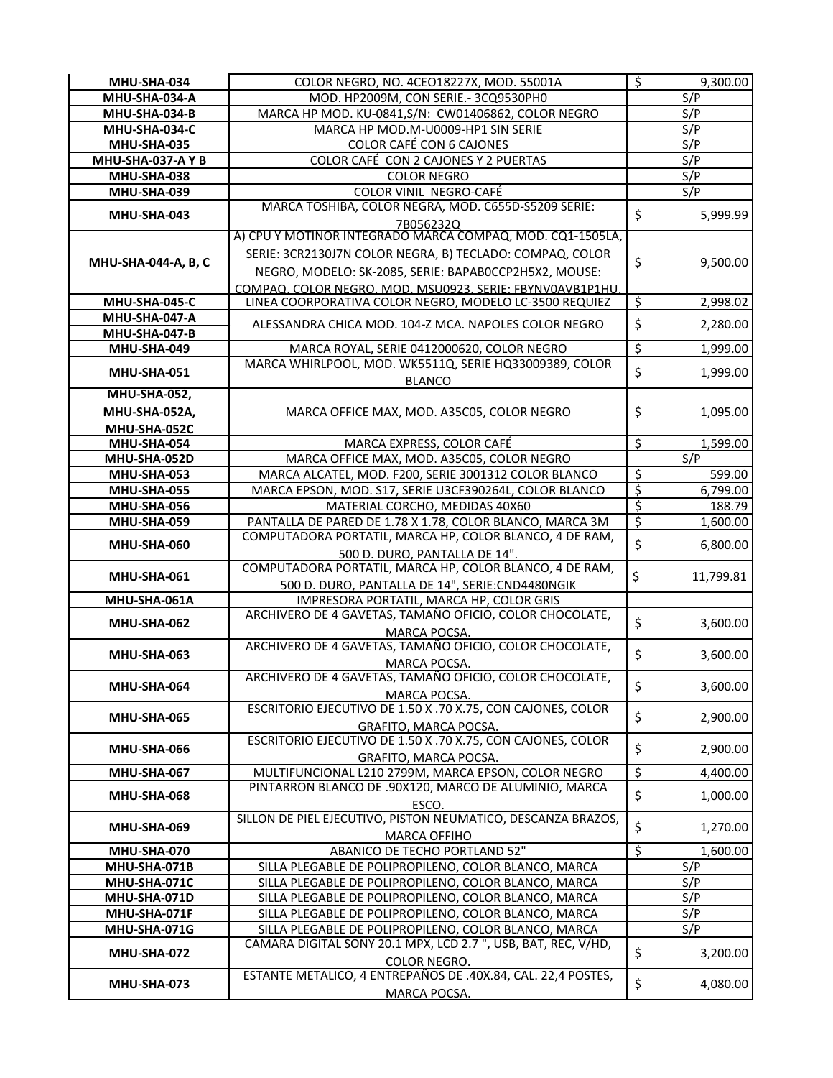| MHU-SHA-034                  | COLOR NEGRO, NO. 4CEO18227X, MOD. 55001A                                                                     | $\overline{\mathcal{S}}$ | 9,300.00        |
|------------------------------|--------------------------------------------------------------------------------------------------------------|--------------------------|-----------------|
| MHU-SHA-034-A                | MOD. HP2009M, CON SERIE.- 3CQ9530PH0                                                                         |                          | S/P             |
| MHU-SHA-034-B                | MARCA HP MOD. KU-0841, S/N: CW01406862, COLOR NEGRO                                                          |                          | S/P             |
| MHU-SHA-034-C                | MARCA HP MOD.M-U0009-HP1 SIN SERIE                                                                           |                          | S/P             |
| MHU-SHA-035                  | <b>COLOR CAFÉ CON 6 CAJONES</b>                                                                              |                          | S/P             |
| <b>MHU-SHA-037-A Y B</b>     | COLOR CAFÉ CON 2 CAJONES Y 2 PUERTAS                                                                         |                          | S/P             |
| MHU-SHA-038                  | <b>COLOR NEGRO</b>                                                                                           |                          | S/P             |
| MHU-SHA-039                  | COLOR VINIL NEGRO-CAFÉ                                                                                       |                          | S/P             |
|                              | MARCA TOSHIBA, COLOR NEGRA, MOD. C655D-S5209 SERIE:                                                          | \$                       |                 |
| MHU-SHA-043                  | 7B056232Q                                                                                                    |                          | 5,999.99        |
|                              | A) CPU Y MOTINOR INTEGRADO MARCA COMPAQ, MOD. CQ1-1505LA,                                                    |                          |                 |
| MHU-SHA-044-A, B, C          | SERIE: 3CR2130J7N COLOR NEGRA, B) TECLADO: COMPAQ, COLOR                                                     | \$                       | 9,500.00        |
|                              | NEGRO, MODELO: SK-2085, SERIE: BAPABOCCP2H5X2, MOUSE:                                                        |                          |                 |
|                              | COMPAO, COLOR NEGRO, MOD, MSU0923, SERIE: FBYNV0AVB1P1HU,                                                    |                          |                 |
| MHU-SHA-045-C                | LINEA COORPORATIVA COLOR NEGRO, MODELO LC-3500 REQUIEZ                                                       | \$                       | 2,998.02        |
| MHU-SHA-047-A                | ALESSANDRA CHICA MOD. 104-Z MCA. NAPOLES COLOR NEGRO                                                         | \$                       | 2,280.00        |
| MHU-SHA-047-B                |                                                                                                              |                          |                 |
| MHU-SHA-049                  | MARCA ROYAL, SERIE 0412000620, COLOR NEGRO                                                                   | $\overline{\xi}$         | 1,999.00        |
| MHU-SHA-051                  | MARCA WHIRLPOOL, MOD. WK5511Q, SERIE HQ33009389, COLOR                                                       | \$                       | 1,999.00        |
|                              | <b>BLANCO</b>                                                                                                |                          |                 |
| <b>MHU-SHA-052,</b>          |                                                                                                              |                          |                 |
| MHU-SHA-052A,                | MARCA OFFICE MAX, MOD. A35C05, COLOR NEGRO                                                                   | \$                       | 1,095.00        |
| MHU-SHA-052C                 |                                                                                                              |                          |                 |
| MHU-SHA-054                  | MARCA EXPRESS, COLOR CAFÉ                                                                                    | \$                       | 1,599.00        |
| MHU-SHA-052D                 | MARCA OFFICE MAX, MOD. A35C05, COLOR NEGRO                                                                   |                          | S/P             |
| MHU-SHA-053                  | MARCA ALCATEL, MOD. F200, SERIE 3001312 COLOR BLANCO                                                         | \$                       | 599.00          |
| <b>MHU-SHA-055</b>           | MARCA EPSON, MOD. S17, SERIE U3CF390264L, COLOR BLANCO                                                       | \$                       | 6,799.00        |
| MHU-SHA-056                  | MATERIAL CORCHO, MEDIDAS 40X60                                                                               | \$                       | 188.79          |
| MHU-SHA-059                  | PANTALLA DE PARED DE 1.78 X 1.78, COLOR BLANCO, MARCA 3M                                                     | $\dot{\hat{\varsigma}}$  | 1,600.00        |
| MHU-SHA-060                  | COMPUTADORA PORTATIL, MARCA HP, COLOR BLANCO, 4 DE RAM,                                                      | \$                       | 6,800.00        |
|                              | 500 D. DURO, PANTALLA DE 14".                                                                                |                          |                 |
| MHU-SHA-061                  | COMPUTADORA PORTATIL, MARCA HP, COLOR BLANCO, 4 DE RAM,                                                      | \$                       | 11,799.81       |
|                              | 500 D. DURO, PANTALLA DE 14", SERIE: CND4480NGIK                                                             |                          |                 |
| MHU-SHA-061A                 | IMPRESORA PORTATIL, MARCA HP, COLOR GRIS                                                                     |                          |                 |
| MHU-SHA-062                  | ARCHIVERO DE 4 GAVETAS, TAMAÑO OFICIO, COLOR CHOCOLATE,                                                      | \$                       | 3,600.00        |
|                              | MARCA POCSA.                                                                                                 |                          |                 |
| MHU-SHA-063                  | ARCHIVERO DE 4 GAVETAS, TAMAÑO OFICIO, COLOR CHOCOLATE,                                                      | \$                       | 3,600.00        |
|                              | MARCA POCSA.                                                                                                 |                          |                 |
| MHU-SHA-064                  | ARCHIVERO DE 4 GAVETAS, TAMAÑO OFICIO, COLOR CHOCOLATE,                                                      | Ş                        | 3,600.00        |
|                              | MARCA POCSA.                                                                                                 |                          |                 |
| MHU-SHA-065                  | ESCRITORIO EJECUTIVO DE 1.50 X .70 X.75, CON CAJONES, COLOR                                                  | \$                       | 2,900.00        |
|                              | GRAFITO, MARCA POCSA.<br>ESCRITORIO EJECUTIVO DE 1.50 X .70 X.75, CON CAJONES, COLOR                         |                          |                 |
| MHU-SHA-066                  |                                                                                                              | \$                       | 2,900.00        |
|                              | GRAFITO, MARCA POCSA.                                                                                        |                          |                 |
| MHU-SHA-067                  | MULTIFUNCIONAL L210 2799M, MARCA EPSON, COLOR NEGRO<br>PINTARRON BLANCO DE .90X120, MARCO DE ALUMINIO, MARCA | \$                       | 4,400.00        |
| MHU-SHA-068                  |                                                                                                              | \$                       | 1,000.00        |
|                              | ESCO.<br>SILLON DE PIEL EJECUTIVO, PISTON NEUMATICO, DESCANZA BRAZOS,                                        |                          |                 |
| MHU-SHA-069                  |                                                                                                              | \$                       | 1,270.00        |
|                              | <b>MARCA OFFIHO</b><br>ABANICO DE TECHO PORTLAND 52"                                                         | \$                       |                 |
| MHU-SHA-070                  |                                                                                                              |                          | 1,600.00<br>S/P |
| MHU-SHA-071B<br>MHU-SHA-071C | SILLA PLEGABLE DE POLIPROPILENO, COLOR BLANCO, MARCA<br>SILLA PLEGABLE DE POLIPROPILENO, COLOR BLANCO, MARCA |                          | S/P             |
| MHU-SHA-071D                 | SILLA PLEGABLE DE POLIPROPILENO, COLOR BLANCO, MARCA                                                         |                          | S/P             |
| MHU-SHA-071F                 | SILLA PLEGABLE DE POLIPROPILENO, COLOR BLANCO, MARCA                                                         |                          | S/P             |
| MHU-SHA-071G                 | SILLA PLEGABLE DE POLIPROPILENO, COLOR BLANCO, MARCA                                                         |                          | S/P             |
|                              | CAMARA DIGITAL SONY 20.1 MPX, LCD 2.7", USB, BAT, REC, V/HD,                                                 |                          |                 |
| MHU-SHA-072                  | COLOR NEGRO.                                                                                                 | \$                       | 3,200.00        |
|                              | ESTANTE METALICO, 4 ENTREPAÑOS DE .40X.84, CAL. 22,4 POSTES,                                                 |                          |                 |
| MHU-SHA-073                  | MARCA POCSA.                                                                                                 | \$                       | 4,080.00        |
|                              |                                                                                                              |                          |                 |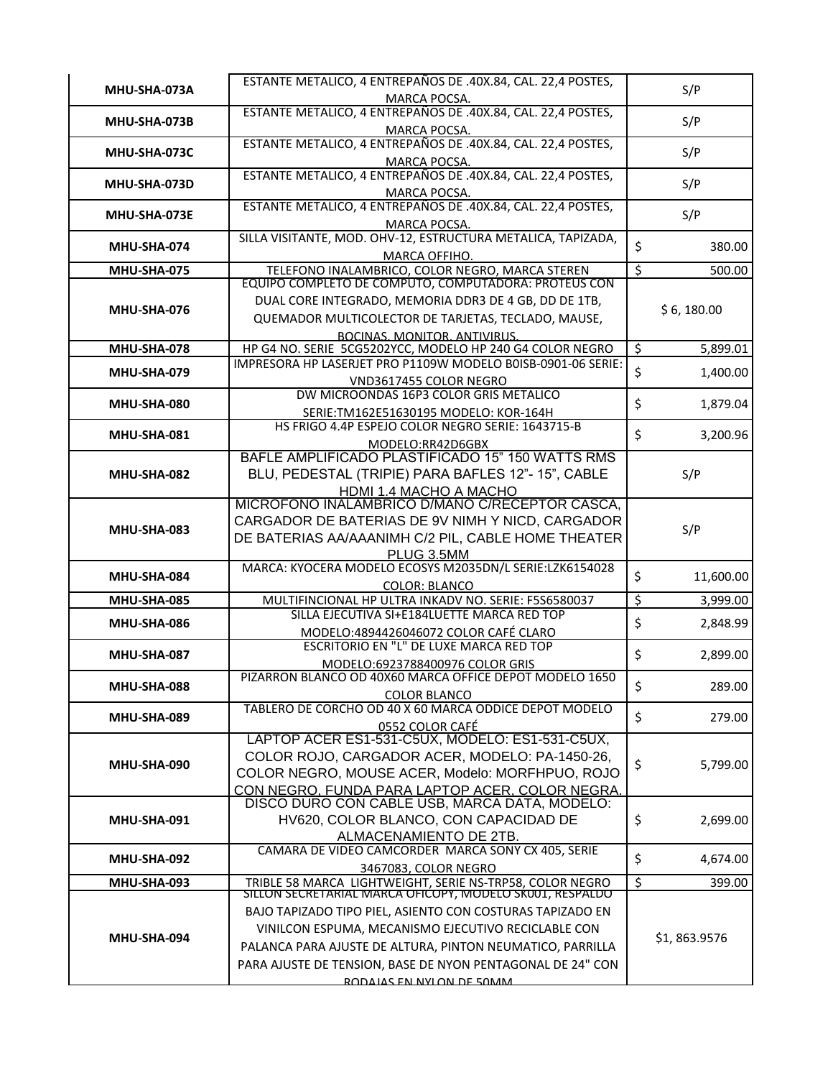| MHU-SHA-073A | ESTANTE METALICO, 4 ENTREPAÑOS DE .40X.84, CAL. 22,4 POSTES,<br>MARCA POCSA.                                                                                                                                                                                            |                          | S/P          |
|--------------|-------------------------------------------------------------------------------------------------------------------------------------------------------------------------------------------------------------------------------------------------------------------------|--------------------------|--------------|
| MHU-SHA-073B | ESTANTE METALICO, 4 ENTREPAÑOS DE .40X.84, CAL. 22,4 POSTES,<br><b>MARCA POCSA.</b>                                                                                                                                                                                     |                          | S/P          |
| MHU-SHA-073C | ESTANTE METALICO, 4 ENTREPAÑOS DE .40X.84, CAL. 22,4 POSTES,<br>MARCA POCSA.                                                                                                                                                                                            |                          | S/P          |
| MHU-SHA-073D | ESTANTE METALICO, 4 ENTREPAÑOS DE .40X.84, CAL. 22,4 POSTES,<br>MARCA POCSA.                                                                                                                                                                                            |                          | S/P          |
| MHU-SHA-073E | ESTANTE METALICO, 4 ENTREPAÑOS DE .40X.84, CAL. 22,4 POSTES,<br>MARCA POCSA.                                                                                                                                                                                            |                          | S/P          |
| MHU-SHA-074  | SILLA VISITANTE, MOD. OHV-12, ESTRUCTURA METALICA, TAPIZADA,<br>MARCA OFFIHO.                                                                                                                                                                                           | \$                       | 380.00       |
| MHU-SHA-075  | TELEFONO INALAMBRICO, COLOR NEGRO, MARCA STEREN<br>EQUIPO COMPLETO DE COMPUTO, COMPUTADORA: PROTEUS CON                                                                                                                                                                 | $\overline{\mathcal{S}}$ | 500.00       |
| MHU-SHA-076  | DUAL CORE INTEGRADO, MEMORIA DDR3 DE 4 GB, DD DE 1TB,<br>QUEMADOR MULTICOLECTOR DE TARJETAS, TECLADO, MAUSE,<br>BOCINAS, MONITOR, ANTIVIRUS.                                                                                                                            |                          | \$6, 180.00  |
| MHU-SHA-078  | HP G4 NO. SERIE 5CG5202YCC, MODELO HP 240 G4 COLOR NEGRO                                                                                                                                                                                                                | \$                       | 5,899.01     |
| MHU-SHA-079  | IMPRESORA HP LASERJET PRO P1109W MODELO B0ISB-0901-06 SERIE:<br>VND3617455 COLOR NEGRO                                                                                                                                                                                  | \$                       | 1,400.00     |
| MHU-SHA-080  | DW MICROONDAS 16P3 COLOR GRIS METALICO<br>SERIE: TM162E51630195 MODELO: KOR-164H                                                                                                                                                                                        | \$                       | 1,879.04     |
| MHU-SHA-081  | HS FRIGO 4.4P ESPEJO COLOR NEGRO SERIE: 1643715-B<br>MODELO:RR42D6GBX                                                                                                                                                                                                   | \$                       | 3,200.96     |
| MHU-SHA-082  | BAFLE AMPLIFICADO PLASTIFICADO 15" 150 WATTS RMS<br>BLU, PEDESTAL (TRIPIE) PARA BAFLES 12"-15", CABLE<br><b>HDMI 1.4 MACHO A MACHO</b>                                                                                                                                  |                          | S/P          |
| MHU-SHA-083  | MICROFONO INALAMBRICO D/MANO C/RECEPTOR CASCA,<br>CARGADOR DE BATERIAS DE 9V NIMH Y NICD, CARGADOR<br>DE BATERIAS AA/AAANIMH C/2 PIL, CABLE HOME THEATER<br>PLUG 3.5MM                                                                                                  |                          | S/P          |
| MHU-SHA-084  | MARCA: KYOCERA MODELO ECOSYS M2035DN/L SERIE:LZK6154028<br><b>COLOR: BLANCO</b>                                                                                                                                                                                         | \$                       | 11,600.00    |
| MHU-SHA-085  | MULTIFINCIONAL HP ULTRA INKADV NO. SERIE: F5S6580037                                                                                                                                                                                                                    | \$                       | 3,999.00     |
| MHU-SHA-086  | SILLA EJECUTIVA SI+E184LUETTE MARCA RED TOP<br>MODELO:4894426046072 COLOR CAFÉ CLARO                                                                                                                                                                                    | \$                       | 2,848.99     |
| MHU-SHA-087  | ESCRITORIO EN "L" DE LUXE MARCA RED TOP<br>MODELO:6923788400976 COLOR GRIS                                                                                                                                                                                              | \$                       | 2,899.00     |
| MHU-SHA-088  | PIZARRON BLANCO OD 40X60 MARCA OFFICE DEPOT MODELO 1650<br><b>COLOR BLANCO</b>                                                                                                                                                                                          | \$                       | 289.00       |
| MHU-SHA-089  | TABLERO DE CORCHO OD 40 X 60 MARCA ODDICE DEPOT MODELO<br>0552 COLOR CAFÉ                                                                                                                                                                                               | \$                       | 279.00       |
| MHU-SHA-090  | LAPTOP ACER ES1-531-C5UX, MODELO: ES1-531-C5UX,<br>COLOR ROJO, CARGADOR ACER, MODELO: PA-1450-26,<br>COLOR NEGRO, MOUSE ACER, Modelo: MORFHPUO, ROJO<br>CON NEGRO, FUNDA PARA LAPTOP ACER, COLOR NEGRA.                                                                 | \$                       | 5,799.00     |
| MHU-SHA-091  | DISCO DURO CON CABLE USB, MARCA DATA, MODELO:<br>HV620, COLOR BLANCO, CON CAPACIDAD DE<br>ALMACENAMIENTO DE 2TB.                                                                                                                                                        | \$                       | 2,699.00     |
| MHU-SHA-092  | CAMARA DE VIDEO CAMCORDER MARCA SONY CX 405, SERIE<br>3467083, COLOR NEGRO                                                                                                                                                                                              | \$                       | 4,674.00     |
| MHU-SHA-093  | TRIBLE 58 MARCA_LIGHTWEIGHT, SERIE NS-TRP58, COLOR NEGRO<br>SILLON SECRETARIAL MARCA OFICOPY, MODELO SKUUT, RESPALDO                                                                                                                                                    | \$                       | 399.00       |
| MHU-SHA-094  | BAJO TAPIZADO TIPO PIEL, ASIENTO CON COSTURAS TAPIZADO EN<br>VINILCON ESPUMA, MECANISMO EJECUTIVO RECICLABLE CON<br>PALANCA PARA AJUSTE DE ALTURA, PINTON NEUMATICO, PARRILLA<br>PARA AJUSTE DE TENSION, BASE DE NYON PENTAGONAL DE 24" CON<br>RODAIAS EN NYLON DE 50MM |                          | \$1,863.9576 |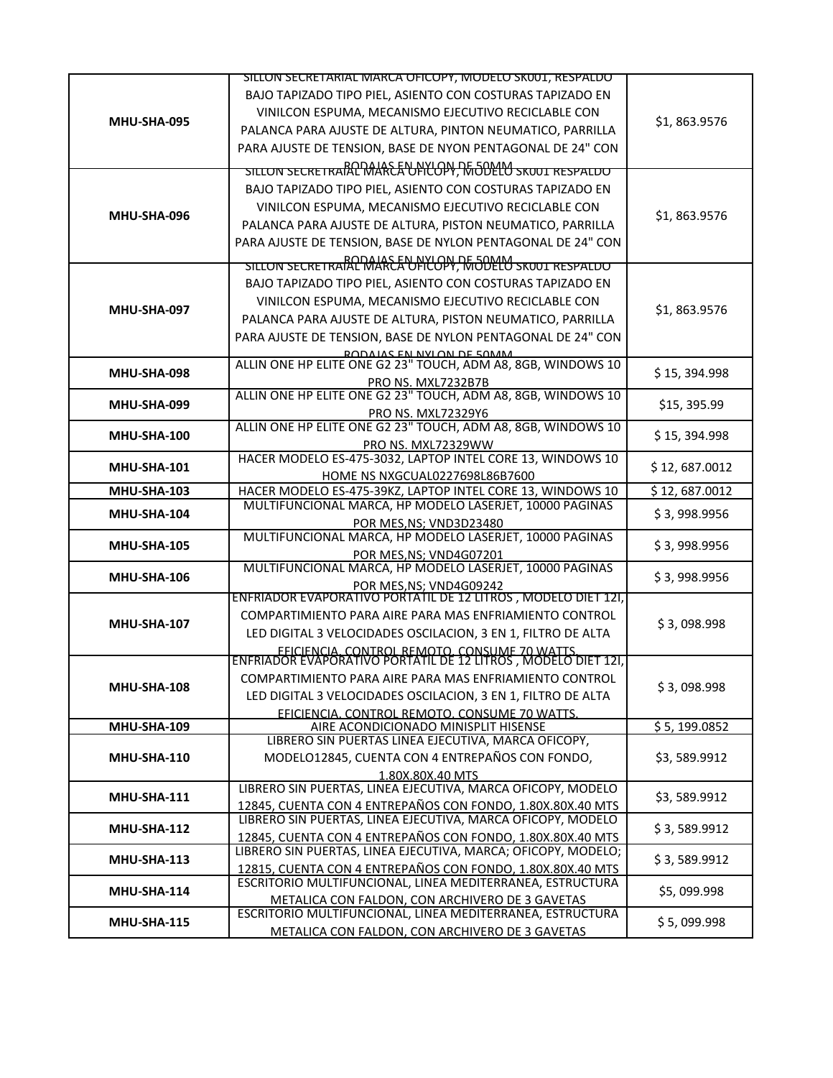|                    | SILLON SECRETARIAL MARCA OFICOPY, MODELO SKUUT, RESPALDO                                                        |               |
|--------------------|-----------------------------------------------------------------------------------------------------------------|---------------|
|                    | BAJO TAPIZADO TIPO PIEL, ASIENTO CON COSTURAS TAPIZADO EN                                                       |               |
|                    | VINILCON ESPUMA, MECANISMO EJECUTIVO RECICLABLE CON                                                             |               |
| MHU-SHA-095        | PALANCA PARA AJUSTE DE ALTURA, PINTON NEUMATICO, PARRILLA                                                       | \$1,863.9576  |
|                    | PARA AJUSTE DE TENSION, BASE DE NYON PENTAGONAL DE 24" CON                                                      |               |
|                    | SILLON SECRETRAIAL MARCA UPICOPY, MODELO SKOUT RESPALDO                                                         |               |
|                    |                                                                                                                 |               |
|                    | BAJO TAPIZADO TIPO PIEL, ASIENTO CON COSTURAS TAPIZADO EN                                                       |               |
| MHU-SHA-096        | VINILCON ESPUMA, MECANISMO EJECUTIVO RECICLABLE CON                                                             | \$1,863.9576  |
|                    | PALANCA PARA AJUSTE DE ALTURA, PISTON NEUMATICO, PARRILLA                                                       |               |
|                    | PARA AJUSTE DE TENSION, BASE DE NYLON PENTAGONAL DE 24" CON                                                     |               |
|                    | SILLON SECRETRAIAL MARCA UPICOPY, MODELO SKOOT RESPALDO                                                         |               |
|                    | BAJO TAPIZADO TIPO PIEL, ASIENTO CON COSTURAS TAPIZADO EN                                                       |               |
|                    | VINILCON ESPUMA, MECANISMO EJECUTIVO RECICLABLE CON                                                             |               |
| MHU-SHA-097        | PALANCA PARA AJUSTE DE ALTURA, PISTON NEUMATICO, PARRILLA                                                       | \$1,863.9576  |
|                    | PARA AJUSTE DE TENSION, BASE DE NYLON PENTAGONAL DE 24" CON                                                     |               |
|                    | RODAIAS EN NYLON DE SOMM                                                                                        |               |
|                    | ALLIN ONE HP ELITE ONE G2 23" TOUCH, ADM A8, 8GB, WINDOWS 10                                                    |               |
| MHU-SHA-098        | PRO NS. MXL7232B7B                                                                                              | \$15,394.998  |
| MHU-SHA-099        | ALLIN ONE HP ELITE ONE G2 23" TOUCH, ADM A8, 8GB, WINDOWS 10                                                    | \$15, 395.99  |
|                    | PRO NS. MXL72329Y6                                                                                              |               |
| MHU-SHA-100        | ALLIN ONE HP ELITE ONE G2 23" TOUCH, ADM A8, 8GB, WINDOWS 10                                                    | \$15,394.998  |
|                    | PRO NS. MXL72329WW                                                                                              |               |
| <b>MHU-SHA-101</b> | HACER MODELO ES-475-3032, LAPTOP INTEL CORE 13, WINDOWS 10                                                      | \$12,687.0012 |
|                    | HOME NS NXGCUAL0227698L86B7600<br>HACER MODELO ES-475-39KZ, LAPTOP INTEL CORE 13, WINDOWS 10                    | \$12,687.0012 |
| <b>MHU-SHA-103</b> | MULTIFUNCIONAL MARCA, HP MODELO LASERJET, 10000 PAGINAS                                                         |               |
| MHU-SHA-104        | POR MES, NS; VND3D23480                                                                                         | \$3,998.9956  |
|                    | MULTIFUNCIONAL MARCA, HP MODELO LASERJET, 10000 PAGINAS                                                         |               |
| <b>MHU-SHA-105</b> | POR MES, NS; VND4G07201                                                                                         | \$3,998.9956  |
| <b>MHU-SHA-106</b> | MULTIFUNCIONAL MARCA, HP MODELO LASERJET, 10000 PAGINAS                                                         | \$3,998.9956  |
|                    | POR MES, NS; VND4G09242                                                                                         |               |
|                    | ENFRIADOR EVAPORATIVO PORTATIL DE 12 LITROS, MODELO DIET 121,                                                   |               |
| MHU-SHA-107        | COMPARTIMIENTO PARA AIRE PARA MAS ENFRIAMIENTO CONTROL                                                          | \$3,098.998   |
|                    | LED DIGITAL 3 VELOCIDADES OSCILACION, 3 EN 1, FILTRO DE ALTA                                                    |               |
|                    | FFICIENCIA, CONTROL REMOTO, CONSUME 70 WATTS.<br>ENFRIADOR EVAPORATIVO PORTATIL DE 12 LITROS , MODELO DIET 121, |               |
|                    | COMPARTIMIENTO PARA AIRE PARA MAS ENFRIAMIENTO CONTROL                                                          |               |
| <b>MHU-SHA-108</b> |                                                                                                                 | \$3,098.998   |
|                    | LED DIGITAL 3 VELOCIDADES OSCILACION, 3 EN 1, FILTRO DE ALTA                                                    |               |
| <b>MHU-SHA-109</b> | FFICIENCIA, CONTROL REMOTO, CONSUME 70 WATTS.<br>AIRE ACONDICIONADO MINISPLIT HISENSE                           | \$5, 199.0852 |
|                    | LIBRERO SIN PUERTAS LINEA EJECUTIVA, MARCA OFICOPY,                                                             |               |
| MHU-SHA-110        | MODELO12845, CUENTA CON 4 ENTREPAÑOS CON FONDO,                                                                 | \$3,589.9912  |
|                    | 1.80X.80X.40 MTS                                                                                                |               |
| <b>MHU-SHA-111</b> | LIBRERO SIN PUERTAS, LINEA EJECUTIVA, MARCA OFICOPY, MODELO                                                     | \$3,589.9912  |
|                    | 12845, CUENTA CON 4 ENTREPAÑOS CON FONDO, 1.80X.80X.40 MTS                                                      |               |
| MHU-SHA-112        | LIBRERO SIN PUERTAS, LINEA EJECUTIVA, MARCA OFICOPY, MODELO                                                     | \$3,589.9912  |
|                    | 12845, CUENTA CON 4 ENTREPAÑOS CON FONDO, 1.80X.80X.40 MTS                                                      |               |
| MHU-SHA-113        | LIBRERO SIN PUERTAS, LINEA EJECUTIVA, MARCA; OFICOPY, MODELO;                                                   | \$3,589.9912  |
|                    | 12815, CUENTA CON 4 ENTREPAÑOS CON FONDO, 1.80X.80X.40 MTS                                                      |               |
| MHU-SHA-114        | ESCRITORIO MULTIFUNCIONAL, LINEA MEDITERRANEA, ESTRUCTURA                                                       | \$5,099.998   |
|                    | METALICA CON FALDON, CON ARCHIVERO DE 3 GAVETAS<br>ESCRITORIO MULTIFUNCIONAL, LINEA MEDITERRANEA, ESTRUCTURA    |               |
| <b>MHU-SHA-115</b> |                                                                                                                 | \$5,099.998   |
|                    | METALICA CON FALDON, CON ARCHIVERO DE 3 GAVETAS                                                                 |               |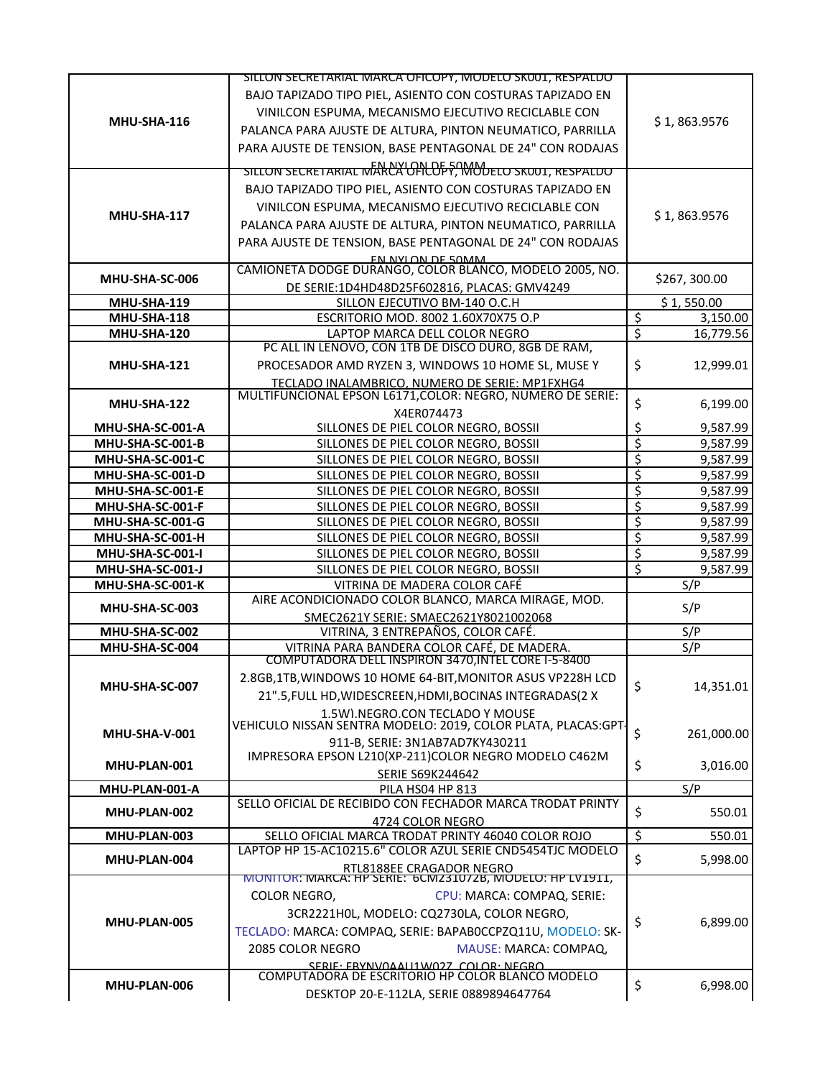|                                      | SILLON SECRETARIAL MARCA OFICOPY, MODELO SKUUT, RESPALDO                                         |                         |                      |
|--------------------------------------|--------------------------------------------------------------------------------------------------|-------------------------|----------------------|
|                                      | BAJO TAPIZADO TIPO PIEL, ASIENTO CON COSTURAS TAPIZADO EN                                        |                         |                      |
|                                      | VINILCON ESPUMA, MECANISMO EJECUTIVO RECICLABLE CON                                              |                         |                      |
| MHU-SHA-116                          | PALANCA PARA AJUSTE DE ALTURA, PINTON NEUMATICO, PARRILLA                                        |                         | \$1,863.9576         |
|                                      | PARA AJUSTE DE TENSION, BASE PENTAGONAL DE 24" CON RODAJAS                                       |                         |                      |
|                                      |                                                                                                  |                         |                      |
|                                      | SILLON SECRETARIAL MARCA OFICOPY, MODELO SKUUT, RESPALDO                                         |                         |                      |
|                                      | BAJO TAPIZADO TIPO PIEL, ASIENTO CON COSTURAS TAPIZADO EN                                        |                         |                      |
|                                      | VINILCON ESPUMA, MECANISMO EJECUTIVO RECICLABLE CON                                              |                         |                      |
| MHU-SHA-117                          | PALANCA PARA AJUSTE DE ALTURA, PINTON NEUMATICO, PARRILLA                                        |                         | \$1,863.9576         |
|                                      | PARA AJUSTE DE TENSION, BASE PENTAGONAL DE 24" CON RODAJAS                                       |                         |                      |
|                                      | <b>EN NYLON DE 50MM</b><br>CAMIONETA DODGE DURANGO, COLOR BLANCO, MODELO 2005, NO.               |                         |                      |
| MHU-SHA-SC-006                       |                                                                                                  |                         | \$267,300.00         |
| <b>MHU-SHA-119</b>                   | DE SERIE:1D4HD48D25F602816, PLACAS: GMV4249<br>SILLON EJECUTIVO BM-140 O.C.H                     |                         | \$1,550.00           |
| <b>MHU-SHA-118</b>                   | ESCRITORIO MOD. 8002 1.60X70X75 O.P                                                              | \$                      | 3,150.00             |
| MHU-SHA-120                          | LAPTOP MARCA DELL COLOR NEGRO                                                                    | $\overline{\mathsf{S}}$ | 16,779.56            |
|                                      | PC ALL IN LENOVO, CON 1TB DE DISCO DURO, 8GB DE RAM,                                             |                         |                      |
| MHU-SHA-121                          | PROCESADOR AMD RYZEN 3, WINDOWS 10 HOME SL, MUSE Y                                               | \$                      | 12,999.01            |
|                                      | TECLADO INALAMBRICO, NUMERO DE SERIE: MP1FXHG4                                                   |                         |                      |
|                                      | MULTIFUNCIONAL EPSON L6171, COLOR: NEGRO, NUMERO DE SERIE:                                       |                         |                      |
| MHU-SHA-122                          | X4ER074473                                                                                       | \$                      | 6,199.00             |
| MHU-SHA-SC-001-A                     | SILLONES DE PIEL COLOR NEGRO, BOSSII                                                             | \$                      | 9,587.99             |
| MHU-SHA-SC-001-B                     | SILLONES DE PIEL COLOR NEGRO, BOSSII                                                             | \$                      | 9,587.99             |
| MHU-SHA-SC-001-C                     | SILLONES DE PIEL COLOR NEGRO, BOSSII                                                             | \$                      | 9,587.99             |
| MHU-SHA-SC-001-D                     | SILLONES DE PIEL COLOR NEGRO, BOSSII                                                             | \$                      | 9,587.99             |
| MHU-SHA-SC-001-E                     | SILLONES DE PIEL COLOR NEGRO, BOSSII                                                             | \$                      | 9,587.99             |
| MHU-SHA-SC-001-F                     | SILLONES DE PIEL COLOR NEGRO, BOSSII                                                             | \$                      | 9,587.99             |
| MHU-SHA-SC-001-G                     | SILLONES DE PIEL COLOR NEGRO, BOSSII                                                             | \$                      | 9,587.99             |
| MHU-SHA-SC-001-H                     | SILLONES DE PIEL COLOR NEGRO, BOSSII<br>SILLONES DE PIEL COLOR NEGRO, BOSSII                     | \$<br>\$                | 9,587.99             |
| MHU-SHA-SC-001-I<br>MHU-SHA-SC-001-J | SILLONES DE PIEL COLOR NEGRO, BOSSII                                                             | \$                      | 9,587.99<br>9,587.99 |
| MHU-SHA-SC-001-K                     | VITRINA DE MADERA COLOR CAFÉ                                                                     |                         | S/P                  |
|                                      | AIRE ACONDICIONADO COLOR BLANCO, MARCA MIRAGE, MOD.                                              |                         |                      |
| MHU-SHA-SC-003                       | SMEC2621Y SERIE: SMAEC2621Y8021002068                                                            |                         | S/P                  |
| MHU-SHA-SC-002                       | VITRINA, 3 ENTREPAÑOS, COLOR CAFÉ.                                                               |                         | S/P                  |
| MHU-SHA-SC-004                       | VITRINA PARA BANDERA COLOR CAFÉ, DE MADERA.                                                      |                         | S/P                  |
|                                      | COMPUTADORA DELL INSPIRON 3470, INTEL CORE I-5-8400                                              |                         |                      |
| MHU-SHA-SC-007                       | 2.8GB, 1TB, WINDOWS 10 HOME 64-BIT, MONITOR ASUS VP228H LCD                                      | \$                      | 14,351.01            |
|                                      | 21".5, FULL HD, WIDESCREEN, HDMI, BOCINAS INTEGRADAS(2 X                                         |                         |                      |
|                                      | 1.5W).NEGRO.CON TECLADO Y MOUSE<br>VEHICULO NISSAN SENTRA MODELO: 2019, COLOR PLATA, PLACAS:GPT- |                         |                      |
| MHU-SHA-V-001                        | 911-B, SERIE: 3N1AB7AD7KY430211                                                                  | \$                      | 261,000.00           |
|                                      | IMPRESORA EPSON L210(XP-211)COLOR NEGRO MODELO C462M                                             |                         |                      |
| MHU-PLAN-001                         | <b>SERIE S69K244642</b>                                                                          | \$                      | 3,016.00             |
| MHU-PLAN-001-A                       | <b>PILA HS04 HP 813</b>                                                                          |                         | S/P                  |
| MHU-PLAN-002                         | SELLO OFICIAL DE RECIBIDO CON FECHADOR MARCA TRODAT PRINTY                                       | \$                      | 550.01               |
|                                      | 4724 COLOR NEGRO                                                                                 |                         |                      |
| MHU-PLAN-003                         | SELLO OFICIAL MARCA TRODAT PRINTY 46040 COLOR ROJO                                               | \$                      | 550.01               |
| MHU-PLAN-004                         | LAPTOP HP 15-AC10215.6" COLOR AZUL SERIE CND5454TJC MODELO                                       | \$                      | 5,998.00             |
|                                      | RTL8188EE CRAGADOR NEGRO<br>MONITOR: MARCA: HP SERIE: 6CM231072B, MODELO: HP LV1911,             |                         |                      |
|                                      | COLOR NEGRO,<br>CPU: MARCA: COMPAQ, SERIE:                                                       |                         |                      |
|                                      | 3CR2221H0L, MODELO: CQ2730LA, COLOR NEGRO,                                                       |                         |                      |
| MHU-PLAN-005                         |                                                                                                  | \$                      | 6,899.00             |
|                                      | TECLADO: MARCA: COMPAQ, SERIE: BAPABOCCPZQ11U, MODELO: SK-                                       |                         |                      |
|                                      | 2085 COLOR NEGRO<br>MAUSE: MARCA: COMPAQ,                                                        |                         |                      |
|                                      | SERIE: ERVNIVOAALI1M/027 COLOR: NEGRO<br>COMPUTADORA DE ESCRITORIO HP COLOR BLANCO MODELO        |                         |                      |
| MHU-PLAN-006                         | DESKTOP 20-E-112LA, SERIE 0889894647764                                                          | \$                      | 6,998.00             |
|                                      |                                                                                                  |                         |                      |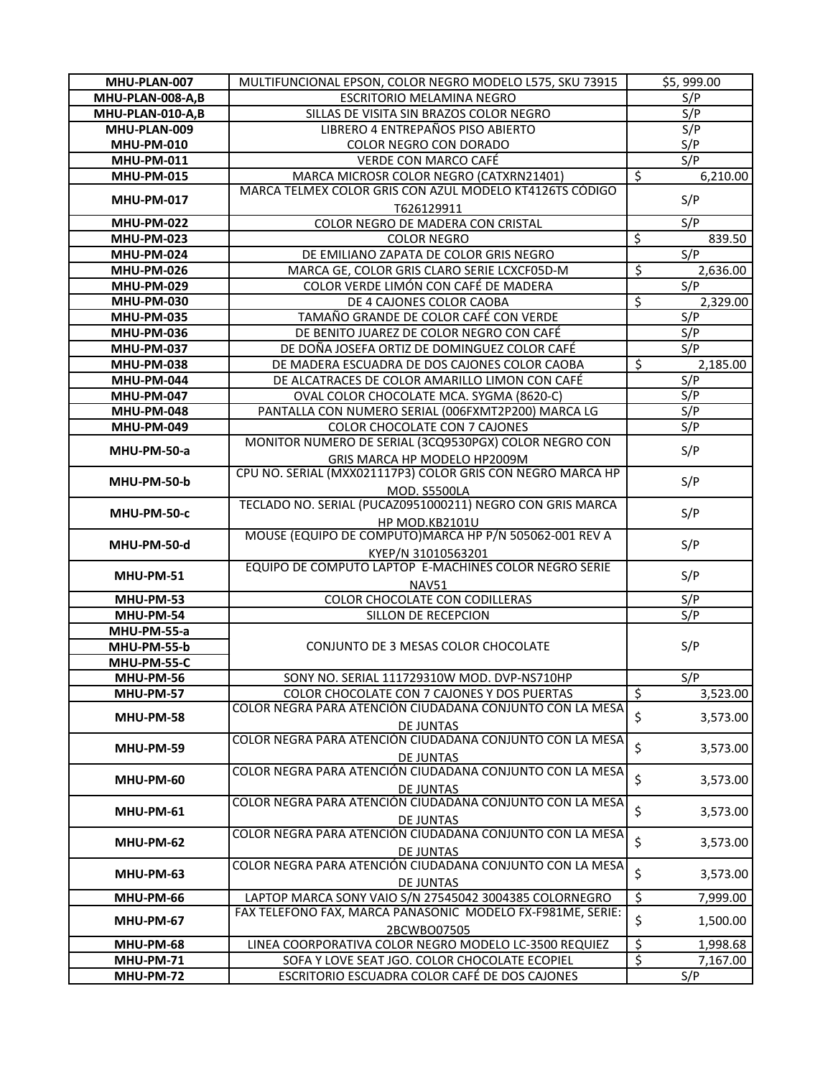| MHU-PLAN-007       | MULTIFUNCIONAL EPSON, COLOR NEGRO MODELO L575, SKU 73915                     |                          | \$5,999.00       |
|--------------------|------------------------------------------------------------------------------|--------------------------|------------------|
| MHU-PLAN-008-A,B   | ESCRITORIO MELAMINA NEGRO                                                    |                          | S/P              |
| MHU-PLAN-010-A,B   | SILLAS DE VISITA SIN BRAZOS COLOR NEGRO                                      |                          | $S/\overline{P}$ |
| MHU-PLAN-009       | LIBRERO 4 ENTREPAÑOS PISO ABIERTO                                            |                          | S/P              |
| <b>MHU-PM-010</b>  | COLOR NEGRO CON DORADO                                                       |                          | S/P              |
| <b>MHU-PM-011</b>  | VERDE CON MARCO CAFÉ                                                         |                          | S/P              |
| <b>MHU-PM-015</b>  | MARCA MICROSR COLOR NEGRO (CATXRN21401)                                      | \$                       | 6,210.00         |
|                    | MARCA TELMEX COLOR GRIS CON AZUL MODELO KT4126TS CÓDIGO                      |                          |                  |
| <b>MHU-PM-017</b>  | T626129911                                                                   |                          | S/P              |
| <b>MHU-PM-022</b>  | COLOR NEGRO DE MADERA CON CRISTAL                                            |                          | S/P              |
| <b>MHU-PM-023</b>  | <b>COLOR NEGRO</b>                                                           | $\overline{\mathcal{S}}$ | 839.50           |
| <b>MHU-PM-024</b>  | DE EMILIANO ZAPATA DE COLOR GRIS NEGRO                                       |                          | S/P              |
| <b>MHU-PM-026</b>  | MARCA GE, COLOR GRIS CLARO SERIE LCXCF05D-M                                  | $\overline{\mathcal{S}}$ | 2,636.00         |
| <b>MHU-PM-029</b>  | COLOR VERDE LIMÓN CON CAFÉ DE MADERA                                         |                          | S/P              |
| <b>MHU-PM-030</b>  | DE 4 CAJONES COLOR CAOBA                                                     | \$                       | 2,329.00         |
| <b>MHU-PM-035</b>  | TAMAÑO GRANDE DE COLOR CAFÉ CON VERDE                                        |                          | S/P              |
| <b>MHU-PM-036</b>  | DE BENITO JUAREZ DE COLOR NEGRO CON CAFÉ                                     |                          | S/P              |
| <b>MHU-PM-037</b>  | DE DOÑA JOSEFA ORTIZ DE DOMINGUEZ COLOR CAFÉ                                 |                          | S/P              |
| <b>MHU-PM-038</b>  | DE MADERA ESCUADRA DE DOS CAJONES COLOR CAOBA                                | \$                       | 2,185.00         |
| <b>MHU-PM-044</b>  | DE ALCATRACES DE COLOR AMARILLO LIMON CON CAFÉ                               |                          | S/P              |
| <b>MHU-PM-047</b>  | OVAL COLOR CHOCOLATE MCA. SYGMA (8620-C)                                     |                          | S/P              |
| <b>MHU-PM-048</b>  | PANTALLA CON NUMERO SERIAL (006FXMT2P200) MARCA LG                           |                          | S/P              |
| <b>MHU-PM-049</b>  | COLOR CHOCOLATE CON 7 CAJONES                                                |                          | S/P              |
|                    | MONITOR NUMERO DE SERIAL (3CQ9530PGX) COLOR NEGRO CON                        |                          |                  |
| MHU-PM-50-a        | GRIS MARCA HP MODELO HP2009M                                                 |                          | S/P              |
|                    | CPU NO. SERIAL (MXX021117P3) COLOR GRIS CON NEGRO MARCA HP                   |                          |                  |
| MHU-PM-50-b        | <b>MOD. S5500LA</b>                                                          |                          | S/P              |
|                    | TECLADO NO. SERIAL (PUCAZ0951000211) NEGRO CON GRIS MARCA                    |                          | S/P              |
| <b>MHU-PM-50-c</b> | HP MOD.KB2101U                                                               |                          |                  |
| MHU-PM-50-d        | MOUSE (EQUIPO DE COMPUTO)MARCA HP P/N 505062-001 REV A                       |                          | S/P              |
|                    | KYEP/N 31010563201                                                           |                          |                  |
| MHU-PM-51          | EQUIPO DE COMPUTO LAPTOP E-MACHINES COLOR NEGRO SERIE                        |                          | S/P              |
|                    | NAV51                                                                        |                          |                  |
| MHU-PM-53          | COLOR CHOCOLATE CON CODILLERAS                                               |                          | S/P              |
| MHU-PM-54          | SILLON DE RECEPCION                                                          |                          | S/P              |
| MHU-PM-55-a        |                                                                              |                          |                  |
| MHU-PM-55-b        | CONJUNTO DE 3 MESAS COLOR CHOCOLATE                                          |                          | S/P              |
| MHU-PM-55-C        |                                                                              |                          |                  |
| MHU-PM-56          | SONY NO. SERIAL 111729310W MOD. DVP-NS710HP                                  |                          | S/P              |
| MHU-PM-57          | COLOR CHOCOLATE CON 7 CAJONES Y DOS PUERTAS                                  | $\boldsymbol{\zeta}$     | 3,523.00         |
| MHU-PM-58          | COLOR NEGRA PARA ATENCIÓN CIUDADANA CONJUNTO CON LA MESA                     | \$                       | 3,573.00         |
|                    | <b>DE JUNTAS</b><br>COLOR NEGRA PARA ATENCIÓN CIUDADANA CONJUNTO CON LA MESA |                          |                  |
| MHU-PM-59          |                                                                              | \$                       | 3,573.00         |
|                    | <b>DE JUNTAS</b>                                                             |                          |                  |
| MHU-PM-60          | COLOR NEGRA PARA ATENCIÓN CIUDADANA CONJUNTO CON LA MESA                     | \$                       | 3,573.00         |
|                    | DE JUNTAS<br>COLOR NEGRA PARA ATENCIÓN CIUDADANA CONJUNTO CON LA MESA        |                          |                  |
| MHU-PM-61          |                                                                              | \$                       | 3,573.00         |
|                    | <b>DE JUNTAS</b><br>COLOR NEGRA PARA ATENCIÓN CIUDADANA CONJUNTO CON LA MESA |                          |                  |
| MHU-PM-62          |                                                                              | \$                       | 3,573.00         |
|                    | DE JUNTAS<br>COLOR NEGRA PARA ATENCIÓN CIUDADANA CONJUNTO CON LA MESA        |                          |                  |
| MHU-PM-63          |                                                                              | \$                       | 3,573.00         |
|                    | DE JUNTAS<br>LAPTOP MARCA SONY VAIO S/N 27545042 3004385 COLORNEGRO          | $\overline{\xi}$         | 7,999.00         |
| MHU-PM-66          | FAX TELEFONO FAX, MARCA PANASONIC MODELO FX-F981ME, SERIE:                   |                          |                  |
| MHU-PM-67          | 2BCWBO07505                                                                  | \$                       | 1,500.00         |
| MHU-PM-68          | LINEA COORPORATIVA COLOR NEGRO MODELO LC-3500 REQUIEZ                        | $\overline{\mathcal{S}}$ | 1,998.68         |
| MHU-PM-71          | SOFA Y LOVE SEAT JGO. COLOR CHOCOLATE ECOPIEL                                | $\overline{\mathcal{S}}$ | 7,167.00         |
| MHU-PM-72          | ESCRITORIO ESCUADRA COLOR CAFÉ DE DOS CAJONES                                |                          | S/P              |
|                    |                                                                              |                          |                  |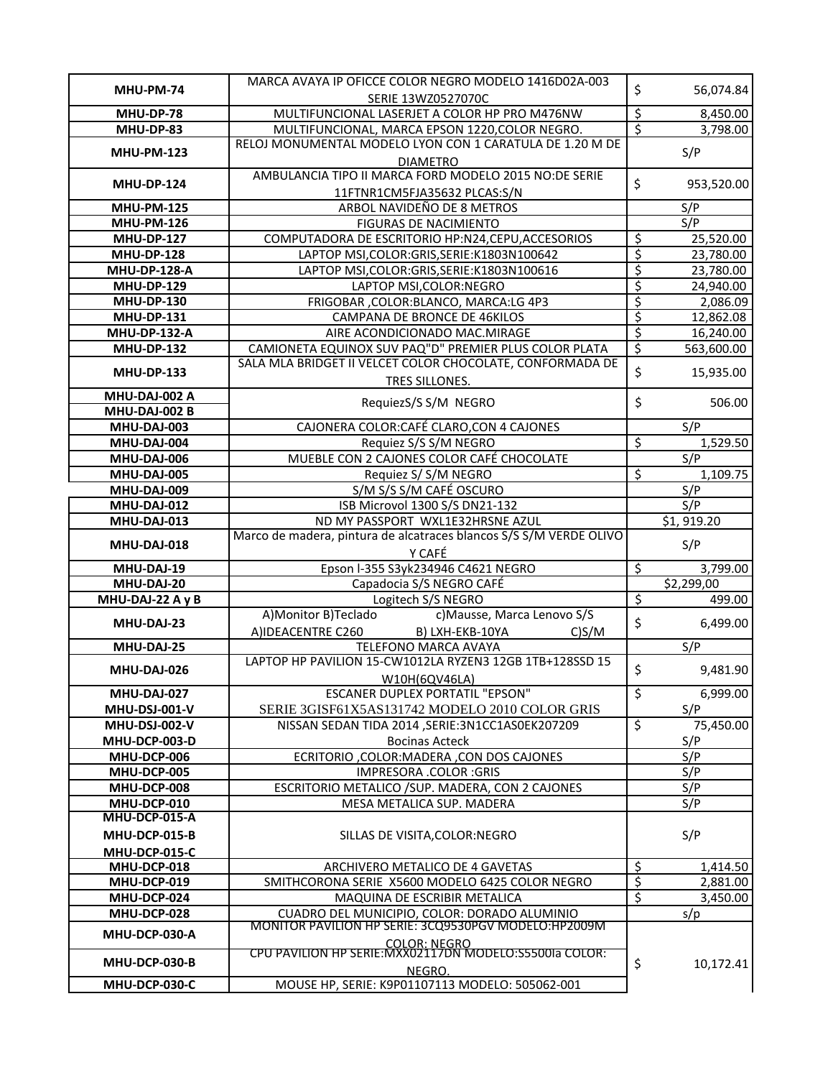|                                | MARCA AVAYA IP OFICCE COLOR NEGRO MODELO 1416D02A-003                                                 |                                |                                   |
|--------------------------------|-------------------------------------------------------------------------------------------------------|--------------------------------|-----------------------------------|
| MHU-PM-74                      | SERIE 13WZ0527070C                                                                                    | \$                             | 56,074.84                         |
| MHU-DP-78                      | MULTIFUNCIONAL LASERJET A COLOR HP PRO M476NW                                                         | \$                             | 8,450.00                          |
| MHU-DP-83                      | MULTIFUNCIONAL, MARCA EPSON 1220, COLOR NEGRO.                                                        | ţ.                             | 3,798.00                          |
|                                | RELOJ MONUMENTAL MODELO LYON CON 1 CARATULA DE 1.20 M DE                                              |                                |                                   |
| <b>MHU-PM-123</b>              | <b>DIAMETRO</b>                                                                                       |                                | S/P                               |
|                                | AMBULANCIA TIPO II MARCA FORD MODELO 2015 NO:DE SERIE                                                 |                                |                                   |
| <b>MHU-DP-124</b>              | 11FTNR1CM5FJA35632 PLCAS:S/N                                                                          | \$                             | 953,520.00                        |
| <b>MHU-PM-125</b>              | ARBOL NAVIDEÑO DE 8 METROS                                                                            |                                | S/P                               |
| <b>MHU-PM-126</b>              | FIGURAS DE NACIMIENTO                                                                                 |                                | S/P                               |
| <b>MHU-DP-127</b>              | COMPUTADORA DE ESCRITORIO HP:N24,CEPU,ACCESORIOS                                                      | \$                             | 25,520.00                         |
| <b>MHU-DP-128</b>              | LAPTOP MSI, COLOR: GRIS, SERIE: K1803N100642                                                          | ड़                             | 23,780.00                         |
| <b>MHU-DP-128-A</b>            | LAPTOP MSI, COLOR: GRIS, SERIE: K1803N100616                                                          | $\overline{\xi}$               | 23,780.00                         |
| <b>MHU-DP-129</b>              | LAPTOP MSI, COLOR: NEGRO                                                                              | $\overline{\xi}$               | 24,940.00                         |
| <b>MHU-DP-130</b>              | FRIGOBAR, COLOR: BLANCO, MARCA: LG 4P3                                                                | $rac{1}{5}$                    | 2,086.09                          |
| <b>MHU-DP-131</b>              | CAMPANA DE BRONCE DE 46KILOS                                                                          |                                | 12,862.08                         |
| <b>MHU-DP-132-A</b>            | AIRE ACONDICIONADO MAC.MIRAGE                                                                         | $\overline{\xi}$               | 16,240.00                         |
| <b>MHU-DP-132</b>              | CAMIONETA EQUINOX SUV PAQ"D" PREMIER PLUS COLOR PLATA                                                 | $\overline{\xi}$               | 563,600.00                        |
|                                | SALA MLA BRIDGET II VELCET COLOR CHOCOLATE, CONFORMADA DE                                             | $\hat{\mathsf{S}}$             |                                   |
| <b>MHU-DP-133</b>              | TRES SILLONES.                                                                                        |                                | 15,935.00                         |
| MHU-DAJ-002 A                  |                                                                                                       |                                |                                   |
| <b>MHU-DAJ-002 B</b>           | RequiezS/S S/M NEGRO                                                                                  | \$                             | 506.00                            |
| MHU-DAJ-003                    | CAJONERA COLOR: CAFÉ CLARO, CON 4 CAJONES                                                             |                                | S/P                               |
| MHU-DAJ-004                    | Requiez S/S S/M NEGRO                                                                                 | $\overline{\mathcal{S}}$       | 1,529.50                          |
| MHU-DAJ-006                    | MUEBLE CON 2 CAJONES COLOR CAFÉ CHOCOLATE                                                             |                                | S/P                               |
| MHU-DAJ-005                    | Requiez S/ S/M NEGRO                                                                                  | $\overline{\mathcal{S}}$       | 1,109.75                          |
| MHU-DAJ-009                    | S/M S/S S/M CAFÉ OSCURO                                                                               |                                | S/P                               |
| MHU-DAJ-012                    | ISB Microvol 1300 S/S DN21-132                                                                        |                                | S/P                               |
| MHU-DAJ-013                    | ND MY PASSPORT WXL1E32HRSNE AZUL                                                                      |                                | \$1,919.20                        |
|                                |                                                                                                       |                                |                                   |
|                                | Marco de madera, pintura de alcatraces blancos S/S S/M VERDE OLIVO                                    |                                |                                   |
| MHU-DAJ-018                    |                                                                                                       |                                | S/P                               |
| MHU-DAJ-19                     | Y CAFÉ                                                                                                | $\overline{\mathcal{S}}$       | 3,799.00                          |
| MHU-DAJ-20                     | Epson I-355 S3yk234946 C4621 NEGRO<br>Capadocia S/S NEGRO CAFÉ                                        |                                | \$2,299,00                        |
| MHU-DAJ-22 A y B               | Logitech S/S NEGRO                                                                                    | $\overline{\mathcal{S}}$       | 499.00                            |
|                                | c) Mausse, Marca Lenovo S/S<br>A) Monitor B) Teclado                                                  |                                |                                   |
| MHU-DAJ-23                     |                                                                                                       | \$                             | 6,499.00                          |
| MHU-DAJ-25                     | A)IDEACENTRE C260<br>B) LXH-EKB-10YA<br>C)S/M<br>TELEFONO MARCA AVAYA                                 |                                | S/P                               |
|                                | LAPTOP HP PAVILION 15-CW1012LA RYZEN3 12GB 1TB+128SSD 15                                              |                                |                                   |
| MHU-DAJ-026                    |                                                                                                       | $\boldsymbol{\dot{\varsigma}}$ |                                   |
|                                | W10H(6QV46LA)<br><b>ESCANER DUPLEX PORTATIL "EPSON"</b>                                               |                                |                                   |
| MHU-DAJ-027<br>MHU-DSJ-001-V   | SERIE 3GISF61X5AS131742 MODELO 2010 COLOR GRIS                                                        | \$                             | S/P                               |
| MHU-DSJ-002-V                  | NISSAN SEDAN TIDA 2014, SERIE: 3N1CC1AS0EK207209                                                      | $\overline{\mathcal{S}}$       |                                   |
| MHU-DCP-003-D                  | <b>Bocinas Acteck</b>                                                                                 |                                | S/P                               |
| MHU-DCP-006                    | ECRITORIO, COLOR: MADERA, CON DOS CAJONES                                                             |                                | S/P                               |
|                                |                                                                                                       |                                |                                   |
| MHU-DCP-005                    | IMPRESORA .COLOR :GRIS                                                                                |                                | S/P                               |
| MHU-DCP-008<br>MHU-DCP-010     | ESCRITORIO METALICO / SUP. MADERA, CON 2 CAJONES<br>MESA METALICA SUP. MADERA                         |                                | S/P<br>S/P                        |
| MHU-DCP-015-A                  |                                                                                                       |                                |                                   |
| MHU-DCP-015-B                  |                                                                                                       |                                | 9,481.90<br>6,999.00<br>75,450.00 |
|                                | SILLAS DE VISITA, COLOR: NEGRO                                                                        |                                | S/P                               |
| MHU-DCP-015-C<br>MHU-DCP-018   |                                                                                                       |                                |                                   |
|                                | ARCHIVERO METALICO DE 4 GAVETAS                                                                       | $\frac{1}{2}$                  | 1,414.50                          |
| MHU-DCP-019                    | SMITHCORONA SERIE X5600 MODELO 6425 COLOR NEGRO                                                       | $\overline{\xi}$               | 2,881.00                          |
| MHU-DCP-024                    | MAQUINA DE ESCRIBIR METALICA                                                                          | \$                             | 3,450.00                          |
| MHU-DCP-028                    | CUADRO DEL MUNICIPIO, COLOR: DORADO ALUMINIO<br>MONITOR PAVILION HP SERIE: 3CQ9530PGV MODELO: HP2009M |                                | s/p                               |
| MHU-DCP-030-A                  |                                                                                                       |                                |                                   |
|                                | <b>COLOR: NEGRO</b><br>CPU PAVILION HP SERIE: MXX02117DN MODELO: S5500Ia COLOR:                       |                                |                                   |
| MHU-DCP-030-B<br>MHU-DCP-030-C | NEGRO.<br>MOUSE HP, SERIE: K9P01107113 MODELO: 505062-001                                             | \$                             | 10,172.41                         |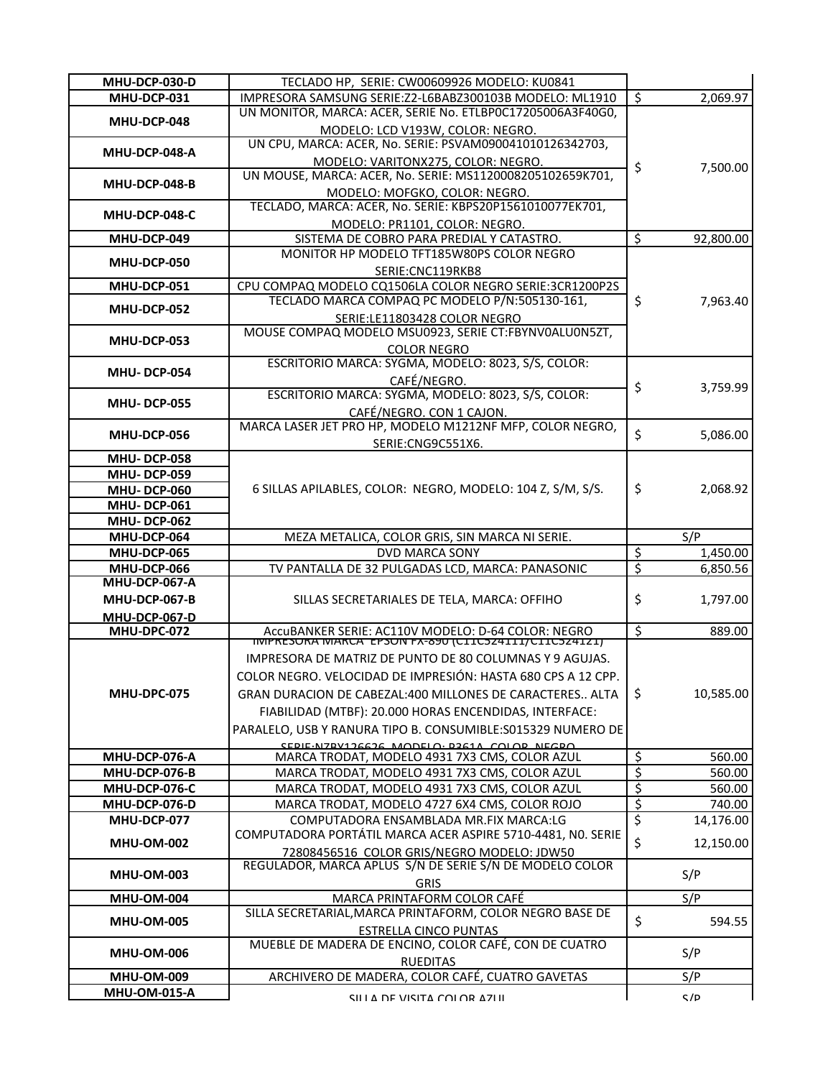| MHU-DCP-030-D                            | TECLADO HP, SERIE: CW00609926 MODELO: KU0841                                          |                          |           |
|------------------------------------------|---------------------------------------------------------------------------------------|--------------------------|-----------|
| MHU-DCP-031                              | IMPRESORA SAMSUNG SERIE: Z2-L6BABZ300103B MODELO: ML1910                              | \$                       | 2,069.97  |
|                                          | UN MONITOR, MARCA: ACER, SERIE No. ETLBP0C17205006A3F40G0,                            |                          |           |
| MHU-DCP-048                              | MODELO: LCD V193W, COLOR: NEGRO.                                                      |                          |           |
|                                          | UN CPU, MARCA: ACER, No. SERIE: PSVAM090041010126342703,                              |                          |           |
| MHU-DCP-048-A                            | MODELO: VARITONX275, COLOR: NEGRO.                                                    |                          |           |
|                                          | UN MOUSE, MARCA: ACER, No. SERIE: MS1120008205102659K701,                             | \$                       | 7,500.00  |
| MHU-DCP-048-B                            | MODELO: MOFGKO, COLOR: NEGRO.                                                         |                          |           |
|                                          | TECLADO, MARCA: ACER, No. SERIE: KBPS20P1561010077EK701,                              |                          |           |
| MHU-DCP-048-C                            | MODELO: PR1101, COLOR: NEGRO.                                                         |                          |           |
| MHU-DCP-049                              | SISTEMA DE COBRO PARA PREDIAL Y CATASTRO.                                             | \$                       | 92,800.00 |
|                                          | MONITOR HP MODELO TFT185W80PS COLOR NEGRO                                             |                          |           |
| MHU-DCP-050                              | SERIE:CNC119RKB8                                                                      |                          |           |
| MHU-DCP-051                              | CPU COMPAQ MODELO CQ1506LA COLOR NEGRO SERIE:3CR1200P2S                               |                          |           |
|                                          | TECLADO MARCA COMPAQ PC MODELO P/N:505130-161,                                        | \$                       | 7,963.40  |
| MHU-DCP-052                              |                                                                                       |                          |           |
|                                          | SERIE:LE11803428 COLOR NEGRO<br>MOUSE COMPAQ MODELO MSU0923, SERIE CT:FBYNV0ALU0N5ZT, |                          |           |
| MHU-DCP-053                              |                                                                                       |                          |           |
|                                          | <b>COLOR NEGRO</b>                                                                    |                          |           |
| <b>MHU-DCP-054</b>                       | ESCRITORIO MARCA: SYGMA, MODELO: 8023, S/S, COLOR:                                    |                          |           |
|                                          | CAFÉ/NEGRO.                                                                           | \$                       | 3,759.99  |
| <b>MHU-DCP-055</b>                       | ESCRITORIO MARCA: SYGMA, MODELO: 8023, S/S, COLOR:                                    |                          |           |
|                                          | CAFÉ/NEGRO. CON 1 CAJON.                                                              |                          |           |
| MHU-DCP-056                              | MARCA LASER JET PRO HP, MODELO M1212NF MFP, COLOR NEGRO,                              | \$                       | 5,086.00  |
|                                          | SERIE:CNG9C551X6.                                                                     |                          |           |
| <b>MHU-DCP-058</b>                       |                                                                                       |                          |           |
| <b>MHU-DCP-059</b>                       |                                                                                       |                          |           |
| <b>MHU-DCP-060</b>                       | 6 SILLAS APILABLES, COLOR: NEGRO, MODELO: 104 Z, S/M, S/S.                            | \$                       | 2,068.92  |
| MHU-DCP-061                              |                                                                                       |                          |           |
| <b>MHU-DCP-062</b>                       |                                                                                       |                          |           |
|                                          |                                                                                       |                          |           |
| MHU-DCP-064                              | MEZA METALICA, COLOR GRIS, SIN MARCA NI SERIE.                                        |                          | S/P       |
| MHU-DCP-065                              | DVD MARCA SONY                                                                        | \$                       | 1,450.00  |
| MHU-DCP-066                              |                                                                                       | $\overline{\varsigma}$   | 6,850.56  |
| MHU-DCP-067-A                            | TV PANTALLA DE 32 PULGADAS LCD, MARCA: PANASONIC                                      |                          |           |
| MHU-DCP-067-B                            |                                                                                       |                          |           |
|                                          | SILLAS SECRETARIALES DE TELA, MARCA: OFFIHO                                           | \$                       | 1,797.00  |
| MHU-DCP-067-D                            |                                                                                       |                          |           |
| MHU-DPC-072                              | AccuBANKER SERIE: AC110V MODELO: D-64 COLOR: NEGRO                                    | \$                       | 889.00    |
|                                          | IMPRESORA DE MATRIZ DE PUNTO DE 80 COLUMNAS Y 9 AGUJAS.                               |                          |           |
|                                          |                                                                                       |                          |           |
|                                          | COLOR NEGRO. VELOCIDAD DE IMPRESIÓN: HASTA 680 CPS A 12 CPP.                          |                          |           |
| MHU-DPC-075                              | GRAN DURACION DE CABEZAL:400 MILLONES DE CARACTERES ALTA                              | \$                       | 10,585.00 |
|                                          | FIABILIDAD (MTBF): 20.000 HORAS ENCENDIDAS, INTERFACE:                                |                          |           |
|                                          | PARALELO, USB Y RANURA TIPO B. CONSUMIBLE: S015329 NUMERO DE                          |                          |           |
|                                          | SEDIE-NIZRV126626 MODELO- D261A COLOR NECRO                                           |                          |           |
| MHU-DCP-076-A                            | MARCA TRODAT, MODELO 4931 7X3 CMS, COLOR AZUL                                         | $\overline{\mathcal{S}}$ | 560.00    |
| MHU-DCP-076-B                            | MARCA TRODAT, MODELO 4931 7X3 CMS, COLOR AZUL                                         | $\overline{\xi}$         | 560.00    |
| MHU-DCP-076-C                            | MARCA TRODAT, MODELO 4931 7X3 CMS, COLOR AZUL                                         | \$                       | 560.00    |
| MHU-DCP-076-D                            | MARCA TRODAT, MODELO 4727 6X4 CMS, COLOR ROJO                                         | ड़                       | 740.00    |
| MHU-DCP-077                              | COMPUTADORA ENSAMBLADA MR.FIX MARCA:LG                                                | $\overline{\xi}$         | 14,176.00 |
| <b>MHU-OM-002</b>                        | COMPUTADORA PORTÁTIL MARCA ACER ASPIRE 5710-4481, NO. SERIE                           | \$                       | 12,150.00 |
|                                          | 72808456516 COLOR GRIS/NEGRO MODELO: JDW50                                            |                          |           |
| <b>MHU-OM-003</b>                        | REGULADOR, MARCA APLUS S/N DE SERIE S/N DE MODELO COLOR                               |                          | S/P       |
|                                          | <b>GRIS</b>                                                                           |                          |           |
| <b>MHU-OM-004</b>                        | MARCA PRINTAFORM COLOR CAFÉ                                                           |                          | S/P       |
| <b>MHU-OM-005</b>                        | SILLA SECRETARIAL, MARCA PRINTAFORM, COLOR NEGRO BASE DE                              | \$                       | 594.55    |
|                                          | <b>ESTRELLA CINCO PUNTAS</b>                                                          |                          |           |
| <b>MHU-OM-006</b>                        | MUEBLE DE MADERA DE ENCINO, COLOR CAFÉ, CON DE CUATRO                                 |                          | S/P       |
|                                          | <b>RUEDITAS</b>                                                                       |                          |           |
| <b>MHU-OM-009</b><br><b>MHU-OM-015-A</b> | ARCHIVERO DE MADERA, COLOR CAFÉ, CUATRO GAVETAS                                       |                          | S/P       |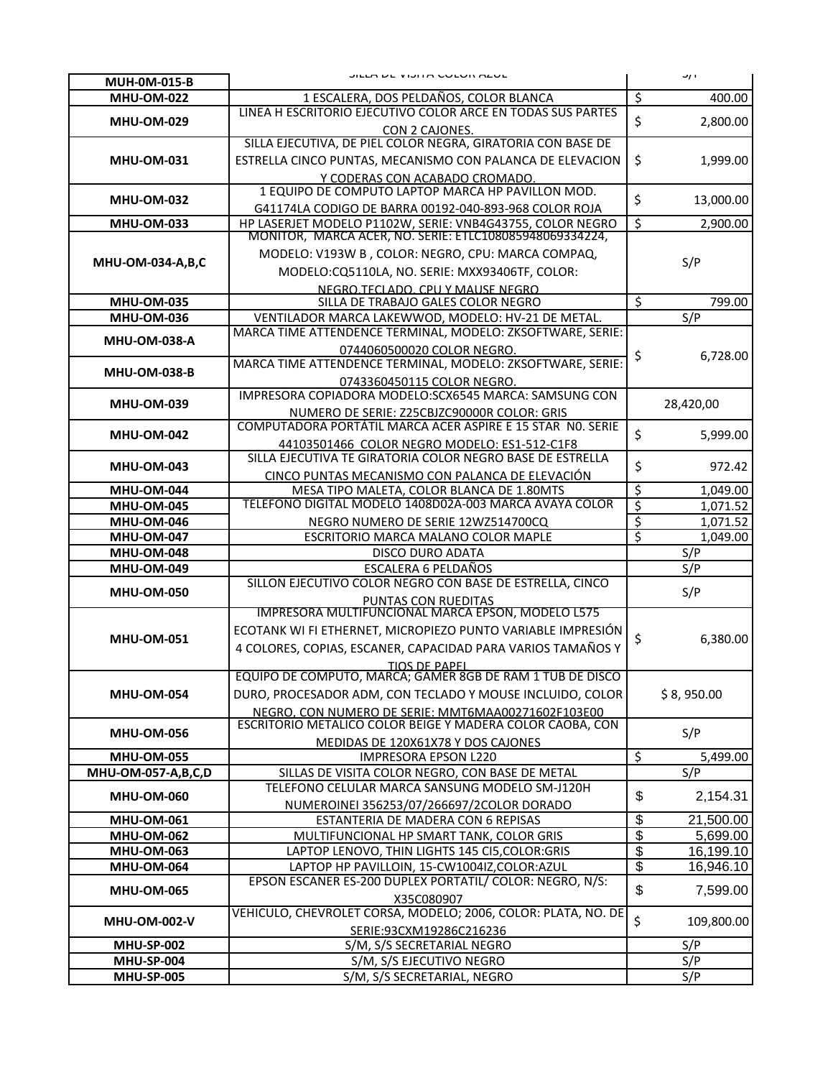| MUH-0M-015-B                           | JILLA DE VIJHA COLON ALOL                                                                                            |                               | <b>J/F</b>           |
|----------------------------------------|----------------------------------------------------------------------------------------------------------------------|-------------------------------|----------------------|
| <b>MHU-OM-022</b>                      | 1 ESCALERA, DOS PELDAÑOS, COLOR BLANCA                                                                               | \$                            | 400.00               |
|                                        | LINEA H ESCRITORIO EJECUTIVO COLOR ARCE EN TODAS SUS PARTES                                                          |                               |                      |
| <b>MHU-OM-029</b>                      | CON 2 CAJONES.                                                                                                       | $\zeta$                       | 2,800.00             |
|                                        | SILLA EJECUTIVA, DE PIEL COLOR NEGRA, GIRATORIA CON BASE DE                                                          |                               |                      |
| <b>MHU-OM-031</b>                      | ESTRELLA CINCO PUNTAS, MECANISMO CON PALANCA DE ELEVACION                                                            | \$                            | 1,999.00             |
|                                        | Y CODERAS CON ACABADO CROMADO.                                                                                       |                               |                      |
| <b>MHU-OM-032</b>                      | 1 EQUIPO DE COMPUTO LAPTOP MARCA HP PAVILLON MOD.                                                                    | \$                            | 13,000.00            |
|                                        | G41174LA CODIGO DE BARRA 00192-040-893-968 COLOR ROJA                                                                |                               |                      |
| <b>MHU-OM-033</b>                      | HP LASERJET MODELO P1102W, SERIE: VNB4G43755, COLOR NEGRO<br>MONITOR, MARCA ACER, NO. SERIE: ETLC108085948069334224, | Ś                             | 2,900.00             |
|                                        | MODELO: V193W B, COLOR: NEGRO, CPU: MARCA COMPAQ,                                                                    |                               |                      |
| MHU-OM-034-A,B,C                       |                                                                                                                      |                               | S/P                  |
|                                        | MODELO:CQ5110LA, NO. SERIE: MXX93406TF, COLOR:<br>NEGRO.TECLADO. CPU Y MAUSE NEGRO                                   |                               |                      |
| <b>MHU-OM-035</b>                      | SILLA DE TRABAJO GALES COLOR NEGRO                                                                                   | \$                            | 799.00               |
| <b>MHU-OM-036</b>                      | VENTILADOR MARCA LAKEWWOD, MODELO: HV-21 DE METAL.                                                                   |                               | S/P                  |
|                                        | MARCA TIME ATTENDENCE TERMINAL, MODELO: ZKSOFTWARE, SERIE:                                                           |                               |                      |
| <b>MHU-OM-038-A</b>                    | 0744060500020 COLOR NEGRO.                                                                                           | \$                            | 6,728.00             |
| <b>MHU-OM-038-B</b>                    | MARCA TIME ATTENDENCE TERMINAL, MODELO: ZKSOFTWARE, SERIE:                                                           |                               |                      |
|                                        | 0743360450115 COLOR NEGRO.                                                                                           |                               |                      |
| <b>MHU-OM-039</b>                      | IMPRESORA COPIADORA MODELO:SCX6545 MARCA: SAMSUNG CON                                                                |                               | 28,420,00            |
|                                        | NUMERO DE SERIE: Z25CBJZC90000R COLOR: GRIS                                                                          |                               |                      |
| <b>MHU-OM-042</b>                      | COMPUTADORA PORTÁTIL MARCA ACER ASPIRE E 15 STAR NO. SERIE                                                           | \$                            | 5,999.00             |
|                                        | 44103501466 COLOR NEGRO MODELO: ES1-512-C1F8<br>SILLA EJECUTIVA TE GIRATORIA COLOR NEGRO BASE DE ESTRELLA            |                               |                      |
| <b>MHU-OM-043</b>                      | CINCO PUNTAS MECANISMO CON PALANCA DE ELEVACIÓN                                                                      | \$                            | 972.42               |
| <b>MHU-OM-044</b>                      | MESA TIPO MALETA, COLOR BLANCA DE 1.80MTS                                                                            | \$                            | 1,049.00             |
| <b>MHU-OM-045</b>                      | TELEFONO DIGITAL MODELO 1408D02A-003 MARCA AVAYA COLOR                                                               | \$                            | 1,071.52             |
|                                        |                                                                                                                      |                               |                      |
| <b>MHU-OM-046</b>                      |                                                                                                                      |                               |                      |
| <b>MHU-OM-047</b>                      | NEGRO NUMERO DE SERIE 12WZ514700CQ<br>ESCRITORIO MARCA MALANO COLOR MAPLE                                            | \$<br>$\overline{\mathsf{s}}$ | 1,071.52<br>1,049.00 |
| <b>MHU-OM-048</b>                      | <b>DISCO DURO ADATA</b>                                                                                              |                               | S/P                  |
| <b>MHU-OM-049</b>                      | ESCALERA 6 PELDAÑOS                                                                                                  |                               | S/P                  |
|                                        | SILLON EJECUTIVO COLOR NEGRO CON BASE DE ESTRELLA, CINCO                                                             |                               |                      |
| <b>MHU-OM-050</b>                      |                                                                                                                      |                               | S/P                  |
|                                        | PUNTAS CON RUEDITAS<br>IMPRESORA MULTIFUNCIONAL MARCA EPSON, MODELO L575                                             |                               |                      |
| <b>MHU-OM-051</b>                      | ECOTANK WI FI ETHERNET, MICROPIEZO PUNTO VARIABLE IMPRESIÓN                                                          | \$                            | 6,380.00             |
|                                        | 4 COLORES, COPIAS, ESCANER, CAPACIDAD PARA VARIOS TAMAÑOS Y                                                          |                               |                      |
|                                        | <b>TIOS DE PAPEL</b><br>EQUIPO DE COMPUTO, MARCA; GAMER 8GB DE RAM 1 TUB DE DISCO                                    |                               |                      |
| <b>MHU-OM-054</b>                      | DURO, PROCESADOR ADM, CON TECLADO Y MOUSE INCLUIDO, COLOR                                                            |                               | \$8,950.00           |
|                                        | NEGRO, CON NUMERO DE SERIE: MMT6MAA00271602F103E00                                                                   |                               |                      |
|                                        | ESCRITORIO METALICO COLOR BEIGE Y MADERA COLOR CAOBA, CON                                                            |                               |                      |
| <b>MHU-OM-056</b>                      | MEDIDAS DE 120X61X78 Y DOS CAJONES                                                                                   |                               | S/P                  |
| <b>MHU-OM-055</b>                      | <b>IMPRESORA EPSON L220</b>                                                                                          | \$                            | 5,499.00             |
| <b>MHU-OM-057-A,B,C,D</b>              | SILLAS DE VISITA COLOR NEGRO, CON BASE DE METAL                                                                      |                               | S/P                  |
| <b>MHU-OM-060</b>                      | TELEFONO CELULAR MARCA SANSUNG MODELO SM-J120H                                                                       | \$                            | 2,154.31             |
|                                        | NUMEROINEI 356253/07/266697/2COLOR DORADO                                                                            |                               |                      |
| <b>MHU-OM-061</b>                      | ESTANTERIA DE MADERA CON 6 REPISAS                                                                                   | \$                            | 21,500.00            |
| <b>MHU-OM-062</b>                      | MULTIFUNCIONAL HP SMART TANK, COLOR GRIS                                                                             | \$                            | 5,699.00             |
| <b>MHU-OM-063</b><br><b>MHU-OM-064</b> | LAPTOP LENOVO, THIN LIGHTS 145 CI5, COLOR: GRIS<br>LAPTOP HP PAVILLOIN, 15-CW1004IZ, COLOR: AZUL                     | $\overline{\theta}$           | 16,199.10            |
|                                        | EPSON ESCANER ES-200 DUPLEX PORTATIL/ COLOR: NEGRO, N/S:                                                             | $\overline{\mathbf{G}}$       | 16,946.10            |
| <b>MHU-OM-065</b>                      | X35C080907                                                                                                           | \$                            | 7,599.00             |
|                                        | VEHICULO, CHEVROLET CORSA, MODELO; 2006, COLOR: PLATA, NO. DE                                                        |                               |                      |
| <b>MHU-OM-002-V</b>                    | SERIE:93CXM19286C216236                                                                                              | \$                            | 109,800.00           |
| <b>MHU-SP-002</b>                      | S/M, S/S SECRETARIAL NEGRO                                                                                           |                               | S/P                  |
| <b>MHU-SP-004</b><br><b>MHU-SP-005</b> | S/M, S/S EJECUTIVO NEGRO<br>S/M, S/S SECRETARIAL, NEGRO                                                              |                               | S/P<br>S/P           |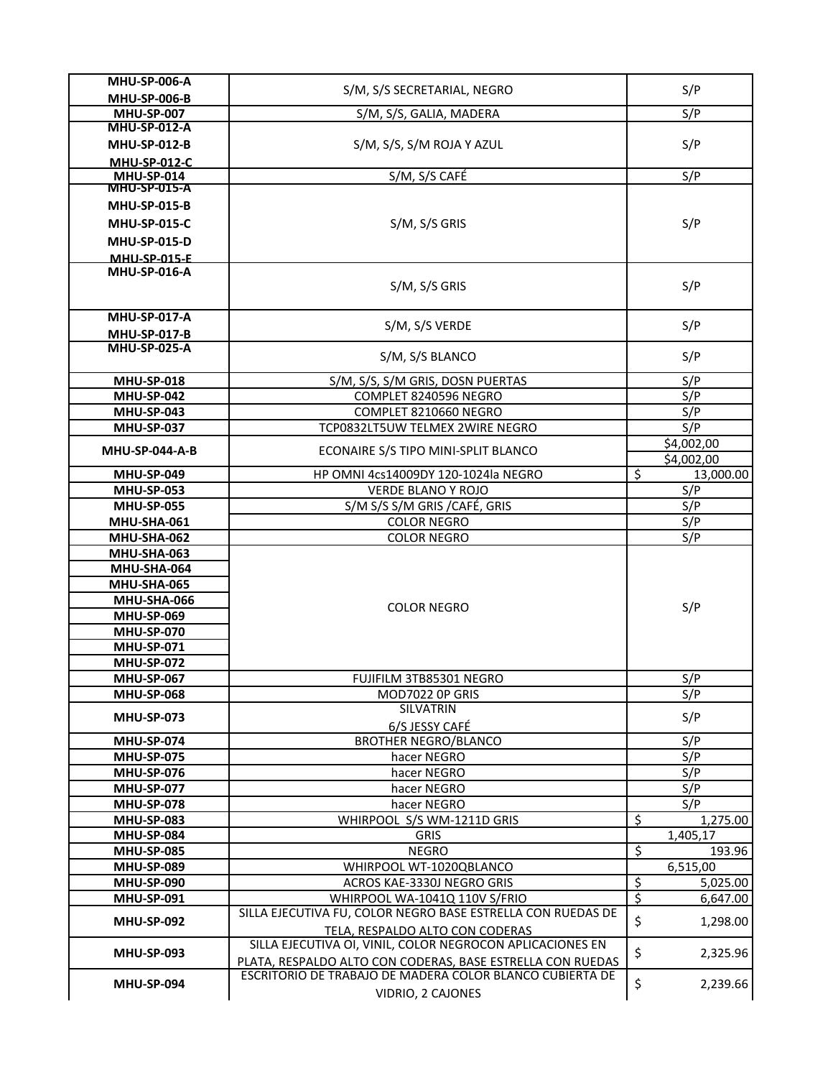| <b>MHU-SP-006-A</b>   | S/M, S/S SECRETARIAL, NEGRO                                 | S/P                                  |
|-----------------------|-------------------------------------------------------------|--------------------------------------|
| <b>MHU-SP-006-B</b>   |                                                             |                                      |
| <b>MHU-SP-007</b>     | S/M, S/S, GALIA, MADERA                                     | S/P                                  |
| <b>MHU-SP-012-A</b>   |                                                             |                                      |
| <b>MHU-SP-012-B</b>   | S/M, S/S, S/M ROJA Y AZUL                                   | S/P                                  |
| <b>MHU-SP-012-C</b>   |                                                             |                                      |
| <b>MHU-SP-014</b>     | S/M, S/S CAFÉ                                               | S/P                                  |
| <b>MHU-SP-015-A</b>   |                                                             |                                      |
| <b>MHU-SP-015-B</b>   |                                                             |                                      |
| <b>MHU-SP-015-C</b>   | S/M, S/S GRIS                                               | S/P                                  |
| <b>MHU-SP-015-D</b>   |                                                             |                                      |
| <b>MHIL-SP-015-F</b>  |                                                             |                                      |
| <b>MHU-SP-016-A</b>   |                                                             |                                      |
|                       | S/M, S/S GRIS                                               | S/P                                  |
|                       |                                                             |                                      |
| <b>MHU-SP-017-A</b>   | S/M, S/S VERDE                                              | S/P                                  |
| <b>MHU-SP-017-B</b>   |                                                             |                                      |
| <b>MHU-SP-025-A</b>   | S/M, S/S BLANCO                                             | S/P                                  |
| <b>MHU-SP-018</b>     | S/M, S/S, S/M GRIS, DOSN PUERTAS                            | S/P                                  |
| MHU-SP-042            | COMPLET 8240596 NEGRO                                       | S/P                                  |
|                       |                                                             |                                      |
| <b>MHU-SP-043</b>     | COMPLET 8210660 NEGRO                                       | S/P                                  |
| <b>MHU-SP-037</b>     | TCP0832LT5UW TELMEX 2WIRE NEGRO                             | S/P                                  |
| <b>MHU-SP-044-A-B</b> | ECONAIRE S/S TIPO MINI-SPLIT BLANCO                         | \$4,002,00                           |
| <b>MHU-SP-049</b>     | HP OMNI 4cs14009DY 120-1024la NEGRO                         | \$4,002,00<br>\$<br>13,000.00        |
| <b>MHU-SP-053</b>     | VERDE BLANO Y ROJO                                          | S/P                                  |
| <b>MHU-SP-055</b>     |                                                             | S/P                                  |
|                       | S/M S/S S/M GRIS / CAFÉ, GRIS                               | S/P                                  |
| MHU-SHA-061           | <b>COLOR NEGRO</b>                                          |                                      |
| MHU-SHA-062           | <b>COLOR NEGRO</b>                                          | S/P                                  |
| MHU-SHA-063           |                                                             |                                      |
| MHU-SHA-064           |                                                             |                                      |
| MHU-SHA-065           |                                                             |                                      |
| MHU-SHA-066           | <b>COLOR NEGRO</b>                                          | S/P                                  |
| <b>MHU-SP-069</b>     |                                                             |                                      |
| <b>MHU-SP-070</b>     |                                                             |                                      |
| <b>MHU-SP-071</b>     |                                                             |                                      |
| <b>MHU-SP-072</b>     |                                                             |                                      |
| <b>MHU-SP-067</b>     | FUJIFILM 3TB85301 NEGRO                                     | S/P                                  |
| <b>MHU-SP-068</b>     | MOD7022 OP GRIS                                             | S/P                                  |
| <b>MHU-SP-073</b>     | SILVATRIN                                                   | S/P                                  |
| <b>MHU-SP-074</b>     | 6/S JESSY CAFÉ<br><b>BROTHER NEGRO/BLANCO</b>               | S/P                                  |
| <b>MHU-SP-075</b>     | hacer NEGRO                                                 | S/P                                  |
| <b>MHU-SP-076</b>     | hacer NEGRO                                                 | S/P                                  |
| <b>MHU-SP-077</b>     | hacer NEGRO                                                 | S/P                                  |
| <b>MHU-SP-078</b>     | hacer NEGRO                                                 | S/P                                  |
| <b>MHU-SP-083</b>     | WHIRPOOL S/S WM-1211D GRIS                                  | $\overline{\mathcal{S}}$<br>1,275.00 |
| <b>MHU-SP-084</b>     | <b>GRIS</b>                                                 | 1,405,17                             |
| <b>MHU-SP-085</b>     | <b>NEGRO</b>                                                | $\overline{\mathcal{S}}$<br>193.96   |
| <b>MHU-SP-089</b>     | WHIRPOOL WT-1020QBLANCO                                     | 6,515,00                             |
| <b>MHU-SP-090</b>     | ACROS KAE-3330J NEGRO GRIS                                  | \$<br>5,025.00                       |
| <b>MHU-SP-091</b>     | WHIRPOOL WA-1041Q 110V S/FRIO                               | $\overline{\mathsf{S}}$<br>6,647.00  |
|                       | SILLA EJECUTIVA FU, COLOR NEGRO BASE ESTRELLA CON RUEDAS DE |                                      |
| <b>MHU-SP-092</b>     | TELA, RESPALDO ALTO CON CODERAS                             | \$<br>1,298.00                       |
|                       | SILLA EJECUTIVA OI, VINIL, COLOR NEGROCON APLICACIONES EN   |                                      |
| <b>MHU-SP-093</b>     | PLATA, RESPALDO ALTO CON CODERAS, BASE ESTRELLA CON RUEDAS  | \$<br>2,325.96                       |
|                       | ESCRITORIO DE TRABAJO DE MADERA COLOR BLANCO CUBIERTA DE    |                                      |
| MHU-SP-094            | VIDRIO, 2 CAJONES                                           | \$<br>2,239.66                       |
|                       |                                                             |                                      |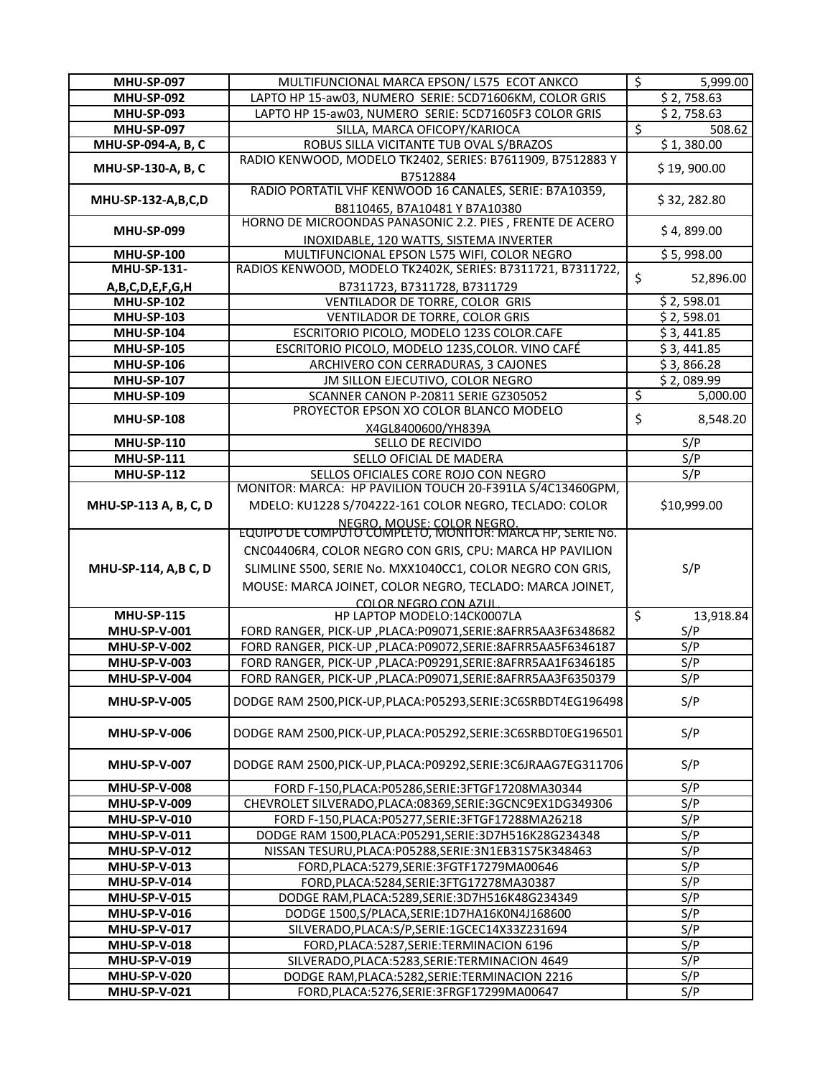| <b>MHU-SP-097</b>                          | MULTIFUNCIONAL MARCA EPSON/ L575 ECOT ANKCO                                               | \$<br>5,999.00  |
|--------------------------------------------|-------------------------------------------------------------------------------------------|-----------------|
| <b>MHU-SP-092</b>                          | LAPTO HP 15-aw03, NUMERO SERIE: 5CD71606KM, COLOR GRIS                                    | \$2,758.63      |
| <b>MHU-SP-093</b>                          | LAPTO HP 15-aw03, NUMERO SERIE: 5CD71605F3 COLOR GRIS                                     | \$2,758.63      |
| <b>MHU-SP-097</b>                          | SILLA, MARCA OFICOPY/KARIOCA                                                              | \$<br>508.62    |
| MHU-SP-094-A, B, C                         | ROBUS SILLA VICITANTE TUB OVAL S/BRAZOS                                                   | \$1,380.00      |
| MHU-SP-130-A, B, C                         | RADIO KENWOOD, MODELO TK2402, SERIES: B7611909, B7512883 Y<br>B7512884                    | \$19,900.00     |
| <b>MHU-SP-132-A,B,C,D</b>                  | RADIO PORTATIL VHF KENWOOD 16 CANALES, SERIE: B7A10359,                                   | \$32, 282.80    |
| <b>MHU-SP-099</b>                          | B8110465, B7A10481 Y B7A10380<br>HORNO DE MICROONDAS PANASONIC 2.2. PIES, FRENTE DE ACERO | \$4,899.00      |
|                                            | INOXIDABLE, 120 WATTS, SISTEMA INVERTER                                                   |                 |
| <b>MHU-SP-100</b>                          | MULTIFUNCIONAL EPSON L575 WIFI, COLOR NEGRO                                               | \$5,998.00      |
| <b>MHU-SP-131-</b>                         | RADIOS KENWOOD, MODELO TK2402K, SERIES: B7311721, B7311722,                               | \$<br>52,896.00 |
| A,B,C,D,E,F,G,H                            | B7311723, B7311728, B7311729                                                              |                 |
| <b>MHU-SP-102</b>                          | VENTILADOR DE TORRE, COLOR GRIS                                                           | \$2,598.01      |
| <b>MHU-SP-103</b>                          | <b>VENTILADOR DE TORRE, COLOR GRIS</b>                                                    | \$2,598.01      |
| <b>MHU-SP-104</b>                          | ESCRITORIO PICOLO, MODELO 123S COLOR.CAFE                                                 | \$3,441.85      |
| <b>MHU-SP-105</b>                          | ESCRITORIO PICOLO, MODELO 123S, COLOR. VINO CAFÉ                                          | \$3,441.85      |
| <b>MHU-SP-106</b>                          | ARCHIVERO CON CERRADURAS, 3 CAJONES                                                       | \$3,866.28      |
| <b>MHU-SP-107</b>                          | JM SILLON EJECUTIVO, COLOR NEGRO                                                          | \$2,089.99      |
| <b>MHU-SP-109</b>                          | SCANNER CANON P-20811 SERIE GZ305052<br>PROYECTOR EPSON XO COLOR BLANCO MODELO            | \$<br>5,000.00  |
| <b>MHU-SP-108</b>                          | X4GL8400600/YH839A                                                                        | \$<br>8,548.20  |
| <b>MHU-SP-110</b>                          | SELLO DE RECIVIDO                                                                         | S/P             |
| <b>MHU-SP-111</b>                          | SELLO OFICIAL DE MADERA                                                                   | S/P             |
| <b>MHU-SP-112</b>                          | SELLOS OFICIALES CORE ROJO CON NEGRO                                                      | S/P             |
|                                            | MONITOR: MARCA: HP PAVILION TOUCH 20-F391LA S/4C13460GPM,                                 |                 |
| MHU-SP-113 A, B, C, D                      | MDELO: KU1228 S/704222-161 COLOR NEGRO, TECLADO: COLOR                                    | \$10,999.00     |
|                                            | NEGRO, MOUSE: COLOR NEGRO.<br>EQUIPO DE COMPUTO COMPLETO, MONITOR: MARCA HP, SERIE No.    |                 |
|                                            | CNC04406R4, COLOR NEGRO CON GRIS, CPU: MARCA HP PAVILION                                  |                 |
|                                            |                                                                                           |                 |
| MHU-SP-114, A,B C, D                       | SLIMLINE S500, SERIE No. MXX1040CC1, COLOR NEGRO CON GRIS,                                | S/P             |
|                                            | MOUSE: MARCA JOINET, COLOR NEGRO, TECLADO: MARCA JOINET,                                  |                 |
| <b>MHU-SP-115</b>                          | COLOR NEGRO CON AZUL<br>HP LAPTOP MODELO:14CK0007LA                                       | \$<br>13,918.84 |
|                                            |                                                                                           |                 |
| <b>MHU-SP-V-001</b>                        | FORD RANGER, PICK-UP, PLACA:P09071, SERIE: 8AFRR5AA3F6348682                              | S/P<br>S/P      |
| <b>MHU-SP-V-002</b><br><b>MHU-SP-V-003</b> | FORD RANGER, PICK-UP, PLACA:P09072, SERIE: 8AFRR5AA5F6346187                              |                 |
|                                            | FORD RANGER, PICK-UP, PLACA:P09291, SERIE: 8AFRR5AA1F6346185                              | S/P<br>S/P      |
| <b>MHU-SP-V-004</b>                        | FORD RANGER, PICK-UP, PLACA: P09071, SERIE: 8AFRR5AA3F6350379                             |                 |
| <b>MHU-SP-V-005</b>                        | DODGE RAM 2500, PICK-UP, PLACA: P05293, SERIE: 3C6SRBDT4EG196498                          | S/P             |
| <b>MHU-SP-V-006</b>                        | DODGE RAM 2500, PICK-UP, PLACA: P05292, SERIE: 3C6SRBDT0EG196501                          | S/P             |
| <b>MHU-SP-V-007</b>                        | DODGE RAM 2500, PICK-UP, PLACA: P09292, SERIE: 3C6JRAAG7EG311706                          | S/P             |
| <b>MHU-SP-V-008</b>                        | FORD F-150, PLACA: P05286, SERIE: 3FTGF17208MA30344                                       | S/P             |
| <b>MHU-SP-V-009</b>                        | CHEVROLET SILVERADO, PLACA: 08369, SERIE: 3GCNC9EX1DG349306                               | S/P             |
| <b>MHU-SP-V-010</b>                        | FORD F-150, PLACA: P05277, SERIE: 3FTGF17288MA26218                                       | S/P             |
| <b>MHU-SP-V-011</b>                        | DODGE RAM 1500, PLACA: P05291, SERIE: 3D7H516K28G234348                                   | S/P             |
| <b>MHU-SP-V-012</b>                        | NISSAN TESURU, PLACA: P05288, SERIE: 3N1EB31S75K348463                                    | S/P             |
| <b>MHU-SP-V-013</b>                        | FORD, PLACA: 5279, SERIE: 3FGTF17279MA00646                                               | S/P             |
| <b>MHU-SP-V-014</b>                        | FORD, PLACA: 5284, SERIE: 3FTG17278MA30387                                                | S/P             |
| <b>MHU-SP-V-015</b>                        | DODGE RAM, PLACA: 5289, SERIE: 3D7H516K48G234349                                          | S/P             |
| <b>MHU-SP-V-016</b>                        | DODGE 1500,S/PLACA,SERIE:1D7HA16K0N4J168600                                               | S/P             |
| <b>MHU-SP-V-017</b>                        | SILVERADO, PLACA: S/P, SERIE: 1GCEC14X33Z231694                                           | S/P             |
|                                            | FORD, PLACA: 5287, SERIE: TERMINACION 6196                                                | S/P             |
| <b>MHU-SP-V-018</b>                        |                                                                                           |                 |
| <b>MHU-SP-V-019</b>                        | SILVERADO, PLACA: 5283, SERIE: TERMINACION 4649                                           | S/P             |
| <b>MHU-SP-V-020</b>                        | DODGE RAM, PLACA: 5282, SERIE: TERMINACION 2216                                           | S/P             |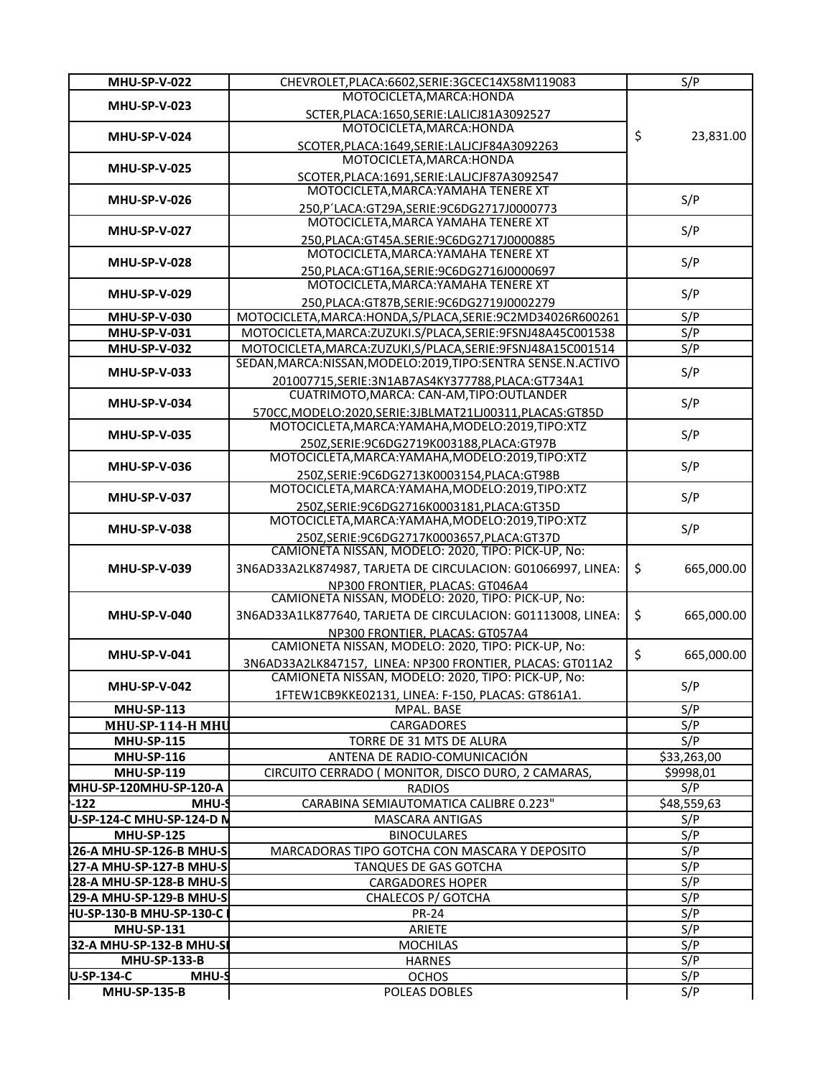| <b>MHU-SP-V-022</b>               | CHEVROLET, PLACA: 6602, SERIE: 3GCEC14X58M119083                 | S/P              |
|-----------------------------------|------------------------------------------------------------------|------------------|
| <b>MHU-SP-V-023</b>               | MOTOCICLETA, MARCA: HONDA                                        |                  |
|                                   | SCTER, PLACA: 1650, SERIE: LALICJ81A3092527                      |                  |
| <b>MHU-SP-V-024</b>               | MOTOCICLETA, MARCA: HONDA                                        | \$<br>23,831.00  |
|                                   | SCOTER, PLACA: 1649, SERIE: LALICJF84A3092263                    |                  |
|                                   | MOTOCICLETA, MARCA: HONDA                                        |                  |
| <b>MHU-SP-V-025</b>               | SCOTER, PLACA: 1691, SERIE: LALJCJF87A3092547                    |                  |
|                                   | MOTOCICLETA, MARCA: YAMAHA TENERE XT                             |                  |
| <b>MHU-SP-V-026</b>               |                                                                  | S/P              |
|                                   | 250, P'LACA: GT29A, SERIE: 9C6DG2717J0000773                     |                  |
| <b>MHU-SP-V-027</b>               | MOTOCICLETA, MARCA YAMAHA TENERE XT                              | S/P              |
|                                   | 250, PLACA: GT45A.SERIE: 9C6DG2717J0000885                       |                  |
| <b>MHU-SP-V-028</b>               | MOTOCICLETA, MARCA: YAMAHA TENERE XT                             | S/P              |
|                                   | 250, PLACA: GT16A, SERIE: 9C6DG2716J0000697                      |                  |
|                                   | MOTOCICLETA, MARCA: YAMAHA TENERE XT                             |                  |
| <b>MHU-SP-V-029</b>               | 250, PLACA: GT87B, SERIE: 9C6DG2719J0002279                      | S/P              |
| <b>MHU-SP-V-030</b>               | MOTOCICLETA, MARCA: HONDA, S/PLACA, SERIE: 9C2MD34026R600261     | S/P              |
| MHU-SP-V-031                      | MOTOCICLETA, MARCA: ZUZUKI.S/PLACA, SERIE: 9FSNJ48A45C001538     | S/P              |
|                                   |                                                                  |                  |
| <b>MHU-SP-V-032</b>               | MOTOCICLETA, MARCA: ZUZUKI, S/PLACA, SERIE: 9FSNJ48A15C001514    | S/P              |
| <b>MHU-SP-V-033</b>               | SEDAN, MARCA: NISSAN, MODELO: 2019, TIPO: SENTRA SENSE.N. ACTIVO | S/P              |
|                                   | 201007715, SERIE: 3N1AB7AS4KY377788, PLACA: GT734A1              |                  |
| <b>MHU-SP-V-034</b>               | CUATRIMOTO, MARCA: CAN-AM, TIPO: OUTLANDER                       | S/P              |
|                                   | 570CC, MODELO:2020, SERIE: 3JBLMAT21LJ00311, PLACAS: GT85D       |                  |
|                                   | MOTOCICLETA, MARCA: YAMAHA, MODELO: 2019, TIPO: XTZ              |                  |
| <b>MHU-SP-V-035</b>               | 250Z, SERIE: 9C6DG2719K003188, PLACA: GT97B                      | S/P              |
|                                   | MOTOCICLETA, MARCA: YAMAHA, MODELO: 2019, TIPO: XTZ              |                  |
| <b>MHU-SP-V-036</b>               |                                                                  | S/P              |
|                                   | 250Z, SERIE: 9C6DG2713K0003154, PLACA: GT98B                     |                  |
| <b>MHU-SP-V-037</b>               | MOTOCICLETA, MARCA: YAMAHA, MODELO: 2019, TIPO: XTZ              | S/P              |
|                                   | 250Z, SERIE: 9C6DG2716K0003181, PLACA: GT35D                     |                  |
| <b>MHU-SP-V-038</b>               | MOTOCICLETA, MARCA: YAMAHA, MODELO: 2019, TIPO: XTZ              | S/P              |
|                                   | 250Z, SERIE: 9C6DG2717K0003657, PLACA: GT37D                     |                  |
|                                   | CAMIONETA NISSAN, MODELO: 2020, TIPO: PICK-UP, No:               |                  |
| <b>MHU-SP-V-039</b>               | 3N6AD33A2LK874987, TARJETA DE CIRCULACION: G01066997, LINEA:     | \$<br>665,000.00 |
|                                   | NP300 FRONTIER. PLACAS: GT046A4                                  |                  |
|                                   | CAMIONETA NISSAN, MODELO: 2020, TIPO: PICK-UP, No:               |                  |
| <b>MHU-SP-V-040</b>               | 3N6AD33A1LK877640, TARJETA DE CIRCULACION: G01113008, LINEA:     | \$<br>665,000.00 |
|                                   |                                                                  |                  |
|                                   | NP300 FRONTIER, PLACAS: GT057A4                                  |                  |
| <b>MHU-SP-V-041</b>               | CAMIONETA NISSAN, MODELO: 2020, TIPO: PICK-UP, No:               | \$<br>665,000.00 |
|                                   | 3N6AD33A2LK847157, LINEA: NP300 FRONTIER, PLACAS: GT011A2        |                  |
| MHU-SP-V-042                      | CAMIONETA NISSAN, MODELO: 2020, TIPO: PICK-UP, No:               | S/P              |
|                                   | 1FTEW1CB9KKE02131, LINEA: F-150, PLACAS: GT861A1.                |                  |
| <b>MHU-SP-113</b>                 | MPAL. BASE                                                       | S/P              |
| MHU-SP-114-H MHU                  | CARGADORES                                                       | S/P              |
| <b>MHU-SP-115</b>                 | TORRE DE 31 MTS DE ALURA                                         | S/P              |
| <b>MHU-SP-116</b>                 | ANTENA DE RADIO-COMUNICACIÓN                                     | \$33,263,00      |
| <b>MHU-SP-119</b>                 | CIRCUITO CERRADO (MONITOR, DISCO DURO, 2 CAMARAS,                | \$9998,01        |
|                                   |                                                                  |                  |
| MHU-SP-120MHU-SP-120-A            | <b>RADIOS</b>                                                    | S/P              |
| $-122$<br>MHU-S                   | CARABINA SEMIAUTOMATICA CALIBRE 0.223"                           | \$48,559,63      |
| U-SP-124-C MHU-SP-124-D N         | MASCARA ANTIGAS                                                  | S/P              |
| <b>MHU-SP-125</b>                 | <b>BINOCULARES</b>                                               | S/P              |
| 26-A MHU-SP-126-B MHU-S           | MARCADORAS TIPO GOTCHA CON MASCARA Y DEPOSITO                    | S/P              |
| 27-A MHU-SP-127-B MHU-S           | TANQUES DE GAS GOTCHA                                            | S/P              |
| L28-A MHU-SP-128-B MHU-SI         | <b>CARGADORES HOPER</b>                                          | S/P              |
| L29-A MHU-SP-129-B MHU-SI         | CHALECOS P/ GOTCHA                                               | S/P              |
| HU-SP-130-B MHU-SP-130-C          | <b>PR-24</b>                                                     | S/P              |
|                                   |                                                                  | S/P              |
| <b>MHU-SP-131</b>                 | ARIETE                                                           |                  |
| 32-A MHU-SP-132-B MHU-SI          | <b>MOCHILAS</b>                                                  | S/P              |
| <b>MHU-SP-133-B</b>               | <b>HARNES</b>                                                    | S/P              |
| <b>U-SP-134-C</b><br><b>MHU-S</b> | <b>OCHOS</b>                                                     | S/P              |
| <b>MHU-SP-135-B</b>               | POLEAS DOBLES                                                    | S/P              |
|                                   |                                                                  |                  |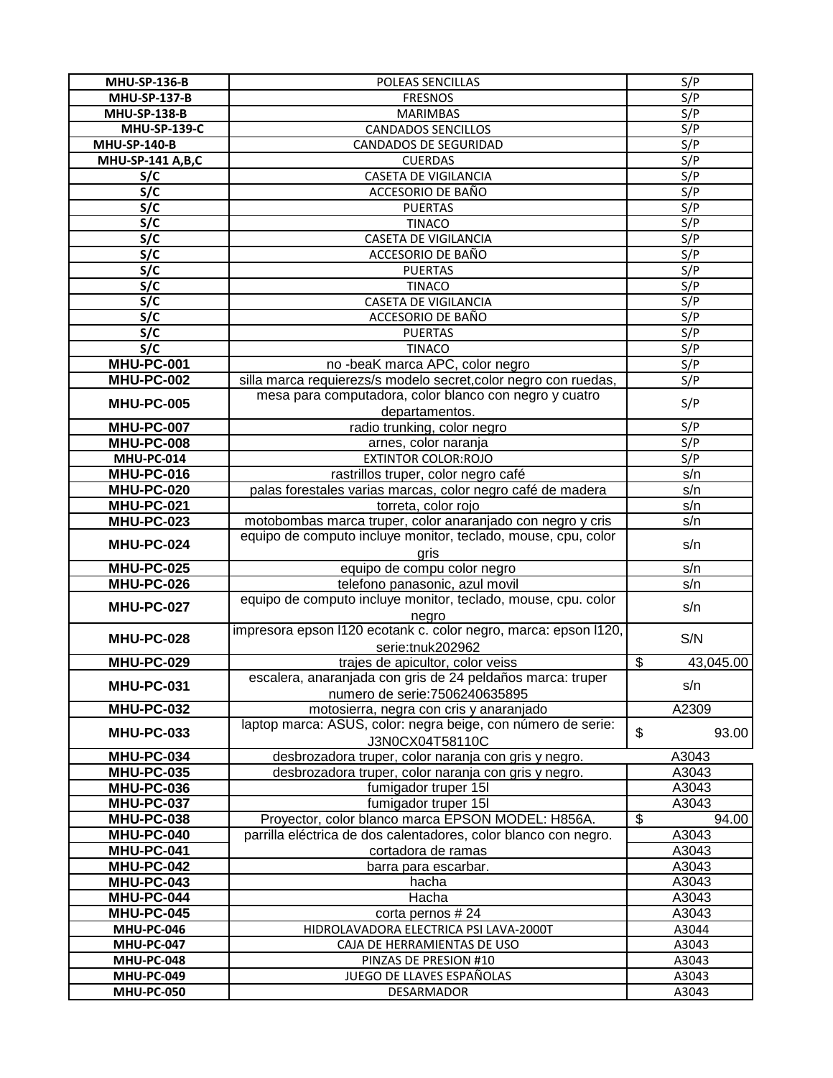| <b>MHU-SP-136-B</b> | POLEAS SENCILLAS                                                                             | S/P                         |
|---------------------|----------------------------------------------------------------------------------------------|-----------------------------|
| <b>MHU-SP-137-B</b> | <b>FRESNOS</b>                                                                               | S/P                         |
| <b>MHU-SP-138-B</b> | <b>MARIMBAS</b>                                                                              | S/P                         |
| <b>MHU-SP-139-C</b> | <b>CANDADOS SENCILLOS</b>                                                                    | S/P                         |
| <b>MHU-SP-140-B</b> | <b>CANDADOS DE SEGURIDAD</b>                                                                 | S/P                         |
| MHU-SP-141 A,B,C    | <b>CUERDAS</b>                                                                               | S/P                         |
| S/C                 | <b>CASETA DE VIGILANCIA</b>                                                                  | S/P                         |
| S/C                 | ACCESORIO DE BAÑO                                                                            | S/P                         |
| S/C                 | <b>PUERTAS</b>                                                                               | S/P                         |
| S/C                 | <b>TINACO</b>                                                                                | S/P                         |
| S/C                 | CASETA DE VIGILANCIA                                                                         | S/P                         |
| S/C                 | ACCESORIO DE BAÑO                                                                            | S/P                         |
| S/C                 | <b>PUERTAS</b>                                                                               | S/P                         |
| S/C                 | <b>TINACO</b>                                                                                | S/P                         |
| S/C                 | <b>CASETA DE VIGILANCIA</b>                                                                  | S/P                         |
| S/C                 | ACCESORIO DE BAÑO                                                                            | S/P                         |
| S/C                 | <b>PUERTAS</b>                                                                               | S/P                         |
| S/C                 | <b>TINACO</b>                                                                                | S/P                         |
| <b>MHU-PC-001</b>   | no -beaK marca APC, color negro                                                              | S/P                         |
| <b>MHU-PC-002</b>   | silla marca requierezs/s modelo secret, color negro con ruedas,                              | S/P                         |
| <b>MHU-PC-005</b>   | mesa para computadora, color blanco con negro y cuatro                                       | S/P                         |
|                     | departamentos.                                                                               |                             |
| <b>MHU-PC-007</b>   | radio trunking, color negro                                                                  | S/P                         |
| <b>MHU-PC-008</b>   | arnes, color naranja                                                                         | S/P                         |
| MHU-PC-014          | <b>EXTINTOR COLOR:ROJO</b>                                                                   | S/P                         |
| <b>MHU-PC-016</b>   | rastrillos truper, color negro café                                                          | s/n                         |
| <b>MHU-PC-020</b>   | palas forestales varias marcas, color negro café de madera                                   | s/n                         |
| <b>MHU-PC-021</b>   | torreta, color rojo                                                                          | s/n                         |
| <b>MHU-PC-023</b>   | motobombas marca truper, color anaranjado con negro y cris                                   | s/n                         |
| <b>MHU-PC-024</b>   | equipo de computo incluye monitor, teclado, mouse, cpu, color<br>aris                        | s/n                         |
| <b>MHU-PC-025</b>   | equipo de compu color negro                                                                  | s/n                         |
| <b>MHU-PC-026</b>   | telefono panasonic, azul movil                                                               | s/n                         |
| <b>MHU-PC-027</b>   | equipo de computo incluye monitor, teclado, mouse, cpu. color<br>negro                       | s/n                         |
| <b>MHU-PC-028</b>   | impresora epson I120 ecotank c. color negro, marca: epson I120,<br>serie:tnuk202962          | S/N                         |
| <b>MHU-PC-029</b>   | trajes de apicultor, color veiss                                                             | $\mathfrak{L}$<br>43,045.00 |
| MHU-PC-031          | escalera, anaranjada con gris de 24 peldaños marca: truper<br>numero de serie: 7506240635895 | s/n                         |
| <b>MHU-PC-032</b>   | motosierra, negra con cris y anaranjado                                                      | A2309                       |
| <b>MHU-PC-033</b>   | laptop marca: ASUS, color: negra beige, con número de serie:<br>J3N0CX04T58110C              | \$<br>93.00                 |
| <b>MHU-PC-034</b>   | desbrozadora truper, color naranja con gris y negro.                                         | A3043                       |
| <b>MHU-PC-035</b>   | desbrozadora truper, color naranja con gris y negro.                                         | A3043                       |
| <b>MHU-PC-036</b>   | fumigador truper 15I                                                                         | A3043                       |
| <b>MHU-PC-037</b>   | fumigador truper 15I                                                                         | A3043                       |
| <b>MHU-PC-038</b>   | Proyector, color blanco marca EPSON MODEL: H856A.                                            | \$<br>94.00                 |
| <b>MHU-PC-040</b>   | parrilla eléctrica de dos calentadores, color blanco con negro.                              | A3043                       |
| <b>MHU-PC-041</b>   | cortadora de ramas                                                                           | A3043                       |
| <b>MHU-PC-042</b>   | barra para escarbar.                                                                         | A3043                       |
| <b>MHU-PC-043</b>   | hacha                                                                                        | A3043                       |
| MHU-PC-044          | Hacha                                                                                        | A3043                       |
| <b>MHU-PC-045</b>   | corta pernos #24                                                                             | A3043                       |
| <b>MHU-PC-046</b>   | HIDROLAVADORA ELECTRICA PSI LAVA-2000T                                                       | A3044                       |
| MHU-PC-047          | CAJA DE HERRAMIENTAS DE USO                                                                  | A3043                       |
| <b>MHU-PC-048</b>   | PINZAS DE PRESION #10                                                                        | A3043                       |
| <b>MHU-PC-049</b>   | JUEGO DE LLAVES ESPAÑOLAS                                                                    | A3043                       |
| <b>MHU-PC-050</b>   | DESARMADOR                                                                                   | A3043                       |
|                     |                                                                                              |                             |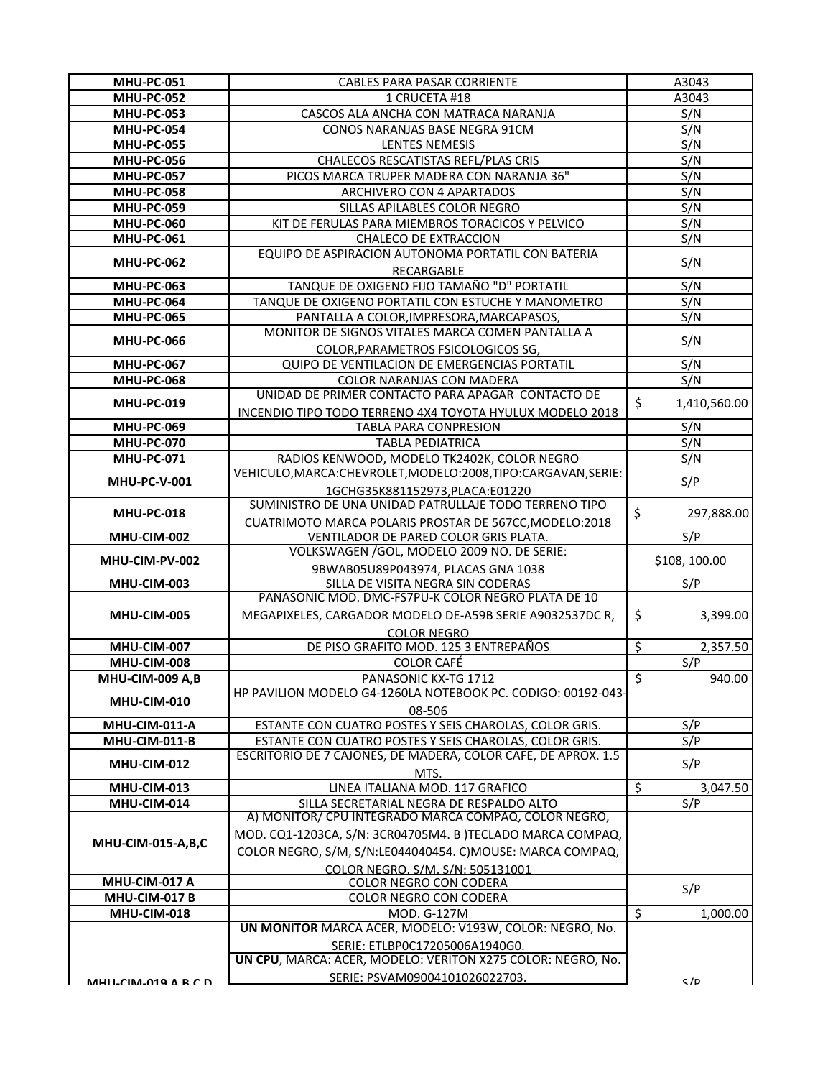| <b>MHU-PC-051</b>   | CABLES PARA PASAR CORRIENTE                                                                   | A3043                                |
|---------------------|-----------------------------------------------------------------------------------------------|--------------------------------------|
| <b>MHU-PC-052</b>   | 1 CRUCETA #18                                                                                 | A3043                                |
| <b>MHU-PC-053</b>   | CASCOS ALA ANCHA CON MATRACA NARANJA                                                          | S/N                                  |
| <b>MHU-PC-054</b>   | CONOS NARANJAS BASE NEGRA 91CM                                                                | S/N                                  |
| <b>MHU-PC-055</b>   | <b>LENTES NEMESIS</b>                                                                         | S/N                                  |
| <b>MHU-PC-056</b>   | CHALECOS RESCATISTAS REFL/PLAS CRIS                                                           | S/N                                  |
| <b>MHU-PC-057</b>   | PICOS MARCA TRUPER MADERA CON NARANJA 36"                                                     | S/N                                  |
| <b>MHU-PC-058</b>   | ARCHIVERO CON 4 APARTADOS                                                                     | S/N                                  |
| <b>MHU-PC-059</b>   | SILLAS APILABLES COLOR NEGRO                                                                  | S/N                                  |
| <b>MHU-PC-060</b>   | KIT DE FERULAS PARA MIEMBROS TORACICOS Y PELVICO                                              | S/N                                  |
| <b>MHU-PC-061</b>   | <b>CHALECO DE EXTRACCION</b>                                                                  | S/N                                  |
|                     | EQUIPO DE ASPIRACION AUTONOMA PORTATIL CON BATERIA                                            |                                      |
| <b>MHU-PC-062</b>   | RECARGABLE                                                                                    | S/N                                  |
| <b>MHU-PC-063</b>   | TANQUE DE OXIGENO FIJO TAMAÑO "D" PORTATIL                                                    | S/N                                  |
| <b>MHU-PC-064</b>   | TANQUE DE OXIGENO PORTATIL CON ESTUCHE Y MANOMETRO                                            | S/N                                  |
| <b>MHU-PC-065</b>   | PANTALLA A COLOR, IMPRESORA, MARCAPASOS,                                                      | S/N                                  |
|                     | MONITOR DE SIGNOS VITALES MARCA COMEN PANTALLA A                                              |                                      |
| <b>MHU-PC-066</b>   | COLOR, PARAMETROS FSICOLOGICOS SG,                                                            | S/N                                  |
| <b>MHU-PC-067</b>   | QUIPO DE VENTILACION DE EMERGENCIAS PORTATIL                                                  | S/N                                  |
| <b>MHU-PC-068</b>   | COLOR NARANJAS CON MADERA                                                                     | S/N                                  |
|                     | UNIDAD DE PRIMER CONTACTO PARA APAGAR CONTACTO DE                                             |                                      |
| <b>MHU-PC-019</b>   |                                                                                               | \$<br>1,410,560.00                   |
|                     | INCENDIO TIPO TODO TERRENO 4X4 TOYOTA HYULUX MODELO 2018                                      |                                      |
| <b>MHU-PC-069</b>   | TABLA PARA CONPRESION                                                                         | S/N                                  |
| <b>MHU-PC-070</b>   | <b>TABLA PEDIATRICA</b>                                                                       | S/N                                  |
| <b>MHU-PC-071</b>   | RADIOS KENWOOD, MODELO TK2402K, COLOR NEGRO                                                   | S/N                                  |
| <b>MHU-PC-V-001</b> | VEHICULO, MARCA: CHEVROLET, MODELO: 2008, TIPO: CARGAVAN, SERIE:                              | S/P                                  |
|                     | 1GCHG35K881152973, PLACA: E01220                                                              |                                      |
| <b>MHU-PC-018</b>   | SUMINISTRO DE UNA UNIDAD PATRULLAJE TODO TERRENO TIPO                                         | \$<br>297,888.00                     |
|                     | CUATRIMOTO MARCA POLARIS PROSTAR DE 567CC, MODELO:2018                                        |                                      |
|                     |                                                                                               |                                      |
| MHU-CIM-002         | VENTILADOR DE PARED COLOR GRIS PLATA.                                                         | S/P                                  |
| MHU-CIM-PV-002      | VOLKSWAGEN / GOL, MODELO 2009 NO. DE SERIE:                                                   |                                      |
|                     | 9BWAB05U89P043974, PLACAS GNA 1038                                                            | \$108, 100.00                        |
| MHU-CIM-003         | SILLA DE VISITA NEGRA SIN CODERAS                                                             | S/P                                  |
|                     | PANASONIC MOD. DMC-FS7PU-K COLOR NEGRO PLATA DE 10                                            |                                      |
| MHU-CIM-005         | MEGAPIXELES, CARGADOR MODELO DE-A59B SERIE A9032537DC R,                                      | \$<br>3,399.00                       |
|                     | <b>COLOR NEGRO</b>                                                                            |                                      |
| MHU-CIM-007         | DE PISO GRAFITO MOD. 125 3 ENTREPAÑOS                                                         | $\overline{\mathcal{S}}$<br>2,357.50 |
| MHU-CIM-008         | <b>COLOR CAFÉ</b>                                                                             | S/P                                  |
| MHU-CIM-009 A,B     | PANASONIC KX-TG 1712                                                                          | $\overline{\mathcal{S}}$<br>940.00   |
|                     | HP PAVILION MODELO G4-1260LA NOTEBOOK PC. CODIGO: 00192-043-                                  |                                      |
| MHU-CIM-010         | 08-506                                                                                        |                                      |
| MHU-CIM-011-A       | ESTANTE CON CUATRO POSTES Y SEIS CHAROLAS, COLOR GRIS.                                        | S/P                                  |
| MHU-CIM-011-B       | ESTANTE CON CUATRO POSTES Y SEIS CHAROLAS, COLOR GRIS.                                        | S/P                                  |
|                     | ESCRITORIO DE 7 CAJONES, DE MADERA, COLOR CAFÉ, DE APROX. 1.5                                 |                                      |
| MHU-CIM-012         | MTS.                                                                                          | S/P                                  |
| MHU-CIM-013         | LINEA ITALIANA MOD. 117 GRAFICO                                                               | \$<br>3,047.50                       |
| MHU-CIM-014         | SILLA SECRETARIAL NEGRA DE RESPALDO ALTO                                                      | S/P                                  |
|                     | A) MONITOR/ CPU INTEGRADO MARCA COMPAQ, COLOR NEGRO,                                          |                                      |
|                     | MOD. CQ1-1203CA, S/N: 3CR04705M4. B )TECLADO MARCA COMPAQ,                                    |                                      |
| MHU-CIM-015-A,B,C   | COLOR NEGRO, S/M, S/N:LE044040454. C)MOUSE: MARCA COMPAQ,                                     |                                      |
|                     | COLOR NEGRO, S/M, S/N: 505131001                                                              |                                      |
| MHU-CIM-017 A       | COLOR NEGRO CON CODERA                                                                        |                                      |
| MHU-CIM-017 B       | COLOR NEGRO CON CODERA                                                                        | S/P                                  |
| MHU-CIM-018         | MOD. G-127M                                                                                   | $\overline{\mathcal{S}}$<br>1,000.00 |
|                     | UN MONITOR MARCA ACER, MODELO: V193W, COLOR: NEGRO, No.                                       |                                      |
|                     |                                                                                               |                                      |
|                     | SERIE: ETLBP0C17205006A1940G0.<br>UN CPU, MARCA: ACER, MODELO: VERITON X275 COLOR: NEGRO, No. |                                      |
| MHILCIM-010 ARCD    | SERIE: PSVAM09004101026022703.                                                                | C/D                                  |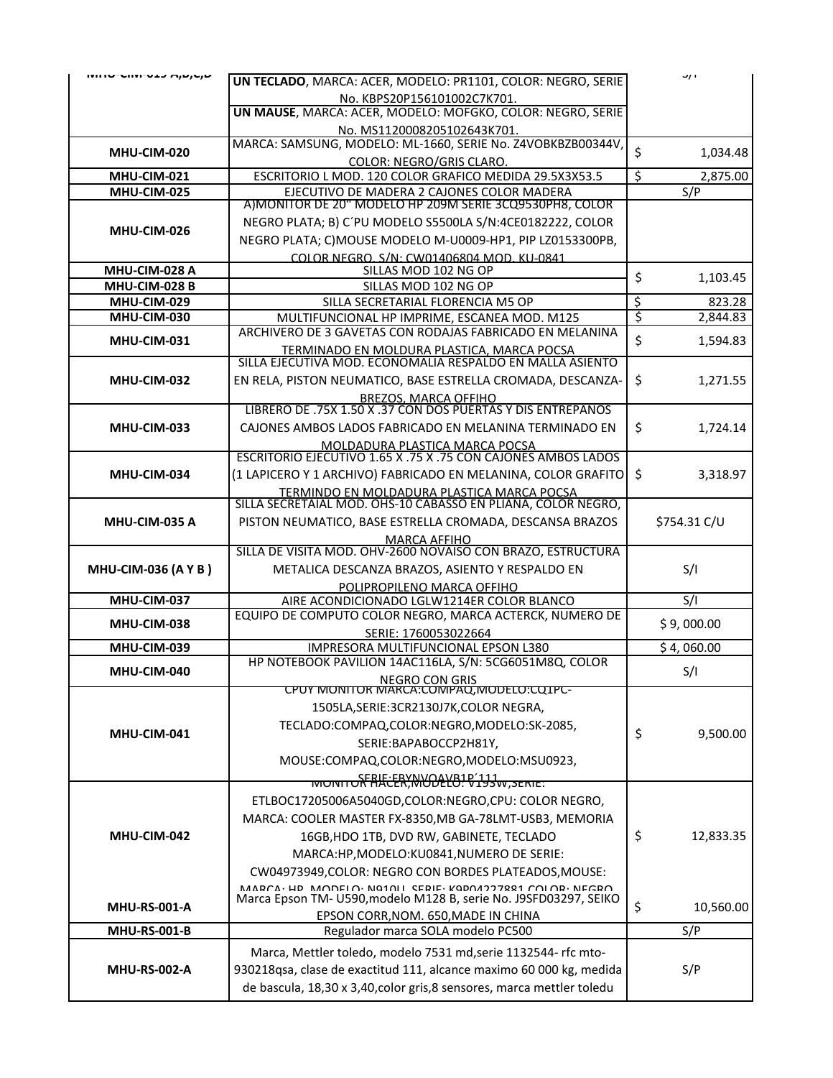| שנטנאת כבט־וויוט־טווויוו     | UN TECLADO, MARCA: ACER, MODELO: PR1101, COLOR: NEGRO, SERIE                                                                                  |                          | <b>J/F</b>   |
|------------------------------|-----------------------------------------------------------------------------------------------------------------------------------------------|--------------------------|--------------|
|                              | No. KBPS20P156101002C7K701.                                                                                                                   |                          |              |
|                              | UN MAUSE, MARCA: ACER, MODELO: MOFGKO, COLOR: NEGRO, SERIE                                                                                    |                          |              |
|                              | No. MS1120008205102643K701.<br>MARCA: SAMSUNG, MODELO: ML-1660, SERIE No. Z4VOBKBZB00344V,                                                    |                          |              |
| MHU-CIM-020                  | COLOR: NEGRO/GRIS CLARO.                                                                                                                      | \$                       | 1,034.48     |
| MHU-CIM-021                  | ESCRITORIO L MOD. 120 COLOR GRAFICO MEDIDA 29.5X3X53.5                                                                                        | $\overline{\mathcal{S}}$ | 2,875.00     |
| MHU-CIM-025                  | EJECUTIVO DE MADERA 2 CAJONES COLOR MADERA                                                                                                    |                          | S/P          |
|                              | A) MONITOR DE 20" MODELO HP 209M SERIE 3CQ9530PH8, COLOR                                                                                      |                          |              |
| MHU-CIM-026                  | NEGRO PLATA; B) C'PU MODELO S5500LA S/N:4CE0182222, COLOR                                                                                     |                          |              |
|                              | NEGRO PLATA; C)MOUSE MODELO M-U0009-HP1, PIP LZ0153300PB,                                                                                     |                          |              |
|                              | COLOR NEGRO. S/N: CW01406804 MOD. KU-0841                                                                                                     |                          |              |
| MHU-CIM-028 A                | SILLAS MOD 102 NG OP                                                                                                                          | \$                       | 1,103.45     |
| MHU-CIM-028 B<br>MHU-CIM-029 | SILLAS MOD 102 NG OP<br>SILLA SECRETARIAL FLORENCIA M5 OP                                                                                     | \$                       | 823.28       |
| MHU-CIM-030                  | MULTIFUNCIONAL HP IMPRIME, ESCANEA MOD. M125                                                                                                  | $\overline{\varsigma}$   | 2,844.83     |
|                              | ARCHIVERO DE 3 GAVETAS CON RODAJAS FABRICADO EN MELANINA                                                                                      |                          |              |
| MHU-CIM-031                  | TERMINADO EN MOLDURA PLASTICA, MARCA POCSA                                                                                                    | \$                       | 1,594.83     |
|                              | SILLA EJECUTIVA MOD. ECONOMALIA RESPALDO EN MALLA ASIENTO                                                                                     |                          |              |
| MHU-CIM-032                  | EN RELA, PISTON NEUMATICO, BASE ESTRELLA CROMADA, DESCANZA-                                                                                   | \$                       | 1,271.55     |
|                              | BREZOS, MARCA OFFIHO<br>LIBRERO DE .75X 1.50 X .37 CON DOS PUERTAS Y DIS ENTREPAÑOS                                                           |                          |              |
|                              |                                                                                                                                               |                          |              |
| MHU-CIM-033                  | CAJONES AMBOS LADOS FABRICADO EN MELANINA TERMINADO EN                                                                                        | \$                       | 1,724.14     |
|                              | MOLDADURA PLASTICA MARCA POCSA<br>ESCRITORIO EJECUTIVO 1.65 X .75 X .75 CON CAJONES AMBOS LADOS                                               |                          |              |
| MHU-CIM-034                  | (1 LAPICERO Y 1 ARCHIVO) FABRICADO EN MELANINA, COLOR GRAFITO                                                                                 | \$                       | 3,318.97     |
|                              | TERMINDO EN MOLDADURA PLASTICA MARCA POCSA                                                                                                    |                          |              |
|                              | SILLA SECRETAIAL MOD. OHS-10 CABASSO EN PLIANA, COLOR NEGRO,                                                                                  |                          |              |
| MHU-CIM-035 A                | PISTON NEUMATICO, BASE ESTRELLA CROMADA, DESCANSA BRAZOS                                                                                      |                          | \$754.31 C/U |
|                              | <b>MARCA AFFIHO</b>                                                                                                                           |                          |              |
|                              | SILLA DE VISITA MOD. OHV-2600 NOVAISO CON BRAZO, ESTRUCTURA                                                                                   |                          |              |
| <b>MHU-CIM-036 (A Y B)</b>   | METALICA DESCANZA BRAZOS, ASIENTO Y RESPALDO EN                                                                                               |                          | S/I          |
| MHU-CIM-037                  | POLIPROPILENO MARCA OFFIHO<br>AIRE ACONDICIONADO LGLW1214ER COLOR BLANCO                                                                      |                          | S/I          |
|                              | EQUIPO DE COMPUTO COLOR NEGRO, MARCA ACTERCK, NUMERO DE                                                                                       |                          |              |
| MHU-CIM-038                  | SERIE: 1760053022664                                                                                                                          |                          | \$9,000.00   |
| MHU-CIM-039                  | IMPRESORA MULTIFUNCIONAL EPSON L380                                                                                                           |                          | \$4,060.00   |
| MHU-CIM-040                  | HP NOTEBOOK PAVILION 14AC116LA, S/N: 5CG6051M8Q, COLOR                                                                                        |                          | S/I          |
|                              | <b>NEGRO CON GRIS</b>                                                                                                                         |                          |              |
|                              | <u>CPUY MONITOR MARCA:COMPAQ,MODELO:CQTPC-</u><br>1505LA, SERIE: 3CR2130J7K, COLOR NEGRA,                                                     |                          |              |
|                              |                                                                                                                                               |                          |              |
| MHU-CIM-041                  |                                                                                                                                               |                          | 9,500.00     |
|                              | TECLADO:COMPAQ,COLOR:NEGRO,MODELO:SK-2085,                                                                                                    | \$                       |              |
|                              | SERIE: BAPABOCCP2H81Y,                                                                                                                        |                          |              |
|                              | MOUSE:COMPAQ,COLOR:NEGRO,MODELO:MSU0923,                                                                                                      |                          |              |
|                              | MUNITUR HACER, MUDELO! V193W, SERIE:                                                                                                          |                          |              |
|                              | ETLBOC17205006A5040GD,COLOR:NEGRO,CPU: COLOR NEGRO,                                                                                           |                          |              |
|                              | MARCA: COOLER MASTER FX-8350, MB GA-78LMT-USB3, MEMORIA                                                                                       |                          |              |
| MHU-CIM-042                  | 16GB, HDO 1TB, DVD RW, GABINETE, TECLADO                                                                                                      | \$                       | 12,833.35    |
|                              | MARCA:HP, MODELO: KU0841, NUMERO DE SERIE:                                                                                                    |                          |              |
|                              | CW04973949, COLOR: NEGRO CON BORDES PLATEADOS, MOUSE:                                                                                         |                          |              |
|                              | $\verb MADCA+HD-MADREI A+N01011 CEDIE+KODO1177991 C01 AB+NECDDA$                                                                              |                          |              |
| <b>MHU-RS-001-A</b>          | Marca Epson TM- U590, modelo M128 B, serie No. J9SFD03297, SEIKO                                                                              | \$                       | 10,560.00    |
| <b>MHU-RS-001-B</b>          | EPSON CORR, NOM. 650, MADE IN CHINA<br>Regulador marca SOLA modelo PC500                                                                      |                          | S/P          |
|                              |                                                                                                                                               |                          |              |
|                              | Marca, Mettler toledo, modelo 7531 md, serie 1132544- rfc mto-                                                                                |                          |              |
| <b>MHU-RS-002-A</b>          | 930218qsa, clase de exactitud 111, alcance maximo 60 000 kg, medida<br>de bascula, 18,30 x 3,40, color gris, 8 sensores, marca mettler toledu |                          | S/P          |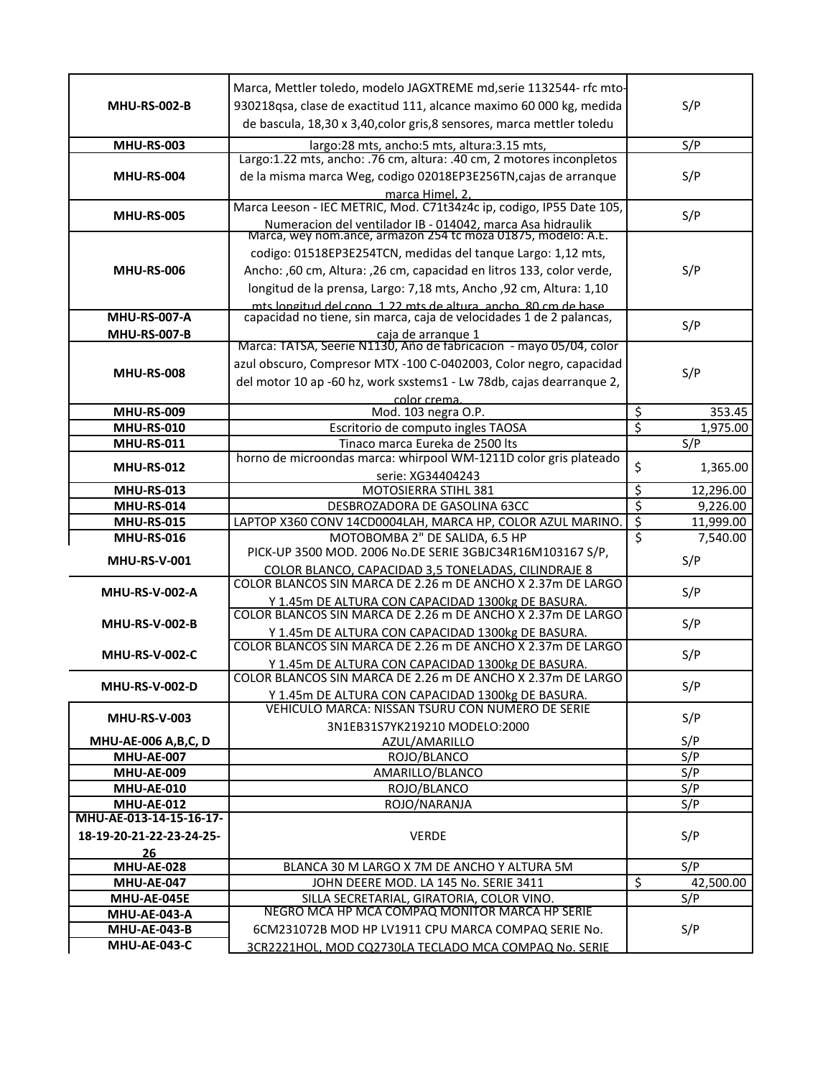|                                                 | Marca, Mettler toledo, modelo JAGXTREME md, serie 1132544- rfc mto-                                                                |                                    |
|-------------------------------------------------|------------------------------------------------------------------------------------------------------------------------------------|------------------------------------|
| <b>MHU-RS-002-B</b>                             | 930218qsa, clase de exactitud 111, alcance maximo 60 000 kg, medida                                                                | S/P                                |
|                                                 | de bascula, 18,30 x 3,40, color gris, 8 sensores, marca mettler toledu                                                             |                                    |
| <b>MHU-RS-003</b>                               | largo:28 mts, ancho:5 mts, altura:3.15 mts,                                                                                        | S/P                                |
|                                                 | Largo:1.22 mts, ancho: .76 cm, altura: .40 cm, 2 motores inconpletos                                                               |                                    |
| <b>MHU-RS-004</b>                               | de la misma marca Weg, codigo 02018EP3E256TN, cajas de arranque                                                                    | S/P                                |
|                                                 | marca Himel, 2.                                                                                                                    |                                    |
| <b>MHU-RS-005</b>                               | Marca Leeson - IEC METRIC, Mod. C71t34z4c ip, codigo, IP55 Date 105,                                                               | S/P                                |
|                                                 | Numeracion del ventilador IB - 014042, marca Asa hidraulik<br>Marca, wey nom.ance, armazon 254 tc moza 01875, modelo: A.E.         |                                    |
|                                                 | codigo: 01518EP3E254TCN, medidas del tanque Largo: 1,12 mts,                                                                       |                                    |
| <b>MHU-RS-006</b>                               | Ancho: ,60 cm, Altura: ,26 cm, capacidad en litros 133, color verde,                                                               | S/P                                |
|                                                 | longitud de la prensa, Largo: 7,18 mts, Ancho ,92 cm, Altura: 1,10                                                                 |                                    |
|                                                 |                                                                                                                                    |                                    |
| <b>MHU-RS-007-A</b>                             | mts longitud del cono 122 mts de altura ancho 80 cm de base<br>capacidad no tiene, sin marca, caja de velocidades 1 de 2 palancas, | S/P                                |
| <b>MHU-RS-007-B</b>                             | caja de arranque 1                                                                                                                 |                                    |
|                                                 | Marca: TATSA, Seerie N1130, Año de fabricacion - mayo 05/04, color                                                                 |                                    |
| <b>MHU-RS-008</b>                               | azul obscuro, Compresor MTX -100 C-0402003, Color negro, capacidad                                                                 | S/P                                |
|                                                 | del motor 10 ap -60 hz, work sxstems1 - Lw 78db, cajas dearranque 2,                                                               |                                    |
| <b>MHU-RS-009</b>                               | color crema.<br>Mod. 103 negra O.P.                                                                                                | \$<br>353.45                       |
| <b>MHU-RS-010</b>                               | Escritorio de computo ingles TAOSA                                                                                                 | $\overline{\varsigma}$<br>1,975.00 |
| <b>MHU-RS-011</b>                               | Tinaco marca Eureka de 2500 lts                                                                                                    | S/P                                |
|                                                 | horno de microondas marca: whirpool WM-1211D color gris plateado                                                                   |                                    |
| <b>MHU-RS-012</b>                               | serie: XG34404243                                                                                                                  | \$<br>1,365.00                     |
| <b>MHU-RS-013</b>                               | MOTOSIERRA STIHL 381                                                                                                               | \$<br>12,296.00                    |
| <b>MHU-RS-014</b>                               | DESBROZADORA DE GASOLINA 63CC                                                                                                      | \$<br>9,226.00                     |
| <b>MHU-RS-015</b>                               | LAPTOP X360 CONV 14CD0004LAH, MARCA HP, COLOR AZUL MARINO.                                                                         | $\overline{\xi}$<br>11,999.00      |
| <b>MHU-RS-016</b>                               | MOTOBOMBA 2" DE SALIDA, 6.5 HP<br>PICK-UP 3500 MOD. 2006 No.DE SERIE 3GBJC34R16M103167 S/P,                                        | \$<br>7,540.00                     |
| <b>MHU-RS-V-001</b>                             | COLOR BLANCO, CAPACIDAD 3,5 TONELADAS, CILINDRAJE 8                                                                                | S/P                                |
|                                                 | COLOR BLANCOS SIN MARCA DE 2.26 m DE ANCHO X 2.37m DE LARGO                                                                        |                                    |
| <b>MHU-RS-V-002-A</b>                           | Y 1.45m DE ALTURA CON CAPACIDAD 1300kg DE BASURA.                                                                                  | S/P                                |
|                                                 | COLOR BLANCOS SIN MARCA DE 2.26 m DE ANCHO X 2.37m DE LARGO                                                                        | S/P                                |
| <b>MHU-RS-V-002-B</b>                           | Y 1.45m DE ALTURA CON CAPACIDAD 1300kg DE BASURA.                                                                                  |                                    |
| MHU-RS-V-002-C                                  |                                                                                                                                    |                                    |
|                                                 | COLOR BLANCOS SIN MARCA DE 2.26 m DE ANCHO X 2.37m DE LARGO                                                                        |                                    |
|                                                 | Y 1.45m DE ALTURA CON CAPACIDAD 1300kg DE BASURA.                                                                                  | S/P                                |
| <b>MHU-RS-V-002-D</b>                           | COLOR BLANCOS SIN MARCA DE 2.26 m DE ANCHO X 2.37m DE LARGO                                                                        | S/P                                |
|                                                 | Y 1.45m DE ALTURA CON CAPACIDAD 1300kg DE BASURA.                                                                                  |                                    |
| <b>MHU-RS-V-003</b>                             | VEHICULO MARCA: NISSAN TSURU CON NUMERO DE SERIE                                                                                   | S/P                                |
|                                                 | 3N1EB31S7YK219210 MODELO:2000                                                                                                      |                                    |
| <b>MHU-AE-006 A,B,C, D</b><br><b>MHU-AE-007</b> | AZUL/AMARILLO<br>ROJO/BLANCO                                                                                                       | S/P<br>S/P                         |
| <b>MHU-AE-009</b>                               | AMARILLO/BLANCO                                                                                                                    | S/P                                |
| <b>MHU-AE-010</b>                               | ROJO/BLANCO                                                                                                                        | S/P                                |
| <b>MHU-AE-012</b>                               | ROJO/NARANJA                                                                                                                       | S/P                                |
| MHU-AE-013-14-15-16-17-                         |                                                                                                                                    |                                    |
| 18-19-20-21-22-23-24-25-                        | <b>VERDE</b>                                                                                                                       | S/P                                |
| 26                                              |                                                                                                                                    |                                    |
| <b>MHU-AE-028</b>                               | BLANCA 30 M LARGO X 7M DE ANCHO Y ALTURA 5M                                                                                        | S/P                                |
| MHU-AE-047<br>MHU-AE-045E                       | JOHN DEERE MOD. LA 145 No. SERIE 3411                                                                                              | \$<br>42,500.00                    |
| MHU-AE-043-A                                    | SILLA SECRETARIAL, GIRATORIA, COLOR VINO.<br>NEGRO MCA HP MCA COMPAQ MONITOR MARCA HP SERIE                                        | $\overline{S/P}$                   |
| <b>MHU-AE-043-B</b><br><b>MHU-AE-043-C</b>      | 6CM231072B MOD HP LV1911 CPU MARCA COMPAQ SERIE No.                                                                                | S/P                                |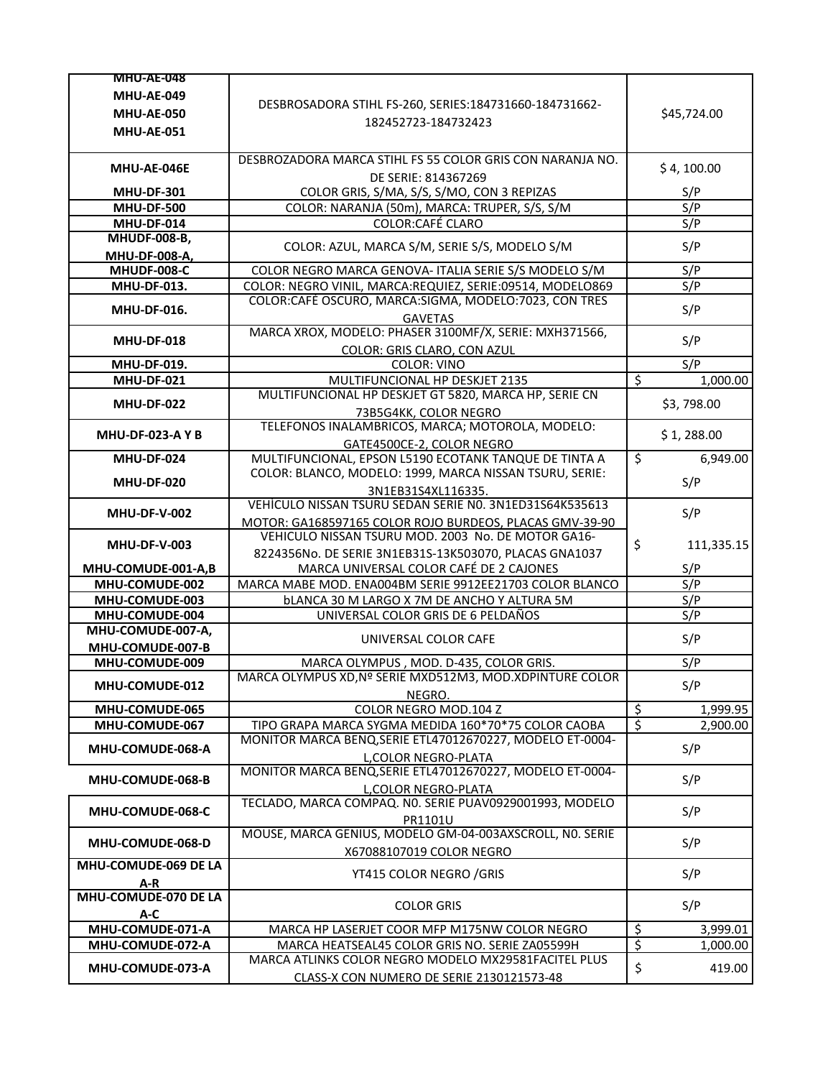| <b>MHU-AE-048</b>       |                                                           |                          |             |
|-------------------------|-----------------------------------------------------------|--------------------------|-------------|
| <b>MHU-AE-049</b>       |                                                           |                          |             |
| <b>MHU-AE-050</b>       | DESBROSADORA STIHL FS-260, SERIES:184731660-184731662-    |                          | \$45,724.00 |
| <b>MHU-AE-051</b>       | 182452723-184732423                                       |                          |             |
|                         |                                                           |                          |             |
|                         | DESBROZADORA MARCA STIHL FS 55 COLOR GRIS CON NARANJA NO. |                          |             |
| MHU-AE-046E             | DE SERIE: 814367269                                       |                          | \$4, 100.00 |
| <b>MHU-DF-301</b>       | COLOR GRIS, S/MA, S/S, S/MO, CON 3 REPIZAS                |                          | S/P         |
| <b>MHU-DF-500</b>       | COLOR: NARANJA (50m), MARCA: TRUPER, S/S, S/M             |                          | S/P         |
| <b>MHU-DF-014</b>       | <b>COLOR:CAFÉ CLARO</b>                                   |                          | S/P         |
| <b>MHUDF-008-B,</b>     |                                                           |                          |             |
| MHU-DF-008-A,           | COLOR: AZUL, MARCA S/M, SERIE S/S, MODELO S/M             |                          | S/P         |
| MHUDF-008-C             | COLOR NEGRO MARCA GENOVA- ITALIA SERIE S/S MODELO S/M     |                          | S/P         |
| <b>MHU-DF-013.</b>      | COLOR: NEGRO VINIL, MARCA:REQUIEZ, SERIE:09514, MODELO869 |                          | S/P         |
|                         | COLOR:CAFÉ OSCURO, MARCA:SIGMA, MODELO:7023, CON TRES     |                          |             |
| <b>MHU-DF-016.</b>      | <b>GAVETAS</b>                                            |                          | S/P         |
|                         | MARCA XROX, MODELO: PHASER 3100MF/X, SERIE: MXH371566,    |                          |             |
| <b>MHU-DF-018</b>       | COLOR: GRIS CLARO, CON AZUL                               |                          | S/P         |
| MHU-DF-019.             | <b>COLOR: VINO</b>                                        |                          | S/P         |
| <b>MHU-DF-021</b>       | MULTIFUNCIONAL HP DESKJET 2135                            | $\overline{\mathcal{S}}$ | 1,000.00    |
|                         | MULTIFUNCIONAL HP DESKJET GT 5820, MARCA HP, SERIE CN     |                          |             |
| <b>MHU-DF-022</b>       | 73B5G4KK, COLOR NEGRO                                     |                          | \$3,798.00  |
|                         | TELEFONOS INALAMBRICOS, MARCA; MOTOROLA, MODELO:          |                          |             |
| <b>MHU-DF-023-A Y B</b> | GATE4500CE-2, COLOR NEGRO                                 |                          | \$1,288.00  |
| MHU-DF-024              | MULTIFUNCIONAL, EPSON L5190 ECOTANK TANQUE DE TINTA A     | \$                       | 6,949.00    |
|                         | COLOR: BLANCO, MODELO: 1999, MARCA NISSAN TSURU, SERIE:   |                          |             |
| <b>MHU-DF-020</b>       | 3N1EB31S4XL116335.                                        |                          | S/P         |
|                         | VEHÌCULO NISSAN TSURU SEDAN SERIE NO. 3N1ED31S64K535613   |                          |             |
| <b>MHU-DF-V-002</b>     | MOTOR: GA168597165 COLOR ROJO BURDEOS, PLACAS GMV-39-90   |                          | S/P         |
|                         | VEHICULO NISSAN TSURU MOD. 2003 No. DE MOTOR GA16-        |                          |             |
| <b>MHU-DF-V-003</b>     | 8224356No. DE SERIE 3N1EB31S-13K503070, PLACAS GNA1037    | \$                       | 111,335.15  |
| MHU-COMUDE-001-A,B      | MARCA UNIVERSAL COLOR CAFÉ DE 2 CAJONES                   |                          | S/P         |
| MHU-COMUDE-002          | MARCA MABE MOD. ENA004BM SERIE 9912EE21703 COLOR BLANCO   |                          | S/P         |
| MHU-COMUDE-003          | <b>bLANCA 30 M LARGO X 7M DE ANCHO Y ALTURA 5M</b>        |                          | S/P         |
| MHU-COMUDE-004          | UNIVERSAL COLOR GRIS DE 6 PELDAÑOS                        |                          | S/P         |
| MHU-COMUDE-007-A,       |                                                           |                          |             |
| MHU-COMUDE-007-B        | UNIVERSAL COLOR CAFE                                      |                          | S/P         |
| MHU-COMUDE-009          | MARCA OLYMPUS, MOD. D-435, COLOR GRIS.                    |                          | S/P         |
|                         | MARCA OLYMPUS XD, Nº SERIE MXD512M3, MOD. XDPINTURE COLOR |                          |             |
| <b>MHU-COMUDE-012</b>   | NEGRO.                                                    |                          | S/P         |
| MHU-COMUDE-065          | COLOR NEGRO MOD.104 Z                                     | $\overline{\mathcal{S}}$ | 1,999.95    |
| MHU-COMUDE-067          | TIPO GRAPA MARCA SYGMA MEDIDA 160*70*75 COLOR CAOBA       | $\overline{\xi}$         | 2,900.00    |
|                         | MONITOR MARCA BENQ, SERIE ETL47012670227, MODELO ET-0004- |                          |             |
| MHU-COMUDE-068-A        | L, COLOR NEGRO-PLATA                                      |                          | S/P         |
|                         | MONITOR MARCA BENQ, SERIE ETL47012670227, MODELO ET-0004- |                          |             |
| MHU-COMUDE-068-B        | L, COLOR NEGRO-PLATA                                      |                          | S/P         |
|                         |                                                           |                          |             |
| MHU-COMUDE-068-C        | TECLADO, MARCA COMPAQ. NO. SERIE PUAV0929001993, MODELO   |                          |             |
|                         | PR1101U                                                   |                          | S/P         |
|                         | MOUSE, MARCA GENIUS, MODELO GM-04-003AXSCROLL, NO. SERIE  |                          |             |
| MHU-COMUDE-068-D        | X67088107019 COLOR NEGRO                                  |                          | S/P         |
| MHU-COMUDE-069 DE LA    |                                                           |                          |             |
| A-R                     | YT415 COLOR NEGRO / GRIS                                  |                          | S/P         |
| MHU-COMUDE-070 DE LA    |                                                           |                          |             |
| A-C                     | <b>COLOR GRIS</b>                                         |                          | S/P         |
| MHU-COMUDE-071-A        | MARCA HP LASERJET COOR MFP M175NW COLOR NEGRO             | $\overline{\mathcal{S}}$ | 3,999.01    |
| MHU-COMUDE-072-A        | MARCA HEATSEAL45 COLOR GRIS NO. SERIE ZA05599H            | \$                       | 1,000.00    |
|                         | MARCA ATLINKS COLOR NEGRO MODELO MX29581FACITEL PLUS      |                          |             |
| MHU-COMUDE-073-A        | CLASS-X CON NUMERO DE SERIE 2130121573-48                 | \$                       | 419.00      |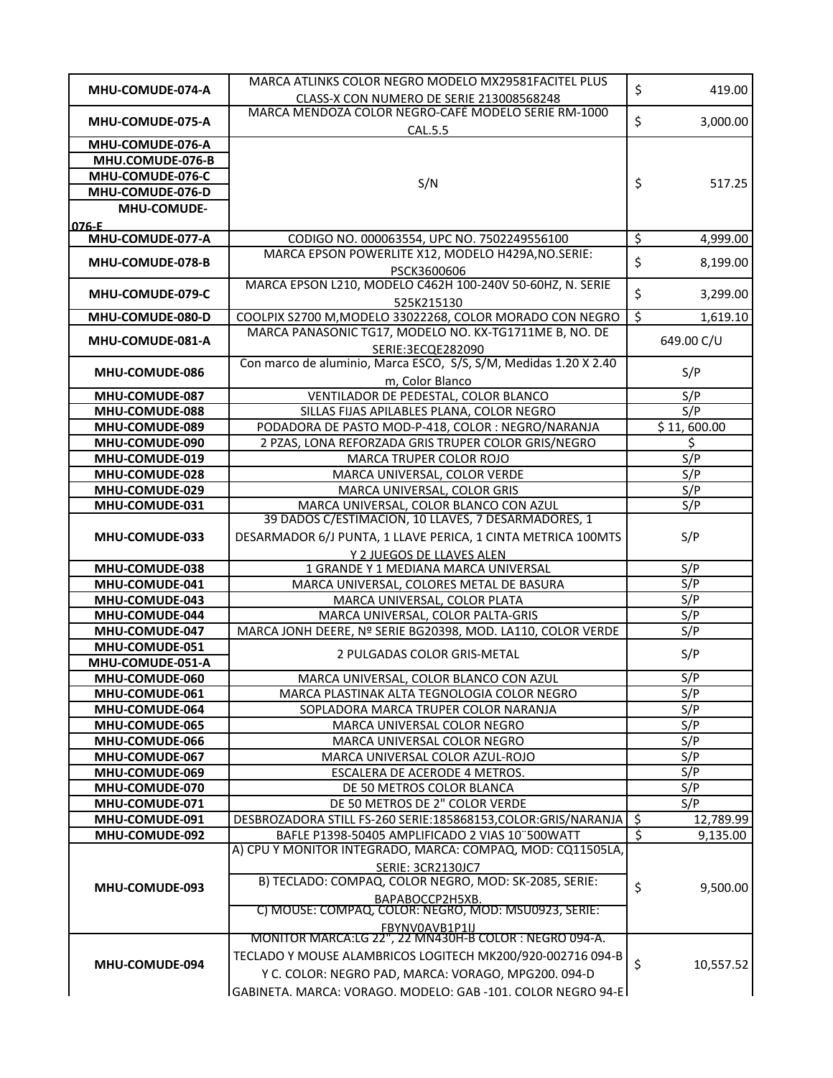| MHU-COMUDE-074-A                     | MARCA ATLINKS COLOR NEGRO MODELO MX29581FACITEL PLUS                                                               | \$                       | 419.00      |
|--------------------------------------|--------------------------------------------------------------------------------------------------------------------|--------------------------|-------------|
|                                      | CLASS-X CON NUMERO DE SERIE 213008568248                                                                           |                          |             |
| MHU-COMUDE-075-A                     | MARCA MENDOZA COLOR NEGRO-CAFÉ MODELO SERIE RM-1000                                                                | \$                       | 3,000.00    |
|                                      | CAL.5.5                                                                                                            |                          |             |
| MHU-COMUDE-076-A<br>MHU.COMUDE-076-B |                                                                                                                    |                          |             |
| MHU-COMUDE-076-C                     |                                                                                                                    |                          |             |
| MHU-COMUDE-076-D                     | S/N                                                                                                                | \$                       | 517.25      |
| <b>MHU-COMUDE-</b>                   |                                                                                                                    |                          |             |
| 076-E                                |                                                                                                                    |                          |             |
| MHU-COMUDE-077-A                     | CODIGO NO. 000063554, UPC NO. 7502249556100                                                                        | \$                       | 4,999.00    |
| MHU-COMUDE-078-B                     | MARCA EPSON POWERLITE X12, MODELO H429A, NO. SERIE:                                                                | \$                       | 8,199.00    |
|                                      | PSCK3600606                                                                                                        |                          |             |
| MHU-COMUDE-079-C                     | MARCA EPSON L210, MODELO C462H 100-240V 50-60HZ, N. SERIE                                                          | \$                       | 3,299.00    |
|                                      | 525K215130                                                                                                         |                          |             |
| MHU-COMUDE-080-D                     | COOLPIX S2700 M, MODELO 33022268, COLOR MORADO CON NEGRO<br>MARCA PANASONIC TG17, MODELO NO. KX-TG1711ME B, NO. DE | \$                       | 1,619.10    |
| MHU-COMUDE-081-A                     |                                                                                                                    |                          | 649.00 C/U  |
|                                      | SERIE:3ECQE282090<br>Con marco de aluminio, Marca ESCO, S/S, S/M, Medidas 1.20 X 2.40                              |                          |             |
| MHU-COMUDE-086                       | m, Color Blanco                                                                                                    |                          | S/P         |
| MHU-COMUDE-087                       | VENTILADOR DE PEDESTAL, COLOR BLANCO                                                                               |                          | S/P         |
| MHU-COMUDE-088                       | SILLAS FIJAS APILABLES PLANA, COLOR NEGRO                                                                          |                          | S/P         |
| MHU-COMUDE-089                       | PODADORA DE PASTO MOD-P-418, COLOR : NEGRO/NARANJA                                                                 |                          | \$11,600.00 |
| MHU-COMUDE-090                       | 2 PZAS, LONA REFORZADA GRIS TRUPER COLOR GRIS/NEGRO                                                                |                          | \$          |
| MHU-COMUDE-019                       | MARCA TRUPER COLOR ROJO                                                                                            |                          | S/P         |
| MHU-COMUDE-028                       | MARCA UNIVERSAL, COLOR VERDE                                                                                       |                          | S/P         |
| MHU-COMUDE-029                       | MARCA UNIVERSAL, COLOR GRIS                                                                                        |                          | S/P         |
| MHU-COMUDE-031                       | MARCA UNIVERSAL, COLOR BLANCO CON AZUL                                                                             |                          | S/P         |
|                                      | 39 DADOS C/ESTIMACION, 10 LLAVES, 7 DESARMADORES, 1                                                                |                          |             |
| MHU-COMUDE-033                       | DESARMADOR 6/J PUNTA, 1 LLAVE PERICA, 1 CINTA METRICA 100MTS                                                       |                          | S/P         |
| MHU-COMUDE-038                       | Y 2 JUEGOS DE LLAVES ALEN<br>1 GRANDE Y 1 MEDIANA MARCA UNIVERSAL                                                  |                          | S/P         |
| MHU-COMUDE-041                       | MARCA UNIVERSAL, COLORES METAL DE BASURA                                                                           |                          | S/P         |
| MHU-COMUDE-043                       | MARCA UNIVERSAL, COLOR PLATA                                                                                       |                          | S/P         |
| MHU-COMUDE-044                       | MARCA UNIVERSAL, COLOR PALTA-GRIS                                                                                  |                          | S/P         |
| MHU-COMUDE-047                       | MARCA JONH DEERE, Nº SERIE BG20398, MOD. LA110, COLOR VERDE                                                        |                          | S/P         |
| MHU-COMUDE-051                       |                                                                                                                    |                          | S/P         |
| MHU-COMUDE-051-A                     | 2 PULGADAS COLOR GRIS-METAL                                                                                        |                          |             |
| MHU-COMUDE-060                       | MARCA UNIVERSAL, COLOR BLANCO CON AZUL                                                                             |                          | S/P         |
| MHU-COMUDE-061                       | MARCA PLASTINAK ALTA TEGNOLOGIA COLOR NEGRO                                                                        |                          | S/P         |
| MHU-COMUDE-064                       | SOPLADORA MARCA TRUPER COLOR NARANJA                                                                               |                          | S/P         |
| MHU-COMUDE-065                       | MARCA UNIVERSAL COLOR NEGRO                                                                                        |                          | S/P         |
| MHU-COMUDE-066                       | MARCA UNIVERSAL COLOR NEGRO                                                                                        |                          | S/P         |
| MHU-COMUDE-067<br>MHU-COMUDE-069     | MARCA UNIVERSAL COLOR AZUL-ROJO<br>ESCALERA DE ACERODE 4 METROS.                                                   |                          | S/P<br>S/P  |
| MHU-COMUDE-070                       | DE 50 METROS COLOR BLANCA                                                                                          |                          | S/P         |
| MHU-COMUDE-071                       | DE 50 METROS DE 2" COLOR VERDE                                                                                     |                          | S/P         |
| MHU-COMUDE-091                       | DESBROZADORA STILL FS-260 SERIE:185868153,COLOR:GRIS/NARANJA                                                       | $\zeta$                  | 12,789.99   |
| MHU-COMUDE-092                       | BAFLE P1398-50405 AMPLIFICADO 2 VIAS 10"500WATT                                                                    | $\overline{\mathcal{S}}$ | 9,135.00    |
|                                      | A) CPU Y MONITOR INTEGRADO, MARCA: COMPAQ, MOD: CQ11505LA,                                                         |                          |             |
|                                      | SERIE: 3CR2130JC7                                                                                                  |                          |             |
| MHU-COMUDE-093                       | B) TECLADO: COMPAQ, COLOR NEGRO, MOD: SK-2085, SERIE:                                                              | \$                       | 9,500.00    |
|                                      | ВАРАВОССР2Н5ХВ.                                                                                                    |                          |             |
|                                      | C) MOUSE: COMPAQ, COLOR: NEGRO, MOD: MSU0923, SERIE:                                                               |                          |             |
|                                      | FBYNV0AVB1P1IJ<br>MONITOR MARCA:LG 22", 22 MN430H-B COLOR : NEGRO 094-A.                                           |                          |             |
|                                      | TECLADO Y MOUSE ALAMBRICOS LOGITECH MK200/920-002716 094-B                                                         |                          |             |
| MHU-COMUDE-094                       | Y C. COLOR: NEGRO PAD, MARCA: VORAGO, MPG200. 094-D                                                                | \$                       | 10,557.52   |
|                                      | GABINETA. MARCA: VORAGO. MODELO: GAB -101. COLOR NEGRO 94-E                                                        |                          |             |
|                                      |                                                                                                                    |                          |             |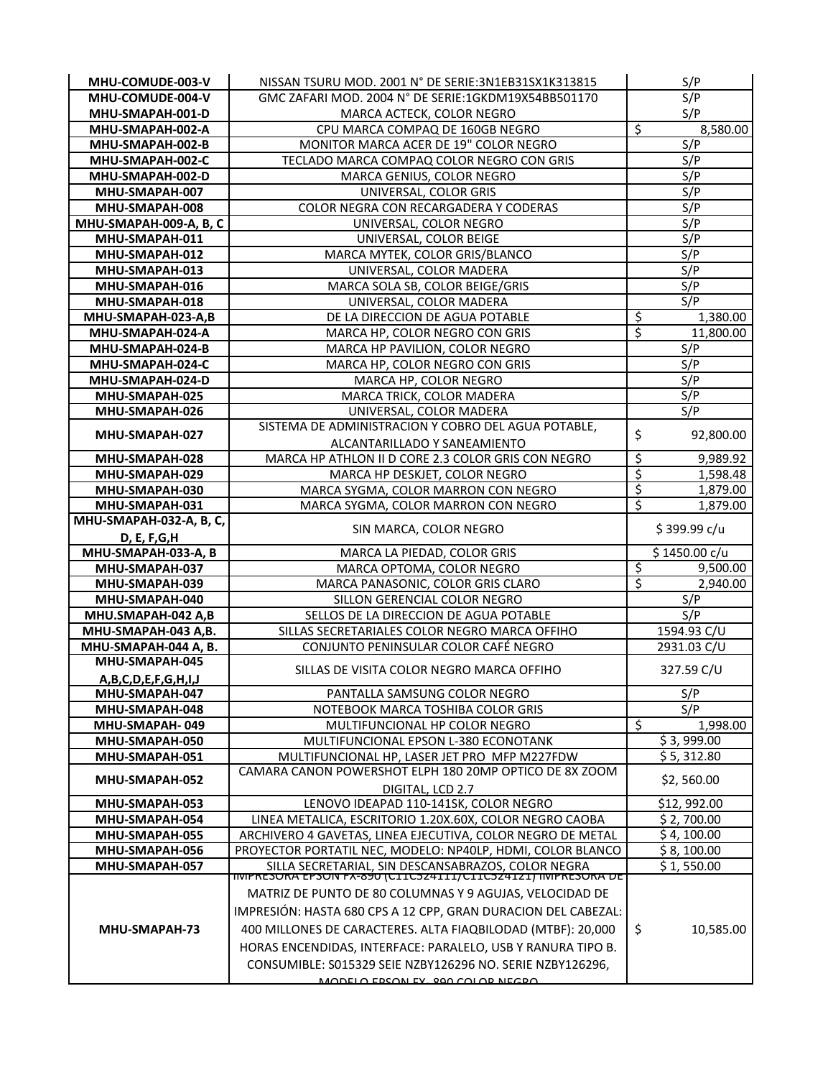| MHU-COMUDE-003-V             | NISSAN TSURU MOD. 2001 N° DE SERIE: 3N1EB31SX1K313815                                                                |                          | S/P           |
|------------------------------|----------------------------------------------------------------------------------------------------------------------|--------------------------|---------------|
| MHU-COMUDE-004-V             | GMC ZAFARI MOD. 2004 N° DE SERIE:1GKDM19X54BB501170                                                                  |                          | S/P           |
| MHU-SMAPAH-001-D             | MARCA ACTECK, COLOR NEGRO                                                                                            |                          | S/P           |
| MHU-SMAPAH-002-A             | CPU MARCA COMPAQ DE 160GB NEGRO                                                                                      | $\overline{\mathcal{S}}$ | 8,580.00      |
| MHU-SMAPAH-002-B             | MONITOR MARCA ACER DE 19" COLOR NEGRO                                                                                |                          | S/P           |
| MHU-SMAPAH-002-C             | TECLADO MARCA COMPAQ COLOR NEGRO CON GRIS                                                                            |                          | S/P           |
| MHU-SMAPAH-002-D             | MARCA GENIUS, COLOR NEGRO                                                                                            |                          | S/P           |
| MHU-SMAPAH-007               | UNIVERSAL, COLOR GRIS                                                                                                |                          | S/P           |
| MHU-SMAPAH-008               | COLOR NEGRA CON RECARGADERA Y CODERAS                                                                                |                          | S/P           |
| MHU-SMAPAH-009-A, B, C       | UNIVERSAL, COLOR NEGRO                                                                                               |                          | S/P           |
| MHU-SMAPAH-011               | UNIVERSAL, COLOR BEIGE                                                                                               |                          | S/P           |
| MHU-SMAPAH-012               | MARCA MYTEK, COLOR GRIS/BLANCO                                                                                       |                          | S/P           |
| MHU-SMAPAH-013               | UNIVERSAL, COLOR MADERA                                                                                              |                          | S/P           |
| MHU-SMAPAH-016               | MARCA SOLA SB, COLOR BEIGE/GRIS                                                                                      |                          | S/P           |
| MHU-SMAPAH-018               | UNIVERSAL, COLOR MADERA                                                                                              |                          | S/P           |
| MHU-SMAPAH-023-A,B           | DE LA DIRECCION DE AGUA POTABLE                                                                                      | \$                       | 1,380.00      |
| MHU-SMAPAH-024-A             | MARCA HP, COLOR NEGRO CON GRIS                                                                                       | \$                       | 11,800.00     |
| MHU-SMAPAH-024-B             | MARCA HP PAVILION, COLOR NEGRO                                                                                       |                          | S/P           |
| MHU-SMAPAH-024-C             | MARCA HP, COLOR NEGRO CON GRIS                                                                                       |                          | S/P           |
| MHU-SMAPAH-024-D             | MARCA HP, COLOR NEGRO                                                                                                |                          | S/P           |
| MHU-SMAPAH-025               | MARCA TRICK, COLOR MADERA                                                                                            |                          | S/P           |
| MHU-SMAPAH-026               | UNIVERSAL, COLOR MADERA                                                                                              |                          | S/P           |
| MHU-SMAPAH-027               | SISTEMA DE ADMINISTRACION Y COBRO DEL AGUA POTABLE,                                                                  | \$                       | 92,800.00     |
|                              | ALCANTARILLADO Y SANEAMIENTO                                                                                         |                          |               |
| MHU-SMAPAH-028               | MARCA HP ATHLON II D CORE 2.3 COLOR GRIS CON NEGRO                                                                   | $\varsigma$              | 9,989.92      |
| MHU-SMAPAH-029               | MARCA HP DESKJET, COLOR NEGRO                                                                                        | $\overline{\xi}$         | 1,598.48      |
| MHU-SMAPAH-030               | MARCA SYGMA, COLOR MARRON CON NEGRO                                                                                  | \$                       | 1,879.00      |
| MHU-SMAPAH-031               | MARCA SYGMA, COLOR MARRON CON NEGRO                                                                                  | \$                       | 1,879.00      |
| MHU-SMAPAH-032-A, B, C,      | SIN MARCA, COLOR NEGRO                                                                                               |                          | \$399.99 c/u  |
| D, E, F, G, H                |                                                                                                                      |                          |               |
| MHU-SMAPAH-033-A, B          | MARCA LA PIEDAD, COLOR GRIS                                                                                          |                          | \$1450.00 c/u |
| MHU-SMAPAH-037               | MARCA OPTOMA, COLOR NEGRO                                                                                            | $\overline{\mathcal{S}}$ | 9,500.00      |
| MHU-SMAPAH-039               | MARCA PANASONIC, COLOR GRIS CLARO                                                                                    | \$                       | 2,940.00      |
| MHU-SMAPAH-040               | SILLON GERENCIAL COLOR NEGRO                                                                                         |                          | S/P           |
| MHU.SMAPAH-042 A,B           | SELLOS DE LA DIRECCION DE AGUA POTABLE                                                                               |                          | S/P           |
| MHU-SMAPAH-043 A,B.          | SILLAS SECRETARIALES COLOR NEGRO MARCA OFFIHO                                                                        |                          | 1594.93 C/U   |
| MHU-SMAPAH-044 A, B.         | CONJUNTO PENINSULAR COLOR CAFÉ NEGRO                                                                                 |                          | 2931.03 C/U   |
| MHU-SMAPAH-045               | SILLAS DE VISITA COLOR NEGRO MARCA OFFIHO                                                                            |                          | 327.59 C/U    |
| A, B, C, D, E, F, G, H, I, J |                                                                                                                      |                          |               |
|                              |                                                                                                                      |                          |               |
| MHU-SMAPAH-047               | PANTALLA SAMSUNG COLOR NEGRO                                                                                         |                          | S/P           |
| MHU-SMAPAH-048               | NOTEBOOK MARCA TOSHIBA COLOR GRIS                                                                                    |                          | S/P           |
| MHU-SMAPAH-049               | MULTIFUNCIONAL HP COLOR NEGRO                                                                                        | \$                       | 1,998.00      |
| MHU-SMAPAH-050               | MULTIFUNCIONAL EPSON L-380 ECONOTANK                                                                                 |                          | \$3,999.00    |
| MHU-SMAPAH-051               | MULTIFUNCIONAL HP, LASER JET PRO MFP M227FDW                                                                         |                          | \$5,312.80    |
| MHU-SMAPAH-052               | CAMARA CANON POWERSHOT ELPH 180 20MP OPTICO DE 8X ZOOM                                                               |                          | \$2,560.00    |
|                              | DIGITAL, LCD 2.7                                                                                                     |                          |               |
| MHU-SMAPAH-053               | LENOVO IDEAPAD 110-141SK, COLOR NEGRO                                                                                |                          | \$12,992.00   |
| MHU-SMAPAH-054               | LINEA METALICA, ESCRITORIO 1.20X.60X, COLOR NEGRO CAOBA                                                              |                          | \$2,700.00    |
| MHU-SMAPAH-055               | ARCHIVERO 4 GAVETAS, LINEA EJECUTIVA, COLOR NEGRO DE METAL                                                           |                          | \$4,100.00    |
| MHU-SMAPAH-056               | PROYECTOR PORTATIL NEC, MODELO: NP40LP, HDMI, COLOR BLANCO                                                           |                          | \$8,100.00    |
| MHU-SMAPAH-057               | SILLA SECRETARIAL, SIN DESCANSABRAZOS, COLOR NEGRA<br>TIVIPRESORA EPSON FX-890 (CITC524III/CITC524I2I) INIPRESORA DE |                          | \$1,550.00    |
|                              | MATRIZ DE PUNTO DE 80 COLUMNAS Y 9 AGUJAS, VELOCIDAD DE                                                              |                          |               |
|                              | IMPRESIÓN: HASTA 680 CPS A 12 CPP, GRAN DURACION DEL CABEZAL:                                                        |                          |               |
| MHU-SMAPAH-73                |                                                                                                                      |                          |               |
|                              | 400 MILLONES DE CARACTERES. ALTA FIAQBILODAD (MTBF): 20,000                                                          | \$                       | 10,585.00     |
|                              | HORAS ENCENDIDAS, INTERFACE: PARALELO, USB Y RANURA TIPO B.                                                          |                          |               |
|                              | CONSUMIBLE: S015329 SEIE NZBY126296 NO. SERIE NZBY126296,<br>MODELO EDCON EV. 200 COLOR NECRO                        |                          |               |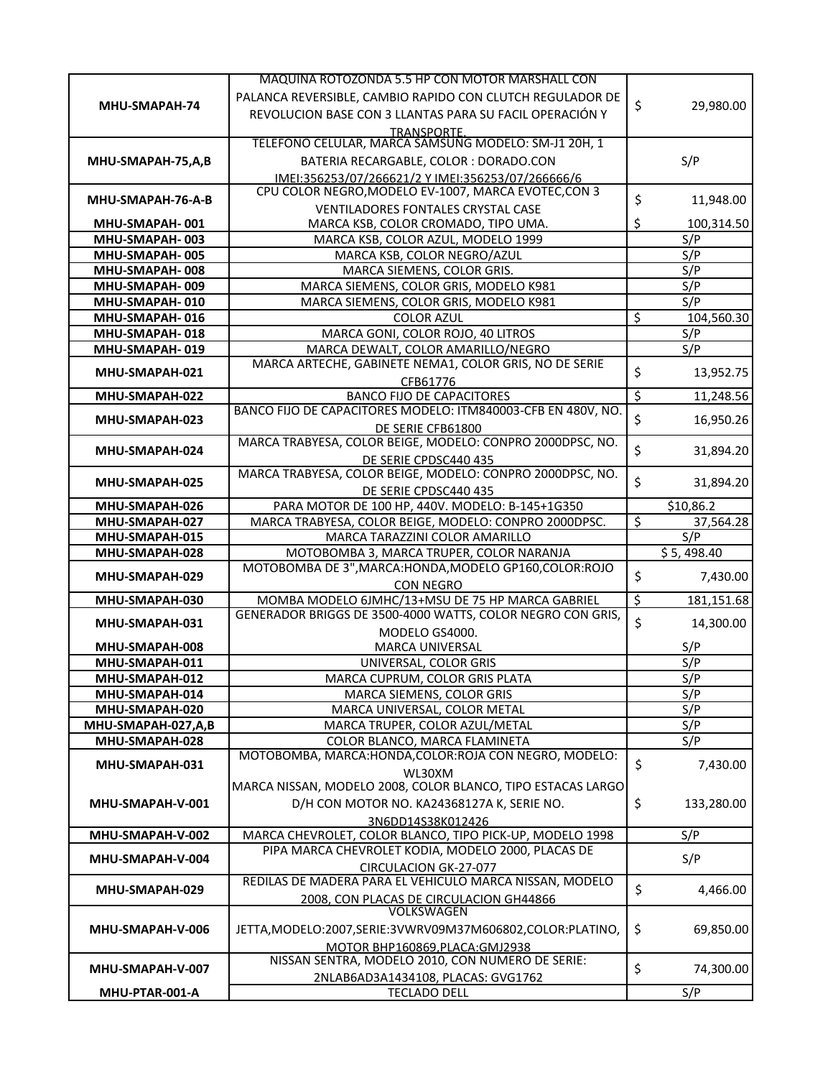|                                  | MAQUINA ROTOZONDA 5.5 HP CON MOTOR MARSHALL CON                                  |    |            |
|----------------------------------|----------------------------------------------------------------------------------|----|------------|
|                                  | PALANCA REVERSIBLE, CAMBIO RAPIDO CON CLUTCH REGULADOR DE                        |    |            |
| MHU-SMAPAH-74                    | REVOLUCION BASE CON 3 LLANTAS PARA SU FACIL OPERACIÓN Y                          | \$ | 29,980.00  |
|                                  | TRANSPORTE.                                                                      |    |            |
|                                  | TELEFONO CELULAR, MARCA SAMSUNG MODELO: SM-J1 20H, 1                             |    |            |
| MHU-SMAPAH-75,A,B                | BATERIA RECARGABLE, COLOR : DORADO.CON                                           |    | S/P        |
|                                  | IMEI:356253/07/266621/2 Y IMEI:356253/07/266666/6                                |    |            |
| MHU-SMAPAH-76-A-B                | CPU COLOR NEGRO, MODELO EV-1007, MARCA EVOTEC, CON 3                             | \$ | 11,948.00  |
|                                  | VENTILADORES FONTALES CRYSTAL CASE                                               |    |            |
| MHU-SMAPAH-001                   | MARCA KSB, COLOR CROMADO, TIPO UMA.                                              | Ś  | 100,314.50 |
| MHU-SMAPAH-003                   | MARCA KSB, COLOR AZUL, MODELO 1999                                               |    | S/P        |
| MHU-SMAPAH-005                   | MARCA KSB, COLOR NEGRO/AZUL                                                      |    | S/P        |
| MHU-SMAPAH-008                   | MARCA SIEMENS, COLOR GRIS.                                                       |    | S/P        |
| MHU-SMAPAH-009<br>MHU-SMAPAH-010 | MARCA SIEMENS, COLOR GRIS, MODELO K981<br>MARCA SIEMENS, COLOR GRIS, MODELO K981 |    | S/P<br>S/P |
| MHU-SMAPAH-016                   | <b>COLOR AZUL</b>                                                                | \$ | 104,560.30 |
| MHU-SMAPAH-018                   | MARCA GONI, COLOR ROJO, 40 LITROS                                                |    | S/P        |
| MHU-SMAPAH-019                   | MARCA DEWALT, COLOR AMARILLO/NEGRO                                               |    | S/P        |
|                                  | MARCA ARTECHE, GABINETE NEMA1, COLOR GRIS, NO DE SERIE                           |    |            |
| MHU-SMAPAH-021                   | CFB61776                                                                         | \$ | 13,952.75  |
| MHU-SMAPAH-022                   | <b>BANCO FIJO DE CAPACITORES</b>                                                 | \$ | 11,248.56  |
|                                  | BANCO FIJO DE CAPACITORES MODELO: ITM840003-CFB EN 480V, NO.                     |    |            |
| MHU-SMAPAH-023                   | DE SERIE CFB61800                                                                | \$ | 16,950.26  |
| MHU-SMAPAH-024                   | MARCA TRABYESA, COLOR BEIGE, MODELO: CONPRO 2000DPSC, NO.                        | \$ |            |
|                                  | DE SERIE CPDSC440 435                                                            |    | 31,894.20  |
| MHU-SMAPAH-025                   | MARCA TRABYESA, COLOR BEIGE, MODELO: CONPRO 2000DPSC, NO.                        | \$ | 31,894.20  |
|                                  | DE SERIE CPDSC440 435                                                            |    |            |
| MHU-SMAPAH-026                   | PARA MOTOR DE 100 HP, 440V. MODELO: B-145+1G350                                  |    | \$10,86.2  |
| MHU-SMAPAH-027                   | MARCA TRABYESA, COLOR BEIGE, MODELO: CONPRO 2000DPSC.                            | \$ | 37,564.28  |
|                                  |                                                                                  |    |            |
| MHU-SMAPAH-015                   | MARCA TARAZZINI COLOR AMARILLO                                                   |    | S/P        |
| MHU-SMAPAH-028                   | MOTOBOMBA 3, MARCA TRUPER, COLOR NARANJA                                         |    | \$5,498.40 |
| MHU-SMAPAH-029                   | MOTOBOMBA DE 3", MARCA: HONDA, MODELO GP160, COLOR: ROJO                         | \$ | 7,430.00   |
|                                  | CON NEGRO                                                                        |    |            |
| MHU-SMAPAH-030                   | MOMBA MODELO 6JMHC/13+MSU DE 75 HP MARCA GABRIEL                                 | \$ | 181,151.68 |
| MHU-SMAPAH-031                   | GENERADOR BRIGGS DE 3500-4000 WATTS, COLOR NEGRO CON GRIS,                       | \$ | 14,300.00  |
|                                  | MODELO GS4000.                                                                   |    |            |
| MHU-SMAPAH-008                   | <b>MARCA UNIVERSAL</b>                                                           |    | S/P        |
| MHU-SMAPAH-011                   | UNIVERSAL, COLOR GRIS                                                            |    | S/P        |
| MHU-SMAPAH-012<br>MHU-SMAPAH-014 | MARCA CUPRUM, COLOR GRIS PLATA<br>MARCA SIEMENS, COLOR GRIS                      |    | S/P<br>S/P |
| MHU-SMAPAH-020                   | MARCA UNIVERSAL, COLOR METAL                                                     |    | S/P        |
| MHU-SMAPAH-027,A,B               | MARCA TRUPER, COLOR AZUL/METAL                                                   |    | S/P        |
| MHU-SMAPAH-028                   | COLOR BLANCO, MARCA FLAMINETA                                                    |    | S/P        |
|                                  | MOTOBOMBA, MARCA: HONDA, COLOR: ROJA CON NEGRO, MODELO:                          |    |            |
| MHU-SMAPAH-031                   | WL30XM                                                                           | \$ | 7,430.00   |
|                                  | MARCA NISSAN, MODELO 2008, COLOR BLANCO, TIPO ESTACAS LARGO                      |    |            |
| MHU-SMAPAH-V-001                 | D/H CON MOTOR NO. KA24368127A K, SERIE NO.                                       | \$ | 133,280.00 |
|                                  | 3N6DD14S38K012426                                                                |    |            |
| MHU-SMAPAH-V-002                 | MARCA CHEVROLET, COLOR BLANCO, TIPO PICK-UP, MODELO 1998                         |    | S/P        |
| MHU-SMAPAH-V-004                 | PIPA MARCA CHEVROLET KODIA, MODELO 2000, PLACAS DE                               |    | S/P        |
|                                  | <b>CIRCULACION GK-27-077</b>                                                     |    |            |
| MHU-SMAPAH-029                   | REDILAS DE MADERA PARA EL VEHICULO MARCA NISSAN, MODELO                          | \$ | 4,466.00   |
|                                  | 2008, CON PLACAS DE CIRCULACION GH44866                                          |    |            |
|                                  | VOLKSWAGEN                                                                       |    |            |
| MHU-SMAPAH-V-006                 | JETTA, MODELO:2007, SERIE: 3VWRV09M37M606802, COLOR: PLATINO,                    | \$ | 69,850.00  |
|                                  | MOTOR BHP160869, PLACA: GMJ2938                                                  |    |            |
| MHU-SMAPAH-V-007                 | NISSAN SENTRA, MODELO 2010, CON NUMERO DE SERIE:                                 | \$ | 74,300.00  |
| MHU-PTAR-001-A                   | 2NLAB6AD3A1434108, PLACAS: GVG1762<br><b>TECLADO DELL</b>                        |    | S/P        |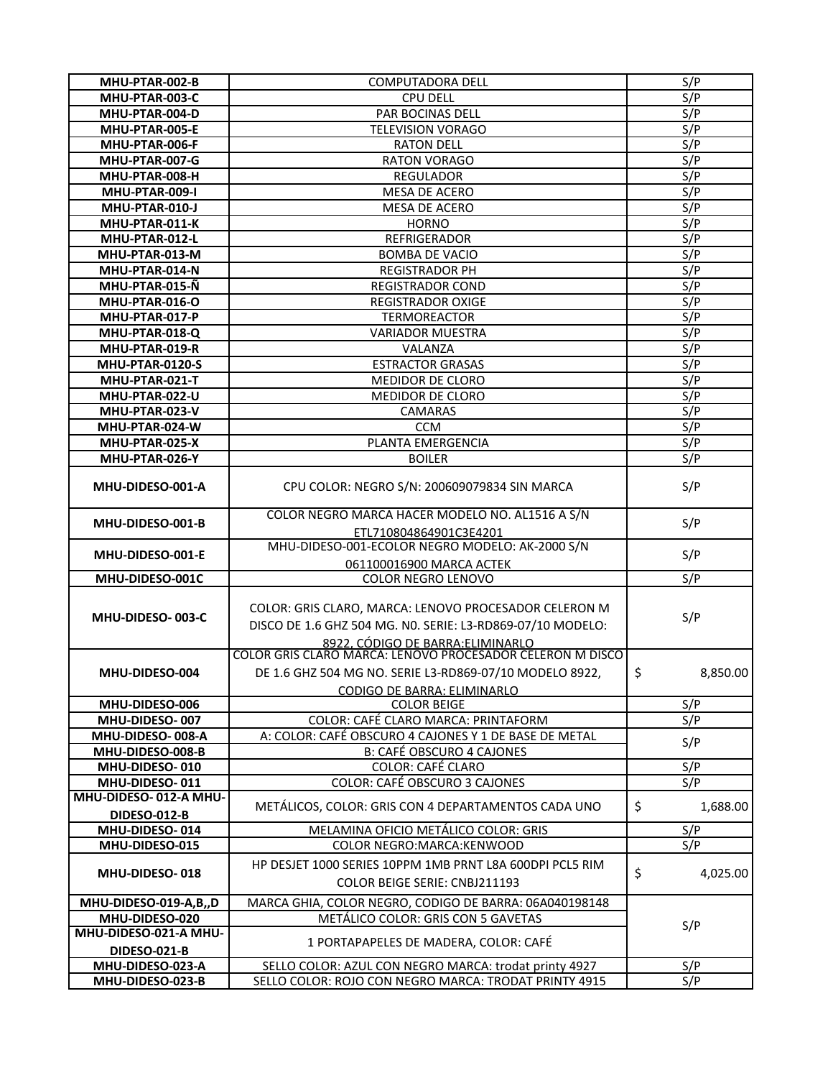| MHU-PTAR-002-B         | COMPUTADORA DELL                                                                                                                                         | S/P              |
|------------------------|----------------------------------------------------------------------------------------------------------------------------------------------------------|------------------|
| MHU-PTAR-003-C         | <b>CPU DELL</b>                                                                                                                                          | S/P              |
| MHU-PTAR-004-D         | PAR BOCINAS DELL                                                                                                                                         | S/P              |
| MHU-PTAR-005-E         | <b>TELEVISION VORAGO</b>                                                                                                                                 | S/P              |
| MHU-PTAR-006-F         | <b>RATON DELL</b>                                                                                                                                        | S/P              |
| MHU-PTAR-007-G         | <b>RATON VORAGO</b>                                                                                                                                      | S/P              |
| MHU-PTAR-008-H         | <b>REGULADOR</b>                                                                                                                                         | S/P              |
| MHU-PTAR-009-I         | MESA DE ACERO                                                                                                                                            | S/P              |
| MHU-PTAR-010-J         | MESA DE ACERO                                                                                                                                            | S/P              |
| MHU-PTAR-011-K         | <b>HORNO</b>                                                                                                                                             | S/P              |
| MHU-PTAR-012-L         | REFRIGERADOR                                                                                                                                             | S/P              |
| MHU-PTAR-013-M         | <b>BOMBA DE VACIO</b>                                                                                                                                    | S/P              |
| MHU-PTAR-014-N         |                                                                                                                                                          |                  |
|                        | <b>REGISTRADOR PH</b>                                                                                                                                    | S/P              |
| MHU-PTAR-015-Ñ         | <b>REGISTRADOR COND</b>                                                                                                                                  | S/P              |
| MHU-PTAR-016-O         | <b>REGISTRADOR OXIGE</b>                                                                                                                                 | S/P              |
| MHU-PTAR-017-P         | TERMOREACTOR                                                                                                                                             | S/P              |
| MHU-PTAR-018-Q         | <b>VARIADOR MUESTRA</b>                                                                                                                                  | S/P              |
| MHU-PTAR-019-R         | VALANZA                                                                                                                                                  | S/P              |
| <b>MHU-PTAR-0120-S</b> | <b>ESTRACTOR GRASAS</b>                                                                                                                                  | S/P              |
| MHU-PTAR-021-T         | MEDIDOR DE CLORO                                                                                                                                         | $S/\overline{P}$ |
| MHU-PTAR-022-U         | MEDIDOR DE CLORO                                                                                                                                         | S/P              |
| MHU-PTAR-023-V         | CAMARAS                                                                                                                                                  | S/P              |
| MHU-PTAR-024-W         | <b>CCM</b>                                                                                                                                               | S/P              |
| MHU-PTAR-025-X         | PLANTA EMERGENCIA                                                                                                                                        | S/P              |
| MHU-PTAR-026-Y         | <b>BOILER</b>                                                                                                                                            | S/P              |
| MHU-DIDESO-001-A       | CPU COLOR: NEGRO S/N: 200609079834 SIN MARCA                                                                                                             | S/P              |
| MHU-DIDESO-001-B       | COLOR NEGRO MARCA HACER MODELO NO. AL1516 A S/N<br>ETL710804864901C3E4201                                                                                | S/P              |
| MHU-DIDESO-001-E       | MHU-DIDESO-001-ECOLOR NEGRO MODELO: AK-2000 S/N                                                                                                          | S/P              |
| MHU-DIDESO-001C        | 061100016900 MARCA ACTEK<br><b>COLOR NEGRO LENOVO</b>                                                                                                    | S/P              |
|                        |                                                                                                                                                          |                  |
| MHU-DIDESO-003-C       | COLOR: GRIS CLARO, MARCA: LENOVO PROCESADOR CELERON M<br>DISCO DE 1.6 GHZ 504 MG. NO. SERIE: L3-RD869-07/10 MODELO:<br>8922. CÓDIGO DE BARRA: ELIMINARLO | S/P              |
| MHU-DIDESO-004         | COLOR GRIS CLARO MARCA: LENOVO PROCESADOR CELERON M DISCO<br>DE 1.6 GHZ 504 MG NO. SERIE L3-RD869-07/10 MODELO 8922,                                     | \$<br>8,850.00   |
| MHU-DIDESO-006         | <b>CODIGO DE BARRA: ELIMINARLO</b><br><b>COLOR BEIGE</b>                                                                                                 | S/P              |
| MHU-DIDESO-007         | COLOR: CAFÉ CLARO MARCA: PRINTAFORM                                                                                                                      | S/P              |
| MHU-DIDESO-008-A       | A: COLOR: CAFÉ OBSCURO 4 CAJONES Y 1 DE BASE DE METAL                                                                                                    |                  |
| MHU-DIDESO-008-B       | <b>B: CAFÉ OBSCURO 4 CAJONES</b>                                                                                                                         | S/P              |
| MHU-DIDESO-010         | <b>COLOR: CAFÉ CLARO</b>                                                                                                                                 | S/P              |
| MHU-DIDESO-011         | <b>COLOR: CAFÉ OBSCURO 3 CAJONES</b>                                                                                                                     | S/P              |
| MHU-DIDESO-012-A MHU-  |                                                                                                                                                          |                  |
| <b>DIDESO-012-B</b>    | METÁLICOS, COLOR: GRIS CON 4 DEPARTAMENTOS CADA UNO                                                                                                      | \$<br>1,688.00   |
| MHU-DIDESO-014         | MELAMINA OFICIO METÁLICO COLOR: GRIS                                                                                                                     | S/P              |
| MHU-DIDESO-015         | COLOR NEGRO: MARCA: KENWOOD                                                                                                                              | S/P              |
| MHU-DIDESO-018         | HP DESJET 1000 SERIES 10PPM 1MB PRNT L8A 600DPI PCL5 RIM<br>COLOR BEIGE SERIE: CNBJ211193                                                                | \$<br>4,025.00   |
| MHU-DIDESO-019-A,B,,D  | MARCA GHIA, COLOR NEGRO, CODIGO DE BARRA: 06A040198148                                                                                                   |                  |
| MHU-DIDESO-020         | METÁLICO COLOR: GRIS CON 5 GAVETAS                                                                                                                       |                  |
| MHU-DIDESO-021-A MHU-  |                                                                                                                                                          | S/P              |
| <b>DIDESO-021-B</b>    | 1 PORTAPAPELES DE MADERA, COLOR: CAFÉ                                                                                                                    |                  |
| MHU-DIDESO-023-A       | SELLO COLOR: AZUL CON NEGRO MARCA: trodat printy 4927                                                                                                    | S/P              |
| MHU-DIDESO-023-B       | SELLO COLOR: ROJO CON NEGRO MARCA: TRODAT PRINTY 4915                                                                                                    | S/P              |
|                        |                                                                                                                                                          |                  |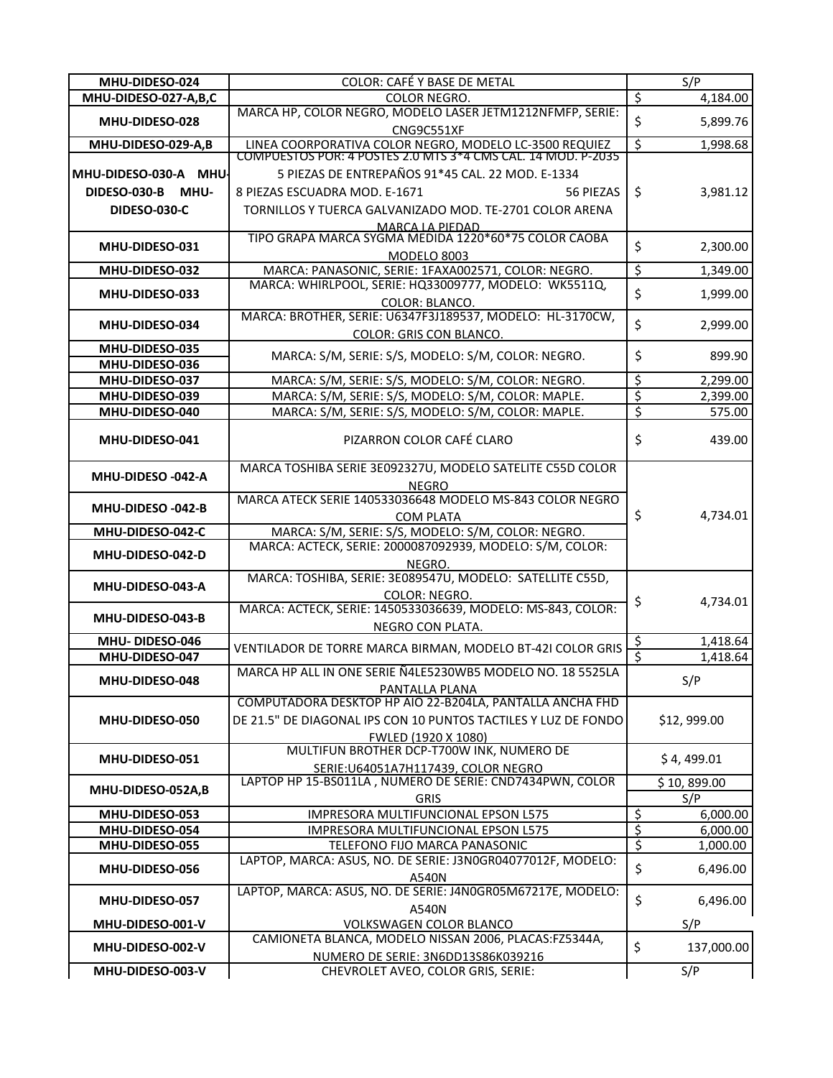| MHU-DIDESO-024        | COLOR: CAFÉ Y BASE DE METAL                                                                                            |                          | S/P                  |
|-----------------------|------------------------------------------------------------------------------------------------------------------------|--------------------------|----------------------|
| MHU-DIDESO-027-A,B,C  | COLOR NEGRO.                                                                                                           | \$                       | 4,184.00             |
| MHU-DIDESO-028        | MARCA HP, COLOR NEGRO, MODELO LASER JETM1212NFMFP, SERIE:<br>CNG9C551XF                                                | \$                       | 5,899.76             |
| MHU-DIDESO-029-A,B    | LINEA COORPORATIVA COLOR NEGRO, MODELO LC-3500 REQUIEZ<br>COMPUESTOS POR: 4 POSTES 2.0 MTS 3*4 CMS CAL. 14 MOD. P-2035 | \$                       | 1,998.68             |
|                       |                                                                                                                        |                          |                      |
| MHU-DIDESO-030-A MHU- | 5 PIEZAS DE ENTREPAÑOS 91*45 CAL. 22 MOD. E-1334                                                                       |                          |                      |
| DIDESO-030-B MHU-     | 8 PIEZAS ESCUADRA MOD. E-1671<br>56 PIEZAS                                                                             | \$                       | 3,981.12             |
| <b>DIDESO-030-C</b>   | TORNILLOS Y TUERCA GALVANIZADO MOD. TE-2701 COLOR ARENA                                                                |                          |                      |
|                       | MARCA LA PIEDAD                                                                                                        |                          |                      |
| MHU-DIDESO-031        | TIPO GRAPA MARCA SYGMA MEDIDA 1220*60*75 COLOR CAOBA                                                                   | \$                       | 2,300.00             |
|                       | <b>MODELO 8003</b>                                                                                                     |                          |                      |
| MHU-DIDESO-032        | MARCA: PANASONIC, SERIE: 1FAXA002571, COLOR: NEGRO.                                                                    | $\overline{\mathcal{S}}$ | 1,349.00             |
| MHU-DIDESO-033        | MARCA: WHIRLPOOL, SERIE: HQ33009777, MODELO: WK5511Q,                                                                  | \$                       | 1,999.00             |
|                       | COLOR: BLANCO.                                                                                                         |                          |                      |
| MHU-DIDESO-034        | MARCA: BROTHER, SERIE: U6347F3J189537, MODELO: HL-3170CW,                                                              | \$                       | 2,999.00             |
|                       | <b>COLOR: GRIS CON BLANCO.</b>                                                                                         |                          |                      |
| MHU-DIDESO-035        | MARCA: S/M, SERIE: S/S, MODELO: S/M, COLOR: NEGRO.                                                                     | \$                       | 899.90               |
| MHU-DIDESO-036        |                                                                                                                        |                          |                      |
| MHU-DIDESO-037        | MARCA: S/M, SERIE: S/S, MODELO: S/M, COLOR: NEGRO.                                                                     | $\overline{\xi}$         | 2,299.00             |
| MHU-DIDESO-039        | MARCA: S/M, SERIE: S/S, MODELO: S/M, COLOR: MAPLE.                                                                     | $\overline{\xi}$         | 2,399.00             |
| MHU-DIDESO-040        | MARCA: S/M, SERIE: S/S, MODELO: S/M, COLOR: MAPLE.                                                                     | $\overline{\xi}$         | 575.00               |
| MHU-DIDESO-041        | PIZARRON COLOR CAFÉ CLARO                                                                                              | \$                       | 439.00               |
|                       | MARCA TOSHIBA SERIE 3E092327U, MODELO SATELITE C55D COLOR                                                              |                          |                      |
| MHU-DIDESO -042-A     | <b>NEGRO</b>                                                                                                           |                          |                      |
|                       | MARCA ATECK SERIE 140533036648 MODELO MS-843 COLOR NEGRO                                                               |                          |                      |
| MHU-DIDESO -042-B     | <b>COM PLATA</b>                                                                                                       | \$                       | 4,734.01             |
| MHU-DIDESO-042-C      | MARCA: S/M, SERIE: S/S, MODELO: S/M, COLOR: NEGRO.                                                                     |                          |                      |
|                       | MARCA: ACTECK, SERIE: 2000087092939, MODELO: S/M, COLOR:                                                               |                          |                      |
| MHU-DIDESO-042-D      | NEGRO.                                                                                                                 |                          |                      |
|                       | MARCA: TOSHIBA, SERIE: 3E089547U, MODELO: SATELLITE C55D,                                                              |                          |                      |
| MHU-DIDESO-043-A      | COLOR: NEGRO.                                                                                                          | \$                       | 4,734.01             |
| MHU-DIDESO-043-B      | MARCA: ACTECK, SERIE: 1450533036639, MODELO: MS-843, COLOR:                                                            |                          |                      |
|                       | NEGRO CON PLATA.                                                                                                       |                          |                      |
| MHU-DIDESO-046        | VENTILADOR DE TORRE MARCA BIRMAN, MODELO BT-421 COLOR GRIS                                                             | $\frac{1}{2}$            | 1,418.64             |
| MHU-DIDESO-047        |                                                                                                                        |                          | 1,418.64             |
| MHU-DIDESO-048        | MARCA HP ALL IN ONE SERIE Ñ4LE5230WB5 MODELO NO. 18 5525LA                                                             |                          | S/P                  |
|                       | PANTALLA PLANA                                                                                                         |                          |                      |
|                       | COMPUTADORA DESKTOP HP AIO 22-B204LA, PANTALLA ANCHA FHD                                                               |                          |                      |
| MHU-DIDESO-050        | DE 21.5" DE DIAGONAL IPS CON 10 PUNTOS TACTILES Y LUZ DE FONDO                                                         |                          | \$12,999.00          |
|                       | FWLED (1920 X 1080)                                                                                                    |                          |                      |
| MHU-DIDESO-051        | MULTIFUN BROTHER DCP-T700W INK, NUMERO DE                                                                              |                          | \$4,499.01           |
|                       | SERIE: U64051A7H117439, COLOR NEGRO<br>LAPTOP HP 15-BS011LA, NUMERO DE SERIE: CND7434PWN, COLOR                        |                          |                      |
| MHU-DIDESO-052A,B     |                                                                                                                        |                          | \$10,899.00          |
| MHU-DIDESO-053        | <b>GRIS</b><br>IMPRESORA MULTIFUNCIONAL EPSON L575                                                                     | \$                       | S/P                  |
| MHU-DIDESO-054        | IMPRESORA MULTIFUNCIONAL EPSON L575                                                                                    | $\overline{\xi}$         | 6,000.00<br>6,000.00 |
| MHU-DIDESO-055        | TELEFONO FIJO MARCA PANASONIC                                                                                          | \$                       | 1,000.00             |
|                       | LAPTOP, MARCA: ASUS, NO. DE SERIE: J3N0GR04077012F, MODELO:                                                            |                          |                      |
| MHU-DIDESO-056        | A540N                                                                                                                  | \$                       | 6,496.00             |
|                       | LAPTOP, MARCA: ASUS, NO. DE SERIE: J4N0GR05M67217E, MODELO:                                                            |                          |                      |
| MHU-DIDESO-057        | A540N                                                                                                                  | \$                       | 6,496.00             |
| MHU-DIDESO-001-V      | VOLKSWAGEN COLOR BLANCO                                                                                                |                          | S/P                  |
|                       | CAMIONETA BLANCA, MODELO NISSAN 2006, PLACAS:FZ5344A,                                                                  |                          |                      |
| MHU-DIDESO-002-V      | NUMERO DE SERIE: 3N6DD13S86K039216                                                                                     | \$                       | 137,000.00           |
| MHU-DIDESO-003-V      | CHEVROLET AVEO, COLOR GRIS, SERIE:                                                                                     |                          | S/P                  |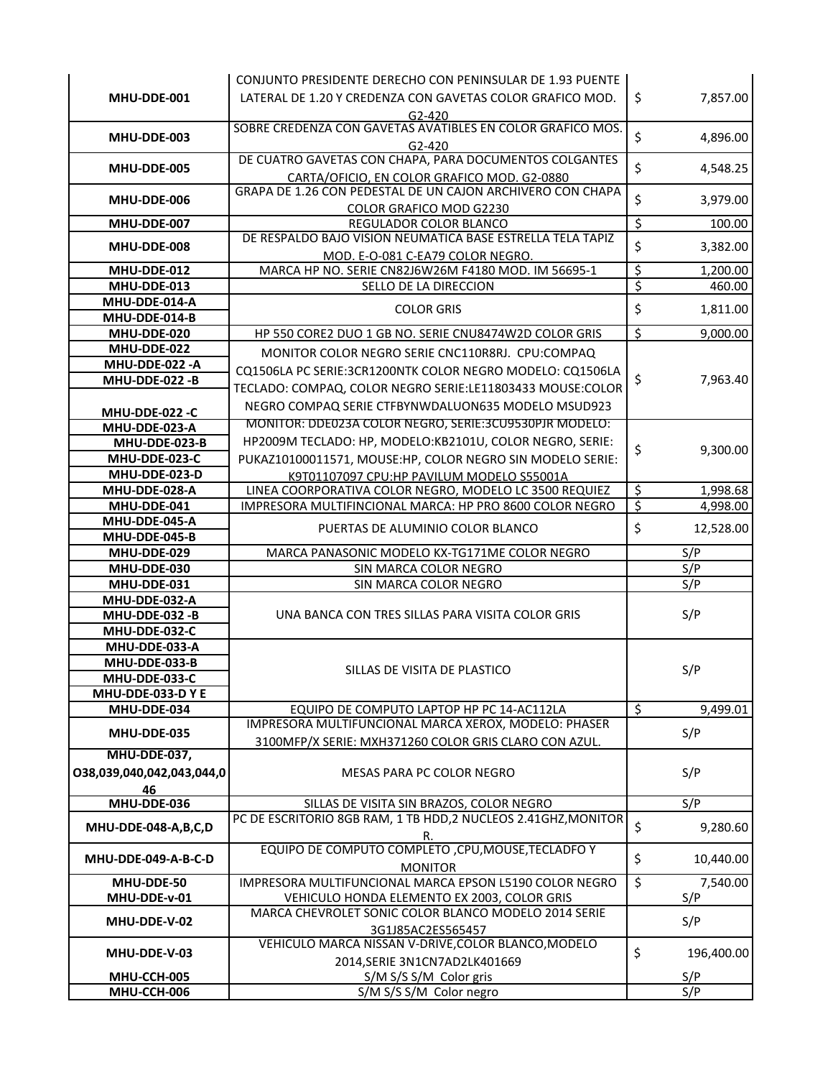|                                | CONJUNTO PRESIDENTE DERECHO CON PENINSULAR DE 1.93 PUENTE                                                 |                          |            |
|--------------------------------|-----------------------------------------------------------------------------------------------------------|--------------------------|------------|
| MHU-DDE-001                    | LATERAL DE 1.20 Y CREDENZA CON GAVETAS COLOR GRAFICO MOD.                                                 | \$                       | 7,857.00   |
|                                | $G2-420$                                                                                                  |                          |            |
|                                | SOBRE CREDENZA CON GAVETAS AVATIBLES EN COLOR GRAFICO MOS.                                                |                          |            |
| MHU-DDE-003                    | $G2 - 420$                                                                                                | \$                       | 4,896.00   |
|                                | DE CUATRO GAVETAS CON CHAPA, PARA DOCUMENTOS COLGANTES                                                    |                          |            |
| MHU-DDE-005                    | CARTA/OFICIO, EN COLOR GRAFICO MOD. G2-0880                                                               | \$                       | 4,548.25   |
|                                | GRAPA DE 1.26 CON PEDESTAL DE UN CAJON ARCHIVERO CON CHAPA                                                |                          |            |
| MHU-DDE-006                    | COLOR GRAFICO MOD G2230                                                                                   | \$                       | 3,979.00   |
| MHU-DDE-007                    | REGULADOR COLOR BLANCO                                                                                    | \$                       | 100.00     |
| MHU-DDE-008                    | DE RESPALDO BAJO VISION NEUMATICA BASE ESTRELLA TELA TAPIZ                                                | \$                       | 3,382.00   |
|                                | MOD. E-O-081 C-EA79 COLOR NEGRO.                                                                          |                          |            |
| MHU-DDE-012                    | MARCA HP NO. SERIE CN82J6W26M F4180 MOD. IM 56695-1                                                       | $\overline{\mathcal{S}}$ | 1,200.00   |
| MHU-DDE-013                    | SELLO DE LA DIRECCION                                                                                     | \$                       | 460.00     |
| MHU-DDE-014-A                  | <b>COLOR GRIS</b>                                                                                         | \$                       | 1,811.00   |
| MHU-DDE-014-B                  |                                                                                                           |                          |            |
| MHU-DDE-020                    | HP 550 CORE2 DUO 1 GB NO. SERIE CNU8474W2D COLOR GRIS                                                     | \$                       | 9,000.00   |
| MHU-DDE-022                    | MONITOR COLOR NEGRO SERIE CNC110R8RJ. CPU:COMPAQ                                                          |                          |            |
| MHU-DDE-022 -A                 | CQ1506LA PC SERIE:3CR1200NTK COLOR NEGRO MODELO: CQ1506LA                                                 |                          |            |
| MHU-DDE-022 -B                 | TECLADO: COMPAQ, COLOR NEGRO SERIE:LE11803433 MOUSE:COLOR                                                 | \$                       | 7,963.40   |
|                                | NEGRO COMPAQ SERIE CTFBYNWDALUON635 MODELO MSUD923                                                        |                          |            |
| MHU-DDE-022 -C                 | MONITOR: DDE023A COLOR NEGRO, SERIE:3CU9530PJR MODELO:                                                    |                          |            |
| MHU-DDE-023-A<br>MHU-DDE-023-B | HP2009M TECLADO: HP, MODELO:KB2101U, COLOR NEGRO, SERIE:                                                  |                          |            |
| MHU-DDE-023-C                  | PUKAZ10100011571, MOUSE:HP, COLOR NEGRO SIN MODELO SERIE:                                                 | \$                       | 9,300.00   |
| MHU-DDE-023-D                  |                                                                                                           |                          |            |
| MHU-DDE-028-A                  | K9T01107097 CPU:HP PAVILUM MODELO S55001A<br>LINEA COORPORATIVA COLOR NEGRO, MODELO LC 3500 REQUIEZ       | \$                       | 1,998.68   |
| MHU-DDE-041                    | IMPRESORA MULTIFINCIONAL MARCA: HP PRO 8600 COLOR NEGRO                                                   | \$                       | 4,998.00   |
| MHU-DDE-045-A                  |                                                                                                           |                          |            |
| MHU-DDE-045-B                  | PUERTAS DE ALUMINIO COLOR BLANCO                                                                          | \$                       | 12,528.00  |
|                                |                                                                                                           |                          |            |
| MHU-DDE-029                    | MARCA PANASONIC MODELO KX-TG171ME COLOR NEGRO                                                             |                          | S/P        |
| MHU-DDE-030                    | SIN MARCA COLOR NEGRO                                                                                     |                          | S/P        |
| MHU-DDE-031                    | SIN MARCA COLOR NEGRO                                                                                     |                          | S/P        |
| MHU-DDE-032-A                  |                                                                                                           |                          |            |
| MHU-DDE-032 -B                 | UNA BANCA CON TRES SILLAS PARA VISITA COLOR GRIS                                                          |                          | S/P        |
| MHU-DDE-032-C                  |                                                                                                           |                          |            |
| MHU-DDE-033-A                  |                                                                                                           |                          |            |
| MHU-DDE-033-B                  | SILLAS DE VISITA DE PLASTICO                                                                              |                          |            |
| MHU-DDE-033-C                  |                                                                                                           |                          | S/P        |
| MHU-DDE-033-DYE                |                                                                                                           |                          |            |
| MHU-DDE-034                    | EQUIPO DE COMPUTO LAPTOP HP PC 14-AC112LA                                                                 | \$                       | 9,499.01   |
| MHU-DDE-035                    | IMPRESORA MULTIFUNCIONAL MARCA XEROX, MODELO: PHASER                                                      |                          | S/P        |
|                                | 3100MFP/X SERIE: MXH371260 COLOR GRIS CLARO CON AZUL.                                                     |                          |            |
| MHU-DDE-037,                   |                                                                                                           |                          |            |
| 038,039,040,042,043,044,0      | MESAS PARA PC COLOR NEGRO                                                                                 |                          | S/P        |
| <u>46  </u>                    |                                                                                                           |                          |            |
| MHU-DDE-036                    | SILLAS DE VISITA SIN BRAZOS, COLOR NEGRO<br>PC DE ESCRITORIO 8GB RAM, 1 TB HDD,2 NUCLEOS 2.41GHZ, MONITOR |                          | S/P        |
| MHU-DDE-048-A,B,C,D            | R.                                                                                                        | \$                       | 9,280.60   |
|                                | EQUIPO DE COMPUTO COMPLETO ,CPU, MOUSE, TECLADFO Y                                                        |                          |            |
| MHU-DDE-049-A-B-C-D            | <b>MONITOR</b>                                                                                            | \$                       | 10,440.00  |
| MHU-DDE-50                     | IMPRESORA MULTIFUNCIONAL MARCA EPSON L5190 COLOR NEGRO                                                    | \$                       | 7,540.00   |
| MHU-DDE-v-01                   | VEHICULO HONDA ELEMENTO EX 2003, COLOR GRIS                                                               |                          | S/P        |
|                                | MARCA CHEVROLET SONIC COLOR BLANCO MODELO 2014 SERIE                                                      |                          |            |
| MHU-DDE-V-02                   | 3G1J85AC2ES565457                                                                                         |                          | S/P        |
|                                | VEHICULO MARCA NISSAN V-DRIVE, COLOR BLANCO, MODELO                                                       |                          |            |
| MHU-DDE-V-03                   | 2014, SERIE 3N1CN7AD2LK401669                                                                             | \$                       | 196,400.00 |
| MHU-CCH-005<br>MHU-CCH-006     | S/M S/S S/M Color gris<br>S/M S/S S/M Color negro                                                         |                          | S/P<br>S/P |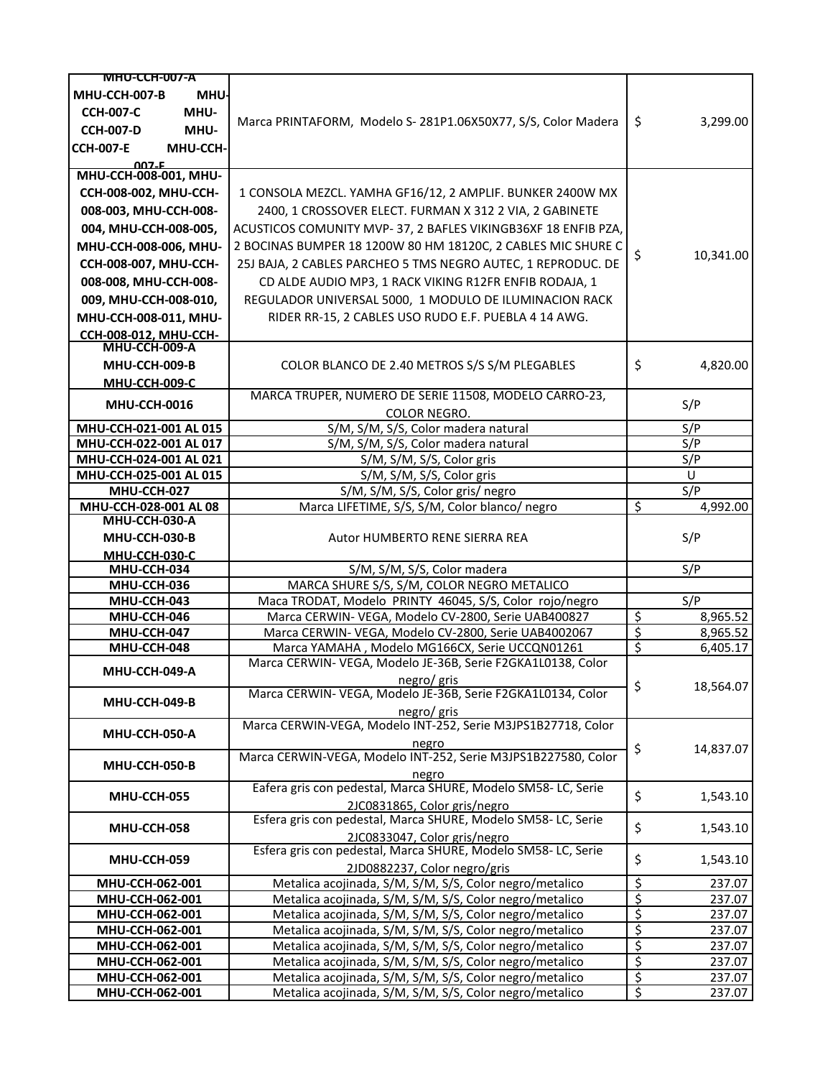| <b>MHU-CCH-007-A</b>               |                                                                                                                    |                        |                  |
|------------------------------------|--------------------------------------------------------------------------------------------------------------------|------------------------|------------------|
| MHU-CCH-007-B<br><b>MHU-</b>       |                                                                                                                    |                        |                  |
| <b>CCH-007-C</b><br>MHU-           |                                                                                                                    |                        |                  |
| MHU-<br><b>CCH-007-D</b>           | Marca PRINTAFORM, Modelo S-281P1.06X50X77, S/S, Color Madera                                                       | \$                     | 3,299.00         |
|                                    |                                                                                                                    |                        |                  |
| <b>CCH-007-E</b><br>MHU-CCH-       |                                                                                                                    |                        |                  |
| $007 - F$<br>MHU-CCH-008-001, MHU- |                                                                                                                    |                        |                  |
| CCH-008-002, MHU-CCH-              | 1 CONSOLA MEZCL. YAMHA GF16/12, 2 AMPLIF. BUNKER 2400W MX                                                          |                        |                  |
| 008-003, MHU-CCH-008-              | 2400, 1 CROSSOVER ELECT. FURMAN X 312 2 VIA, 2 GABINETE                                                            |                        |                  |
|                                    |                                                                                                                    |                        |                  |
| 004, MHU-CCH-008-005,              | ACUSTICOS COMUNITY MVP-37, 2 BAFLES VIKINGB36XF 18 ENFIB PZA,                                                      |                        |                  |
| MHU-CCH-008-006, MHU-              | 2 BOCINAS BUMPER 18 1200W 80 HM 18120C, 2 CABLES MIC SHURE C                                                       | \$                     | 10,341.00        |
| CCH-008-007, MHU-CCH-              | 25J BAJA, 2 CABLES PARCHEO 5 TMS NEGRO AUTEC, 1 REPRODUC. DE                                                       |                        |                  |
| 008-008, MHU-CCH-008-              | CD ALDE AUDIO MP3, 1 RACK VIKING R12FR ENFIB RODAJA, 1                                                             |                        |                  |
| 009, MHU-CCH-008-010,              | REGULADOR UNIVERSAL 5000, 1 MODULO DE ILUMINACION RACK                                                             |                        |                  |
| MHU-CCH-008-011, MHU-              | RIDER RR-15, 2 CABLES USO RUDO E.F. PUEBLA 4 14 AWG.                                                               |                        |                  |
| <b>CCH-008-012, MHU-CCH-</b>       |                                                                                                                    |                        |                  |
| MHU-CCH-009-A                      |                                                                                                                    |                        |                  |
| MHU-CCH-009-B                      | COLOR BLANCO DE 2.40 METROS S/S S/M PLEGABLES                                                                      | \$                     | 4,820.00         |
| <b>MHU-CCH-009-C</b>               |                                                                                                                    |                        |                  |
|                                    | MARCA TRUPER, NUMERO DE SERIE 11508, MODELO CARRO-23,                                                              |                        |                  |
| <b>MHU-CCH-0016</b>                | <b>COLOR NEGRO.</b>                                                                                                |                        | S/P              |
| MHU-CCH-021-001 AL 015             | S/M, S/M, S/S, Color madera natural                                                                                |                        | S/P              |
| MHU-CCH-022-001 AL 017             | S/M, S/M, S/S, Color madera natural                                                                                |                        | S/P              |
| MHU-CCH-024-001 AL 021             | S/M, S/M, S/S, Color gris                                                                                          |                        | S/P              |
| MHU-CCH-025-001 AL 015             | S/M, S/M, S/S, Color gris                                                                                          |                        | U                |
| MHU-CCH-027                        | S/M, S/M, S/S, Color gris/ negro                                                                                   |                        | S/P              |
| MHU-CCH-028-001 AL 08              | Marca LIFETIME, S/S, S/M, Color blanco/ negro                                                                      | \$                     | 4,992.00         |
| MHU-CCH-030-A                      |                                                                                                                    |                        |                  |
| MHU-CCH-030-B                      | Autor HUMBERTO RENE SIERRA REA                                                                                     |                        | S/P              |
| MHU-CCH-030-C                      |                                                                                                                    |                        |                  |
| MHU-CCH-034                        | S/M, S/M, S/S, Color madera                                                                                        |                        | S/P              |
| MHU-CCH-036                        | MARCA SHURE S/S, S/M, COLOR NEGRO METALICO                                                                         |                        |                  |
| MHU-CCH-043                        | Maca TRODAT, Modelo PRINTY 46045, S/S, Color rojo/negro                                                            |                        | S/P              |
| MHU-CCH-046                        | Marca CERWIN- VEGA, Modelo CV-2800, Serie UAB400827                                                                |                        |                  |
| MHU-CCH-047                        |                                                                                                                    | \$                     | 8,965.52         |
|                                    | Marca CERWIN- VEGA, Modelo CV-2800, Serie UAB4002067                                                               | \$                     | 8,965.52         |
| MHU-CCH-048                        | Marca YAMAHA, Modelo MG166CX, Serie UCCQN01261                                                                     | $\overline{\xi}$       | 6,405.17         |
|                                    | Marca CERWIN- VEGA, Modelo JE-36B, Serie F2GKA1L0138, Color                                                        |                        |                  |
| MHU-CCH-049-A                      | negro/gris                                                                                                         |                        |                  |
|                                    | Marca CERWIN- VEGA, Modelo JE-36B, Serie F2GKA1L0134, Color                                                        | \$.                    | 18,564.07        |
| MHU-CCH-049-B                      | negro/ gris                                                                                                        |                        |                  |
|                                    | Marca CERWIN-VEGA, Modelo INT-252, Serie M3JPS1B27718, Color                                                       |                        |                  |
| MHU-CCH-050-A                      | negro                                                                                                              |                        |                  |
|                                    | Marca CERWIN-VEGA, Modelo INT-252, Serie M3JPS1B227580, Color                                                      | \$                     | 14,837.07        |
| MHU-CCH-050-B                      | negro                                                                                                              |                        |                  |
|                                    | Eafera gris con pedestal, Marca SHURE, Modelo SM58-LC, Serie                                                       |                        |                  |
| MHU-CCH-055                        | 2JC0831865, Color gris/negro                                                                                       | \$                     | 1,543.10         |
|                                    | Esfera gris con pedestal, Marca SHURE, Modelo SM58-LC, Serie                                                       |                        |                  |
| MHU-CCH-058                        | 2JC0833047, Color gris/negro                                                                                       | \$                     | 1,543.10         |
|                                    | Esfera gris con pedestal, Marca SHURE, Modelo SM58-LC, Serie                                                       |                        |                  |
| MHU-CCH-059                        | 2JD0882237, Color negro/gris                                                                                       | \$                     | 1,543.10         |
| MHU-CCH-062-001                    | Metalica acojinada, S/M, S/M, S/S, Color negro/metalico                                                            |                        | 237.07           |
| MHU-CCH-062-001                    | Metalica acojinada, S/M, S/M, S/S, Color negro/metalico                                                            | $rac{5}{5}$            | 237.07           |
| MHU-CCH-062-001                    | Metalica acojinada, S/M, S/M, S/S, Color negro/metalico                                                            | \$                     | 237.07           |
| MHU-CCH-062-001                    | Metalica acojinada, S/M, S/M, S/S, Color negro/metalico                                                            |                        | 237.07           |
| MHU-CCH-062-001                    | Metalica acojinada, S/M, S/M, S/S, Color negro/metalico                                                            | $rac{\xi}{\xi}$        | 237.07           |
| MHU-CCH-062-001                    | Metalica acojinada, S/M, S/M, S/S, Color negro/metalico                                                            | \$                     | 237.07           |
| MHU-CCH-062-001<br>MHU-CCH-062-001 | Metalica acojinada, S/M, S/M, S/S, Color negro/metalico<br>Metalica acojinada, S/M, S/M, S/S, Color negro/metalico | $\overline{\xi}$<br>\$ | 237.07<br>237.07 |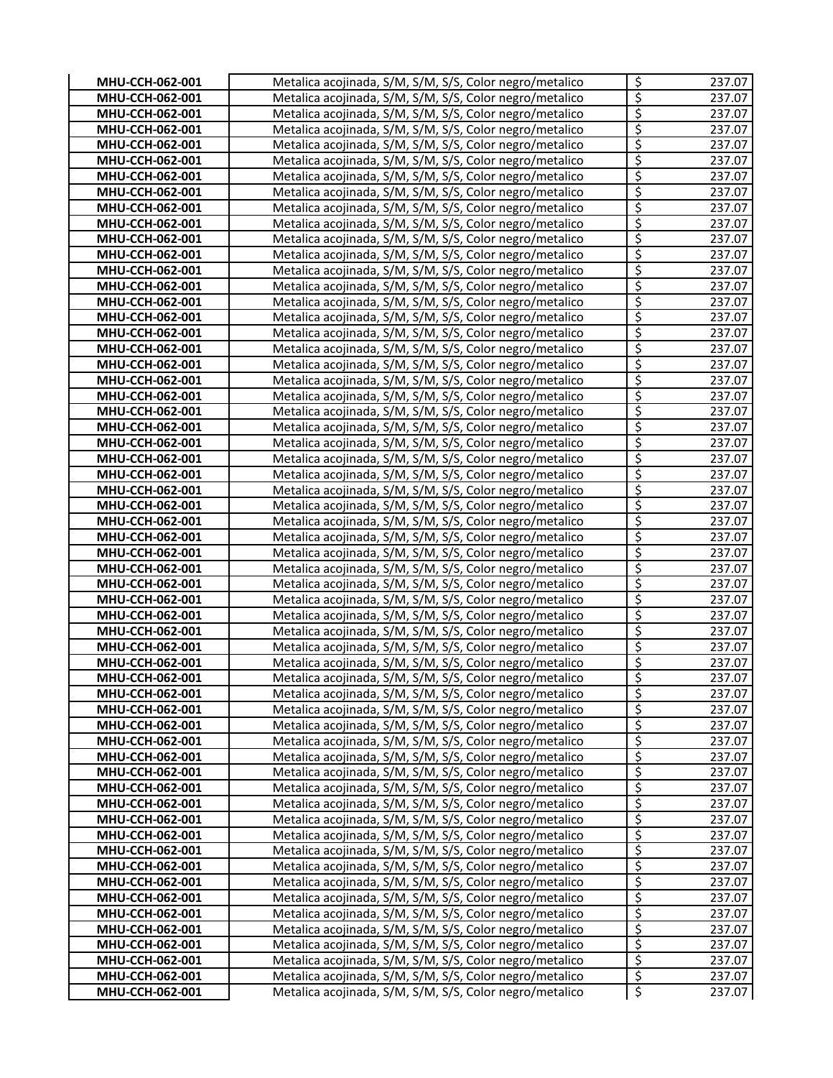| MHU-CCH-062-001                    | Metalica acojinada, S/M, S/M, S/S, Color negro/metalico                                                            | $\zeta$                              | 237.07           |
|------------------------------------|--------------------------------------------------------------------------------------------------------------------|--------------------------------------|------------------|
| MHU-CCH-062-001                    | Metalica acojinada, S/M, S/M, S/S, Color negro/metalico                                                            | $\overline{\xi}$                     | 237.07           |
| MHU-CCH-062-001                    | Metalica acojinada, S/M, S/M, S/S, Color negro/metalico                                                            | $\overline{\xi}$                     | 237.07           |
| MHU-CCH-062-001                    | Metalica acojinada, S/M, S/M, S/S, Color negro/metalico                                                            | \$                                   | 237.07           |
| MHU-CCH-062-001                    | Metalica acojinada, S/M, S/M, S/S, Color negro/metalico                                                            | \$                                   | 237.07           |
| MHU-CCH-062-001                    | Metalica acojinada, S/M, S/M, S/S, Color negro/metalico                                                            | \$                                   | 237.07           |
| MHU-CCH-062-001                    | Metalica acojinada, S/M, S/M, S/S, Color negro/metalico                                                            | \$                                   | 237.07           |
| MHU-CCH-062-001                    | Metalica acojinada, S/M, S/M, S/S, Color negro/metalico                                                            | $\overline{\xi}$                     | 237.07           |
| MHU-CCH-062-001                    | Metalica acojinada, S/M, S/M, S/S, Color negro/metalico                                                            | $\overline{\xi}$                     | 237.07           |
| MHU-CCH-062-001                    | Metalica acojinada, S/M, S/M, S/S, Color negro/metalico                                                            | $\overline{\xi}$                     | 237.07           |
| MHU-CCH-062-001                    | Metalica acojinada, S/M, S/M, S/S, Color negro/metalico                                                            | \$                                   | 237.07           |
| MHU-CCH-062-001                    | Metalica acojinada, S/M, S/M, S/S, Color negro/metalico                                                            | \$                                   | 237.07           |
| MHU-CCH-062-001                    | Metalica acojinada, S/M, S/M, S/S, Color negro/metalico                                                            | \$                                   | 237.07           |
| MHU-CCH-062-001                    | Metalica acojinada, S/M, S/M, S/S, Color negro/metalico                                                            | $\overline{\xi}$                     | 237.07           |
| MHU-CCH-062-001                    | Metalica acojinada, S/M, S/M, S/S, Color negro/metalico                                                            | $\overline{\xi}$                     | 237.07           |
| MHU-CCH-062-001                    | Metalica acojinada, S/M, S/M, S/S, Color negro/metalico                                                            | \$                                   | 237.07           |
| MHU-CCH-062-001                    | Metalica acojinada, S/M, S/M, S/S, Color negro/metalico                                                            | \$                                   | 237.07           |
| MHU-CCH-062-001                    | Metalica acojinada, S/M, S/M, S/S, Color negro/metalico                                                            | \$                                   | 237.07           |
| MHU-CCH-062-001                    | Metalica acojinada, S/M, S/M, S/S, Color negro/metalico                                                            | \$                                   | 237.07           |
| MHU-CCH-062-001                    | Metalica acojinada, S/M, S/M, S/S, Color negro/metalico                                                            | $\overline{\xi}$                     | 237.07           |
| MHU-CCH-062-001                    | Metalica acojinada, S/M, S/M, S/S, Color negro/metalico                                                            | \$                                   | 237.07           |
| MHU-CCH-062-001                    | Metalica acojinada, S/M, S/M, S/S, Color negro/metalico                                                            | \$                                   | 237.07           |
| MHU-CCH-062-001                    | Metalica acojinada, S/M, S/M, S/S, Color negro/metalico                                                            | \$                                   | 237.07           |
| MHU-CCH-062-001                    | Metalica acojinada, S/M, S/M, S/S, Color negro/metalico                                                            | \$                                   | 237.07           |
| MHU-CCH-062-001                    | Metalica acojinada, S/M, S/M, S/S, Color negro/metalico                                                            | \$                                   | 237.07           |
| MHU-CCH-062-001                    | Metalica acojinada, S/M, S/M, S/S, Color negro/metalico                                                            | $\overline{\xi}$                     | 237.07           |
| MHU-CCH-062-001                    | Metalica acojinada, S/M, S/M, S/S, Color negro/metalico                                                            | $rac{5}{5}$                          | 237.07           |
| MHU-CCH-062-001                    | Metalica acojinada, S/M, S/M, S/S, Color negro/metalico                                                            |                                      | 237.07           |
| MHU-CCH-062-001                    | Metalica acojinada, S/M, S/M, S/S, Color negro/metalico                                                            | $rac{5}{5}$                          | 237.07           |
| MHU-CCH-062-001                    | Metalica acojinada, S/M, S/M, S/S, Color negro/metalico                                                            |                                      | 237.07           |
| MHU-CCH-062-001                    | Metalica acojinada, S/M, S/M, S/S, Color negro/metalico                                                            | \$                                   | 237.07           |
| MHU-CCH-062-001                    | Metalica acojinada, S/M, S/M, S/S, Color negro/metalico                                                            | $\overline{\xi}$<br>$\overline{\xi}$ | 237.07           |
| MHU-CCH-062-001                    | Metalica acojinada, S/M, S/M, S/S, Color negro/metalico                                                            | $\overline{\varsigma}$               | 237.07           |
| MHU-CCH-062-001<br>MHU-CCH-062-001 | Metalica acojinada, S/M, S/M, S/S, Color negro/metalico                                                            | \$                                   | 237.07<br>237.07 |
| MHU-CCH-062-001                    | Metalica acojinada, S/M, S/M, S/S, Color negro/metalico<br>Metalica acojinada, S/M, S/M, S/S, Color negro/metalico | \$                                   | 237.07           |
| MHU-CCH-062-001                    | Metalica acojinada, S/M, S/M, S/S, Color negro/metalico                                                            | \$                                   | 237.07           |
| MHU-CCH-062-001                    | Metalica acojinada, S/M, S/M, S/S, Color negro/metalico                                                            | \$                                   | 237.07           |
| MHU-CCH-062-001                    | Metalica acojinada, S/M, S/M, S/S, Color negro/metalico                                                            | \$                                   | 237.07           |
| MHU-CCH-062-001                    | Metalica acojinada, S/M, S/M, S/S, Color negro/metalico                                                            | امہ                                  | 237.07           |
| MHU-CCH-062-001                    | Metalica acojinada, S/M, S/M, S/S, Color negro/metalico                                                            | \$                                   | 237.07           |
| MHU-CCH-062-001                    | Metalica acojinada, S/M, S/M, S/S, Color negro/metalico                                                            | \$                                   | 237.07           |
| MHU-CCH-062-001                    | Metalica acojinada, S/M, S/M, S/S, Color negro/metalico                                                            | \$                                   | 237.07           |
| MHU-CCH-062-001                    | Metalica acojinada, S/M, S/M, S/S, Color negro/metalico                                                            | \$                                   | 237.07           |
| MHU-CCH-062-001                    | Metalica acojinada, S/M, S/M, S/S, Color negro/metalico                                                            | $\overline{\xi}$                     | 237.07           |
| MHU-CCH-062-001                    | Metalica acojinada, S/M, S/M, S/S, Color negro/metalico                                                            | $\mathbf{\hat{S}}$                   | 237.07           |
| MHU-CCH-062-001                    | Metalica acojinada, S/M, S/M, S/S, Color negro/metalico                                                            | $\overline{\xi}$                     | 237.07           |
| MHU-CCH-062-001                    | Metalica acojinada, S/M, S/M, S/S, Color negro/metalico                                                            | $\overline{\xi}$                     | 237.07           |
| MHU-CCH-062-001                    | Metalica acojinada, S/M, S/M, S/S, Color negro/metalico                                                            | $rac{5}{5}$                          | 237.07           |
| MHU-CCH-062-001                    | Metalica acojinada, S/M, S/M, S/S, Color negro/metalico                                                            |                                      | 237.07           |
| MHU-CCH-062-001                    | Metalica acojinada, S/M, S/M, S/S, Color negro/metalico                                                            | $\overline{\xi}$                     | 237.07           |
| MHU-CCH-062-001                    | Metalica acojinada, S/M, S/M, S/S, Color negro/metalico                                                            | $rac{5}{5}$                          | 237.07           |
| MHU-CCH-062-001                    | Metalica acojinada, S/M, S/M, S/S, Color negro/metalico                                                            |                                      | 237.07           |
| MHU-CCH-062-001                    | Metalica acojinada, S/M, S/M, S/S, Color negro/metalico                                                            | $\overline{\xi}$                     | 237.07           |
| MHU-CCH-062-001                    | Metalica acojinada, S/M, S/M, S/S, Color negro/metalico                                                            | $\overline{\xi}$                     | 237.07           |
| MHU-CCH-062-001                    | Metalica acojinada, S/M, S/M, S/S, Color negro/metalico                                                            | $\overline{\xi}$                     | 237.07           |
| MHU-CCH-062-001                    | Metalica acojinada, S/M, S/M, S/S, Color negro/metalico                                                            | $\overline{\boldsymbol{\zeta}}$      | 237.07           |
| MHU-CCH-062-001                    | Metalica acojinada, S/M, S/M, S/S, Color negro/metalico                                                            | $\overline{\mathcal{S}}$             | 237.07           |
| MHU-CCH-062-001                    | Metalica acojinada, S/M, S/M, S/S, Color negro/metalico                                                            | $\overline{\xi}$                     | 237.07           |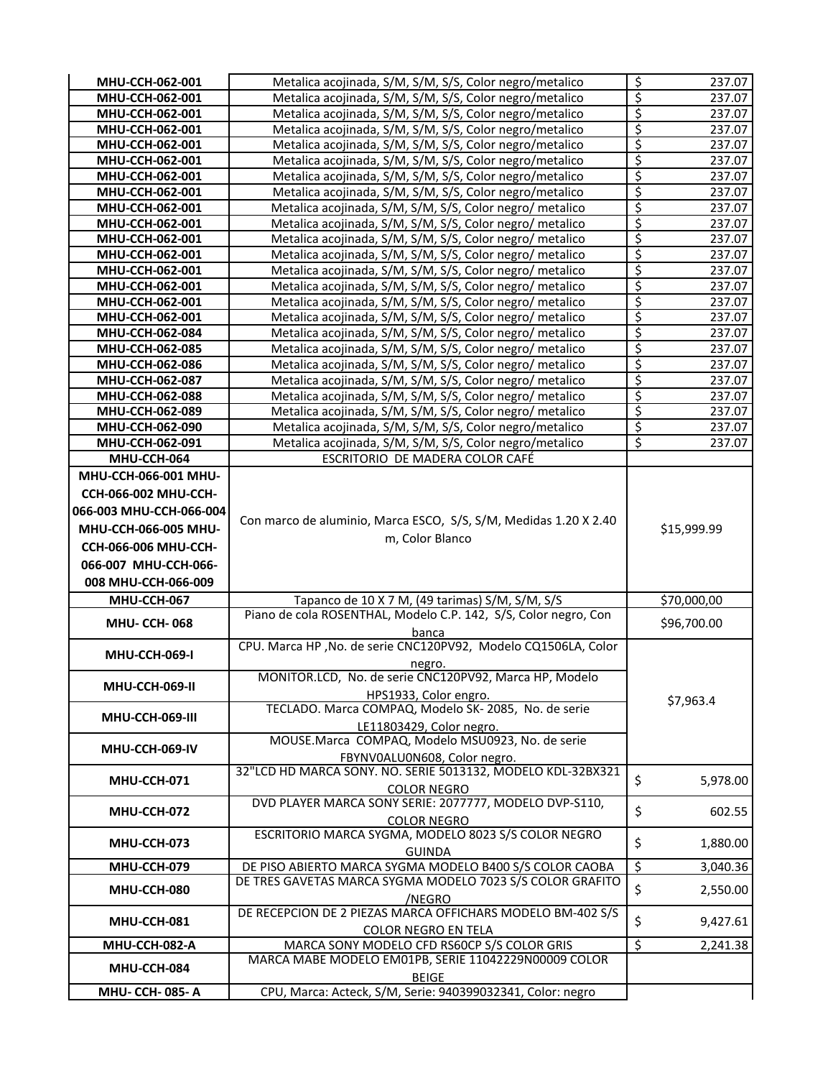| MHU-CCH-062-001                    | Metalica acojinada, S/M, S/M, S/S, Color negro/metalico                                                              | \$                       | 237.07           |
|------------------------------------|----------------------------------------------------------------------------------------------------------------------|--------------------------|------------------|
| MHU-CCH-062-001                    | Metalica acojinada, S/M, S/M, S/S, Color negro/metalico                                                              | $\overline{\xi}$         | 237.07           |
| MHU-CCH-062-001                    | Metalica acojinada, S/M, S/M, S/S, Color negro/metalico                                                              | $\overline{\xi}$         | 237.07           |
| MHU-CCH-062-001                    | Metalica acojinada, S/M, S/M, S/S, Color negro/metalico                                                              | \$                       | 237.07           |
| MHU-CCH-062-001                    | Metalica acojinada, S/M, S/M, S/S, Color negro/metalico                                                              | \$                       | 237.07           |
| MHU-CCH-062-001                    | Metalica acojinada, S/M, S/M, S/S, Color negro/metalico                                                              | \$                       | 237.07           |
| MHU-CCH-062-001                    | Metalica acojinada, S/M, S/M, S/S, Color negro/metalico                                                              | \$                       | 237.07           |
| MHU-CCH-062-001                    | Metalica acojinada, S/M, S/M, S/S, Color negro/metalico                                                              | ड़                       | 237.07           |
| MHU-CCH-062-001                    | Metalica acojinada, S/M, S/M, S/S, Color negro/ metalico                                                             | \$                       | 237.07           |
| MHU-CCH-062-001                    | Metalica acojinada, S/M, S/M, S/S, Color negro/ metalico                                                             | \$                       | 237.07           |
| MHU-CCH-062-001                    | Metalica acojinada, S/M, S/M, S/S, Color negro/ metalico                                                             | \$                       | 237.07           |
| MHU-CCH-062-001                    | Metalica acojinada, S/M, S/M, S/S, Color negro/ metalico                                                             | \$                       | 237.07           |
| MHU-CCH-062-001                    | Metalica acojinada, S/M, S/M, S/S, Color negro/ metalico                                                             | \$                       | 237.07           |
| MHU-CCH-062-001                    | Metalica acojinada, S/M, S/M, S/S, Color negro/ metalico                                                             | $\overline{\xi}$         | 237.07           |
| MHU-CCH-062-001                    | Metalica acojinada, S/M, S/M, S/S, Color negro/ metalico                                                             | $\overline{\xi}$         | 237.07           |
|                                    |                                                                                                                      | $\overline{\xi}$         |                  |
| MHU-CCH-062-001<br>MHU-CCH-062-084 | Metalica acojinada, S/M, S/M, S/S, Color negro/ metalico                                                             | \$                       | 237.07<br>237.07 |
| MHU-CCH-062-085                    | Metalica acojinada, S/M, S/M, S/S, Color negro/ metalico<br>Metalica acojinada, S/M, S/M, S/S, Color negro/ metalico | \$                       |                  |
|                                    |                                                                                                                      | $\overline{\xi}$         | 237.07           |
| MHU-CCH-062-086                    | Metalica acojinada, S/M, S/M, S/S, Color negro/ metalico                                                             | $\overline{\xi}$         | 237.07           |
| MHU-CCH-062-087<br>MHU-CCH-062-088 | Metalica acojinada, S/M, S/M, S/S, Color negro/ metalico                                                             | \$                       | 237.07           |
| MHU-CCH-062-089                    | Metalica acojinada, S/M, S/M, S/S, Color negro/ metalico<br>Metalica acojinada, S/M, S/M, S/S, Color negro/ metalico | ड़                       | 237.07<br>237.07 |
| MHU-CCH-062-090                    | Metalica acojinada, S/M, S/M, S/S, Color negro/metalico                                                              | \$                       | 237.07           |
| MHU-CCH-062-091                    | Metalica acojinada, S/M, S/M, S/S, Color negro/metalico                                                              | \$                       | 237.07           |
| MHU-CCH-064                        | ESCRITORIO DE MADERA COLOR CAFÉ                                                                                      |                          |                  |
| MHU-CCH-066-001 MHU-               |                                                                                                                      |                          |                  |
|                                    |                                                                                                                      |                          |                  |
| CCH-066-002 MHU-CCH-               |                                                                                                                      |                          |                  |
| 066-003 MHU-CCH-066-004            | Con marco de aluminio, Marca ESCO, S/S, S/M, Medidas 1.20 X 2.40                                                     |                          |                  |
| MHU-CCH-066-005 MHU-               | m, Color Blanco                                                                                                      |                          | \$15,999.99      |
| CCH-066-006 MHU-CCH-               |                                                                                                                      |                          |                  |
| 066-007 MHU-CCH-066-               |                                                                                                                      |                          |                  |
| 008 MHU-CCH-066-009                |                                                                                                                      |                          |                  |
| MHU-CCH-067                        | Tapanco de 10 X 7 M, (49 tarimas) S/M, S/M, S/S                                                                      |                          | \$70,000,00      |
|                                    | Piano de cola ROSENTHAL, Modelo C.P. 142, S/S, Color negro, Con                                                      |                          |                  |
| <b>MHU-CCH-068</b>                 | banca                                                                                                                |                          | \$96,700.00      |
| <b>MHU-CCH-069-I</b>               | CPU. Marca HP , No. de serie CNC120PV92, Modelo CQ1506LA, Color                                                      |                          |                  |
|                                    | negro.                                                                                                               |                          |                  |
| MHU-CCH-069-II                     | MONITOR.LCD, No. de serie CNC120PV92, Marca HP, Modelo                                                               |                          |                  |
|                                    | HPS1933, Color engro.                                                                                                |                          | \$7,963.4        |
| MHU-CCH-069-III                    | TECLADO. Marca COMPAQ, Modelo SK-2085, No. de serie                                                                  |                          |                  |
|                                    | LE11803429, Color negro.<br>MOUSE.Marca COMPAQ, Modelo MSU0923, No. de serie                                         |                          |                  |
| MHU-CCH-069-IV                     |                                                                                                                      |                          |                  |
|                                    | FBYNV0ALU0N608, Color negro.<br>32"LCD HD MARCA SONY. NO. SERIE 5013132, MODELO KDL-32BX321                          |                          |                  |
| MHU-CCH-071                        |                                                                                                                      | \$                       | 5,978.00         |
|                                    | <b>COLOR NEGRO</b>                                                                                                   |                          |                  |
| MHU-CCH-072                        | DVD PLAYER MARCA SONY SERIE: 2077777, MODELO DVP-S110,                                                               | \$                       | 602.55           |
|                                    | <b>COLOR NEGRO</b><br>ESCRITORIO MARCA SYGMA, MODELO 8023 S/S COLOR NEGRO                                            |                          |                  |
| MHU-CCH-073                        |                                                                                                                      | \$                       | 1,880.00         |
|                                    | <b>GUINDA</b>                                                                                                        |                          |                  |
| MHU-CCH-079                        | DE PISO ABIERTO MARCA SYGMA MODELO B400 S/S COLOR CAOBA<br>DE TRES GAVETAS MARCA SYGMA MODELO 7023 S/S COLOR GRAFITO | $\mathbf{\hat{S}}$       | 3,040.36         |
| MHU-CCH-080                        |                                                                                                                      | \$                       | 2,550.00         |
|                                    |                                                                                                                      |                          |                  |
|                                    | /NEGRO                                                                                                               |                          |                  |
| MHU-CCH-081                        | DE RECEPCION DE 2 PIEZAS MARCA OFFICHARS MODELO BM-402 S/S                                                           | \$                       | 9,427.61         |
|                                    | <b>COLOR NEGRO EN TELA</b>                                                                                           |                          |                  |
| MHU-CCH-082-A                      | MARCA SONY MODELO CFD RS60CP S/S COLOR GRIS                                                                          | $\overline{\mathcal{S}}$ | 2,241.38         |
| MHU-CCH-084                        | MARCA MABE MODELO EM01PB, SERIE 11042229N00009 COLOR                                                                 |                          |                  |
| MHU- CCH- 085- A                   | <b>BEIGE</b><br>CPU, Marca: Acteck, S/M, Serie: 940399032341, Color: negro                                           |                          |                  |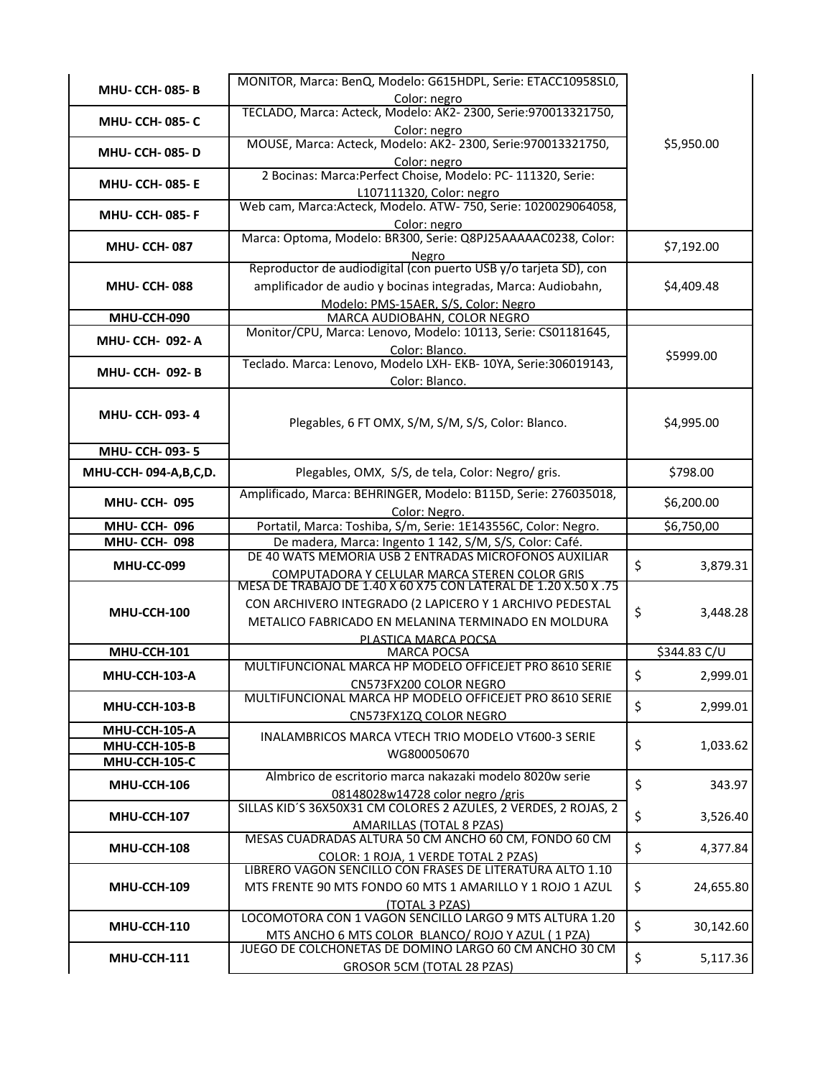| <b>MHU- CCH- 085-B</b>  | MONITOR, Marca: BenQ, Modelo: G615HDPL, Serie: ETACC10958SL0,                                                    |                 |
|-------------------------|------------------------------------------------------------------------------------------------------------------|-----------------|
|                         | Color: negro                                                                                                     |                 |
| <b>MHU- CCH- 085- C</b> | TECLADO, Marca: Acteck, Modelo: AK2-2300, Serie:970013321750,                                                    |                 |
|                         | Color: negro<br>MOUSE, Marca: Acteck, Modelo: AK2-2300, Serie:970013321750,                                      |                 |
| <b>MHU- CCH- 085-D</b>  |                                                                                                                  | \$5,950.00      |
|                         | Color: negro<br>2 Bocinas: Marca: Perfect Choise, Modelo: PC-111320, Serie:                                      |                 |
| <b>MHU- CCH- 085-E</b>  | L107111320, Color: negro                                                                                         |                 |
|                         | Web cam, Marca:Acteck, Modelo. ATW- 750, Serie: 1020029064058,                                                   |                 |
| <b>MHU- CCH- 085-F</b>  | Color: negro                                                                                                     |                 |
|                         | Marca: Optoma, Modelo: BR300, Serie: Q8PJ25AAAAAC0238, Color:                                                    |                 |
| <b>MHU- CCH-087</b>     | Negro                                                                                                            | \$7,192.00      |
|                         | Reproductor de audiodigital (con puerto USB y/o tarjeta SD), con                                                 |                 |
| <b>MHU-CCH-088</b>      | amplificador de audio y bocinas integradas, Marca: Audiobahn,                                                    | \$4,409.48      |
|                         | Modelo: PMS-15AER, S/S, Color: Negro                                                                             |                 |
| MHU-CCH-090             | MARCA AUDIOBAHN, COLOR NEGRO                                                                                     |                 |
| MHU- CCH- 092- A        | Monitor/CPU, Marca: Lenovo, Modelo: 10113, Serie: CS01181645,                                                    |                 |
|                         | Color: Blanco.<br>Teclado. Marca: Lenovo, Modelo LXH- EKB- 10YA, Serie:306019143,                                | \$5999.00       |
| MHU- CCH- 092- B        | Color: Blanco.                                                                                                   |                 |
|                         |                                                                                                                  |                 |
| MHU- CCH- 093-4         |                                                                                                                  |                 |
|                         | Plegables, 6 FT OMX, S/M, S/M, S/S, Color: Blanco.                                                               | \$4,995.00      |
|                         |                                                                                                                  |                 |
| MHU- CCH- 093-5         |                                                                                                                  |                 |
| MHU-CCH-094-A,B,C,D.    | Plegables, OMX, S/S, de tela, Color: Negro/ gris.                                                                | \$798.00        |
| <b>MHU-CCH-095</b>      | Amplificado, Marca: BEHRINGER, Modelo: B115D, Serie: 276035018,                                                  | \$6,200.00      |
|                         | Color: Negro.                                                                                                    |                 |
| <b>MHU-CCH-096</b>      | Portatil, Marca: Toshiba, S/m, Serie: 1E143556C, Color: Negro.                                                   | \$6,750,00      |
| <b>MHU-CCH-098</b>      | De madera, Marca: Ingento 1 142, S/M, S/S, Color: Café.<br>DE 40 WATS MEMORIA USB 2 ENTRADAS MICROFONOS AUXILIAR |                 |
| <b>MHU-CC-099</b>       | COMPUTADORA Y CELULAR MARCA STEREN COLOR GRIS                                                                    | \$<br>3,879.31  |
|                         | MESA DE TRABAJO DE 1.40 X 60 X75 CON LATERAL DE 1.20 X.50 X .75                                                  |                 |
|                         | CON ARCHIVERO INTEGRADO (2 LAPICERO Y 1 ARCHIVO PEDESTAL                                                         |                 |
| MHU-CCH-100             | METALICO FABRICADO EN MELANINA TERMINADO EN MOLDURA                                                              | \$<br>3,448.28  |
|                         | PLASTICA MARCA POCSA                                                                                             |                 |
| MHU-CCH-101             | <b>MARCA POCSA</b>                                                                                               | \$344.83 C/U    |
| MHU-CCH-103-A           | MULTIFUNCIONAL MARCA HP MODELO OFFICEJET PRO 8610 SERIE                                                          | \$<br>2,999.01  |
|                         | CN573FX200 COLOR NEGRO<br>MULTIFUNCIONAL MARCA HP MODELO OFFICEJET PRO 8610 SERIE                                |                 |
| MHU-CCH-103-B           | CN573FX1ZQ COLOR NEGRO                                                                                           | \$<br>2,999.01  |
| MHU-CCH-105-A           |                                                                                                                  |                 |
| MHU-CCH-105-B           | INALAMBRICOS MARCA VTECH TRIO MODELO VT600-3 SERIE                                                               | \$<br>1,033.62  |
| MHU-CCH-105-C           | WG800050670                                                                                                      |                 |
| MHU-CCH-106             | Almbrico de escritorio marca nakazaki modelo 8020w serie                                                         | \$<br>343.97    |
|                         | 08148028w14728 color negro /gris                                                                                 |                 |
| MHU-CCH-107             | SILLAS KID'S 36X50X31 CM COLORES 2 AZULES, 2 VERDES, 2 ROJAS, 2                                                  | \$<br>3,526.40  |
|                         | <b>AMARILLAS (TOTAL 8 PZAS)</b>                                                                                  |                 |
| MHU-CCH-108             | MESAS CUADRADAS ALTURA 50 CM ANCHO 60 CM, FONDO 60 CM                                                            | \$<br>4,377.84  |
|                         | COLOR: 1 ROJA, 1 VERDE TOTAL 2 PZAS)<br>LIBRERO VAGON SENCILLO CON FRASES DE LITERATURA ALTO 1.10                |                 |
| MHU-CCH-109             | MTS FRENTE 90 MTS FONDO 60 MTS 1 AMARILLO Y 1 ROJO 1 AZUL                                                        | \$<br>24,655.80 |
|                         | (TOTAL 3 PZAS)                                                                                                   |                 |
|                         | LOCOMOTORA CON 1 VAGON SENCILLO LARGO 9 MTS ALTURA 1.20                                                          |                 |
| MHU-CCH-110             | MTS ANCHO 6 MTS COLOR BLANCO/ ROJO Y AZUL (1 PZA)                                                                | \$<br>30,142.60 |
|                         |                                                                                                                  |                 |
| MHU-CCH-111             | JUEGO DE COLCHONETAS DE DOMINO LARGO 60 CM ANCHO 30 CM                                                           | \$<br>5,117.36  |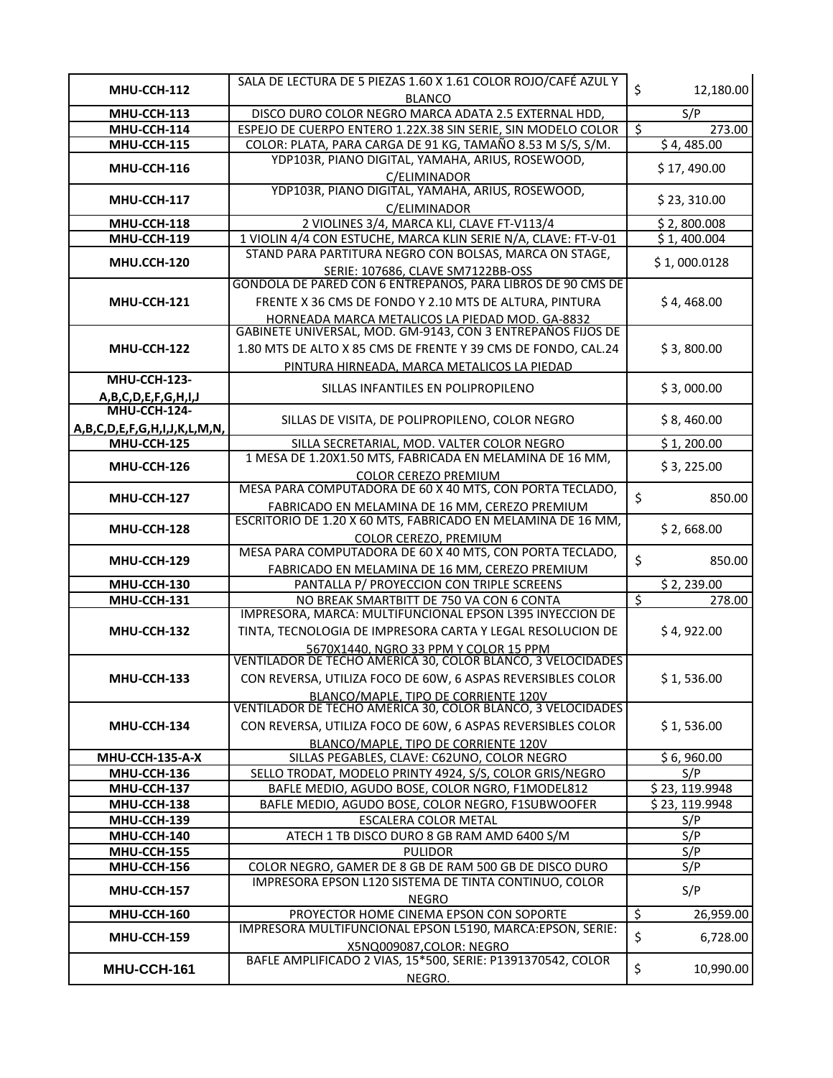|                              | SALA DE LECTURA DE 5 PIEZAS 1.60 X 1.61 COLOR ROJO/CAFÉ AZUL Y                                                 |                                                  |
|------------------------------|----------------------------------------------------------------------------------------------------------------|--------------------------------------------------|
| MHU-CCH-112                  | <b>BLANCO</b>                                                                                                  | \$<br>12,180.00                                  |
| MHU-CCH-113                  | DISCO DURO COLOR NEGRO MARCA ADATA 2.5 EXTERNAL HDD,                                                           | S/P                                              |
| MHU-CCH-114                  | ESPEJO DE CUERPO ENTERO 1.22X.38 SIN SERIE, SIN MODELO COLOR                                                   | \$<br>273.00                                     |
| MHU-CCH-115                  | COLOR: PLATA, PARA CARGA DE 91 KG, TAMAÑO 8.53 M S/S, S/M.                                                     | \$4,485.00                                       |
| MHU-CCH-116                  | YDP103R, PIANO DIGITAL, YAMAHA, ARIUS, ROSEWOOD,<br>C/ELIMINADOR                                               | \$17,490.00                                      |
| MHU-CCH-117                  | YDP103R, PIANO DIGITAL, YAMAHA, ARIUS, ROSEWOOD,<br>C/ELIMINADOR                                               | \$23,310.00                                      |
| MHU-CCH-118                  | 2 VIOLINES 3/4, MARCA KLI, CLAVE FT-V113/4                                                                     | \$2,800.008                                      |
| MHU-CCH-119                  | 1 VIOLIN 4/4 CON ESTUCHE, MARCA KLIN SERIE N/A, CLAVE: FT-V-01                                                 | \$1,400.004                                      |
| MHU.CCH-120                  | STAND PARA PARTITURA NEGRO CON BOLSAS, MARCA ON STAGE,                                                         | \$1,000.0128                                     |
|                              | SERIE: 107686, CLAVE SM7122BB-OSS                                                                              |                                                  |
|                              | GONDOLA DE PARED CON 6 ENTREPAÑOS, PARA LIBROS DE 90 CMS DE                                                    |                                                  |
| MHU-CCH-121                  | FRENTE X 36 CMS DE FONDO Y 2.10 MTS DE ALTURA, PINTURA                                                         | \$4,468.00                                       |
|                              | HORNEADA MARCA METALICOS LA PIEDAD MOD. GA-8832<br>GABINETE UNIVERSAL, MOD. GM-9143, CON 3 ENTREPAÑOS FIJOS DE |                                                  |
| MHU-CCH-122                  | 1.80 MTS DE ALTO X 85 CMS DE FRENTE Y 39 CMS DE FONDO, CAL.24                                                  | \$3,800.00                                       |
|                              | PINTURA HIRNEADA, MARCA METALICOS LA PIEDAD                                                                    |                                                  |
| MHU-CCH-123-                 | SILLAS INFANTILES EN POLIPROPILENO                                                                             | \$3,000.00                                       |
| A, B, C, D, E, F, G, H, I, J |                                                                                                                |                                                  |
| MHU-CCH-124-                 | SILLAS DE VISITA, DE POLIPROPILENO, COLOR NEGRO                                                                | \$8,460.00                                       |
| A,B,C,D,E,F,G,H,I,J,K,L,M,N, |                                                                                                                |                                                  |
| MHU-CCH-125                  | SILLA SECRETARIAL, MOD. VALTER COLOR NEGRO<br>1 MESA DE 1.20X1.50 MTS, FABRICADA EN MELAMINA DE 16 MM,         | \$1,200.00                                       |
| MHU-CCH-126                  | COLOR CEREZO PREMIUM                                                                                           | \$3,225.00                                       |
|                              | MESA PARA COMPUTADORA DE 60 X 40 MTS, CON PORTA TECLADO,                                                       |                                                  |
| MHU-CCH-127                  | FABRICADO EN MELAMINA DE 16 MM, CEREZO PREMIUM                                                                 | \$<br>850.00                                     |
|                              | ESCRITORIO DE 1.20 X 60 MTS, FABRICADO EN MELAMINA DE 16 MM,                                                   |                                                  |
| MHU-CCH-128                  | COLOR CEREZO, PREMIUM                                                                                          | \$2,668.00                                       |
| MHU-CCH-129                  | MESA PARA COMPUTADORA DE 60 X 40 MTS, CON PORTA TECLADO,                                                       | \$<br>850.00                                     |
|                              | FABRICADO EN MELAMINA DE 16 MM, CEREZO PREMIUM                                                                 |                                                  |
| MHU-CCH-130                  | PANTALLA P/ PROYECCION CON TRIPLE SCREENS<br>NO BREAK SMARTBITT DE 750 VA CON 6 CONTA                          | \$2,239.00<br>$\overline{\mathcal{S}}$<br>278.00 |
| MHU-CCH-131                  | IMPRESORA, MARCA: MULTIFUNCIONAL EPSON L395 INYECCION DE                                                       |                                                  |
| MHU-CCH-132                  | TINTA, TECNOLOGIA DE IMPRESORA CARTA Y LEGAL RESOLUCION DE                                                     | \$4,922.00                                       |
|                              | 5670X1440, NGRO 33 PPM Y COLOR 15 PPM                                                                          |                                                  |
|                              | VENTILADOR DE TECHO AMERICA 30, COLOR BLANCO, 3 VELOCIDADES                                                    |                                                  |
| MHU-CCH-133                  | CON REVERSA, UTILIZA FOCO DE 60W, 6 ASPAS REVERSIBLES COLOR                                                    | \$1,536.00                                       |
|                              | BLANCO/MAPLE, TIPO DE CORRIENTE 120V<br>VENTILADOR DE TECHO AMERICA 30, COLOR BLANCO, 3 VELOCIDADES            |                                                  |
|                              |                                                                                                                |                                                  |
| MHU-CCH-134                  | CON REVERSA, UTILIZA FOCO DE 60W, 6 ASPAS REVERSIBLES COLOR                                                    | \$1,536.00                                       |
| MHU-CCH-135-A-X              | BLANCO/MAPLE, TIPO DE CORRIENTE 120V<br>SILLAS PEGABLES, CLAVE: C62UNO, COLOR NEGRO                            | \$6,960.00                                       |
| MHU-CCH-136                  | SELLO TRODAT, MODELO PRINTY 4924, S/S, COLOR GRIS/NEGRO                                                        | S/P                                              |
| MHU-CCH-137                  | BAFLE MEDIO, AGUDO BOSE, COLOR NGRO, F1MODEL812                                                                | \$23,119.9948                                    |
| MHU-CCH-138                  | BAFLE MEDIO, AGUDO BOSE, COLOR NEGRO, F1SUBWOOFER                                                              | $\overline{$}$ 23, 119.9948                      |
| MHU-CCH-139                  | ESCALERA COLOR METAL                                                                                           | S/P                                              |
| MHU-CCH-140                  | ATECH 1 TB DISCO DURO 8 GB RAM AMD 6400 S/M                                                                    | S/P                                              |
| MHU-CCH-155                  | <b>PULIDOR</b>                                                                                                 | S/P                                              |
| MHU-CCH-156                  | COLOR NEGRO, GAMER DE 8 GB DE RAM 500 GB DE DISCO DURO                                                         | S/P                                              |
| MHU-CCH-157                  | IMPRESORA EPSON L120 SISTEMA DE TINTA CONTINUO, COLOR                                                          | S/P                                              |
| MHU-CCH-160                  | <b>NEGRO</b><br>PROYECTOR HOME CINEMA EPSON CON SOPORTE                                                        | $\zeta$<br>26,959.00                             |
|                              | IMPRESORA MULTIFUNCIONAL EPSON L5190, MARCA: EPSON, SERIE:                                                     |                                                  |
| MHU-CCH-159                  | X5NQ009087,COLOR: NEGRO                                                                                        | \$<br>6,728.00                                   |
| MHU-CCH-161                  | BAFLE AMPLIFICADO 2 VIAS, 15*500, SERIE: P1391370542, COLOR                                                    | $\zeta$<br>10,990.00                             |
|                              | NEGRO.                                                                                                         |                                                  |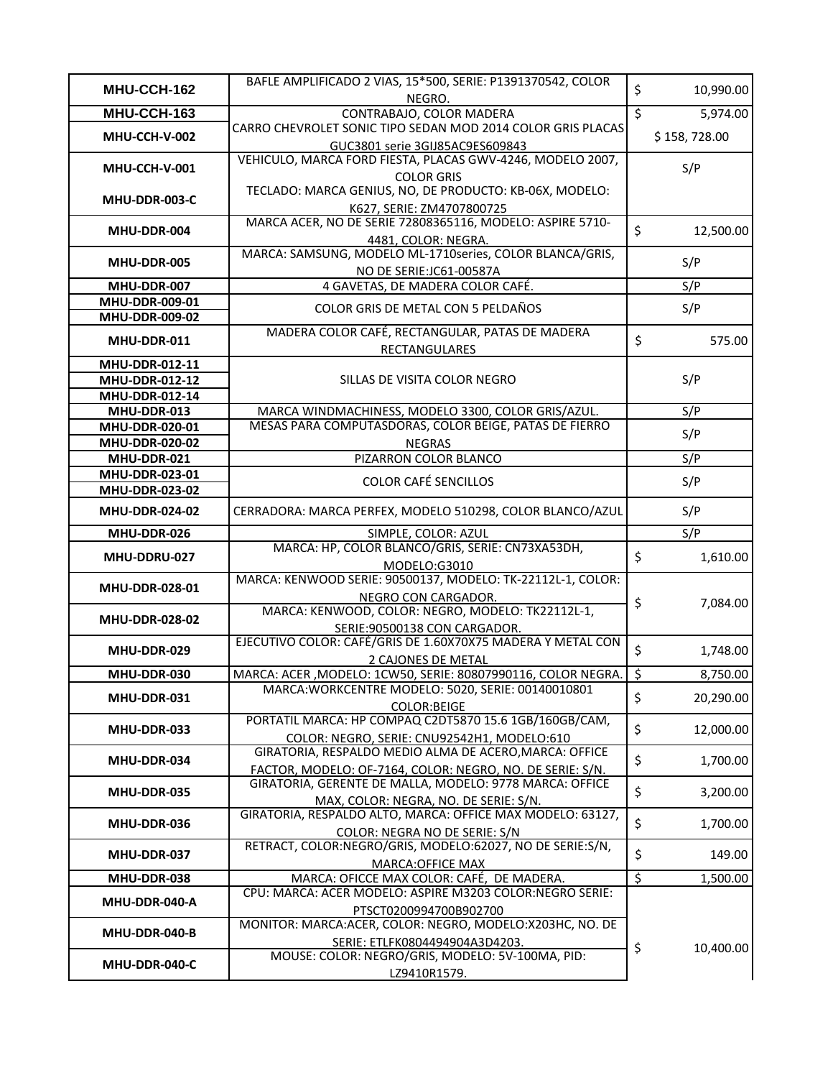| MHU-CCH-162                      | BAFLE AMPLIFICADO 2 VIAS, 15*500, SERIE: P1391370542, COLOR                                                  | \$               | 10,990.00    |
|----------------------------------|--------------------------------------------------------------------------------------------------------------|------------------|--------------|
|                                  | NEGRO.                                                                                                       |                  |              |
| MHU-CCH-163                      | CONTRABAJO, COLOR MADERA                                                                                     | $\overline{\xi}$ | 5,974.00     |
| MHU-CCH-V-002                    | CARRO CHEVROLET SONIC TIPO SEDAN MOD 2014 COLOR GRIS PLACAS                                                  |                  | \$158,728.00 |
|                                  | GUC3801 serie 3GIJ85AC9ES609843                                                                              |                  |              |
| MHU-CCH-V-001                    | VEHICULO, MARCA FORD FIESTA, PLACAS GWV-4246, MODELO 2007,                                                   |                  | S/P          |
|                                  | <b>COLOR GRIS</b><br>TECLADO: MARCA GENIUS, NO, DE PRODUCTO: KB-06X, MODELO:                                 |                  |              |
| MHU-DDR-003-C                    |                                                                                                              |                  |              |
|                                  | K627, SERIE: ZM4707800725<br>MARCA ACER, NO DE SERIE 72808365116, MODELO: ASPIRE 5710-                       |                  |              |
| MHU-DDR-004                      | 4481, COLOR: NEGRA.                                                                                          | $\zeta$          | 12,500.00    |
|                                  | MARCA: SAMSUNG, MODELO ML-1710series, COLOR BLANCA/GRIS,                                                     |                  |              |
| MHU-DDR-005                      | NO DE SERIE:JC61-00587A                                                                                      |                  | S/P          |
| MHU-DDR-007                      | 4 GAVETAS, DE MADERA COLOR CAFÉ.                                                                             |                  | S/P          |
| MHU-DDR-009-01                   |                                                                                                              |                  |              |
| MHU-DDR-009-02                   | COLOR GRIS DE METAL CON 5 PELDAÑOS                                                                           |                  | S/P          |
| MHU-DDR-011                      | MADERA COLOR CAFÉ, RECTANGULAR, PATAS DE MADERA                                                              | \$               | 575.00       |
|                                  | RECTANGULARES                                                                                                |                  |              |
| MHU-DDR-012-11                   |                                                                                                              |                  |              |
| MHU-DDR-012-12                   | SILLAS DE VISITA COLOR NEGRO                                                                                 |                  | S/P          |
| MHU-DDR-012-14                   |                                                                                                              |                  |              |
| MHU-DDR-013                      | MARCA WINDMACHINESS, MODELO 3300, COLOR GRIS/AZUL.<br>MESAS PARA COMPUTASDORAS, COLOR BEIGE, PATAS DE FIERRO |                  | S/P          |
| MHU-DDR-020-01<br>MHU-DDR-020-02 | <b>NEGRAS</b>                                                                                                |                  | S/P          |
| MHU-DDR-021                      | PIZARRON COLOR BLANCO                                                                                        |                  | S/P          |
| MHU-DDR-023-01                   |                                                                                                              |                  |              |
| MHU-DDR-023-02                   | <b>COLOR CAFÉ SENCILLOS</b>                                                                                  |                  | S/P          |
| MHU-DDR-024-02                   | CERRADORA: MARCA PERFEX, MODELO 510298, COLOR BLANCO/AZUL                                                    |                  | S/P          |
| MHU-DDR-026                      | SIMPLE, COLOR: AZUL                                                                                          |                  | S/P          |
|                                  | MARCA: HP, COLOR BLANCO/GRIS, SERIE: CN73XA53DH,                                                             |                  |              |
| MHU-DDRU-027                     | MODELO:G3010                                                                                                 | \$               | 1,610.00     |
| MHU-DDR-028-01                   | MARCA: KENWOOD SERIE: 90500137, MODELO: TK-22112L-1, COLOR:                                                  |                  |              |
|                                  | NEGRO CON CARGADOR.                                                                                          | \$               | 7,084.00     |
| MHU-DDR-028-02                   | MARCA: KENWOOD, COLOR: NEGRO, MODELO: TK22112L-1,                                                            |                  |              |
|                                  | SERIE: 90500138 CON CARGADOR.                                                                                |                  |              |
| MHU-DDR-029                      | EJECUTIVO COLOR: CAFÉ/GRIS DE 1.60X70X75 MADERA Y METAL CON                                                  | \$               | 1,748.00     |
| MHU-DDR-030                      | 2 CAJONES DE METAL<br>MARCA: ACER, MODELO: 1CW50, SERIE: 80807990116, COLOR NEGRA.                           | ऽ                | 8,750.00     |
|                                  | MARCA: WORKCENTRE MODELO: 5020, SERIE: 00140010801                                                           |                  |              |
| MHU-DDR-031                      | <b>COLOR:BEIGE</b>                                                                                           | \$               | 20,290.00    |
|                                  | PORTATIL MARCA: HP COMPAQ C2DT5870 15.6 1GB/160GB/CAM,                                                       |                  |              |
| MHU-DDR-033                      | COLOR: NEGRO, SERIE: CNU92542H1, MODELO:610                                                                  | \$               | 12,000.00    |
|                                  | GIRATORIA, RESPALDO MEDIO ALMA DE ACERO, MARCA: OFFICE                                                       |                  |              |
| MHU-DDR-034                      | FACTOR, MODELO: OF-7164, COLOR: NEGRO, NO. DE SERIE: S/N.                                                    | \$               | 1,700.00     |
| MHU-DDR-035                      | GIRATORIA, GERENTE DE MALLA, MODELO: 9778 MARCA: OFFICE                                                      | \$               | 3,200.00     |
|                                  | MAX, COLOR: NEGRA, NO. DE SERIE: S/N.                                                                        |                  |              |
| MHU-DDR-036                      | GIRATORIA, RESPALDO ALTO, MARCA: OFFICE MAX MODELO: 63127,                                                   | \$               | 1,700.00     |
|                                  | COLOR: NEGRA NO DE SERIE: S/N                                                                                |                  |              |
| MHU-DDR-037                      | RETRACT, COLOR:NEGRO/GRIS, MODELO:62027, NO DE SERIE:S/N,                                                    | \$               | 149.00       |
|                                  | <b>MARCA: OFFICE MAX</b>                                                                                     |                  |              |
| MHU-DDR-038                      | MARCA: OFICCE MAX COLOR: CAFÉ, DE MADERA.<br>CPU: MARCA: ACER MODELO: ASPIRE M3203 COLOR:NEGRO SERIE:        | \$               | 1,500.00     |
| MHU-DDR-040-A                    |                                                                                                              |                  |              |
|                                  | PTSCT0200994700B902700<br>MONITOR: MARCA:ACER, COLOR: NEGRO, MODELO:X203HC, NO. DE                           |                  |              |
| MHU-DDR-040-B                    | SERIE: ETLFK0804494904A3D4203.                                                                               |                  |              |
|                                  | MOUSE: COLOR: NEGRO/GRIS, MODELO: 5V-100MA, PID:                                                             | \$               | 10,400.00    |
|                                  |                                                                                                              |                  |              |
| MHU-DDR-040-C                    | LZ9410R1579.                                                                                                 |                  |              |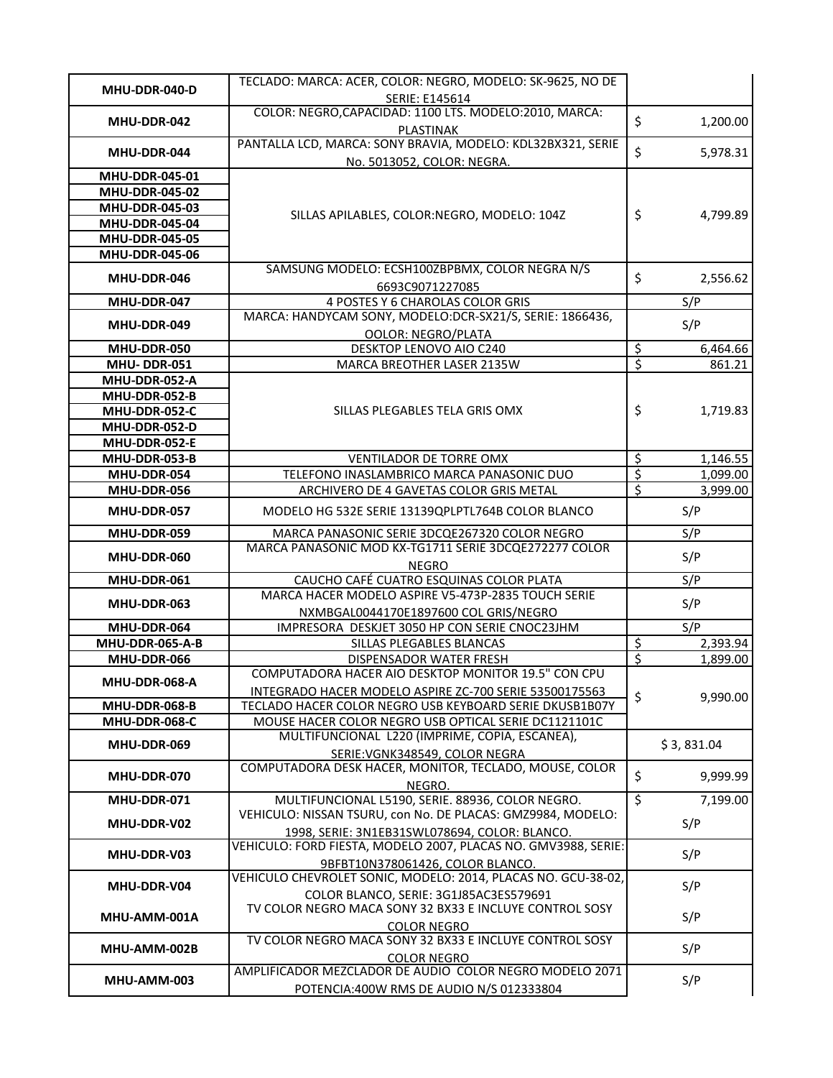| MHU-DDR-040-D         | TECLADO: MARCA: ACER, COLOR: NEGRO, MODELO: SK-9625, NO DE                                    |                          |            |
|-----------------------|-----------------------------------------------------------------------------------------------|--------------------------|------------|
|                       | SERIE: E145614                                                                                |                          |            |
| MHU-DDR-042           | COLOR: NEGRO, CAPACIDAD: 1100 LTS. MODELO: 2010, MARCA:                                       | \$                       | 1,200.00   |
|                       | PLASTINAK<br>PANTALLA LCD, MARCA: SONY BRAVIA, MODELO: KDL32BX321, SERIE                      |                          |            |
| MHU-DDR-044           |                                                                                               | \$                       | 5,978.31   |
| MHU-DDR-045-01        | No. 5013052, COLOR: NEGRA.                                                                    |                          |            |
| MHU-DDR-045-02        |                                                                                               |                          |            |
| MHU-DDR-045-03        |                                                                                               |                          |            |
| MHU-DDR-045-04        | SILLAS APILABLES, COLOR:NEGRO, MODELO: 104Z                                                   | \$                       | 4,799.89   |
| MHU-DDR-045-05        |                                                                                               |                          |            |
| <b>MHU-DDR-045-06</b> |                                                                                               |                          |            |
|                       | SAMSUNG MODELO: ECSH100ZBPBMX, COLOR NEGRA N/S                                                |                          |            |
| MHU-DDR-046           | 6693C9071227085                                                                               | \$                       | 2,556.62   |
| MHU-DDR-047           | 4 POSTES Y 6 CHAROLAS COLOR GRIS                                                              |                          | S/P        |
|                       | MARCA: HANDYCAM SONY, MODELO:DCR-SX21/S, SERIE: 1866436,                                      |                          |            |
| MHU-DDR-049           | <b>OOLOR: NEGRO/PLATA</b>                                                                     |                          | S/P        |
| MHU-DDR-050           | DESKTOP LENOVO AIO C240                                                                       | $rac{5}{5}$              | 6,464.66   |
| MHU-DDR-051           | MARCA BREOTHER LASER 2135W                                                                    |                          | 861.21     |
| MHU-DDR-052-A         |                                                                                               |                          |            |
| MHU-DDR-052-B         |                                                                                               |                          |            |
| MHU-DDR-052-C         | SILLAS PLEGABLES TELA GRIS OMX                                                                | \$                       | 1,719.83   |
| MHU-DDR-052-D         |                                                                                               |                          |            |
| MHU-DDR-052-E         |                                                                                               |                          |            |
| MHU-DDR-053-B         | VENTILADOR DE TORRE OMX                                                                       | $\overline{\mathcal{S}}$ | 1,146.55   |
| MHU-DDR-054           | TELEFONO INASLAMBRICO MARCA PANASONIC DUO                                                     | \$                       | 1,099.00   |
| MHU-DDR-056           | ARCHIVERO DE 4 GAVETAS COLOR GRIS METAL                                                       | \$                       | 3,999.00   |
| MHU-DDR-057           | MODELO HG 532E SERIE 13139QPLPTL764B COLOR BLANCO                                             |                          | S/P        |
| MHU-DDR-059           | MARCA PANASONIC SERIE 3DCQE267320 COLOR NEGRO                                                 |                          | S/P        |
| MHU-DDR-060           | MARCA PANASONIC MOD KX-TG1711 SERIE 3DCQE272277 COLOR                                         |                          | S/P        |
|                       | <b>NEGRO</b>                                                                                  |                          |            |
| MHU-DDR-061           | CAUCHO CAFÉ CUATRO ESQUINAS COLOR PLATA<br>MARCA HACER MODELO ASPIRE V5-473P-2835 TOUCH SERIE |                          | S/P        |
| MHU-DDR-063           | NXMBGAL0044170E1897600 COL GRIS/NEGRO                                                         |                          | S/P        |
| MHU-DDR-064           | IMPRESORA DESKJET 3050 HP CON SERIE CNOC23JHM                                                 |                          | S/P        |
| MHU-DDR-065-A-B       | SILLAS PLEGABLES BLANCAS                                                                      | \$                       | 2,393.94   |
| MHU-DDR-066           | DISPENSADOR WATER FRESH                                                                       | \$                       | 1,899.00   |
|                       | COMPUTADORA HACER AIO DESKTOP MONITOR 19.5" CON CPU                                           |                          |            |
| MHU-DDR-068-A         | INTEGRADO HACER MODELO ASPIRE ZC-700 SERIE 53500175563                                        |                          |            |
| MHU-DDR-068-B         | TECLADO HACER COLOR NEGRO USB KEYBOARD SERIE DKUSB1B07Y                                       | \$                       | 9,990.00   |
| MHU-DDR-068-C         | MOUSE HACER COLOR NEGRO USB OPTICAL SERIE DC1121101C                                          |                          |            |
| MHU-DDR-069           | MULTIFUNCIONAL L220 (IMPRIME, COPIA, ESCANEA),                                                |                          | \$3,831.04 |
|                       | SERIE: VGNK348549, COLOR NEGRA<br>COMPUTADORA DESK HACER, MONITOR, TECLADO, MOUSE, COLOR      |                          |            |
| MHU-DDR-070           | NEGRO.                                                                                        | \$                       | 9,999.99   |
| MHU-DDR-071           | MULTIFUNCIONAL L5190, SERIE. 88936, COLOR NEGRO.                                              | $\overline{\mathcal{L}}$ | 7,199.00   |
|                       | VEHICULO: NISSAN TSURU, con No. DE PLACAS: GMZ9984, MODELO:                                   |                          |            |
| MHU-DDR-V02           | 1998, SERIE: 3N1EB31SWL078694, COLOR: BLANCO.                                                 |                          | S/P        |
|                       | VEHICULO: FORD FIESTA, MODELO 2007, PLACAS NO. GMV3988, SERIE:                                |                          |            |
| MHU-DDR-V03           | 9BFBT10N378061426, COLOR BLANCO.                                                              |                          | S/P        |
| MHU-DDR-V04           | VEHICULO CHEVROLET SONIC, MODELO: 2014, PLACAS NO. GCU-38-02,                                 |                          | S/P        |
|                       | COLOR BLANCO, SERIE: 3G1J85AC3ES579691                                                        |                          |            |
| MHU-AMM-001A          | TV COLOR NEGRO MACA SONY 32 BX33 E INCLUYE CONTROL SOSY                                       |                          | S/P        |
|                       | <b>COLOR NEGRO</b>                                                                            |                          |            |
| MHU-AMM-002B          | TV COLOR NEGRO MACA SONY 32 BX33 E INCLUYE CONTROL SOSY                                       |                          | S/P        |
|                       | <b>COLOR NEGRO</b>                                                                            |                          |            |
| MHU-AMM-003           | AMPLIFICADOR MEZCLADOR DE AUDIO COLOR NEGRO MODELO 2071                                       |                          | S/P        |
|                       | POTENCIA:400W RMS DE AUDIO N/S 012333804                                                      |                          |            |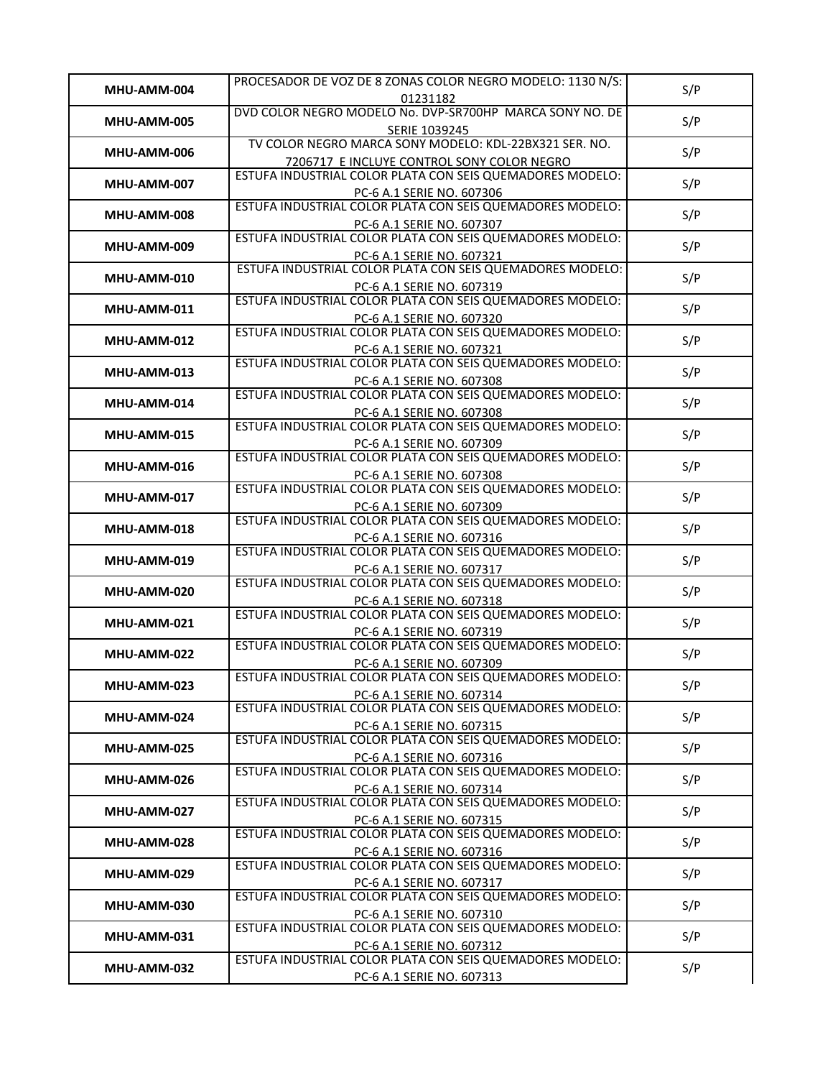| MHU-AMM-004 | PROCESADOR DE VOZ DE 8 ZONAS COLOR NEGRO MODELO: 1130 N/S:                                              | S/P |
|-------------|---------------------------------------------------------------------------------------------------------|-----|
|             | 01231182                                                                                                |     |
| MHU-AMM-005 | DVD COLOR NEGRO MODELO No. DVP-SR700HP MARCA SONY NO. DE                                                | S/P |
|             | SERIE 1039245<br>TV COLOR NEGRO MARCA SONY MODELO: KDL-22BX321 SER. NO.                                 |     |
| MHU-AMM-006 |                                                                                                         | S/P |
|             | 7206717 E INCLUYE CONTROL SONY COLOR NEGRO<br>ESTUFA INDUSTRIAL COLOR PLATA CON SEIS QUEMADORES MODELO: |     |
| MHU-AMM-007 | PC-6 A.1 SERIE NO. 607306                                                                               | S/P |
|             | ESTUFA INDUSTRIAL COLOR PLATA CON SEIS QUEMADORES MODELO:                                               |     |
| MHU-AMM-008 | PC-6 A.1 SERIE NO. 607307                                                                               | S/P |
| MHU-AMM-009 | ESTUFA INDUSTRIAL COLOR PLATA CON SEIS QUEMADORES MODELO:                                               | S/P |
|             | PC-6 A.1 SERIE NO. 607321                                                                               |     |
| MHU-AMM-010 | ESTUFA INDUSTRIAL COLOR PLATA CON SEIS QUEMADORES MODELO:                                               | S/P |
|             | PC-6 A.1 SERIE NO. 607319<br>ESTUFA INDUSTRIAL COLOR PLATA CON SEIS QUEMADORES MODELO:                  |     |
| MHU-AMM-011 |                                                                                                         | S/P |
|             | PC-6 A.1 SERIE NO. 607320<br>ESTUFA INDUSTRIAL COLOR PLATA CON SEIS QUEMADORES MODELO:                  |     |
| MHU-AMM-012 | PC-6 A.1 SERIE NO. 607321                                                                               | S/P |
|             | ESTUFA INDUSTRIAL COLOR PLATA CON SEIS QUEMADORES MODELO:                                               |     |
| MHU-AMM-013 | PC-6 A.1 SERIE NO. 607308                                                                               | S/P |
| MHU-AMM-014 | ESTUFA INDUSTRIAL COLOR PLATA CON SEIS QUEMADORES MODELO:                                               | S/P |
|             | PC-6 A.1 SERIE NO. 607308                                                                               |     |
| MHU-AMM-015 | ESTUFA INDUSTRIAL COLOR PLATA CON SEIS QUEMADORES MODELO:                                               | S/P |
|             | PC-6 A.1 SERIE NO. 607309<br>ESTUFA INDUSTRIAL COLOR PLATA CON SEIS QUEMADORES MODELO:                  |     |
| MHU-AMM-016 |                                                                                                         | S/P |
|             | PC-6 A.1 SERIE NO. 607308<br>ESTUFA INDUSTRIAL COLOR PLATA CON SEIS QUEMADORES MODELO:                  |     |
| MHU-AMM-017 | PC-6 A.1 SERIE NO. 607309                                                                               | S/P |
|             | ESTUFA INDUSTRIAL COLOR PLATA CON SEIS QUEMADORES MODELO:                                               |     |
| MHU-AMM-018 | PC-6 A.1 SERIE NO. 607316                                                                               | S/P |
| MHU-AMM-019 | ESTUFA INDUSTRIAL COLOR PLATA CON SEIS QUEMADORES MODELO:                                               | S/P |
|             | PC-6 A.1 SERIE NO. 607317                                                                               |     |
| MHU-AMM-020 | ESTUFA INDUSTRIAL COLOR PLATA CON SEIS QUEMADORES MODELO:                                               | S/P |
|             | PC-6 A.1 SERIE NO. 607318<br>ESTUFA INDUSTRIAL COLOR PLATA CON SEIS QUEMADORES MODELO:                  |     |
| MHU-AMM-021 | PC-6 A.1 SERIE NO. 607319                                                                               | S/P |
|             | ESTUFA INDUSTRIAL COLOR PLATA CON SEIS QUEMADORES MODELO:                                               |     |
| MHU-AMM-022 | PC-6 A.1 SERIE NO. 607309                                                                               | S/P |
| MHU-AMM-023 | ESTUFA INDUSTRIAL COLOR PLATA CON SEIS QUEMADORES MODELO:                                               | S/P |
|             | PC-6 A.1 SERIE NO. 607314                                                                               |     |
| MHU-AMM-024 | ESTUFA INDUSTRIAL COLOR PLATA CON SEIS QUEMADORES MODELO:                                               | S/P |
|             | PC-6 A.1 SERIE NO. 607315<br>ESTUFA INDUSTRIAL COLOR PLATA CON SEIS QUEMADORES MODELO:                  |     |
| MHU-AMM-025 | PC-6 A.1 SERIE NO. 607316                                                                               | S/P |
|             | ESTUFA INDUSTRIAL COLOR PLATA CON SEIS QUEMADORES MODELO:                                               |     |
| MHU-AMM-026 | PC-6 A.1 SERIE NO. 607314                                                                               | S/P |
|             | ESTUFA INDUSTRIAL COLOR PLATA CON SEIS QUEMADORES MODELO:                                               | S/P |
| MHU-AMM-027 | PC-6 A.1 SERIE NO. 607315                                                                               |     |
| MHU-AMM-028 | ESTUFA INDUSTRIAL COLOR PLATA CON SEIS QUEMADORES MODELO:                                               | S/P |
|             | PC-6 A.1 SERIE NO. 607316                                                                               |     |
| MHU-AMM-029 | ESTUFA INDUSTRIAL COLOR PLATA CON SEIS QUEMADORES MODELO:                                               | S/P |
|             | PC-6 A.1 SERIE NO. 607317<br>ESTUFA INDUSTRIAL COLOR PLATA CON SEIS QUEMADORES MODELO:                  |     |
| MHU-AMM-030 | PC-6 A.1 SERIE NO. 607310                                                                               | S/P |
|             | ESTUFA INDUSTRIAL COLOR PLATA CON SEIS QUEMADORES MODELO:                                               |     |
| MHU-AMM-031 | PC-6 A.1 SERIE NO. 607312                                                                               | S/P |
| MHU-AMM-032 | ESTUFA INDUSTRIAL COLOR PLATA CON SEIS QUEMADORES MODELO:                                               | S/P |
|             | PC-6 A.1 SERIE NO. 607313                                                                               |     |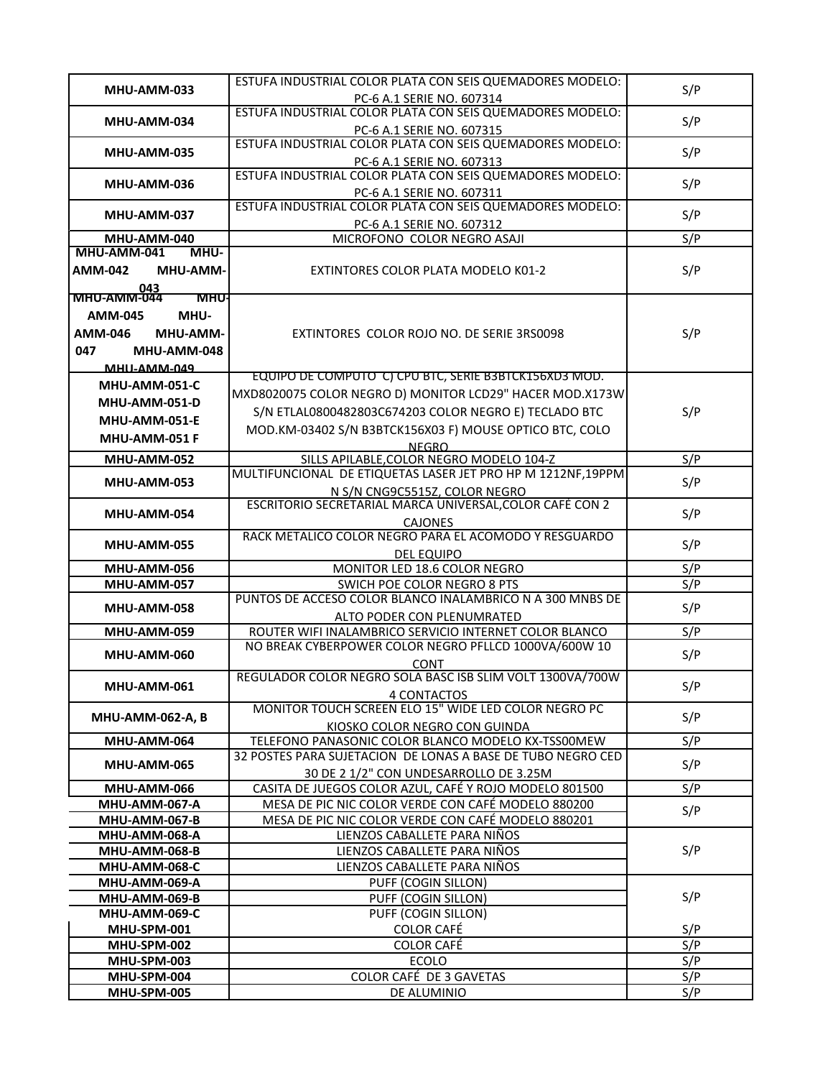|                                   | ESTUFA INDUSTRIAL COLOR PLATA CON SEIS QUEMADORES MODELO:                           |     |
|-----------------------------------|-------------------------------------------------------------------------------------|-----|
| MHU-AMM-033                       | PC-6 A.1 SERIE NO. 607314                                                           | S/P |
|                                   | ESTUFA INDUSTRIAL COLOR PLATA CON SEIS QUEMADORES MODELO:                           |     |
| MHU-AMM-034                       | PC-6 A.1 SERIE NO. 607315                                                           | S/P |
|                                   | ESTUFA INDUSTRIAL COLOR PLATA CON SEIS QUEMADORES MODELO:                           |     |
| MHU-AMM-035                       | PC-6 A.1 SERIE NO. 607313                                                           | S/P |
| MHU-AMM-036                       | ESTUFA INDUSTRIAL COLOR PLATA CON SEIS QUEMADORES MODELO:                           | S/P |
|                                   | PC-6 A.1 SERIE NO. 607311                                                           |     |
| MHU-AMM-037                       | ESTUFA INDUSTRIAL COLOR PLATA CON SEIS QUEMADORES MODELO:                           | S/P |
|                                   | PC-6 A.1 SERIE NO. 607312                                                           |     |
| MHU-AMM-040                       | MICROFONO COLOR NEGRO ASAJI                                                         | S/P |
| MHU-AMM-041<br>MHU-               |                                                                                     |     |
| <b>AMM-042</b><br>MHU-AMM-        | EXTINTORES COLOR PLATA MODELO K01-2                                                 | S/P |
| 130<br>NHU-AMM-044<br><b>MHU-</b> |                                                                                     |     |
| <b>AMM-045</b><br>MHU-            |                                                                                     |     |
|                                   |                                                                                     |     |
| <b>AMM-046</b><br>MHU-AMM-        | EXTINTORES COLOR ROJO NO. DE SERIE 3RS0098                                          | S/P |
| 047<br>MHU-AMM-048                |                                                                                     |     |
| <b>MHII-AMM-049</b>               | EQUIPO DE COMPUTO C) CPU BTC, SERIE B3BTCK156XD3 MOD.                               |     |
| MHU-AMM-051-C                     | MXD8020075 COLOR NEGRO D) MONITOR LCD29" HACER MOD.X173W                            |     |
| MHU-AMM-051-D                     | S/N ETLAL0800482803C674203 COLOR NEGRO E) TECLADO BTC                               | S/P |
| <b>MHU-AMM-051-E</b>              |                                                                                     |     |
| MHU-AMM-051 F                     | MOD.KM-03402 S/N B3BTCK156X03 F) MOUSE OPTICO BTC, COLO                             |     |
| MHU-AMM-052                       | <b>NEGRO</b><br>SILLS APILABLE, COLOR NEGRO MODELO 104-Z                            | S/P |
|                                   | MULTIFUNCIONAL DE ETIQUETAS LASER JET PRO HP M 1212NF, 19PPM                        |     |
| MHU-AMM-053                       | N S/N CNG9C5515Z, COLOR NEGRO                                                       | S/P |
|                                   | ESCRITORIO SECRETARIAL MARCA UNIVERSAL, COLOR CAFÉ CON 2                            |     |
| MHU-AMM-054                       | <b>CAJONES</b>                                                                      | S/P |
|                                   | RACK METALICO COLOR NEGRO PARA EL ACOMODO Y RESGUARDO                               | S/P |
| MHU-AMM-055                       | <b>DEL EQUIPO</b>                                                                   |     |
| MHU-AMM-056                       | MONITOR LED 18.6 COLOR NEGRO                                                        | S/P |
| MHU-AMM-057                       | SWICH POE COLOR NEGRO 8 PTS                                                         | S/P |
| MHU-AMM-058                       | PUNTOS DE ACCESO COLOR BLANCO INALAMBRICO N A 300 MNBS DE                           | S/P |
|                                   | ALTO PODER CON PLENUMRATED                                                          |     |
| MHU-AMM-059                       | ROUTER WIFI INALAMBRICO SERVICIO INTERNET COLOR BLANCO                              | S/P |
| MHU-AMM-060                       | NO BREAK CYBERPOWER COLOR NEGRO PFLLCD 1000VA/600W 10                               | S/P |
|                                   | <b>CONT</b>                                                                         |     |
| MHU-AMM-061                       | REGULADOR COLOR NEGRO SOLA BASC ISB SLIM VOLT 1300VA/700W                           | S/P |
|                                   | 4 CONTACTOS<br>MONITOR TOUCH SCREEN ELO 15" WIDE LED COLOR NEGRO PC                 |     |
| <b>MHU-AMM-062-A, B</b>           |                                                                                     | S/P |
| MHU-AMM-064                       | KIOSKO COLOR NEGRO CON GUINDA<br>TELEFONO PANASONIC COLOR BLANCO MODELO KX-TSS00MEW | S/P |
|                                   | 32 POSTES PARA SUJETACION DE LONAS A BASE DE TUBO NEGRO CED                         |     |
| MHU-AMM-065                       | 30 DE 2 1/2" CON UNDESARROLLO DE 3.25M                                              | S/P |
| MHU-AMM-066                       | CASITA DE JUEGOS COLOR AZUL, CAFÉ Y ROJO MODELO 801500                              | S/P |
| MHU-AMM-067-A                     | MESA DE PIC NIC COLOR VERDE CON CAFÉ MODELO 880200                                  |     |
| MHU-AMM-067-B                     | MESA DE PIC NIC COLOR VERDE CON CAFÉ MODELO 880201                                  | S/P |
| MHU-AMM-068-A                     | LIENZOS CABALLETE PARA NIÑOS                                                        |     |
| MHU-AMM-068-B                     | LIENZOS CABALLETE PARA NIÑOS                                                        | S/P |
| MHU-AMM-068-C                     | LIENZOS CABALLETE PARA NIÑOS                                                        |     |
| MHU-AMM-069-A                     | PUFF (COGIN SILLON)                                                                 |     |
| MHU-AMM-069-B                     | PUFF (COGIN SILLON)                                                                 | S/P |
| MHU-AMM-069-C                     | PUFF (COGIN SILLON)                                                                 |     |
| MHU-SPM-001                       | <b>COLOR CAFÉ</b>                                                                   | S/P |
| MHU-SPM-002                       | <b>COLOR CAFÉ</b>                                                                   | S/P |
| MHU-SPM-003                       | <b>ECOLO</b>                                                                        | S/P |
| MHU-SPM-004                       | COLOR CAFÉ DE 3 GAVETAS                                                             | S/P |
| MHU-SPM-005                       | DE ALUMINIO                                                                         | S/P |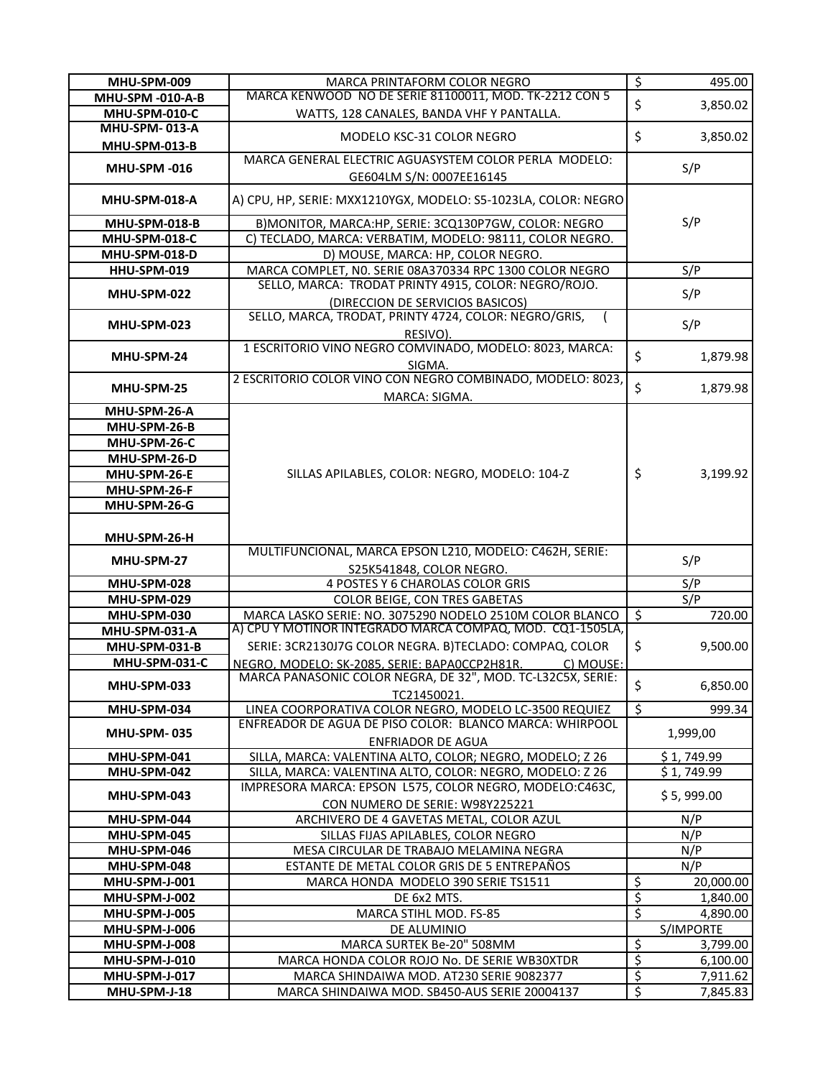| MHU-SPM-009                | MARCA PRINTAFORM COLOR NEGRO                                                   | $\overline{\mathcal{S}}$       | 495.00     |
|----------------------------|--------------------------------------------------------------------------------|--------------------------------|------------|
| <b>MHU-SPM -010-A-B</b>    | MARCA KENWOOD NO DE SERIE 81100011, MOD. TK-2212 CON 5                         |                                |            |
| MHU-SPM-010-C              | WATTS, 128 CANALES, BANDA VHF Y PANTALLA.                                      | \$                             | 3,850.02   |
| <b>MHU-SPM-013-A</b>       |                                                                                |                                |            |
| <b>MHU-SPM-013-B</b>       | MODELO KSC-31 COLOR NEGRO                                                      | \$                             | 3,850.02   |
|                            | MARCA GENERAL ELECTRIC AGUASYSTEM COLOR PERLA MODELO:                          |                                |            |
| <b>MHU-SPM-016</b>         | GE604LM S/N: 0007EE16145                                                       |                                | S/P        |
| <b>MHU-SPM-018-A</b>       | A) CPU, HP, SERIE: MXX1210YGX, MODELO: S5-1023LA, COLOR: NEGRO                 |                                |            |
| MHU-SPM-018-B              | B) MONITOR, MARCA: HP, SERIE: 3CQ130P7GW, COLOR: NEGRO                         |                                | S/P        |
| MHU-SPM-018-C              | C) TECLADO, MARCA: VERBATIM, MODELO: 98111, COLOR NEGRO.                       |                                |            |
| MHU-SPM-018-D              | D) MOUSE, MARCA: HP, COLOR NEGRO.                                              |                                |            |
| HHU-SPM-019                | MARCA COMPLET, NO. SERIE 08A370334 RPC 1300 COLOR NEGRO                        |                                | S/P        |
|                            | SELLO, MARCA: TRODAT PRINTY 4915, COLOR: NEGRO/ROJO.                           |                                |            |
| MHU-SPM-022                | (DIRECCION DE SERVICIOS BASICOS)                                               |                                | S/P        |
|                            | SELLO, MARCA, TRODAT, PRINTY 4724, COLOR: NEGRO/GRIS,                          |                                |            |
| MHU-SPM-023                | RESIVO).                                                                       |                                | S/P        |
|                            | 1 ESCRITORIO VINO NEGRO COMVINADO, MODELO: 8023, MARCA:                        |                                |            |
| MHU-SPM-24                 | SIGMA.                                                                         | \$                             | 1,879.98   |
|                            | 2 ESCRITORIO COLOR VINO CON NEGRO COMBINADO, MODELO: 8023,                     |                                |            |
| MHU-SPM-25                 | MARCA: SIGMA.                                                                  | \$                             | 1,879.98   |
| MHU-SPM-26-A               |                                                                                |                                |            |
| MHU-SPM-26-B               |                                                                                |                                |            |
| MHU-SPM-26-C               |                                                                                |                                |            |
| MHU-SPM-26-D               |                                                                                |                                |            |
| MHU-SPM-26-E               | SILLAS APILABLES, COLOR: NEGRO, MODELO: 104-Z                                  | \$                             | 3,199.92   |
| MHU-SPM-26-F               |                                                                                |                                |            |
| MHU-SPM-26-G               |                                                                                |                                |            |
|                            |                                                                                |                                |            |
|                            |                                                                                |                                |            |
| MHU-SPM-26-H               |                                                                                |                                |            |
|                            | MULTIFUNCIONAL, MARCA EPSON L210, MODELO: C462H, SERIE:                        |                                |            |
| MHU-SPM-27                 | S25K541848, COLOR NEGRO.                                                       |                                | S/P        |
| MHU-SPM-028                | 4 POSTES Y 6 CHAROLAS COLOR GRIS                                               |                                | S/P        |
| MHU-SPM-029                | COLOR BEIGE, CON TRES GABETAS                                                  |                                | S/P        |
| MHU-SPM-030                | MARCA LASKO SERIE: NO. 3075290 NODELO 2510M COLOR BLANCO                       | \$                             | 720.00     |
| MHU-SPM-031-A              | A) CPU Y MOTINOR INTEGRADO MARCA COMPAQ, MOD. CQ1-1505LA,                      |                                |            |
| MHU-SPM-031-B              | SERIE: 3CR2130J7G COLOR NEGRA. B)TECLADO: COMPAQ, COLOR                        | \$                             | 9,500.00   |
| MHU-SPM-031-C              | NEGRO, MODELO: SK-2085, SERIE: BAPA0CCP2H81R.<br>C) MOUSE:                     |                                |            |
|                            | MARCA PANASONIC COLOR NEGRA, DE 32", MOD. TC-L32C5X, SERIE:                    |                                |            |
| MHU-SPM-033                | TC21450021.                                                                    | \$                             | 6,850.00   |
| MHU-SPM-034                | LINEA COORPORATIVA COLOR NEGRO, MODELO LC-3500 REQUIEZ                         | $\overline{\mathcal{S}}$       | 999.34     |
| <b>MHU-SPM-035</b>         | ENFREADOR DE AGUA DE PISO COLOR: BLANCO MARCA: WHIRPOOL                        |                                |            |
|                            | <b>ENFRIADOR DE AGUA</b>                                                       |                                | 1,999,00   |
| MHU-SPM-041                | SILLA, MARCA: VALENTINA ALTO, COLOR; NEGRO, MODELO; Z 26                       |                                | \$1,749.99 |
| MHU-SPM-042                | SILLA, MARCA: VALENTINA ALTO, COLOR: NEGRO, MODELO: Z 26                       |                                | \$1,749.99 |
| MHU-SPM-043                | IMPRESORA MARCA: EPSON L575, COLOR NEGRO, MODELO:C463C,                        |                                | \$5,999.00 |
| MHU-SPM-044                | CON NUMERO DE SERIE: W98Y225221                                                |                                |            |
|                            | ARCHIVERO DE 4 GAVETAS METAL, COLOR AZUL                                       |                                | N/P<br>N/P |
| MHU-SPM-045<br>MHU-SPM-046 | SILLAS FIJAS APILABLES, COLOR NEGRO<br>MESA CIRCULAR DE TRABAJO MELAMINA NEGRA |                                | N/P        |
| MHU-SPM-048                | ESTANTE DE METAL COLOR GRIS DE 5 ENTREPAÑOS                                    |                                | N/P        |
| MHU-SPM-J-001              | MARCA HONDA MODELO 390 SERIE TS1511                                            | \$                             | 20,000.00  |
| MHU-SPM-J-002              | DE 6x2 MTS.                                                                    | \$                             | 1,840.00   |
| MHU-SPM-J-005              | MARCA STIHL MOD. FS-85                                                         | \$                             | 4,890.00   |
| MHU-SPM-J-006              | DE ALUMINIO                                                                    |                                | S/IMPORTE  |
| MHU-SPM-J-008              | MARCA SURTEK Be-20" 508MM                                                      | \$                             | 3,799.00   |
| MHU-SPM-J-010              | MARCA HONDA COLOR ROJO No. DE SERIE WB30XTDR                                   | \$                             | 6,100.00   |
| MHU-SPM-J-017              | MARCA SHINDAIWA MOD. AT230 SERIE 9082377                                       | \$<br>$\overline{\mathcal{S}}$ | 7,911.62   |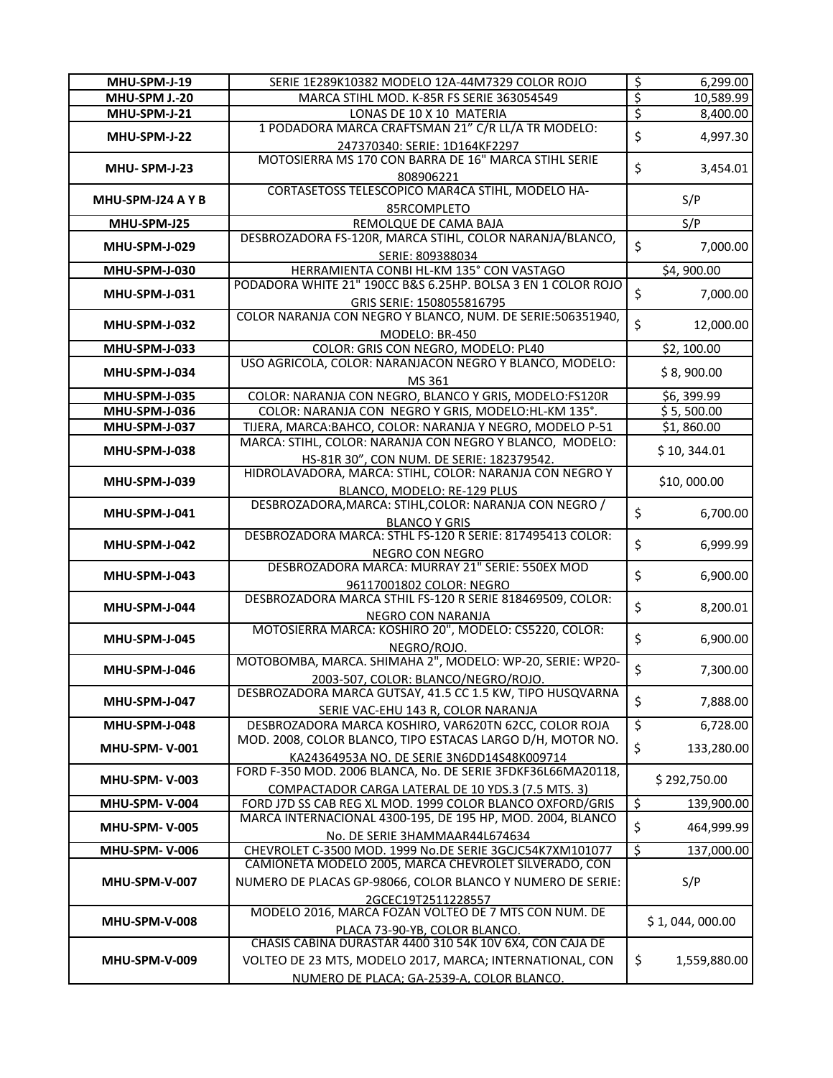| MHU-SPM-J-19         | SERIE 1E289K10382 MODELO 12A-44M7329 COLOR ROJO                                                          | \$                       | 6,299.00       |
|----------------------|----------------------------------------------------------------------------------------------------------|--------------------------|----------------|
| MHU-SPM J.-20        | MARCA STIHL MOD. K-85R FS SERIE 363054549                                                                | $rac{5}{5}$              | 10,589.99      |
| MHU-SPM-J-21         | LONAS DE 10 X 10 MATERIA                                                                                 |                          | 8,400.00       |
| MHU-SPM-J-22         | 1 PODADORA MARCA CRAFTSMAN 21" C/R LL/A TR MODELO:                                                       | \$                       | 4,997.30       |
|                      | 247370340: SERIE: 1D164KF2297                                                                            |                          |                |
| MHU-SPM-J-23         | MOTOSIERRA MS 170 CON BARRA DE 16" MARCA STIHL SERIE                                                     | \$                       | 3,454.01       |
|                      | 808906221                                                                                                |                          |                |
| MHU-SPM-J24 A Y B    | CORTASETOSS TELESCOPICO MAR4CA STIHL, MODELO HA-                                                         |                          | S/P            |
|                      | 85RCOMPLETO                                                                                              |                          |                |
| MHU-SPM-J25          | REMOLQUE DE CAMA BAJA                                                                                    |                          | S/P            |
| MHU-SPM-J-029        | DESBROZADORA FS-120R, MARCA STIHL, COLOR NARANJA/BLANCO,                                                 | \$                       | 7,000.00       |
|                      | SERIE: 809388034                                                                                         |                          |                |
| MHU-SPM-J-030        | HERRAMIENTA CONBI HL-KM 135° CON VASTAGO<br>PODADORA WHITE 21" 190CC B&S 6.25HP. BOLSA 3 EN 1 COLOR ROJO |                          | \$4,900.00     |
| MHU-SPM-J-031        |                                                                                                          | \$                       | 7,000.00       |
|                      | GRIS SERIE: 1508055816795<br>COLOR NARANJA CON NEGRO Y BLANCO, NUM. DE SERIE:506351940,                  |                          |                |
| MHU-SPM-J-032        | MODELO: BR-450                                                                                           | \$                       | 12,000.00      |
| MHU-SPM-J-033        | COLOR: GRIS CON NEGRO, MODELO: PL40                                                                      |                          | \$2,100.00     |
|                      | USO AGRICOLA, COLOR: NARANJACON NEGRO Y BLANCO, MODELO:                                                  |                          |                |
| MHU-SPM-J-034        | MS 361                                                                                                   |                          | \$8,900.00     |
| MHU-SPM-J-035        | COLOR: NARANJA CON NEGRO, BLANCO Y GRIS, MODELO:FS120R                                                   |                          | \$6,399.99     |
| MHU-SPM-J-036        | COLOR: NARANJA CON NEGRO Y GRIS, MODELO:HL-KM 135°.                                                      |                          | \$5,500.00     |
| MHU-SPM-J-037        | TIJERA, MARCA: BAHCO, COLOR: NARANJA Y NEGRO, MODELO P-51                                                |                          | \$1,860.00     |
|                      | MARCA: STIHL, COLOR: NARANJA CON NEGRO Y BLANCO, MODELO:                                                 |                          |                |
| MHU-SPM-J-038        | HS-81R 30", CON NUM. DE SERIE: 182379542.                                                                |                          | \$10, 344.01   |
|                      | HIDROLAVADORA, MARCA: STIHL, COLOR: NARANJA CON NEGRO Y                                                  |                          |                |
| <b>MHU-SPM-J-039</b> | BLANCO, MODELO: RE-129 PLUS                                                                              |                          | \$10,000.00    |
|                      | DESBROZADORA, MARCA: STIHL, COLOR: NARANJA CON NEGRO /                                                   |                          |                |
| MHU-SPM-J-041        | <b>BLANCO Y GRIS</b>                                                                                     | \$                       | 6,700.00       |
| MHU-SPM-J-042        | DESBROZADORA MARCA: STHL FS-120 R SERIE: 817495413 COLOR:                                                | \$                       | 6,999.99       |
|                      | <b>NEGRO CON NEGRO</b>                                                                                   |                          |                |
| MHU-SPM-J-043        | DESBROZADORA MARCA: MURRAY 21" SERIE: 550EX MOD                                                          | \$                       | 6,900.00       |
|                      | 96117001802 COLOR: NEGRO                                                                                 |                          |                |
| MHU-SPM-J-044        | DESBROZADORA MARCA STHIL FS-120 R SERIE 818469509, COLOR:                                                | \$                       | 8,200.01       |
|                      | NEGRO CON NARANJA                                                                                        |                          |                |
| MHU-SPM-J-045        | MOTOSIERRA MARCA: KOSHIRO 20", MODELO: CS5220, COLOR:                                                    | \$                       | 6,900.00       |
|                      | NEGRO/ROJO.                                                                                              |                          |                |
| MHU-SPM-J-046        | MOTOBOMBA, MARCA. SHIMAHA 2", MODELO: WP-20, SERIE: WP20-                                                | \$                       | 7,300.00       |
|                      | 2003-507, COLOR: BLANCO/NEGRO/ROJO.                                                                      |                          |                |
| MHU-SPM-J-047        | DESBROZADORA MARCA GUTSAY, 41.5 CC 1.5 KW, TIPO HUSQVARNA                                                | \$                       | 7,888.00       |
| MHU-SPM-J-048        | SERIE VAC-EHU 143 R, COLOR NARANJA<br>DESBROZADORA MARCA KOSHIRO, VAR620TN 62CC, COLOR ROJA              | \$                       | 6,728.00       |
|                      | MOD. 2008, COLOR BLANCO, TIPO ESTACAS LARGO D/H, MOTOR NO.                                               |                          |                |
| <b>MHU-SPM-V-001</b> | KA24364953A NO. DE SERIE 3N6DD14S48K009714                                                               | \$                       | 133,280.00     |
|                      | FORD F-350 MOD. 2006 BLANCA, No. DE SERIE 3FDKF36L66MA20118,                                             |                          |                |
| <b>MHU-SPM-V-003</b> | COMPACTADOR CARGA LATERAL DE 10 YDS.3 (7.5 MTS. 3)                                                       |                          | \$292,750.00   |
| <b>MHU-SPM-V-004</b> | FORD J7D SS CAB REG XL MOD. 1999 COLOR BLANCO OXFORD/GRIS                                                | $\overline{\mathcal{S}}$ | 139,900.00     |
|                      | MARCA INTERNACIONAL 4300-195, DE 195 HP, MOD. 2004, BLANCO                                               |                          |                |
| <b>MHU-SPM-V-005</b> | No. DE SERIE 3HAMMAAR44L674634                                                                           | \$                       | 464,999.99     |
| <b>MHU-SPM-V-006</b> | CHEVROLET C-3500 MOD. 1999 No.DE SERIE 3GCJC54K7XM101077                                                 | $\overline{\mathcal{S}}$ | 137,000.00     |
|                      | CAMIONETA MODELO 2005, MARCA CHEVROLET SILVERADO, CON                                                    |                          |                |
| MHU-SPM-V-007        | NUMERO DE PLACAS GP-98066, COLOR BLANCO Y NUMERO DE SERIE:                                               |                          | S/P            |
|                      | 2GCEC19T2511228557                                                                                       |                          |                |
|                      | MODELO 2016, MARCA FOZAN VOLTEO DE 7 MTS CON NUM. DE                                                     |                          | \$1,044,000.00 |
| MHU-SPM-V-008        | PLACA 73-90-YB, COLOR BLANCO.                                                                            |                          |                |
|                      | CHASIS CABINA DURASTAR 4400 310 54K 10V 6X4, CON CAJA DE                                                 |                          |                |
| <b>MHU-SPM-V-009</b> | VOLTEO DE 23 MTS, MODELO 2017, MARCA; INTERNATIONAL, CON                                                 | \$                       | 1,559,880.00   |
|                      | NUMERO DE PLACA: GA-2539-A, COLOR BLANCO.                                                                |                          |                |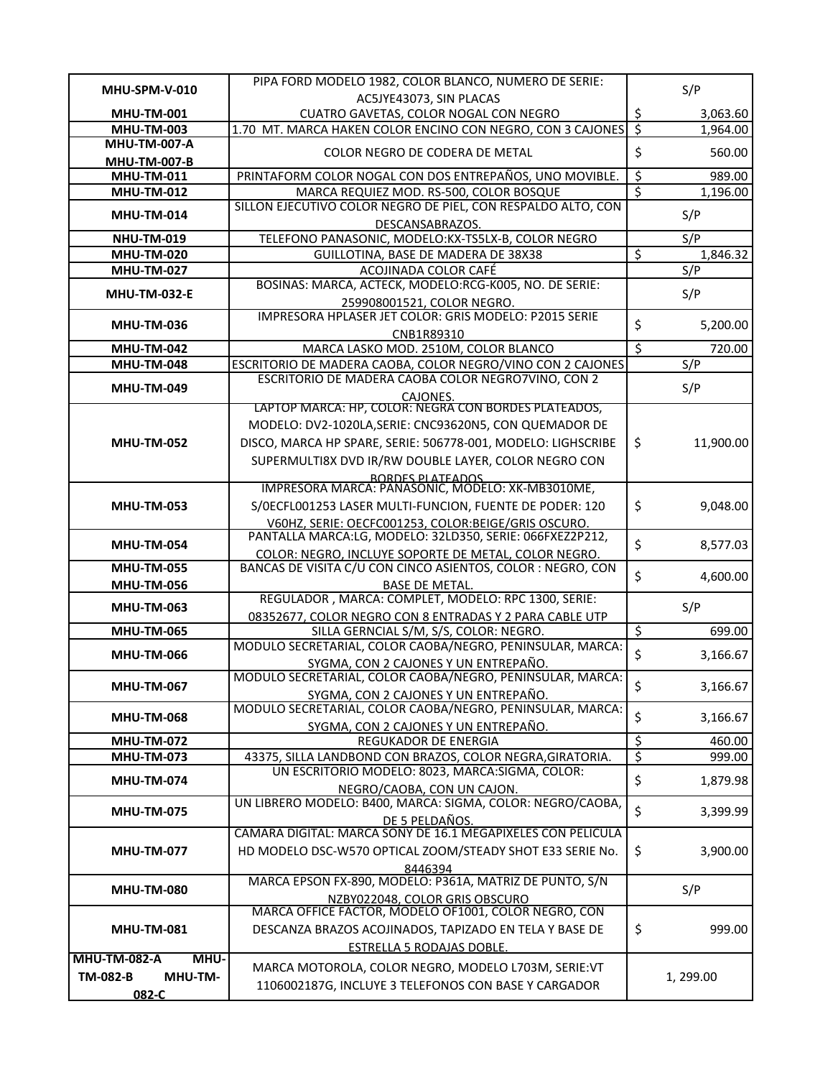| MHU-SPM-V-010               | PIPA FORD MODELO 1982, COLOR BLANCO, NUMERO DE SERIE:                                                               |                          | S/P       |
|-----------------------------|---------------------------------------------------------------------------------------------------------------------|--------------------------|-----------|
|                             | AC5JYE43073, SIN PLACAS                                                                                             |                          |           |
| <b>MHU-TM-001</b>           | CUATRO GAVETAS, COLOR NOGAL CON NEGRO                                                                               | $rac{\xi}{\xi}$          | 3,063.60  |
| <b>MHU-TM-003</b>           | 1.70 MT. MARCA HAKEN COLOR ENCINO CON NEGRO, CON 3 CAJONES                                                          |                          | 1,964.00  |
| <b>MHU-TM-007-A</b>         | COLOR NEGRO DE CODERA DE METAL                                                                                      | \$                       | 560.00    |
| <b>MHU-TM-007-B</b>         |                                                                                                                     |                          |           |
| <b>MHU-TM-011</b>           | PRINTAFORM COLOR NOGAL CON DOS ENTREPAÑOS, UNO MOVIBLE.                                                             | \$                       | 989.00    |
| <b>MHU-TM-012</b>           | MARCA REQUIEZ MOD. RS-500, COLOR BOSQUE<br>SILLON EJECUTIVO COLOR NEGRO DE PIEL, CON RESPALDO ALTO, CON             | $\overline{\xi}$         | 1,196.00  |
| <b>MHU-TM-014</b>           |                                                                                                                     |                          | S/P       |
| <b>NHU-TM-019</b>           | DESCANSABRAZOS.<br>TELEFONO PANASONIC, MODELO:KX-TS5LX-B, COLOR NEGRO                                               |                          | S/P       |
| <b>MHU-TM-020</b>           | GUILLOTINA, BASE DE MADERA DE 38X38                                                                                 | \$                       | 1,846.32  |
| <b>MHU-TM-027</b>           | ACOJINADA COLOR CAFÉ                                                                                                |                          | S/P       |
|                             | BOSINAS: MARCA, ACTECK, MODELO:RCG-K005, NO. DE SERIE:                                                              |                          |           |
| <b>MHU-TM-032-E</b>         | 259908001521, COLOR NEGRO.                                                                                          |                          | S/P       |
|                             | IMPRESORA HPLASER JET COLOR: GRIS MODELO: P2015 SERIE                                                               |                          |           |
| <b>MHU-TM-036</b>           | CNB1R89310                                                                                                          | \$                       | 5,200.00  |
| <b>MHU-TM-042</b>           | MARCA LASKO MOD. 2510M, COLOR BLANCO                                                                                | $\overline{\xi}$         | 720.00    |
| <b>MHU-TM-048</b>           | ESCRITORIO DE MADERA CAOBA, COLOR NEGRO/VINO CON 2 CAJONES                                                          |                          | S/P       |
|                             | ESCRITORIO DE MADERA CAOBA COLOR NEGRO7VINO, CON 2                                                                  |                          |           |
| <b>MHU-TM-049</b>           | CAJONES.                                                                                                            |                          | S/P       |
|                             | LAPTOP MARCA: HP, COLOR: NEGRA CON BORDES PLATEADOS,                                                                |                          |           |
|                             | MODELO: DV2-1020LA, SERIE: CNC93620N5, CON QUEMADOR DE                                                              |                          |           |
| <b>MHU-TM-052</b>           | DISCO, MARCA HP SPARE, SERIE: 506778-001, MODELO: LIGHSCRIBE                                                        | \$                       | 11,900.00 |
|                             | SUPERMULTI8X DVD IR/RW DOUBLE LAYER, COLOR NEGRO CON                                                                |                          |           |
|                             | RORDES PLATEADOS<br>IMPRESORA MARCA: PANASONIC, MODELO: XK-MB3010ME,                                                |                          |           |
|                             |                                                                                                                     |                          |           |
| <b>MHU-TM-053</b>           | S/OECFL001253 LASER MULTI-FUNCION, FUENTE DE PODER: 120                                                             | \$                       | 9,048.00  |
|                             | V60HZ. SERIE: OECFC001253. COLOR:BEIGE/GRIS OSCURO.                                                                 |                          |           |
| <b>MHU-TM-054</b>           | PANTALLA MARCA:LG, MODELO: 32LD350, SERIE: 066FXEZ2P212,                                                            | \$                       | 8,577.03  |
| <b>MHU-TM-055</b>           | COLOR: NEGRO, INCLUYE SOPORTE DE METAL, COLOR NEGRO.<br>BANCAS DE VISITA C/U CON CINCO ASIENTOS, COLOR : NEGRO, CON |                          |           |
|                             |                                                                                                                     | \$                       | 4,600.00  |
| <b>MHU-TM-056</b>           | <b>BASE DE METAL.</b><br>REGULADOR, MARCA: COMPLET, MODELO: RPC 1300, SERIE:                                        |                          |           |
| <b>MHU-TM-063</b>           | 08352677, COLOR NEGRO CON 8 ENTRADAS Y 2 PARA CABLE UTP                                                             |                          | S/P       |
| <b>MHU-TM-065</b>           | SILLA GERNCIAL S/M, S/S, COLOR: NEGRO.                                                                              | \$                       | 699.00    |
|                             | MODULO SECRETARIAL, COLOR CAOBA/NEGRO, PENINSULAR, MARCA:                                                           |                          |           |
| <b>MHU-TM-066</b>           | SYGMA, CON 2 CAJONES Y UN ENTREPAÑO.                                                                                | \$                       | 3,166.67  |
|                             | MODULO SECRETARIAL, COLOR CAOBA/NEGRO, PENINSULAR, MARCA:                                                           |                          |           |
| <b>MHU-TM-067</b>           | SYGMA, CON 2 CAJONES Y UN ENTREPAÑO.                                                                                | \$                       | 3,166.67  |
|                             | MODULO SECRETARIAL, COLOR CAOBA/NEGRO, PENINSULAR, MARCA:                                                           |                          |           |
| <b>MHU-TM-068</b>           | SYGMA, CON 2 CAJONES Y UN ENTREPAÑO.                                                                                | \$                       | 3,166.67  |
| <b>MHU-TM-072</b>           | <b>REGUKADOR DE ENERGIA</b>                                                                                         | $\overline{\mathcal{L}}$ | 460.00    |
| <b>MHU-TM-073</b>           | 43375, SILLA LANDBOND CON BRAZOS, COLOR NEGRA, GIRATORIA.                                                           | इ                        | 999.00    |
| <b>MHU-TM-074</b>           | UN ESCRITORIO MODELO: 8023, MARCA:SIGMA, COLOR:                                                                     | \$                       | 1,879.98  |
|                             | NEGRO/CAOBA, CON UN CAJON.                                                                                          |                          |           |
| <b>MHU-TM-075</b>           | UN LIBRERO MODELO: B400, MARCA: SIGMA, COLOR: NEGRO/CAOBA,                                                          | $\zeta$                  | 3,399.99  |
|                             | DE 5 PELDAÑOS.<br>CAMARA DIGITAL: MARCA SONY DE 16.1 MEGAPIXELES CON PELICULA                                       |                          |           |
|                             |                                                                                                                     |                          |           |
| <b>MHU-TM-077</b>           | HD MODELO DSC-W570 OPTICAL ZOOM/STEADY SHOT E33 SERIE No.                                                           | \$                       | 3,900.00  |
|                             | 8446394<br>MARCA EPSON FX-890, MODELO: P361A, MATRIZ DE PUNTO, S/N                                                  |                          |           |
| <b>MHU-TM-080</b>           |                                                                                                                     |                          | S/P       |
|                             | NZBY022048, COLOR GRIS OBSCURO<br>MARCA OFFICE FACTOR, MODELO OF1001, COLOR NEGRO, CON                              |                          |           |
| <b>MHU-TM-081</b>           | DESCANZA BRAZOS ACOJINADOS, TAPIZADO EN TELA Y BASE DE                                                              | \$                       | 999.00    |
|                             |                                                                                                                     |                          |           |
| MHU-<br><b>MHU-TM-082-A</b> | <b>ESTRELLA 5 RODAJAS DOBLE.</b>                                                                                    |                          |           |
| <b>TM-082-B</b><br>MHU-TM-  | MARCA MOTOROLA, COLOR NEGRO, MODELO L703M, SERIE:VT                                                                 |                          | 1, 299.00 |
| 082-C                       | 1106002187G, INCLUYE 3 TELEFONOS CON BASE Y CARGADOR                                                                |                          |           |
|                             |                                                                                                                     |                          |           |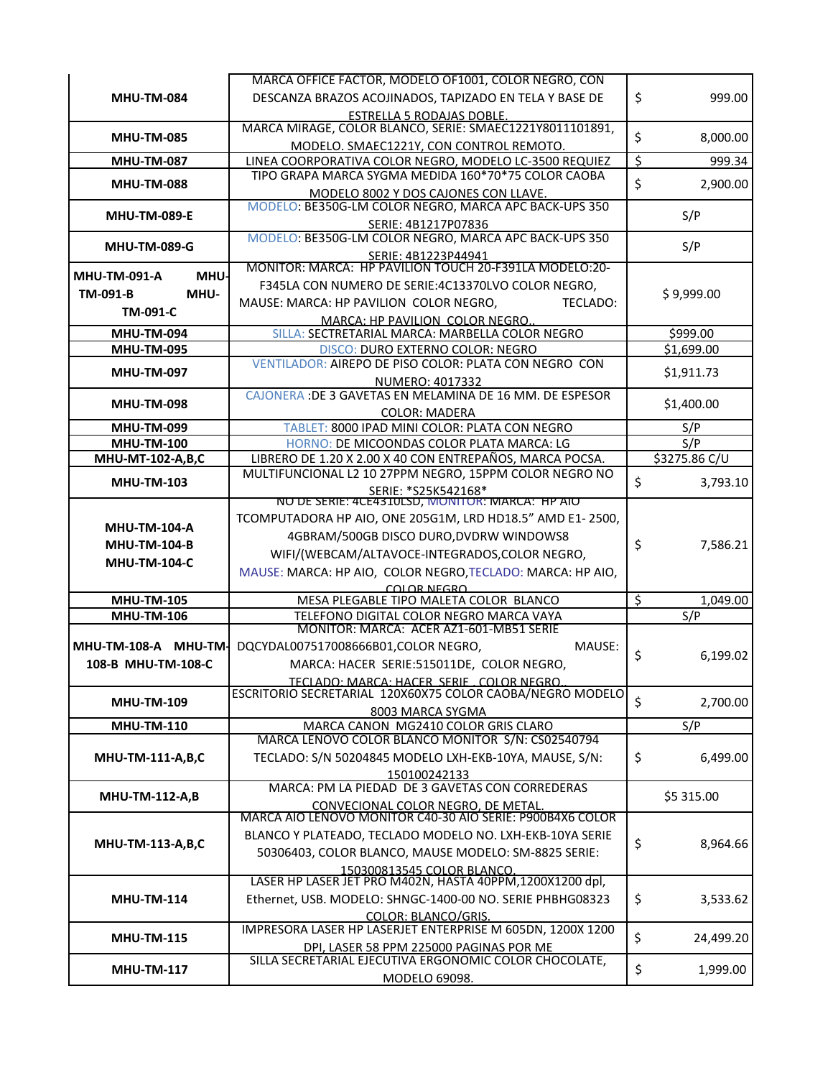|                                    | MARCA OFFICE FACTOR, MODELO OF1001, COLOR NEGRO, CON                                            |                  |               |
|------------------------------------|-------------------------------------------------------------------------------------------------|------------------|---------------|
| <b>MHU-TM-084</b>                  | DESCANZA BRAZOS ACOJINADOS, TAPIZADO EN TELA Y BASE DE                                          | \$               | 999.00        |
|                                    | <b>ESTRELLA 5 RODAJAS DOBLE.</b>                                                                |                  |               |
|                                    | MARCA MIRAGE, COLOR BLANCO, SERIE: SMAEC1221Y8011101891,                                        |                  |               |
| <b>MHU-TM-085</b>                  | MODELO. SMAEC1221Y, CON CONTROL REMOTO.                                                         | \$               | 8,000.00      |
| <b>MHU-TM-087</b>                  | LINEA COORPORATIVA COLOR NEGRO, MODELO LC-3500 REQUIEZ                                          | $\overline{\xi}$ | 999.34        |
|                                    | TIPO GRAPA MARCA SYGMA MEDIDA 160*70*75 COLOR CAOBA                                             |                  |               |
| <b>MHU-TM-088</b>                  | MODELO 8002 Y DOS CAJONES CON LLAVE.                                                            | \$               | 2,900.00      |
|                                    | MODELO: BE350G-LM COLOR NEGRO, MARCA APC BACK-UPS 350                                           |                  |               |
| <b>MHU-TM-089-E</b>                | SERIE: 4B1217P07836                                                                             |                  | S/P           |
|                                    | MODELO: BE350G-LM COLOR NEGRO, MARCA APC BACK-UPS 350                                           |                  |               |
| <b>MHU-TM-089-G</b>                | SERIE: 4B1223P44941                                                                             |                  | S/P           |
| <b>MHU-TM-091-A</b><br><b>MHU-</b> | MONITOR: MARCA: HP PAVILION TOUCH 20-F391LA MODELO:20-                                          |                  |               |
| MHU-                               | F345LA CON NUMERO DE SERIE:4C13370LVO COLOR NEGRO,                                              |                  |               |
| TM-091-B                           | MAUSE: MARCA: HP PAVILION COLOR NEGRO,<br>TECLADO:                                              |                  | \$9,999.00    |
| <b>TM-091-C</b>                    | MARCA: HP PAVILION COLOR NEGRO.                                                                 |                  |               |
| <b>MHU-TM-094</b>                  | SILLA: SECTRETARIAL MARCA: MARBELLA COLOR NEGRO                                                 |                  | \$999.00      |
| <b>MHU-TM-095</b>                  | DISCO: DURO EXTERNO COLOR: NEGRO                                                                |                  | \$1,699.00    |
|                                    | VENTILADOR: AIREPO DE PISO COLOR: PLATA CON NEGRO CON                                           |                  |               |
| <b>MHU-TM-097</b>                  | NUMERO: 4017332                                                                                 |                  | \$1,911.73    |
|                                    | CAJONERA: DE 3 GAVETAS EN MELAMINA DE 16 MM. DE ESPESOR                                         |                  |               |
| <b>MHU-TM-098</b>                  | <b>COLOR: MADERA</b>                                                                            |                  | \$1,400.00    |
| <b>MHU-TM-099</b>                  | TABLET: 8000 IPAD MINI COLOR: PLATA CON NEGRO                                                   |                  | S/P           |
| <b>MHU-TM-100</b>                  | HORNO: DE MICOONDAS COLOR PLATA MARCA: LG                                                       |                  | S/P           |
| MHU-MT-102-A,B,C                   | LIBRERO DE 1.20 X 2.00 X 40 CON ENTREPAÑOS, MARCA POCSA.                                        |                  | \$3275.86 C/U |
| <b>MHU-TM-103</b>                  | MULTIFUNCIONAL L2 10 27PPM NEGRO, 15PPM COLOR NEGRO NO                                          | \$               | 3,793.10      |
|                                    | SERIE: *S25K542168*<br>NO DE SERIE: 4CE4310LSD, MONITOR: MARCA: HP AIO                          |                  |               |
|                                    |                                                                                                 |                  |               |
| <b>MHU-TM-104-A</b>                | TCOMPUTADORA HP AIO, ONE 205G1M, LRD HD18.5" AMD E1-2500,                                       |                  |               |
| <b>MHU-TM-104-B</b>                | 4GBRAM/500GB DISCO DURO, DVDRW WINDOWS8                                                         |                  | 7,586.21      |
|                                    | WIFI/(WEBCAM/ALTAVOCE-INTEGRADOS,COLOR NEGRO,                                                   | \$               |               |
| <b>MHU-TM-104-C</b>                | MAUSE: MARCA: HP AIO, COLOR NEGRO, TECLADO: MARCA: HP AIO,                                      |                  |               |
|                                    | COLOR NEGRO                                                                                     |                  |               |
| <b>MHU-TM-105</b>                  | MESA PLEGABLE TIPO MALETA COLOR BLANCO                                                          | \$               | 1,049.00      |
| <b>MHU-TM-106</b>                  | TELEFONO DIGITAL COLOR NEGRO MARCA VAYA                                                         |                  | S/P           |
|                                    | MONITOR: MARCA: ACER AZ1-601-MB51 SERIE                                                         |                  |               |
| MHU-TM-108-A MHU-TM-               | DQCYDAL007517008666B01,COLOR NEGRO,<br>MAUSE:                                                   | \$               | 6,199.02      |
| 108-B MHU-TM-108-C                 | MARCA: HACER SERIE:515011DE, COLOR NEGRO,                                                       |                  |               |
|                                    | TECLADO: MARCA: HACER SERIE . COLOR NEGRO.                                                      |                  |               |
| <b>MHU-TM-109</b>                  | ESCRITORIO SECRETARIAL 120X60X75 COLOR CAOBA/NEGRO MODELO                                       | \$               | 2,700.00      |
|                                    | 8003 MARCA SYGMA                                                                                |                  |               |
| <b>MHU-TM-110</b>                  | MARCA CANON MG2410 COLOR GRIS CLARO                                                             |                  | S/P           |
|                                    | MARCA LENOVO COLOR BLANCO MONITOR S/N: CS02540794                                               |                  |               |
| <b>MHU-TM-111-A,B,C</b>            | TECLADO: S/N 50204845 MODELO LXH-EKB-10YA, MAUSE, S/N:                                          | \$               | 6,499.00      |
|                                    |                                                                                                 |                  |               |
|                                    | 150100242133                                                                                    |                  |               |
|                                    | MARCA: PM LA PIEDAD DE 3 GAVETAS CON CORREDERAS                                                 |                  |               |
| <b>MHU-TM-112-A,B</b>              |                                                                                                 |                  | \$5 315.00    |
|                                    | CONVECIONAL COLOR NEGRO, DE METAL.<br>MARCA AIO LENOVO MONITOR C40-30 AIO SERIE: P900B4X6 COLOR |                  |               |
|                                    | BLANCO Y PLATEADO, TECLADO MODELO NO. LXH-EKB-10YA SERIE                                        |                  |               |
| MHU-TM-113-A,B,C                   | 50306403, COLOR BLANCO, MAUSE MODELO: SM-8825 SERIE:                                            | \$               | 8,964.66      |
|                                    | 150300813545 COLOR BLANCO                                                                       |                  |               |
|                                    | LASER HP LASER JET PRO M402N, HASTA 40PPM,1200X1200 dpl,                                        |                  |               |
| <b>MHU-TM-114</b>                  | Ethernet, USB. MODELO: SHNGC-1400-00 NO. SERIE PHBHG08323                                       | \$               | 3,533.62      |
|                                    | <b>COLOR: BLANCO/GRIS.</b>                                                                      |                  |               |
| <b>MHU-TM-115</b>                  | IMPRESORA LASER HP LASERJET ENTERPRISE M 605DN, 1200X 1200                                      |                  |               |
|                                    | DPI, LASER 58 PPM 225000 PAGINAS POR ME                                                         | \$               | 24,499.20     |
| <b>MHU-TM-117</b>                  | SILLA SECRETARIAL EJECUTIVA ERGONOMIC COLOR CHOCOLATE,<br>MODELO 69098.                         | \$               | 1,999.00      |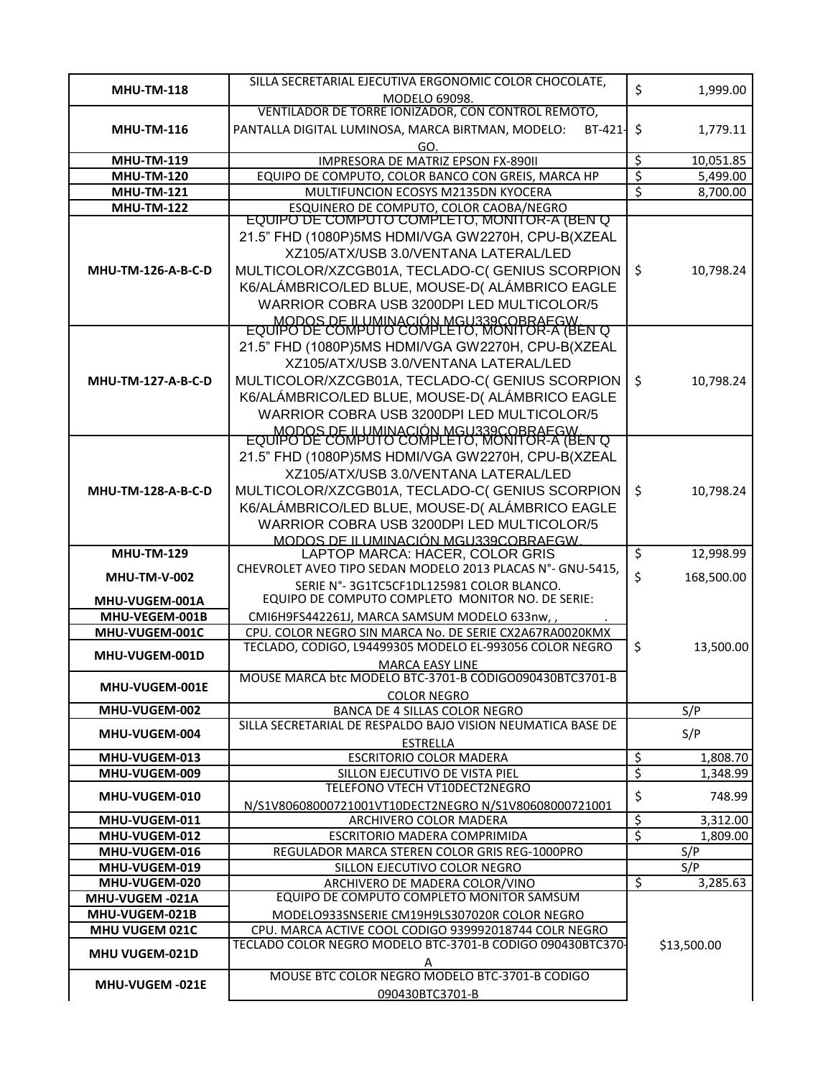|                                  | SILLA SECRETARIAL EJECUTIVA ERGONOMIC COLOR CHOCOLATE,                         |                        |             |
|----------------------------------|--------------------------------------------------------------------------------|------------------------|-------------|
| <b>MHU-TM-118</b>                | MODELO 69098.                                                                  | \$                     | 1,999.00    |
|                                  | VENTILADOR DE TORRE IONIZADOR, CON CONTROL REMOTO,                             |                        |             |
| <b>MHU-TM-116</b>                | PANTALLA DIGITAL LUMINOSA, MARCA BIRTMAN, MODELO:<br>BT-421-                   | \$                     | 1,779.11    |
|                                  | GO                                                                             |                        |             |
| <b>MHU-TM-119</b>                | IMPRESORA DE MATRIZ EPSON FX-890II                                             | \$                     | 10,051.85   |
| <b>MHU-TM-120</b>                | EQUIPO DE COMPUTO, COLOR BANCO CON GREIS, MARCA HP                             | ड                      | 5,499.00    |
| <b>MHU-TM-121</b>                | MULTIFUNCION ECOSYS M2135DN KYOCERA                                            | \$                     | 8,700.00    |
| <b>MHU-TM-122</b>                | ESQUINERO DE COMPUTO, COLOR CAOBA/NEGRO                                        |                        |             |
|                                  | EQUIPO DE COMPUTO COMPLETO, MONITOR-A (BEN Q                                   |                        |             |
|                                  | 21.5" FHD (1080P)5MS HDMI/VGA GW2270H, CPU-B(XZEAL                             |                        |             |
|                                  | XZ105/ATX/USB 3.0/VENTANA LATERAL/LED                                          |                        |             |
| MHU-TM-126-A-B-C-D               | MULTICOLOR/XZCGB01A, TECLADO-C( GENIUS SCORPION                                | \$                     | 10,798.24   |
|                                  | K6/ALÁMBRICO/LED BLUE, MOUSE-D(ALÁMBRICO EAGLE                                 |                        |             |
|                                  | WARRIOR COBRA USB 3200DPI LED MULTICOLOR/5                                     |                        |             |
|                                  | EQUIPO DE COMPUTO COMPLÉTO, MONTOR-A (BEN Q                                    |                        |             |
|                                  | 21.5" FHD (1080P)5MS HDMI/VGA GW2270H, CPU-B(XZEAL                             |                        |             |
|                                  | XZ105/ATX/USB 3.0/VENTANA LATERAL/LED                                          |                        |             |
| <b>MHU-TM-127-A-B-C-D</b>        | MULTICOLOR/XZCGB01A, TECLADO-C( GENIUS SCORPION                                | \$                     | 10,798.24   |
|                                  | K6/ALÁMBRICO/LED BLUE, MOUSE-D(ALÁMBRICO EAGLE                                 |                        |             |
|                                  | WARRIOR COBRA USB 3200DPI LED MULTICOLOR/5                                     |                        |             |
|                                  | EQUIPO DE COMPUTO COMPLÉTO, MONTOR-A (BEN Q                                    |                        |             |
|                                  |                                                                                |                        |             |
|                                  | 21.5" FHD (1080P)5MS HDMI/VGA GW2270H, CPU-B(XZEAL                             |                        |             |
|                                  | XZ105/ATX/USB 3.0/VENTANA LATERAL/LED                                          |                        |             |
| <b>MHU-TM-128-A-B-C-D</b>        | MULTICOLOR/XZCGB01A, TECLADO-C( GENIUS SCORPION                                | \$                     | 10,798.24   |
|                                  | K6/ALÁMBRICO/LED BLUE, MOUSE-D(ALÁMBRICO EAGLE                                 |                        |             |
|                                  | WARRIOR COBRA USB 3200DPI LED MULTICOLOR/5                                     |                        |             |
| <b>MHU-TM-129</b>                | <u>MODOS DE ILUMINACIÓN MGU339COBRAEGW.</u><br>LAPTOP MARCA: HACER, COLOR GRIS | \$                     | 12,998.99   |
|                                  | CHEVROLET AVEO TIPO SEDAN MODELO 2013 PLACAS N°- GNU-5415,                     |                        |             |
| <b>MHU-TM-V-002</b>              | SERIE N°-3G1TC5CF1DL125981 COLOR BLANCO.                                       | \$                     | 168,500.00  |
| MHU-VUGEM-001A                   | EQUIPO DE COMPUTO COMPLETO MONITOR NO. DE SERIE:                               |                        |             |
| MHU-VEGEM-001B                   | CMI6H9FS442261J, MARCA SAMSUM MODELO 633nw,,                                   |                        |             |
| MHU-VUGEM-001C                   | CPU. COLOR NEGRO SIN MARCA No. DE SERIE CX2A67RA0020KMX                        |                        |             |
| MHU-VUGEM-001D                   | TECLADO, CODIGO, L94499305 MODELO EL-993056 COLOR NEGRO                        | \$                     | 13,500.00   |
|                                  | <b>MARCA EASY LINE</b>                                                         |                        |             |
| MHU-VUGEM-001E                   | MOUSE MARCA btc MODELO BTC-3701-B CÓDIGO090430BTC3701-B                        |                        |             |
|                                  | <b>COLOR NEGRO</b>                                                             |                        |             |
| MHU-VUGEM-002                    | BANCA DE 4 SILLAS COLOR NEGRO                                                  |                        | S/P         |
| MHU-VUGEM-004                    | SILLA SECRETARIAL DE RESPALDO BAJO VISION NEUMATICA BASE DE                    |                        | S/P         |
| MHU-VUGEM-013                    | ESTRELLA<br><b>ESCRITORIO COLOR MADERA</b>                                     | $\boldsymbol{\dot{z}}$ | 1,808.70    |
| MHU-VUGEM-009                    | SILLON EJECUTIVO DE VISTA PIEL                                                 | $\overline{\xi}$       | 1,348.99    |
|                                  | TELEFONO VTECH VT10DECT2NEGRO                                                  |                        |             |
| MHU-VUGEM-010                    | N/S1V80608000721001VT10DECT2NEGRO N/S1V80608000721001                          | \$                     | 748.99      |
| MHU-VUGEM-011                    | ARCHIVERO COLOR MADERA                                                         | $\overline{\xi}$       | 3,312.00    |
| MHU-VUGEM-012                    | ESCRITORIO MADERA COMPRIMIDA                                                   | $\overline{\xi}$       | 1,809.00    |
| MHU-VUGEM-016                    | REGULADOR MARCA STEREN COLOR GRIS REG-1000PRO                                  |                        | S/P         |
| MHU-VUGEM-019                    | SILLON EJECUTIVO COLOR NEGRO                                                   |                        | S/P         |
| MHU-VUGEM-020                    | ARCHIVERO DE MADERA COLOR/VINO                                                 | \$                     | 3,285.63    |
| MHU-VUGEM -021A                  | EQUIPO DE COMPUTO COMPLETO MONITOR SAMSUM                                      |                        |             |
| MHU-VUGEM-021B<br>MHU VUGEM 021C | MODELO933SNSERIE CM19H9LS307020R COLOR NEGRO                                   |                        |             |
|                                  |                                                                                |                        |             |
|                                  | CPU. MARCA ACTIVE COOL CODIGO 939992018744 COLR NEGRO                          |                        |             |
| MHU VUGEM-021D                   | TECLADO COLOR NEGRO MODELO BTC-3701-B CODIGO 090430BTC370-<br>Α                |                        | \$13,500.00 |
| MHU-VUGEM -021E                  | MOUSE BTC COLOR NEGRO MODELO BTC-3701-B CODIGO                                 |                        |             |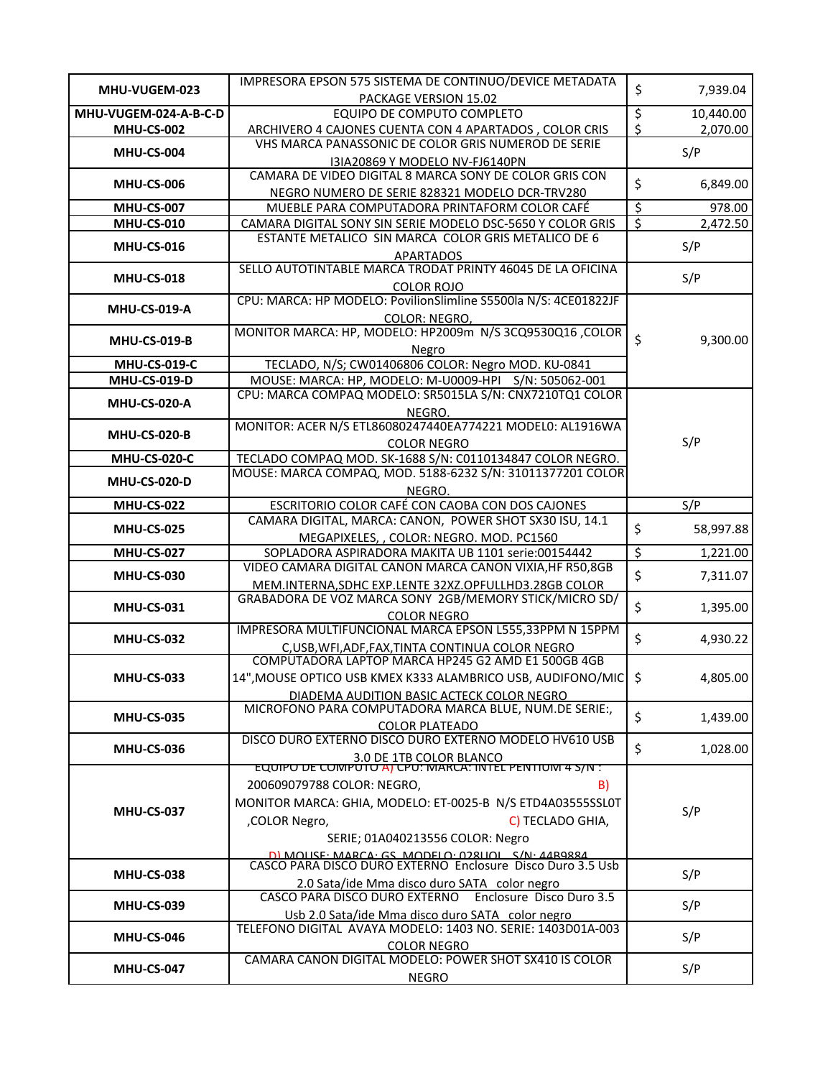| MHU-VUGEM-023         | IMPRESORA EPSON 575 SISTEMA DE CONTINUO/DEVICE METADATA                                                | \$                       | 7,939.04  |  |
|-----------------------|--------------------------------------------------------------------------------------------------------|--------------------------|-----------|--|
|                       | PACKAGE VERSION 15.02                                                                                  |                          |           |  |
| MHU-VUGEM-024-A-B-C-D | EQUIPO DE COMPUTO COMPLETO                                                                             | \$                       | 10,440.00 |  |
| <b>MHU-CS-002</b>     | ARCHIVERO 4 CAJONES CUENTA CON 4 APARTADOS, COLOR CRIS                                                 | \$                       | 2,070.00  |  |
| <b>MHU-CS-004</b>     | VHS MARCA PANASSONIC DE COLOR GRIS NUMEROD DE SERIE                                                    |                          | S/P       |  |
|                       | I3IA20869 Y MODELO NV-FJ6140PN                                                                         |                          |           |  |
| <b>MHU-CS-006</b>     | CAMARA DE VIDEO DIGITAL 8 MARCA SONY DE COLOR GRIS CON                                                 | \$                       | 6,849.00  |  |
|                       | NEGRO NUMERO DE SERIE 828321 MODELO DCR-TRV280                                                         |                          |           |  |
| MHU-CS-007            | MUEBLE PARA COMPUTADORA PRINTAFORM COLOR CAFÉ                                                          | $\overline{\mathcal{S}}$ | 978.00    |  |
| <b>MHU-CS-010</b>     | CAMARA DIGITAL SONY SIN SERIE MODELO DSC-5650 Y COLOR GRIS                                             | $\overline{\mathcal{S}}$ | 2,472.50  |  |
|                       | ESTANTE METALICO SIN MARCA COLOR GRIS METALICO DE 6                                                    |                          |           |  |
| <b>MHU-CS-016</b>     | <b>APARTADOS</b>                                                                                       |                          | S/P       |  |
|                       | SELLO AUTOTINTABLE MARCA TRODAT PRINTY 46045 DE LA OFICINA                                             |                          |           |  |
| <b>MHU-CS-018</b>     | <b>COLOR ROJO</b>                                                                                      |                          | S/P       |  |
|                       | CPU: MARCA: HP MODELO: PovilionSlimline S5500la N/S: 4CE01822JF                                        |                          |           |  |
| <b>MHU-CS-019-A</b>   | COLOR: NEGRO,                                                                                          |                          |           |  |
|                       | MONITOR MARCA: HP, MODELO: HP2009m N/S 3CQ9530Q16, COLOR                                               |                          |           |  |
| <b>MHU-CS-019-B</b>   | Negro                                                                                                  | \$                       | 9,300.00  |  |
| <b>MHU-CS-019-C</b>   | TECLADO, N/S; CW01406806 COLOR: Negro MOD. KU-0841                                                     |                          |           |  |
| <b>MHU-CS-019-D</b>   | MOUSE: MARCA: HP, MODELO: M-U0009-HPI S/N: 505062-001                                                  |                          |           |  |
|                       | CPU: MARCA COMPAQ MODELO: SR5015LA S/N: CNX7210TQ1 COLOR                                               |                          |           |  |
| <b>MHU-CS-020-A</b>   | NEGRO.                                                                                                 |                          |           |  |
|                       | MONITOR: ACER N/S ETL86080247440EA774221 MODEL0: AL1916WA                                              |                          |           |  |
| <b>MHU-CS-020-B</b>   |                                                                                                        |                          | S/P       |  |
| <b>MHU-CS-020-C</b>   | <b>COLOR NEGRO</b><br>TECLADO COMPAQ MOD. SK-1688 S/N: C0110134847 COLOR NEGRO.                        |                          |           |  |
|                       | MOUSE: MARCA COMPAQ, MOD. 5188-6232 S/N: 31011377201 COLOR                                             |                          |           |  |
| <b>MHU-CS-020-D</b>   |                                                                                                        |                          |           |  |
|                       | NEGRO.                                                                                                 |                          |           |  |
| <b>MHU-CS-022</b>     | ESCRITORIO COLOR CAFÉ CON CAOBA CON DOS CAJONES                                                        |                          | S/P       |  |
| <b>MHU-CS-025</b>     | CAMARA DIGITAL, MARCA: CANON, POWER SHOT SX30 ISU, 14.1                                                | \$                       | 58,997.88 |  |
|                       | MEGAPIXELES, , COLOR: NEGRO. MOD. PC1560                                                               |                          |           |  |
| <b>MHU-CS-027</b>     | SOPLADORA ASPIRADORA MAKITA UB 1101 serie:00154442                                                     | \$                       | 1,221.00  |  |
| <b>MHU-CS-030</b>     | VIDEO CAMARA DIGITAL CANON MARCA CANON VIXIA, HF R50,8GB                                               | \$                       | 7,311.07  |  |
|                       | MEM.INTERNA, SDHC EXP.LENTE 32XZ.OPFULLHD3.28GB COLOR                                                  |                          |           |  |
| <b>MHU-CS-031</b>     | GRABADORA DE VOZ MARCA SONY 2GB/MEMORY STICK/MICRO SD/                                                 | \$                       | 1,395.00  |  |
|                       | <b>COLOR NEGRO</b>                                                                                     |                          |           |  |
| <b>MHU-CS-032</b>     | IMPRESORA MULTIFUNCIONAL MARCA EPSON L555,33PPM N 15PPM                                                | \$                       | 4,930.22  |  |
|                       | C, USB, WFI, ADF, FAX, TINTA CONTINUA COLOR NEGRO                                                      |                          |           |  |
|                       | COMPUTADORA LAPTOP MARCA HP245 G2 AMD E1 500GB 4GB                                                     |                          |           |  |
| <b>MHU-CS-033</b>     | 14", MOUSE OPTICO USB KMEX K333 ALAMBRICO USB, AUDIFONO/MIC \$                                         |                          | 4,805.00  |  |
|                       | DIADEMA AUDITION BASIC ACTECK COLOR NEGRO                                                              |                          |           |  |
|                       | MICROFONO PARA COMPUTADORA MARCA BLUE, NUM.DE SERIE:,                                                  | \$                       |           |  |
| <b>MHU-CS-035</b>     | <b>COLOR PLATEADO</b>                                                                                  |                          | 1,439.00  |  |
|                       | DISCO DURO EXTERNO DISCO DURO EXTERNO MODELO HV610 USB                                                 |                          |           |  |
| <b>MHU-CS-036</b>     | 3.0 DE 1TB COLOR BLANCO<br>EQUIPO DE COMPUTO AJ CPU: MARCA: INTEL PENTIUM 4 S/N :                      | \$                       | 1,028.00  |  |
|                       |                                                                                                        |                          |           |  |
|                       | 200609079788 COLOR: NEGRO,<br>B)                                                                       |                          |           |  |
|                       | MONITOR MARCA: GHIA, MODELO: ET-0025-B N/S ETD4A03555SSL0T                                             |                          |           |  |
| MHU-CS-037            | ,COLOR Negro,<br>C) TECLADO GHIA,                                                                      |                          | S/P       |  |
|                       |                                                                                                        |                          |           |  |
|                       | SERIE; 01A040213556 COLOR: Negro                                                                       |                          |           |  |
|                       | DI MOUSE: MARCA: GS. MODELO: 028LIOL S/N: 44B9884                                                      |                          |           |  |
| <b>MHU-CS-038</b>     |                                                                                                        |                          | S/P       |  |
|                       | 2.0 Sata/ide Mma disco duro SATA color negro<br>CASCO PARA DISCO DURO EXTERNO Enclosure Disco Duro 3.5 |                          |           |  |
|                       |                                                                                                        |                          | S/P       |  |
| <b>MHU-CS-039</b>     | Usb 2.0 Sata/ide Mma disco duro SATA color negro                                                       |                          |           |  |
|                       |                                                                                                        |                          |           |  |
| <b>MHU-CS-046</b>     | TELEFONO DIGITAL AVAYA MODELO: 1403 NO. SERIE: 1403D01A-003                                            |                          | S/P       |  |
|                       | <b>COLOR NEGRO</b>                                                                                     |                          |           |  |
| <b>MHU-CS-047</b>     | CAMARA CANON DIGITAL MODELO: POWER SHOT SX410 IS COLOR<br><b>NEGRO</b>                                 |                          | S/P       |  |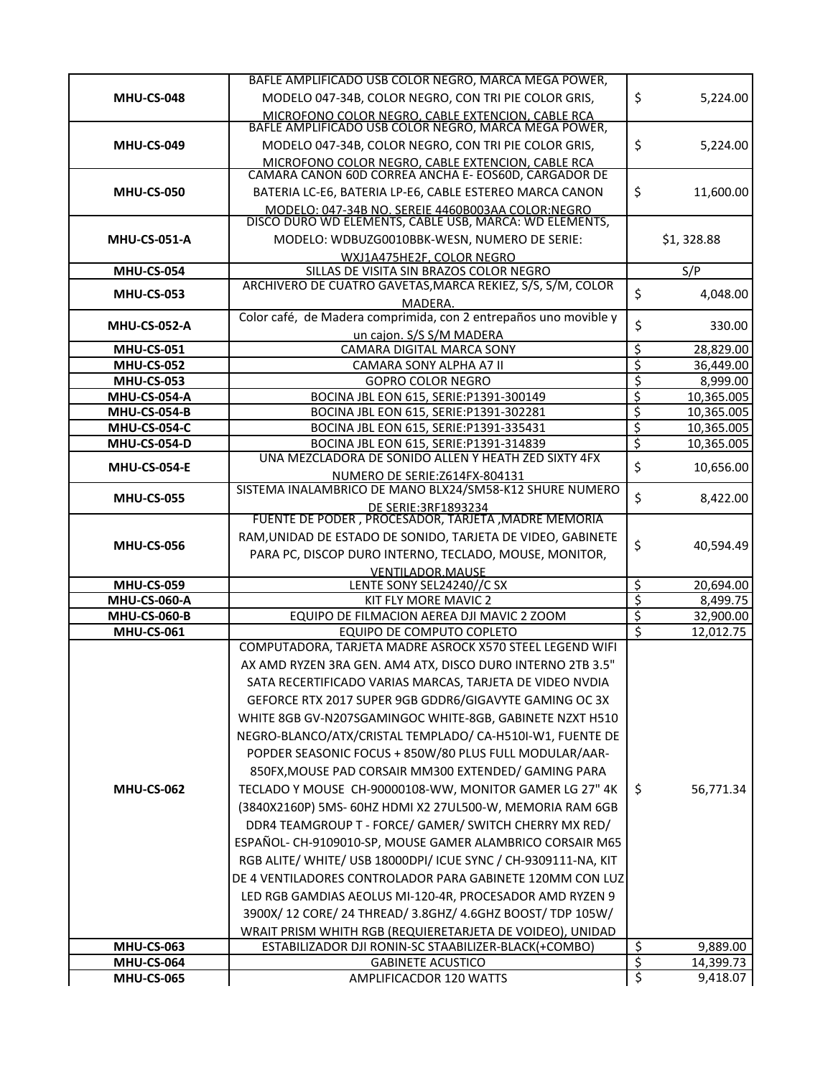|                                            | BAFLE AMPLIFICADO USB COLOR NEGRO, MARCA MEGA POWER,                                                        |                                     |                          |
|--------------------------------------------|-------------------------------------------------------------------------------------------------------------|-------------------------------------|--------------------------|
| <b>MHU-CS-048</b>                          | MODELO 047-34B, COLOR NEGRO, CON TRI PIE COLOR GRIS,                                                        | \$                                  | 5,224.00                 |
|                                            | MICROFONO COLOR NEGRO. CABLE EXTENCION. CABLE RCA<br>BAFLE AMPLIFICADO USB COLOR NEGRO, MARCA MEGA POWER,   |                                     |                          |
|                                            |                                                                                                             |                                     |                          |
| <b>MHU-CS-049</b>                          | MODELO 047-34B, COLOR NEGRO, CON TRI PIE COLOR GRIS,                                                        | \$                                  | 5,224.00                 |
|                                            | MICROFONO COLOR NEGRO, CABLE EXTENCION, CABLE RCA<br>CAMARA CANON 60D CORREA ANCHA E- EOS60D, CARGADOR DE   |                                     |                          |
| <b>MHU-CS-050</b>                          | BATERIA LC-E6, BATERIA LP-E6, CABLE ESTEREO MARCA CANON                                                     | \$                                  | 11,600.00                |
|                                            |                                                                                                             |                                     |                          |
|                                            | MODELO: 047-34B NO. SEREIE 4460B003AA COLOR:NEGRO<br>DISCO DURO WD ELEMENTS, CABLE USB, MARCA: WD ELEMENTS, |                                     |                          |
| <b>MHU-CS-051-A</b>                        | MODELO: WDBUZG0010BBK-WESN, NUMERO DE SERIE:                                                                |                                     | \$1,328.88               |
|                                            | WXJ1A475HE2F, COLOR NEGRO                                                                                   |                                     |                          |
| <b>MHU-CS-054</b>                          | SILLAS DE VISITA SIN BRAZOS COLOR NEGRO<br>ARCHIVERO DE CUATRO GAVETAS, MARCA REKIEZ, S/S, S/M, COLOR       |                                     | S/P                      |
| <b>MHU-CS-053</b>                          | MADERA.                                                                                                     | \$                                  | 4,048.00                 |
|                                            | Color café, de Madera comprimida, con 2 entrepaños uno movible y                                            |                                     |                          |
| <b>MHU-CS-052-A</b>                        | un cajon. S/S S/M MADERA                                                                                    | \$                                  | 330.00                   |
| <b>MHU-CS-051</b>                          | CAMARA DIGITAL MARCA SONY                                                                                   | \$                                  | 28,829.00                |
| <b>MHU-CS-052</b>                          | CAMARA SONY ALPHA A7 II                                                                                     | \$                                  | 36,449.00                |
| <b>MHU-CS-053</b>                          | <b>GOPRO COLOR NEGRO</b>                                                                                    | $\overline{\boldsymbol{\varsigma}}$ | 8,999.00                 |
| <b>MHU-CS-054-A</b><br><b>MHU-CS-054-B</b> | BOCINA JBL EON 615, SERIE: P1391-300149                                                                     | \$<br>\$                            | 10,365.005               |
| MHU-CS-054-C                               | BOCINA JBL EON 615, SERIE: P1391-302281<br>BOCINA JBL EON 615, SERIE: P1391-335431                          | \$                                  | 10,365.005<br>10,365.005 |
| MHU-CS-054-D                               | BOCINA JBL EON 615, SERIE: P1391-314839                                                                     | \$                                  | 10,365.005               |
|                                            | UNA MEZCLADORA DE SONIDO ALLEN Y HEATH ZED SIXTY 4FX                                                        |                                     |                          |
| <b>MHU-CS-054-E</b>                        | NUMERO DE SERIE: Z614FX-804131                                                                              | \$                                  | 10,656.00                |
| <b>MHU-CS-055</b>                          | SISTEMA INALAMBRICO DE MANO BLX24/SM58-K12 SHURE NUMERO                                                     | \$                                  | 8,422.00                 |
|                                            | DE SERIE: 3RF1893234                                                                                        |                                     |                          |
|                                            | FUENTE DE PODER, PROCESADOR, TARJETA, MADRE MEMORIA                                                         |                                     |                          |
| <b>MHU-CS-056</b>                          | RAM, UNIDAD DE ESTADO DE SONIDO, TARJETA DE VIDEO, GABINETE                                                 | \$                                  | 40,594.49                |
|                                            | PARA PC, DISCOP DURO INTERNO, TECLADO, MOUSE, MONITOR,                                                      |                                     |                          |
| <b>MHU-CS-059</b>                          | VENTILADOR MAUSE<br>LENTE SONY SEL24240//C SX                                                               | \$                                  | 20,694.00                |
| <b>MHU-CS-060-A</b>                        | KIT FLY MORE MAVIC 2                                                                                        | \$                                  | 8,499.75                 |
| <b>MHU-CS-060-B</b>                        | EQUIPO DE FILMACION AEREA DJI MAVIC 2 ZOOM                                                                  | \$                                  | 32,900.00                |
| <b>MHU-CS-061</b>                          | EQUIPO DE COMPUTO COPLETO                                                                                   | $\overline{\mathsf{S}}$             | 12,012.75                |
|                                            | COMPUTADORA, TARJETA MADRE ASROCK X570 STEEL LEGEND WIFI                                                    |                                     |                          |
|                                            | AX AMD RYZEN 3RA GEN. AM4 ATX, DISCO DURO INTERNO 2TB 3.5"                                                  |                                     |                          |
|                                            | SATA RECERTIFICADO VARIAS MARCAS, TARJETA DE VIDEO NVDIA                                                    |                                     |                          |
|                                            | GEFORCE RTX 2017 SUPER 9GB GDDR6/GIGAVYTE GAMING OC 3X                                                      |                                     |                          |
|                                            | WHITE 8GB GV-N207SGAMINGOC WHITE-8GB, GABINETE NZXT H510                                                    |                                     |                          |
|                                            | NEGRO-BLANCO/ATX/CRISTAL TEMPLADO/ CA-H510I-W1, FUENTE DE                                                   |                                     |                          |
|                                            | POPDER SEASONIC FOCUS + 850W/80 PLUS FULL MODULAR/AAR-                                                      |                                     |                          |
|                                            | 850FX, MOUSE PAD CORSAIR MM300 EXTENDED/ GAMING PARA                                                        |                                     |                          |
| <b>MHU-CS-062</b>                          | TECLADO Y MOUSE CH-90000108-WW, MONITOR GAMER LG 27" 4K                                                     | \$                                  | 56,771.34                |
|                                            | (3840X2160P) 5MS- 60HZ HDMI X2 27UL500-W, MEMORIA RAM 6GB                                                   |                                     |                          |
|                                            | DDR4 TEAMGROUP T - FORCE/ GAMER/ SWITCH CHERRY MX RED/                                                      |                                     |                          |
|                                            | ESPAÑOL- CH-9109010-SP, MOUSE GAMER ALAMBRICO CORSAIR M65                                                   |                                     |                          |
|                                            | RGB ALITE/ WHITE/ USB 18000DPI/ ICUE SYNC / CH-9309111-NA, KIT                                              |                                     |                          |
|                                            | DE 4 VENTILADORES CONTROLADOR PARA GABINETE 120MM CON LUZ                                                   |                                     |                          |
|                                            | LED RGB GAMDIAS AEOLUS MI-120-4R, PROCESADOR AMD RYZEN 9                                                    |                                     |                          |
|                                            | 3900X/ 12 CORE/ 24 THREAD/ 3.8GHZ/ 4.6GHZ BOOST/ TDP 105W/                                                  |                                     |                          |
|                                            | WRAIT PRISM WHITH RGB (REQUIERETARJETA DE VOIDEO), UNIDAD                                                   |                                     |                          |
| <b>MHU-CS-063</b>                          | ESTABILIZADOR DJI RONIN-SC STAABILIZER-BLACK(+COMBO)                                                        | \$                                  | 9,889.00                 |
| MHU-CS-064                                 | <b>GABINETE ACUSTICO</b>                                                                                    | \$                                  | 14,399.73                |
| <b>MHU-CS-065</b>                          | AMPLIFICACDOR 120 WATTS                                                                                     | \$                                  | 9,418.07                 |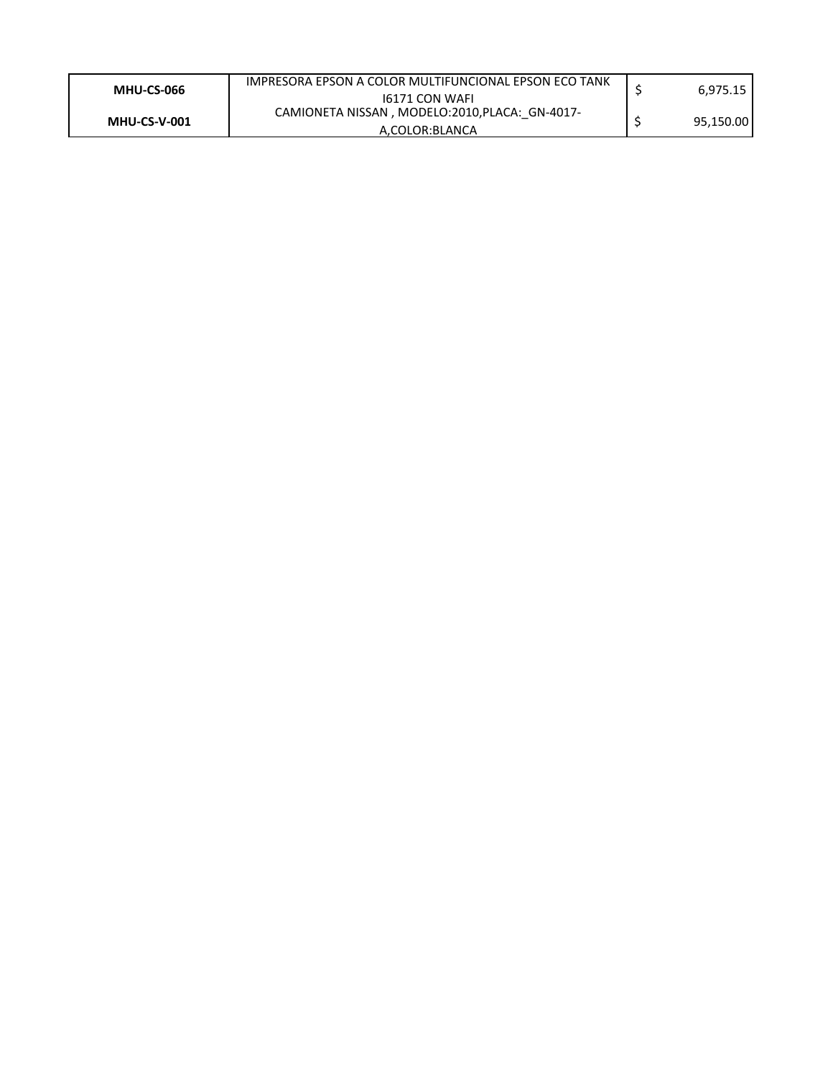| 16171 CON WAFI<br>CAMIONETA NISSAN, MODELO:2010, PLACA: GN-4017-<br>95,150.00<br><b>MHU-CS-V-001</b><br>A.COLOR:BLANCA | <b>MHU-CS-066</b> | IMPRESORA EPSON A COLOR MULTIFUNCIONAL EPSON ECO TANK | 6,975.15 |
|------------------------------------------------------------------------------------------------------------------------|-------------------|-------------------------------------------------------|----------|
|                                                                                                                        |                   |                                                       |          |
|                                                                                                                        |                   |                                                       |          |
|                                                                                                                        |                   |                                                       |          |